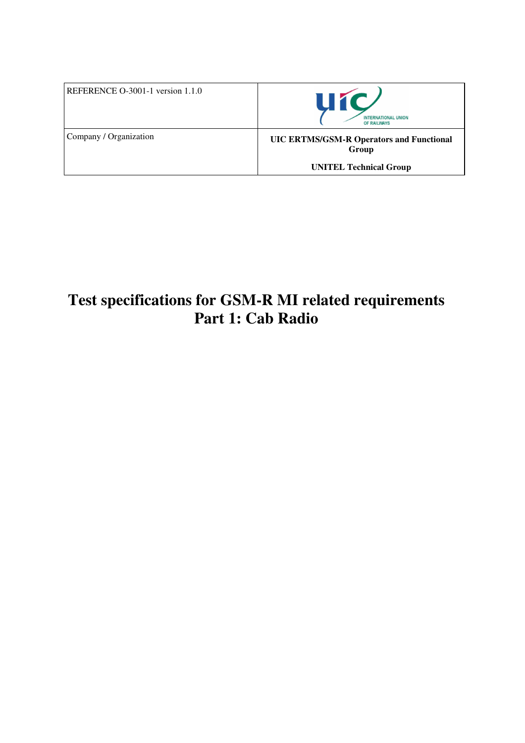| REFERENCE $O-3001-1$ version 1.1.0 | <b>Uíc</b><br><b>INTERNATIONAL UNION</b><br>OF RAILWAYS                                   |
|------------------------------------|-------------------------------------------------------------------------------------------|
| Company / Organization             | <b>UIC ERTMS/GSM-R Operators and Functional</b><br>Group<br><b>UNITEL Technical Group</b> |

# **Test specifications for GSM-R MI related requirements Part 1: Cab Radio**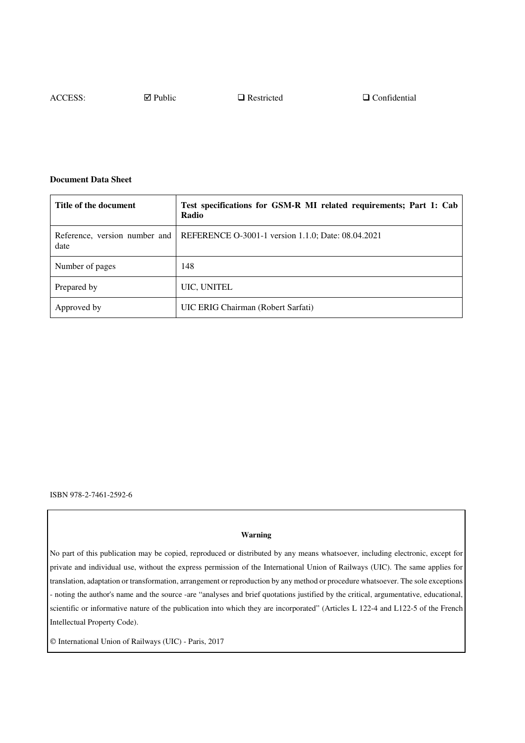ACCESS:  $\Box$  Public  $\Box$  Restricted  $\Box$  Confidential

#### **Document Data Sheet**

| Title of the document                 | Test specifications for GSM-R MI related requirements; Part 1: Cab<br>Radio |
|---------------------------------------|-----------------------------------------------------------------------------|
| Reference, version number and<br>date | REFERENCE O-3001-1 version 1.1.0; Date: 08.04.2021                          |
| Number of pages                       | 148                                                                         |
| Prepared by                           | UIC, UNITEL                                                                 |
| Approved by                           | UIC ERIG Chairman (Robert Sarfati)                                          |

ISBN 978-2-7461-2592-6

#### **Warning**

No part of this publication may be copied, reproduced or distributed by any means whatsoever, including electronic, except for private and individual use, without the express permission of the International Union of Railways (UIC). The same applies for translation, adaptation or transformation, arrangement or reproduction by any method or procedure whatsoever. The sole exceptions - noting the author's name and the source -are "analyses and brief quotations justified by the critical, argumentative, educational, scientific or informative nature of the publication into which they are incorporated" (Articles L 122-4 and L122-5 of the French Intellectual Property Code).

International Union of Railways (UIC) - Paris, 2017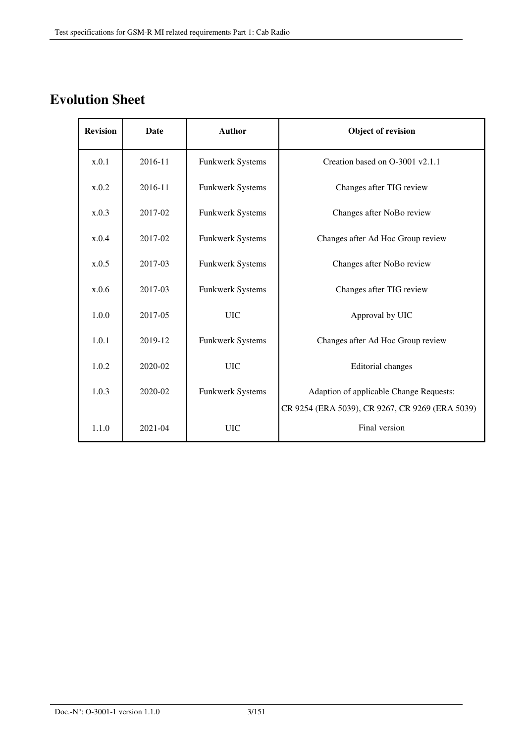# **Evolution Sheet**

| <b>Revision</b> | Date    | <b>Author</b>    | <b>Object of revision</b>                       |
|-----------------|---------|------------------|-------------------------------------------------|
| x.0.1           | 2016-11 | Funkwerk Systems | Creation based on O-3001 v2.1.1                 |
| x.0.2           | 2016-11 | Funkwerk Systems | Changes after TIG review                        |
| x.0.3           | 2017-02 | Funkwerk Systems | Changes after NoBo review                       |
| x.0.4           | 2017-02 | Funkwerk Systems | Changes after Ad Hoc Group review               |
| x.0.5           | 2017-03 | Funkwerk Systems | Changes after NoBo review                       |
| x.0.6           | 2017-03 | Funkwerk Systems | Changes after TIG review                        |
| 1.0.0           | 2017-05 | <b>UIC</b>       | Approval by UIC                                 |
| 1.0.1           | 2019-12 | Funkwerk Systems | Changes after Ad Hoc Group review               |
| 1.0.2           | 2020-02 | <b>UIC</b>       | Editorial changes                               |
| 1.0.3           | 2020-02 | Funkwerk Systems | Adaption of applicable Change Requests:         |
|                 |         |                  | CR 9254 (ERA 5039), CR 9267, CR 9269 (ERA 5039) |
| 1.1.0           | 2021-04 | <b>UIC</b>       | Final version                                   |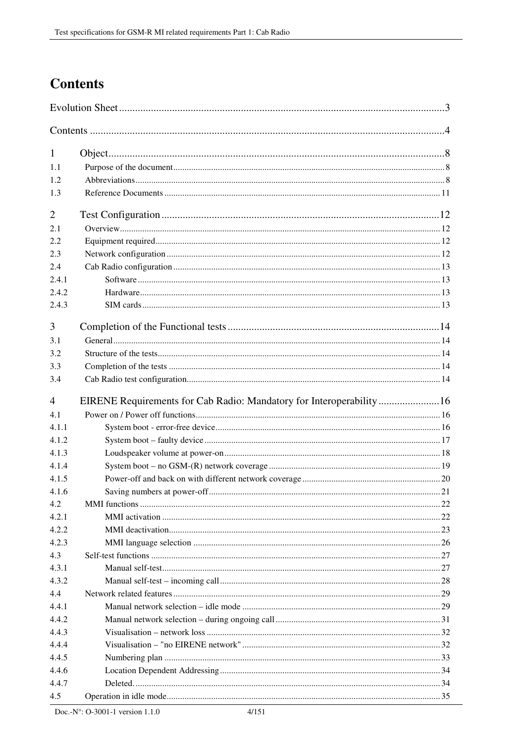# **Contents**

| 1              |  |  |
|----------------|--|--|
| 1.1            |  |  |
| 1.2            |  |  |
| 1.3            |  |  |
| $\overline{2}$ |  |  |
| 2.1            |  |  |
| 2.2            |  |  |
| 2.3            |  |  |
| 2.4            |  |  |
| 2.4.1          |  |  |
| 2.4.2          |  |  |
| 2.4.3          |  |  |
| 3              |  |  |
| 3.1            |  |  |
| 3.2            |  |  |
| 3.3            |  |  |
| 3.4            |  |  |
| $\overline{4}$ |  |  |
| 4.1            |  |  |
| 4.1.1          |  |  |
| 4.1.2          |  |  |
| 4.1.3          |  |  |
| 4.1.4          |  |  |
| 4.1.5          |  |  |
| 4.1.6          |  |  |
| 4.2            |  |  |
| 4.2.1          |  |  |
| 4.2.2          |  |  |
| 4.2.3          |  |  |
| 4.3            |  |  |
| 4.3.1          |  |  |
| 4.3.2          |  |  |
| 4.4            |  |  |
| 4.4.1          |  |  |
| 4.4.2          |  |  |
| 4.4.3          |  |  |
| 4.4.4          |  |  |
| 4.4.5          |  |  |
| 4.4.6          |  |  |
| 4.4.7          |  |  |
| 4.5            |  |  |
|                |  |  |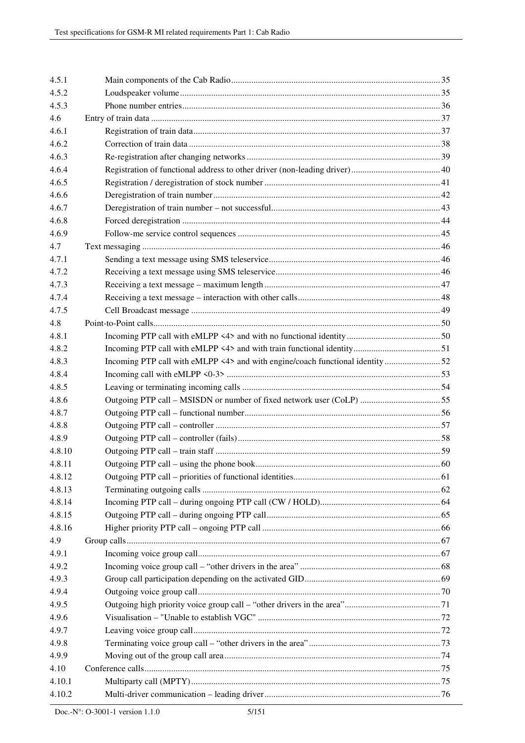| 4.5.1  |  |
|--------|--|
| 4.5.2  |  |
| 4.5.3  |  |
| 4.6    |  |
| 4.6.1  |  |
| 4.6.2  |  |
| 4.6.3  |  |
| 4.6.4  |  |
| 4.6.5  |  |
| 4.6.6  |  |
| 4.6.7  |  |
| 4.6.8  |  |
| 4.6.9  |  |
| 4.7    |  |
| 4.7.1  |  |
| 4.7.2  |  |
| 4.7.3  |  |
| 4.7.4  |  |
| 4.7.5  |  |
| 4.8    |  |
| 4.8.1  |  |
| 4.8.2  |  |
| 4.8.3  |  |
| 4.8.4  |  |
| 4.8.5  |  |
| 4.8.6  |  |
| 4.8.7  |  |
| 4.8.8  |  |
| 4.8.9  |  |
| 4.8.10 |  |
| 4.8.11 |  |
| 4.8.12 |  |
| 4.8.13 |  |
| 4.8.14 |  |
| 4.8.15 |  |
| 4.8.16 |  |
| 4.9    |  |
| 4.9.1  |  |
| 4.9.2  |  |
| 4.9.3  |  |
| 4.9.4  |  |
| 4.9.5  |  |
| 4.9.6  |  |
| 4.9.7  |  |
| 4.9.8  |  |
| 4.9.9  |  |
| 4.10   |  |
| 4.10.1 |  |
| 4.10.2 |  |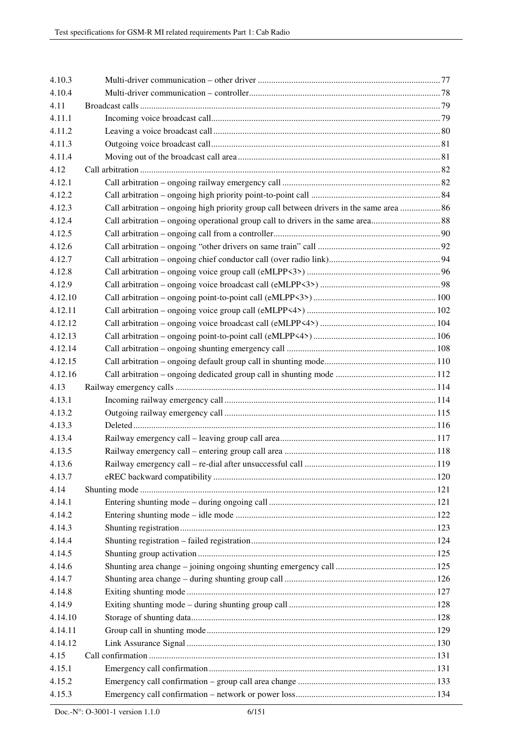| 4.10.3  |                                                                                          |  |
|---------|------------------------------------------------------------------------------------------|--|
| 4.10.4  |                                                                                          |  |
| 4.11    |                                                                                          |  |
| 4.11.1  |                                                                                          |  |
| 4.11.2  |                                                                                          |  |
| 4.11.3  |                                                                                          |  |
| 4.11.4  |                                                                                          |  |
| 4.12    |                                                                                          |  |
| 4.12.1  |                                                                                          |  |
| 4.12.2  |                                                                                          |  |
| 4.12.3  | Call arbitration – ongoing high priority group call between drivers in the same area  86 |  |
| 4.12.4  |                                                                                          |  |
| 4.12.5  |                                                                                          |  |
| 4.12.6  |                                                                                          |  |
| 4.12.7  |                                                                                          |  |
| 4.12.8  |                                                                                          |  |
| 4.12.9  |                                                                                          |  |
| 4.12.10 |                                                                                          |  |
| 4.12.11 |                                                                                          |  |
| 4.12.12 |                                                                                          |  |
| 4.12.13 |                                                                                          |  |
| 4.12.14 |                                                                                          |  |
| 4.12.15 |                                                                                          |  |
| 4.12.16 |                                                                                          |  |
| 4.13    |                                                                                          |  |
| 4.13.1  |                                                                                          |  |
| 4.13.2  |                                                                                          |  |
| 4.13.3  |                                                                                          |  |
| 4.13.4  |                                                                                          |  |
| 4.13.5  |                                                                                          |  |
| 4.13.6  |                                                                                          |  |
| 4.13.7  |                                                                                          |  |
| 4.14    |                                                                                          |  |
| 4.14.1  |                                                                                          |  |
| 4.14.2  |                                                                                          |  |
| 4.14.3  |                                                                                          |  |
| 4.14.4  |                                                                                          |  |
| 4.14.5  |                                                                                          |  |
| 4.14.6  |                                                                                          |  |
| 4.14.7  |                                                                                          |  |
| 4.14.8  |                                                                                          |  |
| 4.14.9  |                                                                                          |  |
| 4.14.10 |                                                                                          |  |
| 4.14.11 |                                                                                          |  |
| 4.14.12 |                                                                                          |  |
| 4.15    |                                                                                          |  |
| 4.15.1  |                                                                                          |  |
| 4.15.2  |                                                                                          |  |
| 4.15.3  |                                                                                          |  |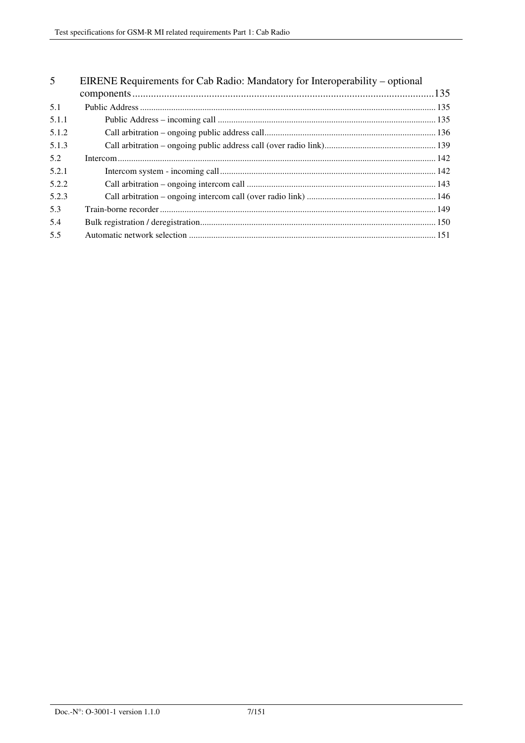| 5     | EIRENE Requirements for Cab Radio: Mandatory for Interoperability – optional |  |
|-------|------------------------------------------------------------------------------|--|
|       |                                                                              |  |
| 5.1   |                                                                              |  |
| 5.1.1 |                                                                              |  |
| 5.1.2 |                                                                              |  |
| 5.1.3 |                                                                              |  |
| 5.2   |                                                                              |  |
| 5.2.1 |                                                                              |  |
| 5.2.2 |                                                                              |  |
| 5.2.3 |                                                                              |  |
| 5.3   |                                                                              |  |
| 5.4   |                                                                              |  |
| 5.5   |                                                                              |  |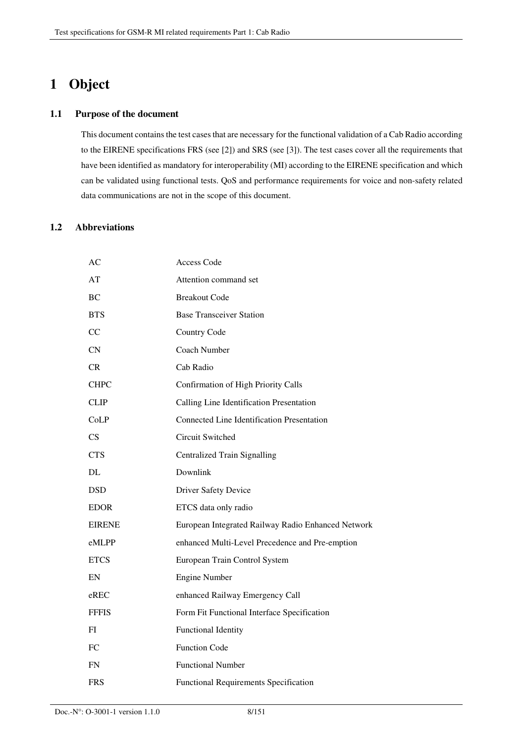# **1 Object**

#### **1.1 Purpose of the document**

This document contains the test cases that are necessary for the functional validation of a Cab Radio according to the EIRENE specifications FRS (see [2]) and SRS (see [3]). The test cases cover all the requirements that have been identified as mandatory for interoperability (MI) according to the EIRENE specification and which can be validated using functional tests. QoS and performance requirements for voice and non-safety related data communications are not in the scope of this document.

#### **1.2 Abbreviations**

| АC            | <b>Access Code</b>                                 |
|---------------|----------------------------------------------------|
| AT            | Attention command set                              |
| BC            | <b>Breakout Code</b>                               |
| <b>BTS</b>    | <b>Base Transceiver Station</b>                    |
| CC            | Country Code                                       |
| CN            | Coach Number                                       |
| <b>CR</b>     | Cab Radio                                          |
| <b>CHPC</b>   | Confirmation of High Priority Calls                |
| <b>CLIP</b>   | Calling Line Identification Presentation           |
| CoLP          | <b>Connected Line Identification Presentation</b>  |
| CS.           | Circuit Switched                                   |
| <b>CTS</b>    | Centralized Train Signalling                       |
| DL            | Downlink                                           |
| <b>DSD</b>    | <b>Driver Safety Device</b>                        |
| <b>EDOR</b>   | ETCS data only radio                               |
| <b>EIRENE</b> | European Integrated Railway Radio Enhanced Network |
| eMLPP         | enhanced Multi-Level Precedence and Pre-emption    |
| <b>ETCS</b>   | European Train Control System                      |
| EN            | <b>Engine Number</b>                               |
| $e$ REC       | enhanced Railway Emergency Call                    |
| <b>FFFIS</b>  | Form Fit Functional Interface Specification        |
| FI            | <b>Functional Identity</b>                         |
| FC            | <b>Function Code</b>                               |
| <b>FN</b>     | <b>Functional Number</b>                           |
| <b>FRS</b>    | <b>Functional Requirements Specification</b>       |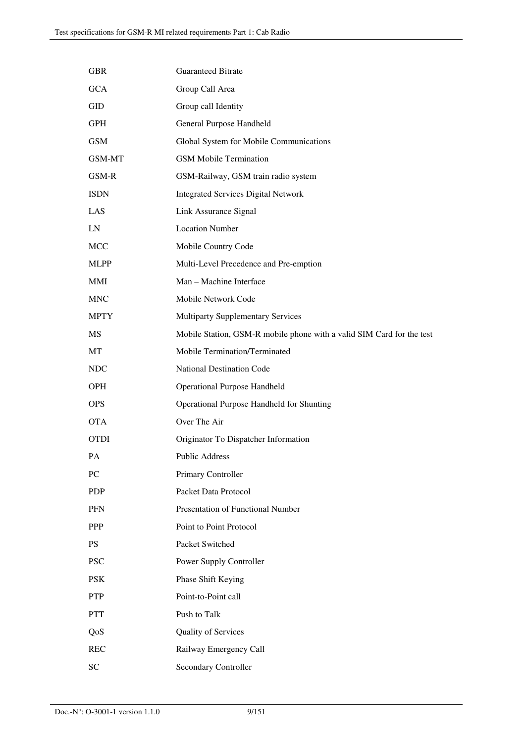| <b>GBR</b>    | <b>Guaranteed Bitrate</b>                                             |
|---------------|-----------------------------------------------------------------------|
| <b>GCA</b>    | Group Call Area                                                       |
| GID           | Group call Identity                                                   |
| GPH           | General Purpose Handheld                                              |
| <b>GSM</b>    | Global System for Mobile Communications                               |
| <b>GSM-MT</b> | <b>GSM Mobile Termination</b>                                         |
| GSM-R         | GSM-Railway, GSM train radio system                                   |
| <b>ISDN</b>   | <b>Integrated Services Digital Network</b>                            |
| LAS           | Link Assurance Signal                                                 |
| LN            | <b>Location Number</b>                                                |
| <b>MCC</b>    | Mobile Country Code                                                   |
| <b>MLPP</b>   | Multi-Level Precedence and Pre-emption                                |
| <b>MMI</b>    | Man - Machine Interface                                               |
| <b>MNC</b>    | Mobile Network Code                                                   |
| <b>MPTY</b>   | <b>Multiparty Supplementary Services</b>                              |
| MS            | Mobile Station, GSM-R mobile phone with a valid SIM Card for the test |
| MT            | Mobile Termination/Terminated                                         |
| <b>NDC</b>    | National Destination Code                                             |
| <b>OPH</b>    | <b>Operational Purpose Handheld</b>                                   |
| <b>OPS</b>    | Operational Purpose Handheld for Shunting                             |
| <b>OTA</b>    | Over The Air                                                          |
| <b>OTDI</b>   | Originator To Dispatcher Information                                  |
| PA            | Public Address                                                        |
| PC            | Primary Controller                                                    |
| <b>PDP</b>    | Packet Data Protocol                                                  |
| <b>PFN</b>    | Presentation of Functional Number                                     |
| PPP           | Point to Point Protocol                                               |
| <b>PS</b>     | Packet Switched                                                       |
| <b>PSC</b>    | Power Supply Controller                                               |
| <b>PSK</b>    | Phase Shift Keying                                                    |
| <b>PTP</b>    | Point-to-Point call                                                   |
| <b>PTT</b>    | Push to Talk                                                          |
| QoS           | Quality of Services                                                   |
| <b>REC</b>    | Railway Emergency Call                                                |
| <b>SC</b>     | Secondary Controller                                                  |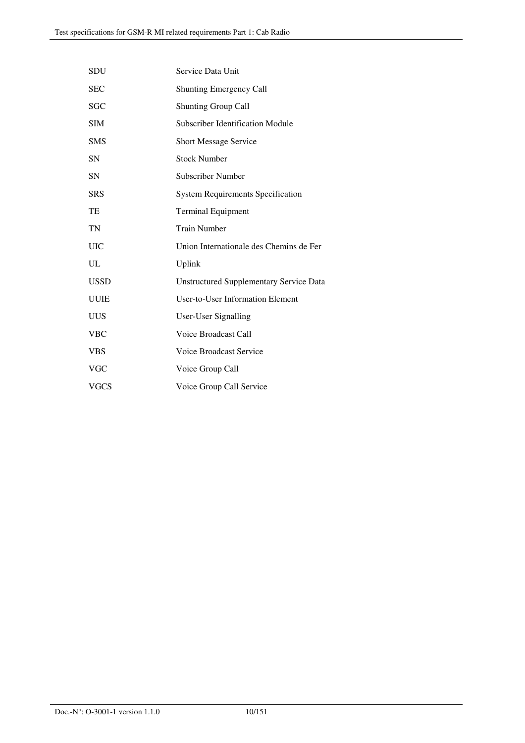| <b>SDU</b>  | Service Data Unit                              |
|-------------|------------------------------------------------|
| <b>SEC</b>  | <b>Shunting Emergency Call</b>                 |
| SGC         | <b>Shunting Group Call</b>                     |
| <b>SIM</b>  | Subscriber Identification Module               |
| <b>SMS</b>  | <b>Short Message Service</b>                   |
| <b>SN</b>   | <b>Stock Number</b>                            |
| <b>SN</b>   | Subscriber Number                              |
| <b>SRS</b>  | <b>System Requirements Specification</b>       |
| TE          | <b>Terminal Equipment</b>                      |
| TN          | <b>Train Number</b>                            |
| <b>UIC</b>  | Union Internationale des Chemins de Fer        |
| UL          | Uplink                                         |
| <b>USSD</b> | <b>Unstructured Supplementary Service Data</b> |
| <b>UUIE</b> | <b>User-to-User Information Element</b>        |
| <b>UUS</b>  | <b>User-User Signalling</b>                    |
| <b>VBC</b>  | Voice Broadcast Call                           |
| <b>VBS</b>  | <b>Voice Broadcast Service</b>                 |
| VGC         | Voice Group Call                               |
| <b>VGCS</b> | Voice Group Call Service                       |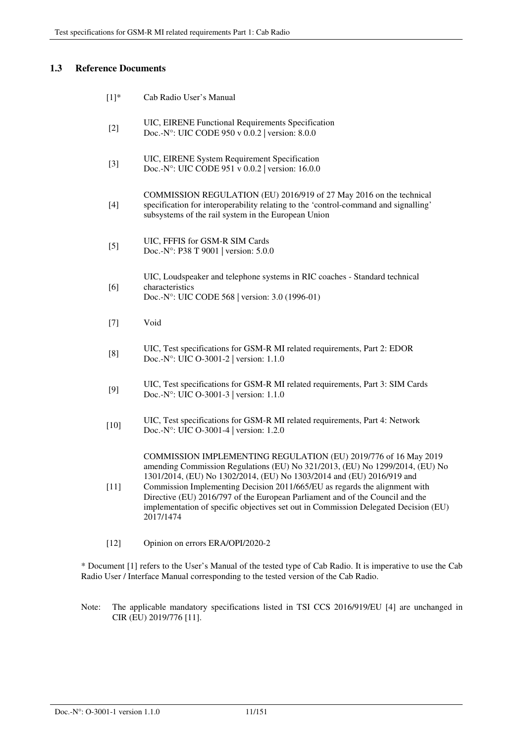## **1.3 Reference Documents**

| $[1]^*$ | Cab Radio User's Manual                                                                                                                                                                                                                                                                                                                                                                                                                                                                     |
|---------|---------------------------------------------------------------------------------------------------------------------------------------------------------------------------------------------------------------------------------------------------------------------------------------------------------------------------------------------------------------------------------------------------------------------------------------------------------------------------------------------|
| $[2]$   | UIC, EIRENE Functional Requirements Specification<br>Doc.-N°: UIC CODE 950 v 0.0.2 version: 8.0.0                                                                                                                                                                                                                                                                                                                                                                                           |
| $[3]$   | UIC, EIRENE System Requirement Specification<br>Doc.-N°: UIC CODE 951 v 0.0.2 version: 16.0.0                                                                                                                                                                                                                                                                                                                                                                                               |
| $[4]$   | COMMISSION REGULATION (EU) 2016/919 of 27 May 2016 on the technical<br>specification for interoperability relating to the 'control-command and signalling'<br>subsystems of the rail system in the European Union                                                                                                                                                                                                                                                                           |
| [5]     | UIC, FFFIS for GSM-R SIM Cards<br>Doc.-N°: P38 T 9001   version: 5.0.0                                                                                                                                                                                                                                                                                                                                                                                                                      |
| [6]     | UIC, Loudspeaker and telephone systems in RIC coaches - Standard technical<br>characteristics<br>Doc.-N°: UIC CODE 568   version: 3.0 (1996-01)                                                                                                                                                                                                                                                                                                                                             |
| $[7]$   | Void                                                                                                                                                                                                                                                                                                                                                                                                                                                                                        |
| [8]     | UIC, Test specifications for GSM-R MI related requirements, Part 2: EDOR<br>Doc.-N°: UIC O-3001-2   version: $1.1.0$                                                                                                                                                                                                                                                                                                                                                                        |
| [9]     | UIC, Test specifications for GSM-R MI related requirements, Part 3: SIM Cards<br>Doc.-N°: UIC O-3001-3   version: 1.1.0                                                                                                                                                                                                                                                                                                                                                                     |
| $[10]$  | UIC, Test specifications for GSM-R MI related requirements, Part 4: Network<br>Doc.-N°: UIC O-3001-4   version: 1.2.0                                                                                                                                                                                                                                                                                                                                                                       |
| $[11]$  | COMMISSION IMPLEMENTING REGULATION (EU) 2019/776 of 16 May 2019<br>amending Commission Regulations (EU) No 321/2013, (EU) No 1299/2014, (EU) No<br>1301/2014, (EU) No 1302/2014, (EU) No 1303/2014 and (EU) 2016/919 and<br>Commission Implementing Decision 2011/665/EU as regards the alignment with<br>Directive (EU) 2016/797 of the European Parliament and of the Council and the<br>implementation of specific objectives set out in Commission Delegated Decision (EU)<br>2017/1474 |
| $[12]$  | Opinion on errors ERA/OPI/2020-2                                                                                                                                                                                                                                                                                                                                                                                                                                                            |
|         | * Document [1] refers to the User's Manual of the tested type of Cab Radio. It is imperative to use the Cab                                                                                                                                                                                                                                                                                                                                                                                 |

Radio User / Interface Manual corresponding to the tested version of the Cab Radio.

Note: The applicable mandatory specifications listed in TSI CCS 2016/919/EU [4] are unchanged in CIR (EU) 2019/776 [11].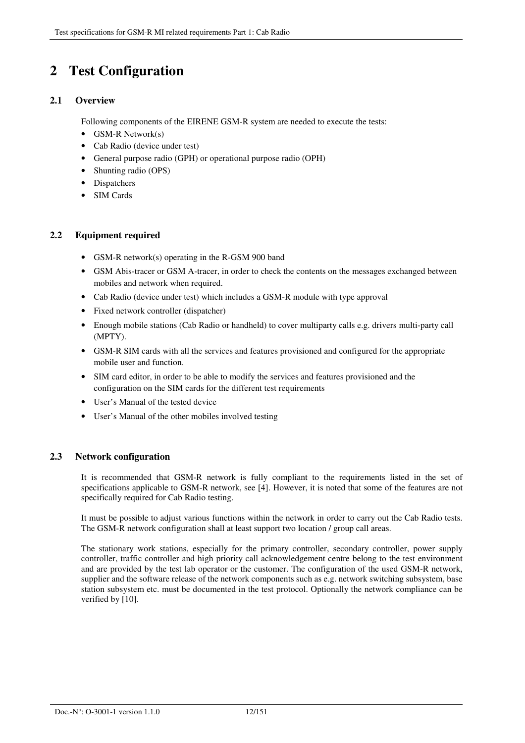# **2 Test Configuration**

## **2.1 Overview**

Following components of the EIRENE GSM-R system are needed to execute the tests:

- GSM-R Network(s)
- Cab Radio (device under test)
- General purpose radio (GPH) or operational purpose radio (OPH)
- Shunting radio (OPS)
- Dispatchers
- SIM Cards

## **2.2 Equipment required**

- GSM-R network(s) operating in the R-GSM 900 band
- GSM Abis-tracer or GSM A-tracer, in order to check the contents on the messages exchanged between mobiles and network when required.
- Cab Radio (device under test) which includes a GSM-R module with type approval
- Fixed network controller (dispatcher)
- Enough mobile stations (Cab Radio or handheld) to cover multiparty calls e.g. drivers multi-party call (MPTY).
- GSM-R SIM cards with all the services and features provisioned and configured for the appropriate mobile user and function.
- SIM card editor, in order to be able to modify the services and features provisioned and the configuration on the SIM cards for the different test requirements
- User's Manual of the tested device
- User's Manual of the other mobiles involved testing

## **2.3 Network configuration**

It is recommended that GSM-R network is fully compliant to the requirements listed in the set of specifications applicable to GSM-R network, see [4]. However, it is noted that some of the features are not specifically required for Cab Radio testing.

It must be possible to adjust various functions within the network in order to carry out the Cab Radio tests. The GSM-R network configuration shall at least support two location / group call areas.

The stationary work stations, especially for the primary controller, secondary controller, power supply controller, traffic controller and high priority call acknowledgement centre belong to the test environment and are provided by the test lab operator or the customer. The configuration of the used GSM-R network, supplier and the software release of the network components such as e.g. network switching subsystem, base station subsystem etc. must be documented in the test protocol. Optionally the network compliance can be verified by [10].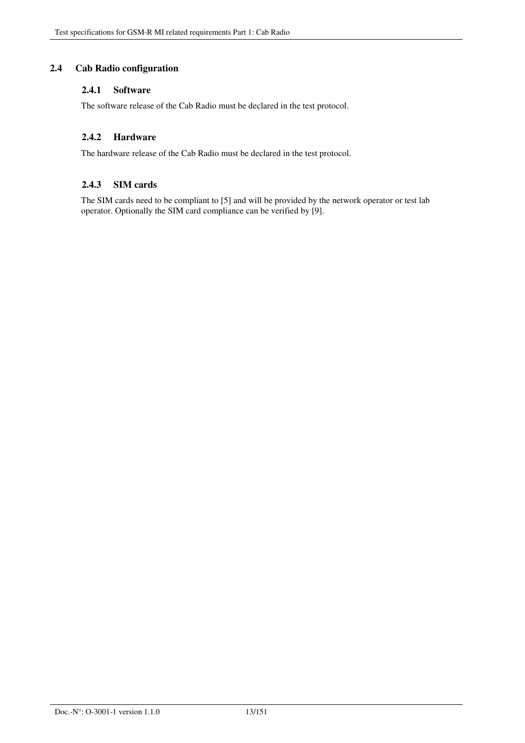## **2.4 Cab Radio configuration**

#### **2.4.1 Software**

The software release of the Cab Radio must be declared in the test protocol.

### **2.4.2 Hardware**

The hardware release of the Cab Radio must be declared in the test protocol.

#### **2.4.3 SIM cards**

The SIM cards need to be compliant to [5] and will be provided by the network operator or test lab operator. Optionally the SIM card compliance can be verified by [9].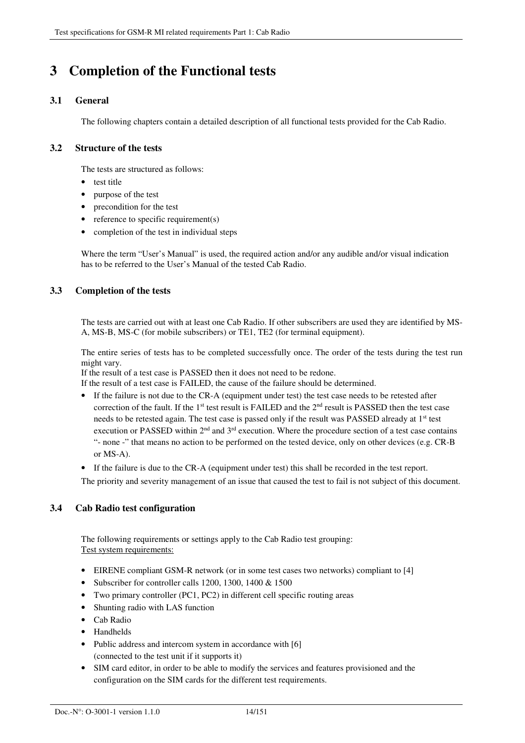# **3 Completion of the Functional tests**

## **3.1 General**

The following chapters contain a detailed description of all functional tests provided for the Cab Radio.

## **3.2 Structure of the tests**

The tests are structured as follows:

- test title
- purpose of the test
- precondition for the test
- reference to specific requirement(s)
- completion of the test in individual steps

Where the term "User's Manual" is used, the required action and/or any audible and/or visual indication has to be referred to the User's Manual of the tested Cab Radio.

## **3.3 Completion of the tests**

The tests are carried out with at least one Cab Radio. If other subscribers are used they are identified by MS-A, MS-B, MS-C (for mobile subscribers) or TE1, TE2 (for terminal equipment).

The entire series of tests has to be completed successfully once. The order of the tests during the test run might vary.

If the result of a test case is PASSED then it does not need to be redone.

If the result of a test case is FAILED, the cause of the failure should be determined.

- If the failure is not due to the CR-A (equipment under test) the test case needs to be retested after correction of the fault. If the 1<sup>st</sup> test result is FAILED and the 2<sup>nd</sup> result is PASSED then the test case needs to be retested again. The test case is passed only if the result was PASSED already at 1<sup>st</sup> test execution or PASSED within 2<sup>nd</sup> and 3<sup>rd</sup> execution. Where the procedure section of a test case contains "- none -" that means no action to be performed on the tested device, only on other devices (e.g. CR-B or MS-A).
- If the failure is due to the CR-A (equipment under test) this shall be recorded in the test report.

The priority and severity management of an issue that caused the test to fail is not subject of this document.

## **3.4 Cab Radio test configuration**

The following requirements or settings apply to the Cab Radio test grouping: Test system requirements:

- EIRENE compliant GSM-R network (or in some test cases two networks) compliant to [4]
- Subscriber for controller calls 1200, 1300, 1400 & 1500
- Two primary controller (PC1, PC2) in different cell specific routing areas
- Shunting radio with LAS function
- Cab Radio
- Handhelds
- Public address and intercom system in accordance with [6] (connected to the test unit if it supports it)
- SIM card editor, in order to be able to modify the services and features provisioned and the configuration on the SIM cards for the different test requirements.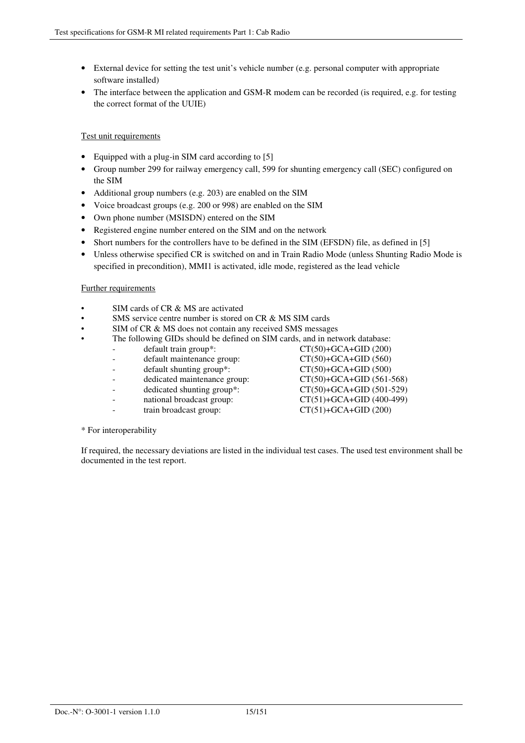- External device for setting the test unit's vehicle number (e.g. personal computer with appropriate software installed)
- The interface between the application and GSM-R modem can be recorded (is required, e.g. for testing the correct format of the UUIE)

#### Test unit requirements

- Equipped with a plug-in SIM card according to [5]
- Group number 299 for railway emergency call, 599 for shunting emergency call (SEC) configured on the SIM
- Additional group numbers (e.g. 203) are enabled on the SIM
- Voice broadcast groups (e.g. 200 or 998) are enabled on the SIM
- Own phone number (MSISDN) entered on the SIM
- Registered engine number entered on the SIM and on the network
- Short numbers for the controllers have to be defined in the SIM (EFSDN) file, as defined in [5]
- Unless otherwise specified CR is switched on and in Train Radio Mode (unless Shunting Radio Mode is specified in precondition), MMI1 is activated, idle mode, registered as the lead vehicle

#### Further requirements

- SIM cards of CR & MS are activated
- SMS service centre number is stored on CR & MS SIM cards
- SIM of CR & MS does not contain any received SMS messages
	- The following GIDs should be defined on SIM cards, and in network database:
		- default train group\*:  $CT(50)+GCA+GID (200)$ 
			- $\text{default maintenance group:}$   $\text{CT}(50)+\text{GCA}+\text{GID}$  (560)
			- default shunting group\*:  $CT(50)+GCA+GID (500)$
			- dedicated maintenance group:  $CT(50)+GCA+GID$  (561-568)
			-
			-
			- train broadcast group: CT(51)+GCA+GID (200)
- dedicated shunting group\*: CT(50)+GCA+GID (501-529) national broadcast group:  $CT(51)+GCA+GID$  (400-499)
- \* For interoperability

If required, the necessary deviations are listed in the individual test cases. The used test environment shall be documented in the test report.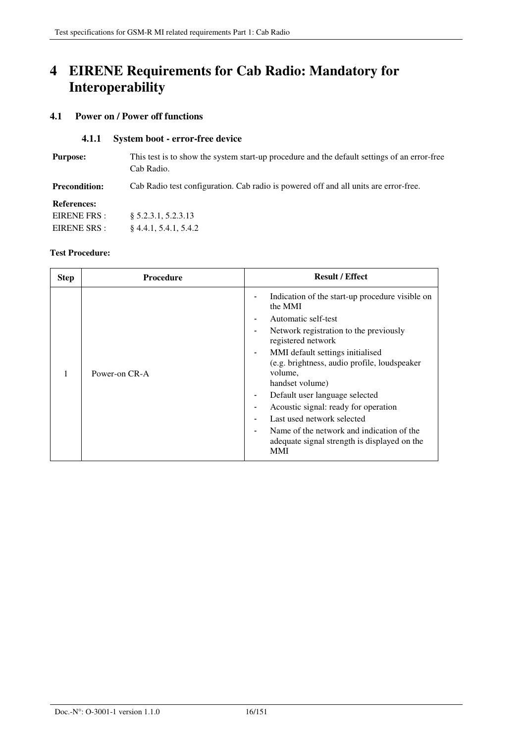# **4 EIRENE Requirements for Cab Radio: Mandatory for Interoperability**

### **4.1 Power on / Power off functions**

#### **4.1.1 System boot - error-free device**

| This test is to show the system start-up procedure and the default settings of an error-free<br>Cab Radio. |
|------------------------------------------------------------------------------------------------------------|
| Cab Radio test configuration. Cab radio is powered off and all units are error-free.                       |
|                                                                                                            |
| § 5.2.3.1, 5.2.3.13                                                                                        |
| 84.4.1, 5.4.1, 5.4.2                                                                                       |
|                                                                                                            |

| <b>Step</b> | <b>Procedure</b> | <b>Result / Effect</b>                                                                                                                                                                                                                                                                                                                                                                                                                                                                                                                                                   |
|-------------|------------------|--------------------------------------------------------------------------------------------------------------------------------------------------------------------------------------------------------------------------------------------------------------------------------------------------------------------------------------------------------------------------------------------------------------------------------------------------------------------------------------------------------------------------------------------------------------------------|
|             | Power-on CR-A    | Indication of the start-up procedure visible on<br>the MMI<br>Automatic self-test<br>$\blacksquare$<br>Network registration to the previously<br>registered network<br>MMI default settings initialised<br>$\blacksquare$<br>(e.g. brightness, audio profile, loudspeaker<br>volume,<br>handset volume)<br>Default user language selected<br>$\blacksquare$<br>Acoustic signal: ready for operation<br>Last used network selected<br>Name of the network and indication of the<br>$\overline{\phantom{a}}$<br>adequate signal strength is displayed on the<br><b>MMI</b> |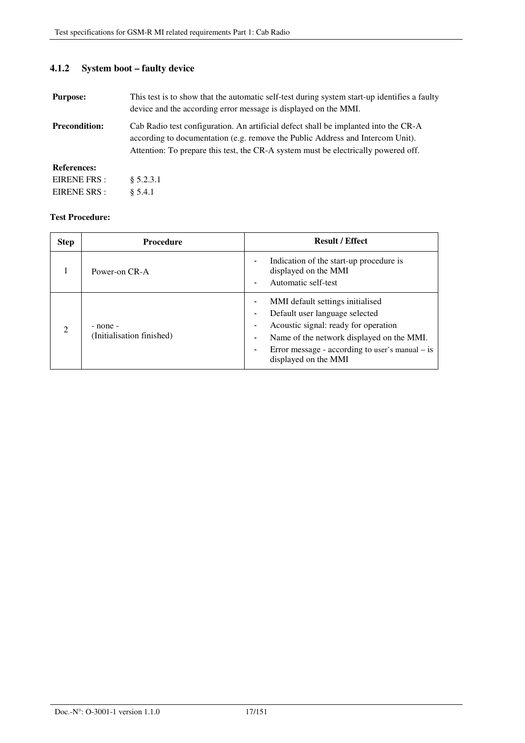# **4.1.2 System boot – faulty device**

| <b>Purpose:</b>      | This test is to show that the automatic self-test during system start-up identifies a faulty<br>device and the according error message is displayed on the MMI.                                                                                             |
|----------------------|-------------------------------------------------------------------------------------------------------------------------------------------------------------------------------------------------------------------------------------------------------------|
| <b>Precondition:</b> | Cab Radio test configuration. An artificial defect shall be implanted into the CR-A<br>according to documentation (e.g. remove the Public Address and Intercom Unit).<br>Attention: To prepare this test, the CR-A system must be electrically powered off. |
| <b>References:</b>   |                                                                                                                                                                                                                                                             |
| EIRENE FRS :         | \$5.2.3.1                                                                                                                                                                                                                                                   |
| EIRENE SRS :         | \$5.4.1                                                                                                                                                                                                                                                     |

| <b>Step</b> | <b>Procedure</b>                      | <b>Result / Effect</b>                                                                                                                                                                                                                              |
|-------------|---------------------------------------|-----------------------------------------------------------------------------------------------------------------------------------------------------------------------------------------------------------------------------------------------------|
|             | Power-on CR-A                         | Indication of the start-up procedure is<br>٠<br>displayed on the MMI<br>Automatic self-test<br>٠                                                                                                                                                    |
| ∍           | - none -<br>(Initialisation finished) | MMI default settings initialised<br>Default user language selected<br>Acoustic signal: ready for operation<br>٠<br>Name of the network displayed on the MMI.<br>٠<br>Error message - according to user's manual $-$ is<br>-<br>displayed on the MMI |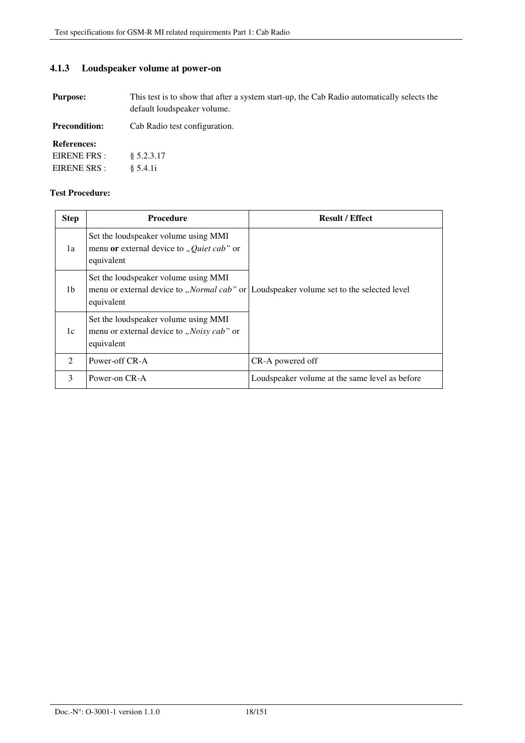## **4.1.3 Loudspeaker volume at power-on**

**Purpose:** This test is to show that after a system start-up, the Cab Radio automatically selects the default loudspeaker volume.

| Cab Radio test configuration. |
|-------------------------------|
|                               |
|                               |
|                               |
|                               |

| <b>Step</b>    | <b>Procedure</b>                                                                                         | <b>Result / Effect</b>                                                                           |
|----------------|----------------------------------------------------------------------------------------------------------|--------------------------------------------------------------------------------------------------|
| 1a             | Set the loudspeaker volume using MMI<br>menu or external device to "Quiet cab" or<br>equivalent          |                                                                                                  |
| 1b             | Set the loudspeaker volume using MMI<br>equivalent                                                       | menu or external device to " <i>Normal cab</i> " or Loudspeaker volume set to the selected level |
| 1c             | Set the loudspeaker volume using MMI<br>menu or external device to " <i>Noisy cab</i> " or<br>equivalent |                                                                                                  |
| $\mathfrak{D}$ | Power-off CR-A                                                                                           | CR-A powered off                                                                                 |
| 3              | Power-on CR-A                                                                                            | Loudspeaker volume at the same level as before                                                   |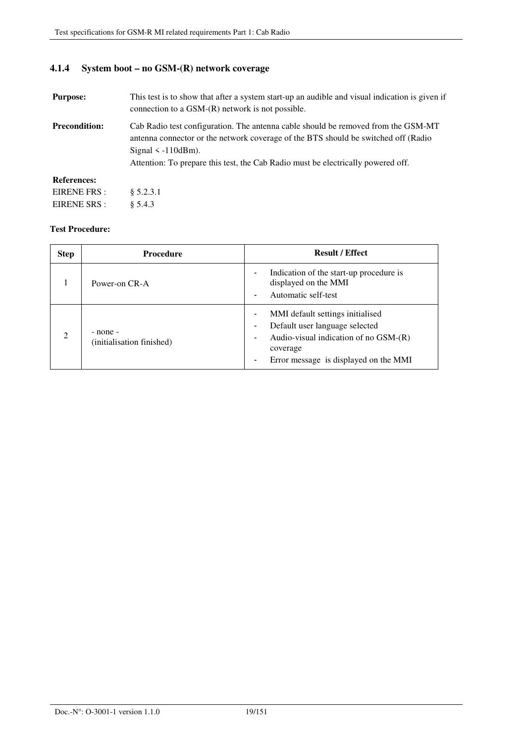## **4.1.4 System boot – no GSM-(R) network coverage**

| <b>Purpose:</b>      | This test is to show that after a system start-up an audible and visual indication is given if<br>connection to a $GSM-(R)$ network is not possible.                                                                                                                                    |  |
|----------------------|-----------------------------------------------------------------------------------------------------------------------------------------------------------------------------------------------------------------------------------------------------------------------------------------|--|
| <b>Precondition:</b> | Cab Radio test configuration. The antenna cable should be removed from the GSM-MT<br>antenna connector or the network coverage of the BTS should be switched off (Radio<br>Signal $\leq -110$ dBm).<br>Attention: To prepare this test, the Cab Radio must be electrically powered off. |  |
| <b>References:</b>   |                                                                                                                                                                                                                                                                                         |  |
| EIRENE FRS :         | \$5.2.3.1                                                                                                                                                                                                                                                                               |  |
| EIRENE SRS :         | \$5.4.3                                                                                                                                                                                                                                                                                 |  |

| <b>Step</b>    | Procedure                             | <b>Result / Effect</b>                                                                                                                                                                                                                                         |
|----------------|---------------------------------------|----------------------------------------------------------------------------------------------------------------------------------------------------------------------------------------------------------------------------------------------------------------|
|                | Power-on CR-A                         | Indication of the start-up procedure is<br>$\overline{\phantom{a}}$<br>displayed on the MMI<br>Automatic self-test<br>$\overline{\phantom{a}}$                                                                                                                 |
| $\mathfrak{D}$ | - none -<br>(initialisation finished) | MMI default settings initialised<br>$\overline{\phantom{a}}$<br>Default user language selected<br>$\overline{\phantom{a}}$<br>Audio-visual indication of no $GSM-(R)$<br>$\blacksquare$<br>coverage<br>Error message is displayed on the MMI<br>$\blacksquare$ |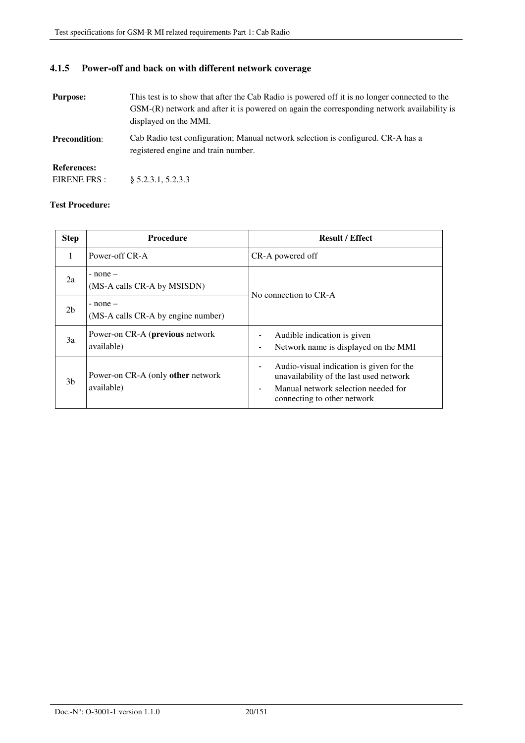## **4.1.5 Power-off and back on with different network coverage**

| <b>Purpose:</b>      | This test is to show that after the Cab Radio is powered off it is no longer connected to the<br>GSM-(R) network and after it is powered on again the corresponding network availability is<br>displayed on the MMI. |
|----------------------|----------------------------------------------------------------------------------------------------------------------------------------------------------------------------------------------------------------------|
| <b>Precondition:</b> | Cab Radio test configuration; Manual network selection is configured. CR-A has a<br>registered engine and train number.                                                                                              |
| <b>References:</b>   |                                                                                                                                                                                                                      |
| EIRENE FRS :         | § 5.2.3.1, 5.2.3.3                                                                                                                                                                                                   |

| <b>Step</b>    | <b>Procedure</b>                                      | <b>Result / Effect</b>                                                                                                                                              |
|----------------|-------------------------------------------------------|---------------------------------------------------------------------------------------------------------------------------------------------------------------------|
| 1              | Power-off CR-A                                        | CR-A powered off                                                                                                                                                    |
| 2a             | $-$ none $-$<br>(MS-A calls CR-A by MSISDN)           | No connection to CR-A                                                                                                                                               |
| 2 <sub>b</sub> | $-$ none $-$<br>(MS-A calls CR-A by engine number)    |                                                                                                                                                                     |
| 3a             | Power-on CR-A ( <b>previous</b> network<br>available) | Audible indication is given<br>Network name is displayed on the MMI                                                                                                 |
| 3b             | Power-on CR-A (only other network<br>available)       | Audio-visual indication is given for the<br>-<br>unavailability of the last used network<br>Manual network selection needed for<br>٠<br>connecting to other network |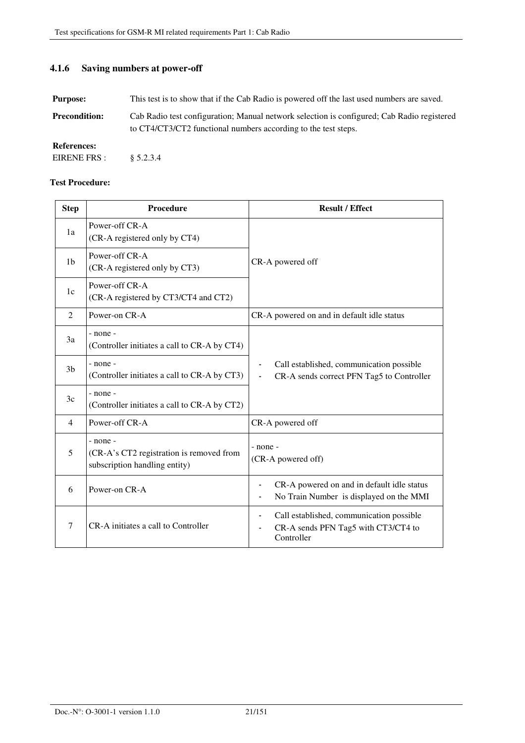### **4.1.6 Saving numbers at power-off**

**Purpose:** This test is to show that if the Cab Radio is powered off the last used numbers are saved.

**Precondition:** Cab Radio test configuration; Manual network selection is configured; Cab Radio registered to CT4/CT3/CT2 functional numbers according to the test steps.

#### **References:**

| <b>Step</b>    | Procedure                                                                                 | <b>Result / Effect</b>                                                                                                                      |
|----------------|-------------------------------------------------------------------------------------------|---------------------------------------------------------------------------------------------------------------------------------------------|
| 1a             | Power-off CR-A<br>(CR-A registered only by CT4)                                           |                                                                                                                                             |
| 1 <sub>b</sub> | Power-off CR-A<br>(CR-A registered only by CT3)                                           | CR-A powered off                                                                                                                            |
| 1c             | Power-off CR-A<br>(CR-A registered by CT3/CT4 and CT2)                                    |                                                                                                                                             |
| 2              | Power-on CR-A                                                                             | CR-A powered on and in default idle status                                                                                                  |
| <sup>3a</sup>  | $-$ none $-$<br>(Controller initiates a call to CR-A by CT4)                              |                                                                                                                                             |
| 3 <sub>b</sub> | $-$ none $-$<br>(Controller initiates a call to CR-A by CT3)                              | Call established, communication possible<br>CR-A sends correct PFN Tag5 to Controller                                                       |
| 3c             | $-$ none $-$<br>(Controller initiates a call to CR-A by CT2)                              |                                                                                                                                             |
| $\overline{4}$ | Power-off CR-A                                                                            | CR-A powered off                                                                                                                            |
| 5              | $-$ none $-$<br>(CR-A's CT2 registration is removed from<br>subscription handling entity) | - none -<br>(CR-A powered off)                                                                                                              |
| 6              | Power-on CR-A                                                                             | CR-A powered on and in default idle status<br>No Train Number is displayed on the MMI                                                       |
| 7              | CR-A initiates a call to Controller                                                       | Call established, communication possible<br>$\overline{\phantom{0}}$<br>CR-A sends PFN Tag5 with CT3/CT4 to<br>$\blacksquare$<br>Controller |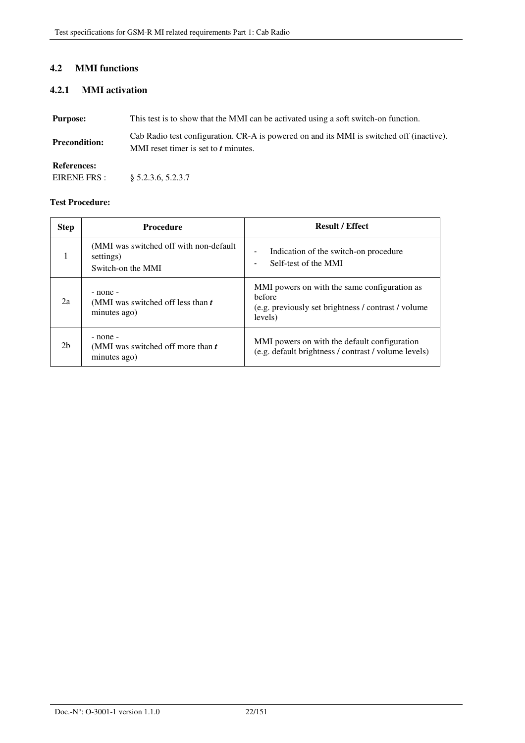## **4.2 MMI functions**

## **4.2.1 MMI activation**

| <b>Purpose:</b>      | This test is to show that the MMI can be activated using a soft switch-on function.                                              |
|----------------------|----------------------------------------------------------------------------------------------------------------------------------|
| <b>Precondition:</b> | Cab Radio test configuration. CR-A is powered on and its MMI is switched off (inactive).<br>MMI reset timer is set to t minutes. |
| <b>References:</b>   |                                                                                                                                  |

EIRENE FRS : § 5.2.3.6, 5.2.3.7

| <b>Step</b>    | <b>Procedure</b>                                                          | <b>Result / Effect</b>                                                                                                    |
|----------------|---------------------------------------------------------------------------|---------------------------------------------------------------------------------------------------------------------------|
|                | (MMI was switched off with non-default)<br>settings)<br>Switch-on the MMI | Indication of the switch-on procedure<br>$\blacksquare$<br>Self-test of the MMI<br>$\blacksquare$                         |
| 2a             | - none -<br>(MMI was switched off less than t<br>minutes ago)             | MMI powers on with the same configuration as<br>before<br>(e.g. previously set brightness / contrast / volume)<br>levels) |
| 2 <sub>b</sub> | - none -<br>(MMI was switched off more than t<br>minutes ago)             | MMI powers on with the default configuration<br>(e.g. default brightness / contrast / volume levels)                      |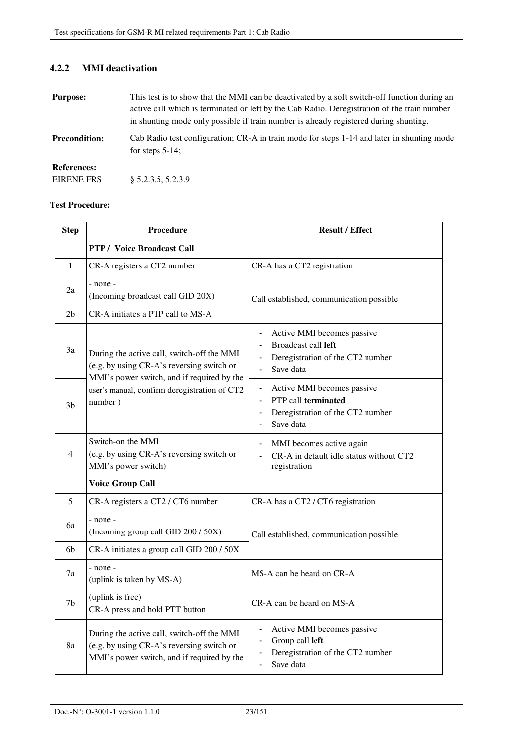## **4.2.2 MMI deactivation**

| <b>Purpose:</b>      | This test is to show that the MMI can be deactivated by a soft switch-off function during an                     |  |
|----------------------|------------------------------------------------------------------------------------------------------------------|--|
|                      | active call which is terminated or left by the Cab Radio. Deregistration of the train number                     |  |
|                      | in shunting mode only possible if train number is already registered during shunting.                            |  |
| <b>Precondition:</b> | Cab Radio test configuration; CR-A in train mode for steps 1-14 and later in shunting mode<br>for steps $5-14$ ; |  |
| <b>References:</b>   |                                                                                                                  |  |
| EIRENE FRS:          | § 5.2.3.5, 5.2.3.9                                                                                               |  |

| <b>Step</b>    | Procedure                                                                                                                                                                                        | <b>Result / Effect</b>                                                                                                                                                          |
|----------------|--------------------------------------------------------------------------------------------------------------------------------------------------------------------------------------------------|---------------------------------------------------------------------------------------------------------------------------------------------------------------------------------|
|                | <b>PTP</b> / Voice Broadcast Call                                                                                                                                                                |                                                                                                                                                                                 |
| 1              | CR-A registers a CT2 number                                                                                                                                                                      | CR-A has a CT2 registration                                                                                                                                                     |
| 2a             | - none -<br>(Incoming broadcast call GID 20X)                                                                                                                                                    | Call established, communication possible                                                                                                                                        |
| 2 <sub>b</sub> | CR-A initiates a PTP call to MS-A                                                                                                                                                                |                                                                                                                                                                                 |
| 3a             | During the active call, switch-off the MMI<br>(e.g. by using CR-A's reversing switch or<br>MMI's power switch, and if required by the<br>user's manual, confirm deregistration of CT2<br>number) | Active MMI becomes passive<br>L,<br><b>Broadcast call left</b><br>$\overline{a}$<br>Deregistration of the CT2 number<br>$\blacksquare$<br>Save data<br>$\overline{\phantom{a}}$ |
| 3 <sub>b</sub> |                                                                                                                                                                                                  | Active MMI becomes passive<br>PTP call terminated<br>$\blacksquare$<br>Deregistration of the CT2 number<br>$\blacksquare$<br>Save data<br>$\overline{a}$                        |
| 4              | Switch-on the MMI<br>(e.g. by using CR-A's reversing switch or<br>MMI's power switch)                                                                                                            | MMI becomes active again<br>CR-A in default idle status without CT2<br>registration                                                                                             |
|                | <b>Voice Group Call</b>                                                                                                                                                                          |                                                                                                                                                                                 |
| 5              | CR-A registers a CT2 / CT6 number                                                                                                                                                                | CR-A has a CT2 / CT6 registration                                                                                                                                               |
| 6a             | - none -<br>(Incoming group call GID 200 / 50X)                                                                                                                                                  | Call established, communication possible                                                                                                                                        |
| 6b             | CR-A initiates a group call GID 200 / 50X                                                                                                                                                        |                                                                                                                                                                                 |
| 7a             | - none -<br>(uplink is taken by MS-A)                                                                                                                                                            | MS-A can be heard on CR-A                                                                                                                                                       |
| 7 <sub>b</sub> | (uplink is free)<br>CR-A press and hold PTT button                                                                                                                                               | CR-A can be heard on MS-A                                                                                                                                                       |
| 8a             | During the active call, switch-off the MMI<br>(e.g. by using CR-A's reversing switch or<br>MMI's power switch, and if required by the                                                            | Active MMI becomes passive<br>Group call left<br>$\overline{\phantom{0}}$<br>Deregistration of the CT2 number<br>Save data                                                      |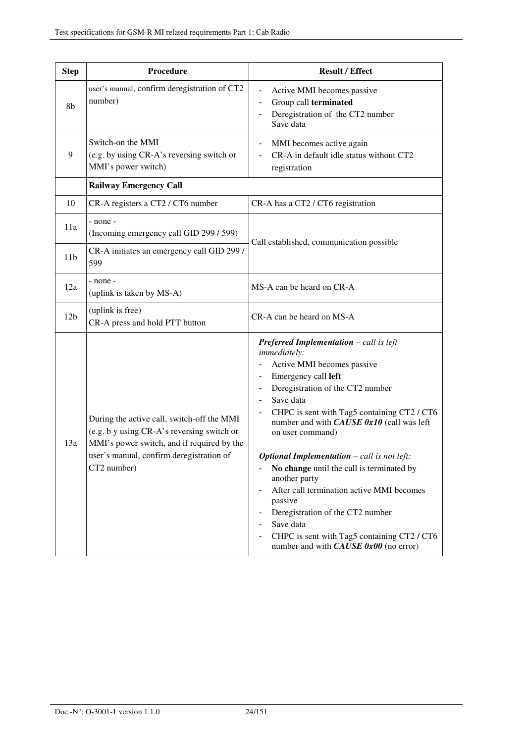| <b>Step</b>     | Procedure                                                                                                                                                                                         | <b>Result / Effect</b>                                                                                                                                                                                                                                                                                                                                                                                                                                                                                                                                                                                                                                                          |
|-----------------|---------------------------------------------------------------------------------------------------------------------------------------------------------------------------------------------------|---------------------------------------------------------------------------------------------------------------------------------------------------------------------------------------------------------------------------------------------------------------------------------------------------------------------------------------------------------------------------------------------------------------------------------------------------------------------------------------------------------------------------------------------------------------------------------------------------------------------------------------------------------------------------------|
| 8b              | user's manual, confirm deregistration of CT2<br>number)                                                                                                                                           | Active MMI becomes passive<br>Group call terminated<br>Deregistration of the CT2 number<br>$\blacksquare$<br>Save data                                                                                                                                                                                                                                                                                                                                                                                                                                                                                                                                                          |
| 9               | Switch-on the MMI<br>(e.g. by using CR-A's reversing switch or<br>MMI's power switch)                                                                                                             | MMI becomes active again<br>CR-A in default idle status without CT2<br>registration                                                                                                                                                                                                                                                                                                                                                                                                                                                                                                                                                                                             |
|                 | <b>Railway Emergency Call</b>                                                                                                                                                                     |                                                                                                                                                                                                                                                                                                                                                                                                                                                                                                                                                                                                                                                                                 |
| 10              | CR-A registers a CT2 / CT6 number                                                                                                                                                                 | CR-A has a CT2 / CT6 registration                                                                                                                                                                                                                                                                                                                                                                                                                                                                                                                                                                                                                                               |
| 11a             | - none -<br>(Incoming emergency call GID 299 / 599)                                                                                                                                               | Call established, communication possible                                                                                                                                                                                                                                                                                                                                                                                                                                                                                                                                                                                                                                        |
| 11 <sub>b</sub> | CR-A initiates an emergency call GID 299 /<br>599                                                                                                                                                 |                                                                                                                                                                                                                                                                                                                                                                                                                                                                                                                                                                                                                                                                                 |
| 12a             | - none -<br>(uplink is taken by MS-A)                                                                                                                                                             | MS-A can be heard on CR-A                                                                                                                                                                                                                                                                                                                                                                                                                                                                                                                                                                                                                                                       |
| 12 <sub>b</sub> | (uplink is free)<br>CR-A press and hold PTT button                                                                                                                                                | CR-A can be heard on MS-A                                                                                                                                                                                                                                                                                                                                                                                                                                                                                                                                                                                                                                                       |
| 13a             | During the active call, switch-off the MMI<br>(e.g. b y using CR-A's reversing switch or<br>MMI's power switch, and if required by the<br>user's manual, confirm deregistration of<br>CT2 number) | <b>Preferred Implementation</b> $-$ call is left<br>immediately:<br>Active MMI becomes passive<br>Emergency call left<br>Deregistration of the CT2 number<br>$\overline{\phantom{0}}$<br>Save data<br>$\blacksquare$<br>CHPC is sent with Tag5 containing CT2 / CT6<br>$\blacksquare$<br>number and with CAUSE 0x10 (call was left<br>on user command)<br><b>Optional Implementation</b> - call is not left:<br>No change until the call is terminated by<br>another party<br>After call termination active MMI becomes<br>passive<br>Deregistration of the CT2 number<br>Save data<br>CHPC is sent with Tag5 containing CT2 / CT6<br>number and with $CAUSE$ $0x00$ (no error) |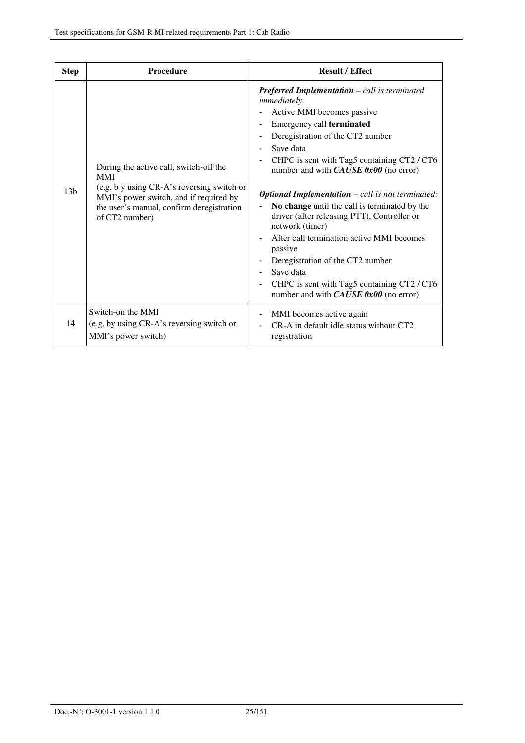| <b>Step</b>     | Procedure                                                                                                                                                                                                   | <b>Result / Effect</b>                                                                                                                                                                                                                                                                                                                                                                                                                                                                                                                                                                                                                                                                                  |
|-----------------|-------------------------------------------------------------------------------------------------------------------------------------------------------------------------------------------------------------|---------------------------------------------------------------------------------------------------------------------------------------------------------------------------------------------------------------------------------------------------------------------------------------------------------------------------------------------------------------------------------------------------------------------------------------------------------------------------------------------------------------------------------------------------------------------------------------------------------------------------------------------------------------------------------------------------------|
| 13 <sub>b</sub> | During the active call, switch-off the<br><b>MMI</b><br>(e.g. b y using CR-A's reversing switch or<br>MMI's power switch, and if required by<br>the user's manual, confirm deregistration<br>of CT2 number) | <b>Preferred Implementation</b> $-$ call is terminated<br><i>immediately:</i><br>Active MMI becomes passive<br>Emergency call terminated<br>Deregistration of the CT2 number<br>Save data<br>CHPC is sent with Tag5 containing CT2 / CT6<br>number and with $CAUSE$ 0x00 (no error)<br><b>Optional Implementation</b> $-$ call is not terminated:<br>No change until the call is terminated by the<br>driver (after releasing PTT), Controller or<br>network (timer)<br>After call termination active MMI becomes<br>passive<br>Deregistration of the CT2 number<br>Save data<br>CHPC is sent with Tag5 containing CT2 / CT6<br>$\qquad \qquad \blacksquare$<br>number and with $CAUSE$ 0x00 (no error) |
| 14              | Switch-on the MMI<br>(e.g. by using CR-A's reversing switch or<br>MMI's power switch)                                                                                                                       | MMI becomes active again<br>CR-A in default idle status without CT2<br>registration                                                                                                                                                                                                                                                                                                                                                                                                                                                                                                                                                                                                                     |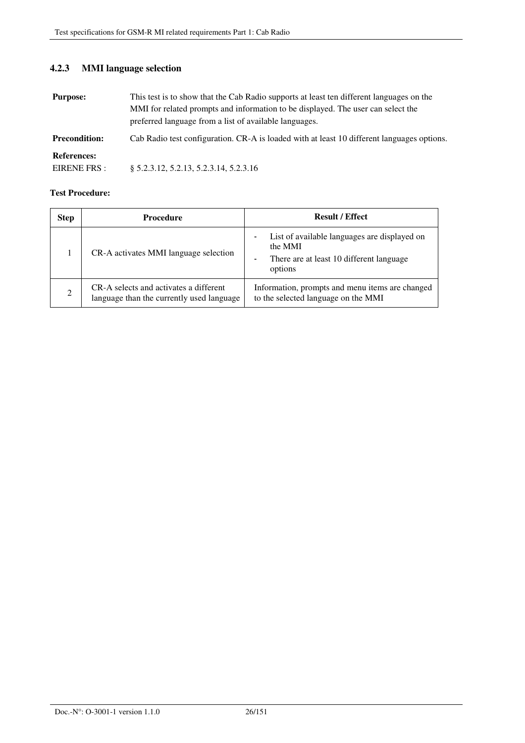# **4.2.3 MMI language selection**

| <b>Purpose:</b>                    | This test is to show that the Cab Radio supports at least ten different languages on the<br>MMI for related prompts and information to be displayed. The user can select the<br>preferred language from a list of available languages. |
|------------------------------------|----------------------------------------------------------------------------------------------------------------------------------------------------------------------------------------------------------------------------------------|
| <b>Precondition:</b>               | Cab Radio test configuration. CR-A is loaded with at least 10 different languages options.                                                                                                                                             |
| <b>References:</b><br>EIRENE FRS : | $§ 5.2.3.12, 5.2.13, 5.2.3.14, 5.2.3.16$                                                                                                                                                                                               |

| <b>Step</b> | <b>Procedure</b>                                                                    | <b>Result / Effect</b>                                                                                                                                                 |
|-------------|-------------------------------------------------------------------------------------|------------------------------------------------------------------------------------------------------------------------------------------------------------------------|
|             | CR-A activates MMI language selection                                               | List of available languages are displayed on<br>$\overline{\phantom{a}}$<br>the MMI<br>There are at least 10 different language<br>$\overline{\phantom{a}}$<br>options |
| 2           | CR-A selects and activates a different<br>language than the currently used language | Information, prompts and menu items are changed<br>to the selected language on the MMI                                                                                 |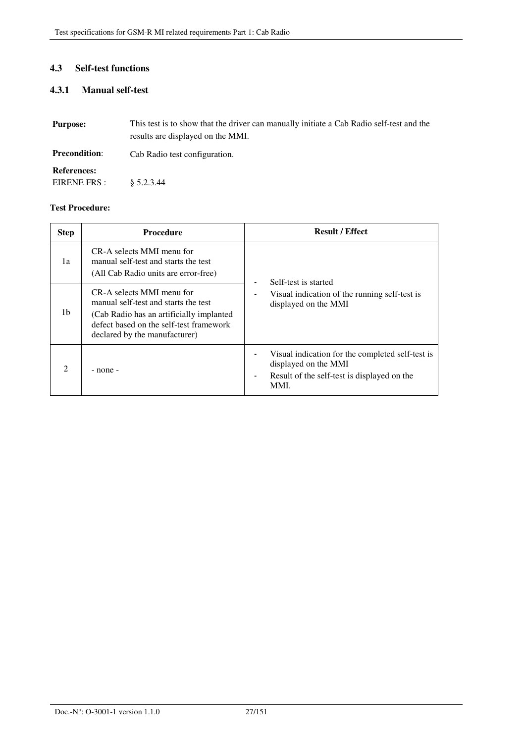## **4.3 Self-test functions**

## **4.3.1 Manual self-test**

| <b>Purpose:</b>      | This test is to show that the driver can manually initiate a Cab Radio self-test and the<br>results are displayed on the MMI. |
|----------------------|-------------------------------------------------------------------------------------------------------------------------------|
| <b>Precondition:</b> | Cab Radio test configuration.                                                                                                 |
| <b>References:</b>   |                                                                                                                               |
| EIRENE FRS :         | $\& 5.2.3.44$                                                                                                                 |

| <b>Step</b> | <b>Procedure</b>                                                                                                                                                                           | <b>Result / Effect</b>                                                                                                          |
|-------------|--------------------------------------------------------------------------------------------------------------------------------------------------------------------------------------------|---------------------------------------------------------------------------------------------------------------------------------|
| 1a          | CR-A selects MMI menu for<br>manual self-test and starts the test<br>(All Cab Radio units are error-free)                                                                                  | Self-test is started<br>Visual indication of the running self-test is<br>displayed on the MMI                                   |
| 1b          | CR-A selects MMI menu for<br>manual self-test and starts the test<br>(Cab Radio has an artificially implanted)<br>defect based on the self-test framework<br>declared by the manufacturer) |                                                                                                                                 |
| 2           | - none -                                                                                                                                                                                   | Visual indication for the completed self-test is<br>displayed on the MMI<br>Result of the self-test is displayed on the<br>MMI. |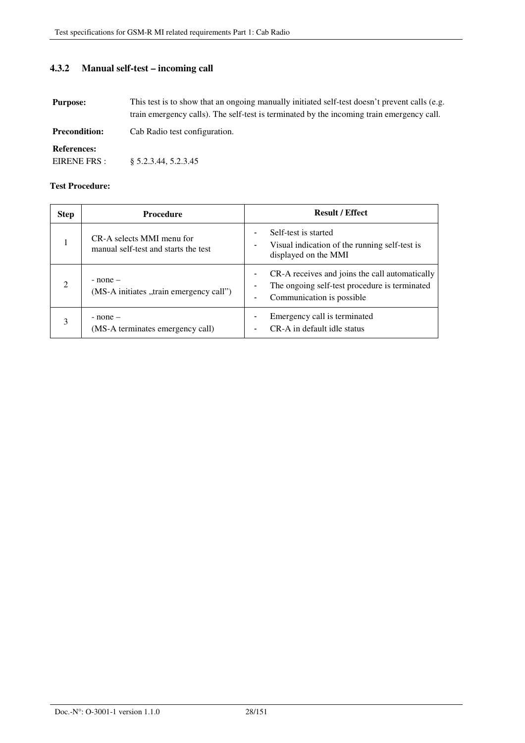**4.3.2 Manual self-test – incoming call** 

| <b>Purpose:</b>                    | This test is to show that an ongoing manually initiated self-test doesn't prevent calls (e.g.<br>train emergency calls). The self-test is terminated by the incoming train emergency call. |
|------------------------------------|--------------------------------------------------------------------------------------------------------------------------------------------------------------------------------------------|
| <b>Precondition:</b>               | Cab Radio test configuration.                                                                                                                                                              |
| <b>References:</b><br>EIRENE FRS : | § 5.2.3.44, 5.2.3.45                                                                                                                                                                       |

| <b>Step</b>   | <b>Procedure</b>                                                  | <b>Result / Effect</b>                                                                                                                                    |
|---------------|-------------------------------------------------------------------|-----------------------------------------------------------------------------------------------------------------------------------------------------------|
|               | CR-A selects MMI menu for<br>manual self-test and starts the test | Self-test is started<br>$\overline{\phantom{0}}$<br>Visual indication of the running self-test is<br>$\overline{\phantom{a}}$<br>displayed on the MMI     |
| $\mathcal{L}$ | $-$ none $-$<br>(MS-A initiates "train emergency call")           | CR-A receives and joins the call automatically<br>$\overline{\phantom{a}}$<br>The ongoing self-test procedure is terminated<br>Communication is possible. |
| 3             | $-$ none $-$<br>(MS-A terminates emergency call)                  | Emergency call is terminated<br>CR-A in default idle status<br>$\blacksquare$                                                                             |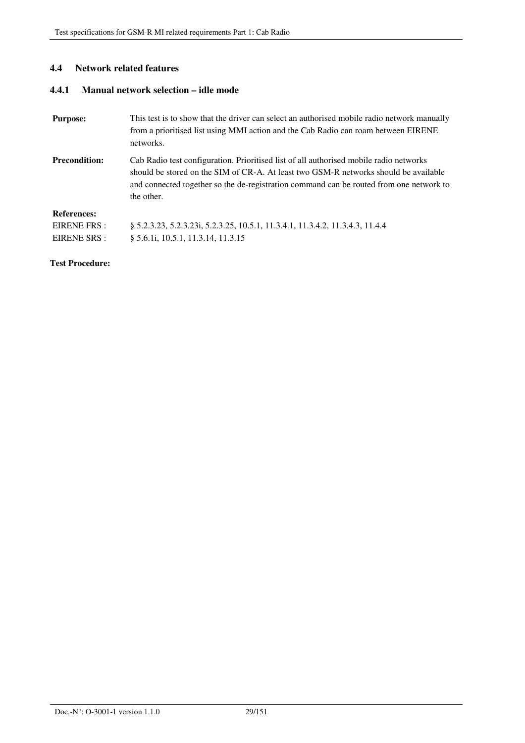#### **4.4 Network related features**

### **4.4.1 Manual network selection – idle mode**

| <b>Purpose:</b>      | This test is to show that the driver can select an authorised mobile radio network manually<br>from a prioritised list using MMI action and the Cab Radio can roam between EIRENE<br>networks.                                                                                          |
|----------------------|-----------------------------------------------------------------------------------------------------------------------------------------------------------------------------------------------------------------------------------------------------------------------------------------|
| <b>Precondition:</b> | Cab Radio test configuration. Prioritised list of all authorised mobile radio networks<br>should be stored on the SIM of CR-A. At least two GSM-R networks should be available<br>and connected together so the de-registration command can be routed from one network to<br>the other. |
| <b>References:</b>   |                                                                                                                                                                                                                                                                                         |
| EIRENE FRS :         | § 5.2.3.23, 5.2.3.23i, 5.2.3.25, 10.5.1, 11.3.4.1, 11.3.4.2, 11.3.4.3, 11.4.4                                                                                                                                                                                                           |
| EIRENE SRS :         | § 5.6.1 <i>i</i> , 10.5.1, 11.3.14, 11.3.15                                                                                                                                                                                                                                             |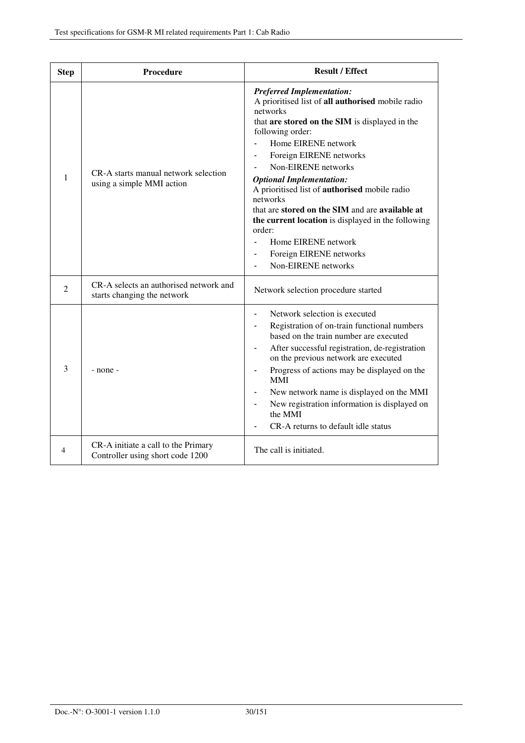| <b>Step</b>    | <b>Procedure</b>                                                        | <b>Result / Effect</b>                                                                                                                                                                                                                                                                                                                                                                                                                                                                                                                                         |
|----------------|-------------------------------------------------------------------------|----------------------------------------------------------------------------------------------------------------------------------------------------------------------------------------------------------------------------------------------------------------------------------------------------------------------------------------------------------------------------------------------------------------------------------------------------------------------------------------------------------------------------------------------------------------|
| 1              | CR-A starts manual network selection<br>using a simple MMI action       | <b>Preferred Implementation:</b><br>A prioritised list of all authorised mobile radio<br>networks<br>that are stored on the SIM is displayed in the<br>following order:<br>Home EIRENE network<br>Foreign EIRENE networks<br>Non-EIRENE networks<br><b>Optional Implementation:</b><br>A prioritised list of authorised mobile radio<br>networks<br>that are stored on the SIM and are available at<br>the current location is displayed in the following<br>order:<br>Home EIRENE network<br>Foreign EIRENE networks<br>$\blacksquare$<br>Non-EIRENE networks |
| $\overline{2}$ | CR-A selects an authorised network and<br>starts changing the network   | Network selection procedure started                                                                                                                                                                                                                                                                                                                                                                                                                                                                                                                            |
| 3              | $-$ none $-$                                                            | Network selection is executed<br>Registration of on-train functional numbers<br>based on the train number are executed<br>After successful registration, de-registration<br>on the previous network are executed<br>Progress of actions may be displayed on the<br><b>MMI</b><br>New network name is displayed on the MMI<br>New registration information is displayed on<br>the MMI<br>CR-A returns to default idle status                                                                                                                                    |
| 4              | CR-A initiate a call to the Primary<br>Controller using short code 1200 | The call is initiated.                                                                                                                                                                                                                                                                                                                                                                                                                                                                                                                                         |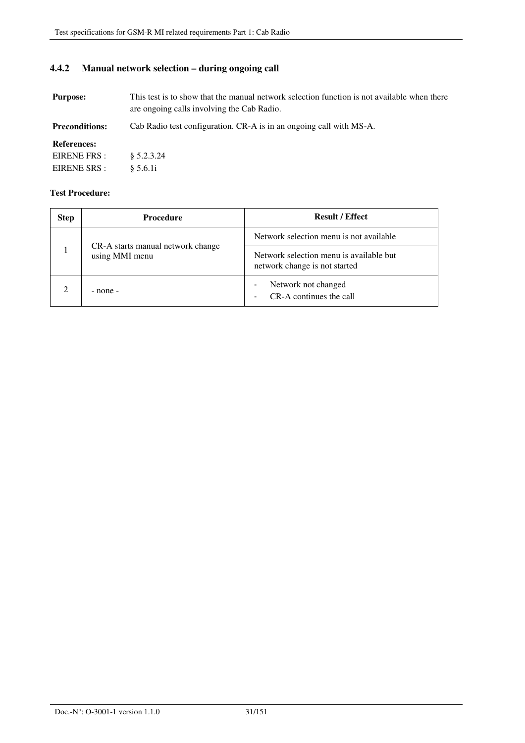## **4.4.2 Manual network selection – during ongoing call**

**Purpose:** This test is to show that the manual network selection function is not available when there are ongoing calls involving the Cab Radio.

**Preconditions:** Cab Radio test configuration. CR-A is in an ongoing call with MS-A.

#### **References:**

| EIRENE FRS : | $\frac{8}{9}$ 5.2.3.24 |
|--------------|------------------------|
| EIRENE SRS : | § 5.6.1i               |

| <b>Step</b> | <b>Procedure</b>                                    | <b>Result / Effect</b>                                                         |
|-------------|-----------------------------------------------------|--------------------------------------------------------------------------------|
|             | CR-A starts manual network change<br>using MMI menu | Network selection menu is not available                                        |
|             |                                                     | Network selection menu is available but<br>network change is not started       |
|             | - none -                                            | Network not changed<br>$\qquad \qquad \blacksquare$<br>CR-A continues the call |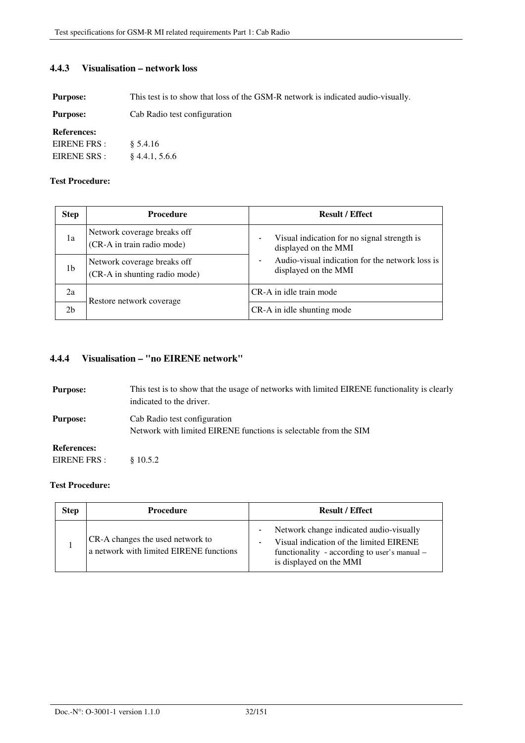#### **4.4.3 Visualisation – network loss**

**Purpose:** This test is to show that loss of the GSM-R network is indicated audio-visually.

| <b>Purpose:</b> | Cab Radio test configuration |
|-----------------|------------------------------|
|-----------------|------------------------------|

#### **References:**

| EIRENE FRS:  | § 5.4.16         |
|--------------|------------------|
| EIRENE SRS : | $§$ 4.4.1, 5.6.6 |

#### **Test Procedure:**

| <b>Step</b>    | <b>Procedure</b>                                             | <b>Result / Effect</b>                                                       |
|----------------|--------------------------------------------------------------|------------------------------------------------------------------------------|
| 1a             | Network coverage breaks off<br>(CR-A in train radio mode)    | Visual indication for no signal strength is<br>۰<br>displayed on the MMI     |
| 1b             | Network coverage breaks off<br>(CR-A in shunting radio mode) | Audio-visual indication for the network loss is<br>۰<br>displayed on the MMI |
| 2a             | Restore network coverage                                     | CR-A in idle train mode                                                      |
| 2 <sub>b</sub> |                                                              | CR-A in idle shunting mode                                                   |

## **4.4.4 Visualisation – "no EIRENE network"**

| <b>Purpose:</b>    | This test is to show that the usage of networks with limited EIRENE functionality is clearly<br>indicated to the driver. |
|--------------------|--------------------------------------------------------------------------------------------------------------------------|
| <b>Purpose:</b>    | Cab Radio test configuration<br>Network with limited EIRENE functions is selectable from the SIM                         |
| <b>References:</b> |                                                                                                                          |
| EIRENE FRS :       | \$10.5.2                                                                                                                 |

| <b>Step</b> | Procedure                                                                   | <b>Result / Effect</b>                                                                                                                                        |
|-------------|-----------------------------------------------------------------------------|---------------------------------------------------------------------------------------------------------------------------------------------------------------|
|             | CR-A changes the used network to<br>a network with limited EIRENE functions | Network change indicated audio-visually<br>Visual indication of the limited EIRENE<br>functionality - according to user's manual -<br>is displayed on the MMI |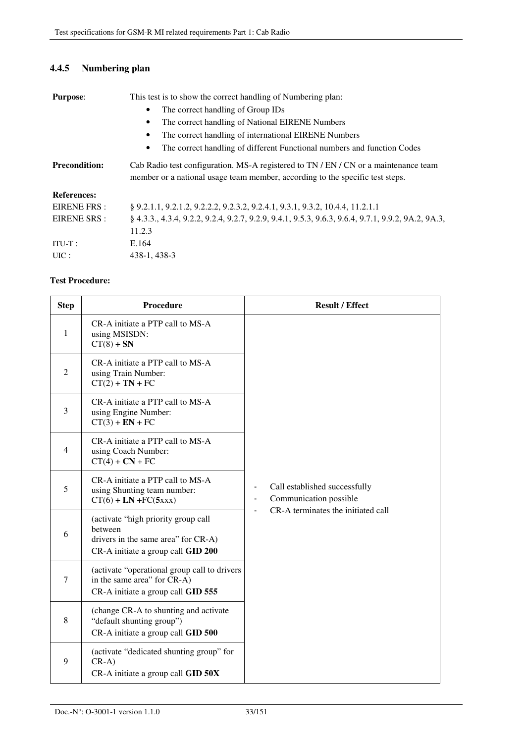# **4.4.5 Numbering plan**

| <b>Purpose:</b>      | This test is to show the correct handling of Numbering plan:                                                                                                         |  |
|----------------------|----------------------------------------------------------------------------------------------------------------------------------------------------------------------|--|
|                      | The correct handling of Group IDs                                                                                                                                    |  |
|                      | The correct handling of National EIRENE Numbers<br>٠                                                                                                                 |  |
|                      | The correct handling of international EIRENE Numbers<br>٠                                                                                                            |  |
|                      | The correct handling of different Functional numbers and function Codes<br>٠                                                                                         |  |
| <b>Precondition:</b> | Cab Radio test configuration. MS-A registered to TN / EN / CN or a maintenance team<br>member or a national usage team member, according to the specific test steps. |  |
| <b>References:</b>   |                                                                                                                                                                      |  |
| <b>EIRENE FRS:</b>   | § 9.2.1.1, 9.2.1.2, 9.2.2.2, 9.2.3.2, 9.2.4.1, 9.3.1, 9.3.2, 10.4.4, 11.2.1.1                                                                                        |  |
| EIRENE SRS :         | § 4.3.3., 4.3.4, 9.2.2, 9.2.4, 9.2.7, 9.2.9, 9.4.1, 9.5.3, 9.6.3, 9.6.4, 9.7.1, 9.9.2, 9A.2, 9A.3,                                                                   |  |
|                      | 11.2.3                                                                                                                                                               |  |
| $ITU-T$ :            | E.164                                                                                                                                                                |  |
| UIC:                 | 438-1, 438-3                                                                                                                                                         |  |

| <b>Step</b>    | Procedure                                                                                                                   | <b>Result / Effect</b>                                                                                                                          |
|----------------|-----------------------------------------------------------------------------------------------------------------------------|-------------------------------------------------------------------------------------------------------------------------------------------------|
| 1              | CR-A initiate a PTP call to MS-A<br>using MSISDN:<br>$CT(8) + SN$                                                           |                                                                                                                                                 |
| $\overline{2}$ | CR-A initiate a PTP call to MS-A<br>using Train Number:<br>$CT(2) + TN + FC$                                                |                                                                                                                                                 |
| 3              | CR-A initiate a PTP call to MS-A<br>using Engine Number:<br>$CT(3) + EN + FC$                                               |                                                                                                                                                 |
| $\overline{4}$ | CR-A initiate a PTP call to MS-A<br>using Coach Number:<br>$CT(4) + CN + FC$                                                |                                                                                                                                                 |
| 5              | CR-A initiate a PTP call to MS-A<br>using Shunting team number:<br>$CT(6) + LN + FC(5xxx)$                                  | Call established successfully<br>$\qquad \qquad \blacksquare$<br>Communication possible<br>$\blacksquare$<br>CR-A terminates the initiated call |
| 6              | (activate "high priority group call<br>between<br>drivers in the same area" for CR-A)<br>CR-A initiate a group call GID 200 |                                                                                                                                                 |
| $\overline{7}$ | (activate "operational group call to drivers<br>in the same area" for CR-A)<br>CR-A initiate a group call GID 555           |                                                                                                                                                 |
| 8              | (change CR-A to shunting and activate<br>"default shunting group")<br>CR-A initiate a group call GID 500                    |                                                                                                                                                 |
| 9              | (activate "dedicated shunting group" for<br>$CR-A)$<br>CR-A initiate a group call GID 50X                                   |                                                                                                                                                 |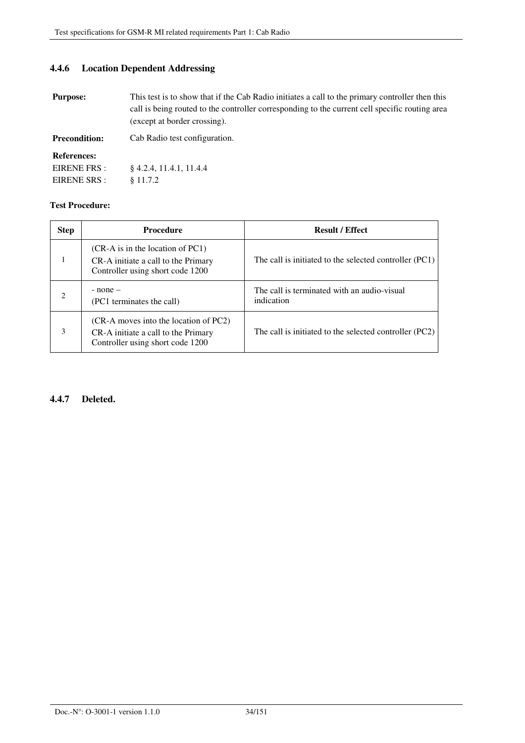## **4.4.6 Location Dependent Addressing**

| <b>Purpose:</b> | This test is to show that if the Cab Radio initiates a call to the primary controller then this |
|-----------------|-------------------------------------------------------------------------------------------------|
|                 | call is being routed to the controller corresponding to the current cell specific routing area  |
|                 | (except at border crossing).                                                                    |

Precondition: Cab Radio test configuration.

#### **References:**

| EIRENE FRS:  | $§$ 4.2.4, 11.4.1, 11.4.4 |
|--------------|---------------------------|
| EIRENE SRS : | § 11.7.2                  |

#### **Test Procedure:**

| <b>Step</b> | <b>Procedure</b>                                                                                                 | <b>Result / Effect</b>                                    |
|-------------|------------------------------------------------------------------------------------------------------------------|-----------------------------------------------------------|
|             | $(CR-A)$ is in the location of PC1)<br>CR-A initiate a call to the Primary<br>Controller using short code 1200   | The call is initiated to the selected controller $(PC1)$  |
| 2           | $-$ none $-$<br>(PC1 terminates the call)                                                                        | The call is terminated with an audio-visual<br>indication |
| 3           | (CR-A moves into the location of PC2)<br>CR-A initiate a call to the Primary<br>Controller using short code 1200 | The call is initiated to the selected controller (PC2)    |

#### **4.4.7 Deleted.**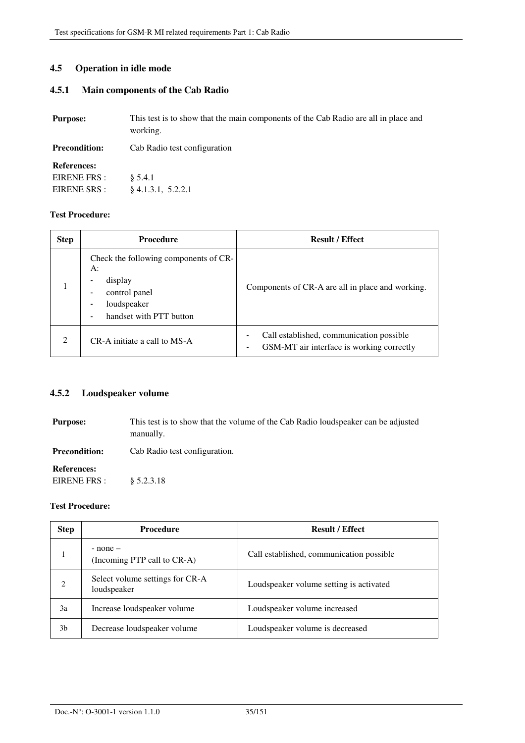#### **4.5 Operation in idle mode**

## **4.5.1 Main components of the Cab Radio**

| <b>Purpose:</b>      | This test is to show that the main components of the Cab Radio are all in place and<br>working. |
|----------------------|-------------------------------------------------------------------------------------------------|
| <b>Precondition:</b> | Cab Radio test configuration                                                                    |
| <b>References:</b>   |                                                                                                 |
| EIRENE FRS :         | \$5.4.1                                                                                         |
| EIRENE SRS :         | $§$ 4.1.3.1, 5.2.2.1                                                                            |

#### **Test Procedure:**

| <b>Step</b>    | <b>Procedure</b>                                                                                                  | <b>Result / Effect</b>                                                                |
|----------------|-------------------------------------------------------------------------------------------------------------------|---------------------------------------------------------------------------------------|
|                | Check the following components of CR-<br>A:<br>display<br>control panel<br>loudspeaker<br>handset with PTT button | Components of CR-A are all in place and working.                                      |
| $\mathfrak{D}$ | CR-A initiate a call to MS-A                                                                                      | Call established, communication possible<br>GSM-MT air interface is working correctly |

## **4.5.2 Loudspeaker volume**

| <b>Purpose:</b>                    | This test is to show that the volume of the Cab Radio loudspeaker can be adjusted<br>manually. |
|------------------------------------|------------------------------------------------------------------------------------------------|
| <b>Precondition:</b>               | Cab Radio test configuration.                                                                  |
| <b>References:</b><br>EIRENE FRS : | \$5.2.3.18                                                                                     |

| <b>Step</b>    | <b>Procedure</b>                               | <b>Result / Effect</b>                   |
|----------------|------------------------------------------------|------------------------------------------|
|                | $-$ none $-$<br>(Incoming PTP call to CR-A)    | Call established, communication possible |
| $\mathfrak{D}$ | Select volume settings for CR-A<br>loudspeaker | Loudspeaker volume setting is activated  |
| 3a             | Increase loudspeaker volume                    | Loudspeaker volume increased             |
| 3b             | Decrease loudspeaker volume                    | Loudspeaker volume is decreased          |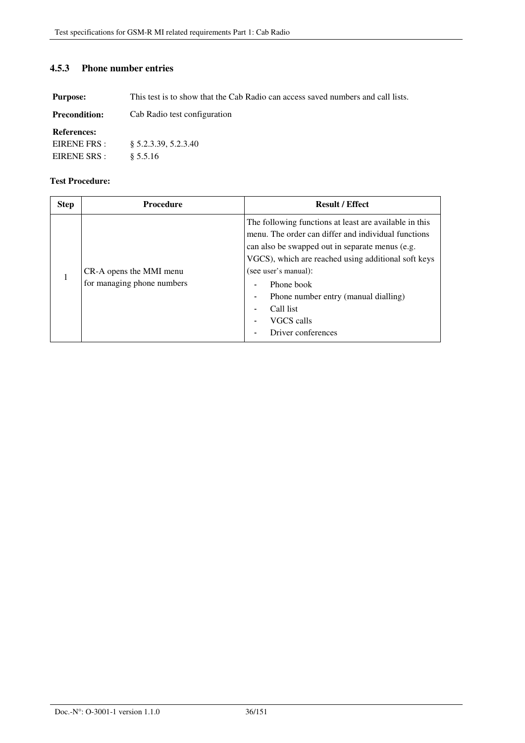## **4.5.3 Phone number entries**

**Purpose:** This test is to show that the Cab Radio can access saved numbers and call lists.

| <b>Precondition:</b> | Cab Radio test configuration |
|----------------------|------------------------------|
|----------------------|------------------------------|

#### **References:**

| EIRENE FRS : | § 5.2.3.39, 5.2.3.40 |
|--------------|----------------------|
| EIRENE SRS : | § 5.5.16             |

| <b>Step</b> | <b>Procedure</b>                                      | <b>Result / Effect</b>                                                                                                                                                                                                                                                                                                                                 |
|-------------|-------------------------------------------------------|--------------------------------------------------------------------------------------------------------------------------------------------------------------------------------------------------------------------------------------------------------------------------------------------------------------------------------------------------------|
|             | CR-A opens the MMI menu<br>for managing phone numbers | The following functions at least are available in this<br>menu. The order can differ and individual functions<br>can also be swapped out in separate menus (e.g.<br>VGCS), which are reached using additional soft keys<br>(see user's manual):<br>Phone book<br>Phone number entry (manual dialling)<br>Call list<br>VGCS calls<br>Driver conferences |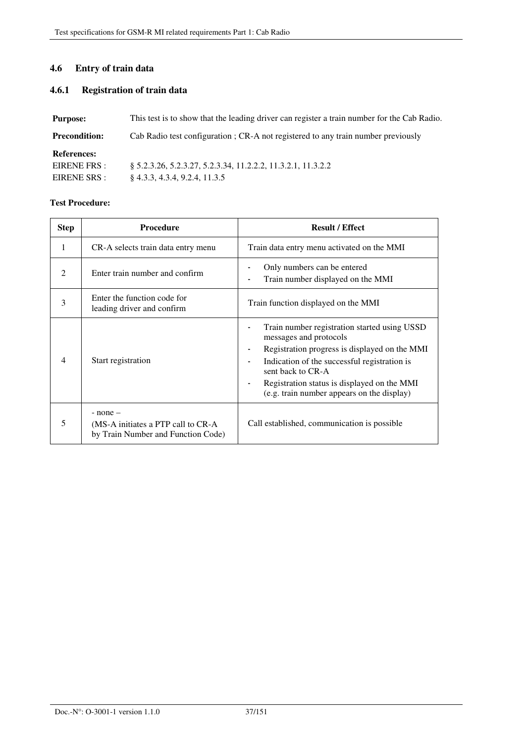### **4.6 Entry of train data**

### **4.6.1 Registration of train data**

| <b>Purpose:</b>      | This test is to show that the leading driver can register a train number for the Cab Radio. |
|----------------------|---------------------------------------------------------------------------------------------|
| <b>Precondition:</b> | Cab Radio test configuration ; CR-A not registered to any train number previously           |
| <b>References:</b>   |                                                                                             |
| EIRENE FRS :         | 8 5.2.3.26, 5.2.3.27, 5.2.3.34, 11.2.2.2, 11.3.2.1, 11.3.2.2                                |
| EIRENE SRS :         | $§$ 4.3.3, 4.3.4, 9.2.4, 11.3.5                                                             |

| <b>Step</b>                   | <b>Procedure</b>                                                                         | <b>Result / Effect</b>                                                                                                                                                                                                                                                                                                                                                      |
|-------------------------------|------------------------------------------------------------------------------------------|-----------------------------------------------------------------------------------------------------------------------------------------------------------------------------------------------------------------------------------------------------------------------------------------------------------------------------------------------------------------------------|
| 1                             | CR-A selects train data entry menu                                                       | Train data entry menu activated on the MMI                                                                                                                                                                                                                                                                                                                                  |
| $\mathfrak{D}_{\mathfrak{p}}$ | Enter train number and confirm                                                           | Only numbers can be entered<br>Train number displayed on the MMI<br>$\blacksquare$                                                                                                                                                                                                                                                                                          |
| 3                             | Enter the function code for<br>leading driver and confirm                                | Train function displayed on the MMI                                                                                                                                                                                                                                                                                                                                         |
| 4                             | Start registration                                                                       | Train number registration started using USSD<br>$\blacksquare$<br>messages and protocols<br>Registration progress is displayed on the MMI<br>$\blacksquare$<br>Indication of the successful registration is<br>$\overline{\phantom{a}}$<br>sent back to CR-A<br>Registration status is displayed on the MMI<br>$\blacksquare$<br>(e.g. train number appears on the display) |
| 5                             | $-$ none $-$<br>(MS-A initiates a PTP call to CR-A<br>by Train Number and Function Code) | Call established, communication is possible.                                                                                                                                                                                                                                                                                                                                |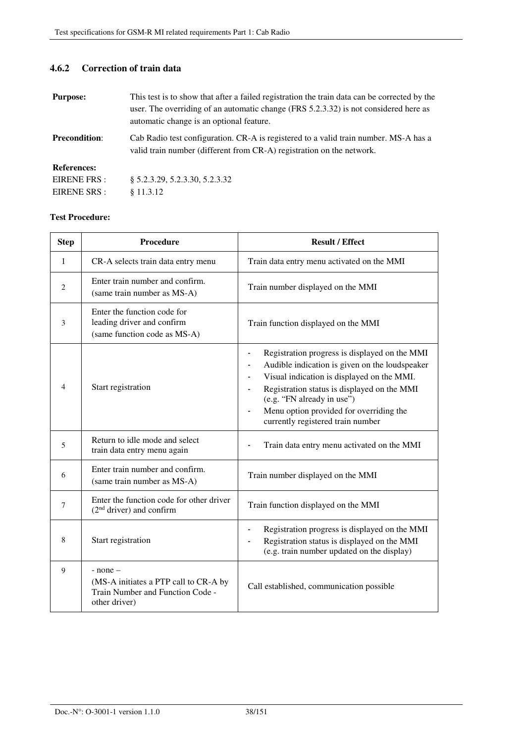### **4.6.2 Correction of train data**

| <b>Purpose:</b>      | This test is to show that after a failed registration the train data can be corrected by the<br>user. The overriding of an automatic change (FRS 5.2.3.32) is not considered here as<br>automatic change is an optional feature. |
|----------------------|----------------------------------------------------------------------------------------------------------------------------------------------------------------------------------------------------------------------------------|
| <b>Precondition:</b> | Cab Radio test configuration. CR-A is registered to a valid train number. MS-A has a<br>valid train number (different from CR-A) registration on the network.                                                                    |
| <b>References:</b>   |                                                                                                                                                                                                                                  |
| EIRENE FRS:          | § 5.2.3.29, 5.2.3.30, 5.2.3.32                                                                                                                                                                                                   |
| EIRENE SRS :         | \$11.3.12                                                                                                                                                                                                                        |

| <b>Step</b>    | Procedure                                                                                                  | <b>Result / Effect</b>                                                                                                                                                                                                                                                                                                                                                                           |
|----------------|------------------------------------------------------------------------------------------------------------|--------------------------------------------------------------------------------------------------------------------------------------------------------------------------------------------------------------------------------------------------------------------------------------------------------------------------------------------------------------------------------------------------|
| 1              | CR-A selects train data entry menu                                                                         | Train data entry menu activated on the MMI                                                                                                                                                                                                                                                                                                                                                       |
| $\overline{2}$ | Enter train number and confirm.<br>(same train number as MS-A)                                             | Train number displayed on the MMI                                                                                                                                                                                                                                                                                                                                                                |
| 3              | Enter the function code for<br>leading driver and confirm<br>(same function code as MS-A)                  | Train function displayed on the MMI                                                                                                                                                                                                                                                                                                                                                              |
| 4              | Start registration                                                                                         | Registration progress is displayed on the MMI<br>$\blacksquare$<br>Audible indication is given on the loudspeaker<br>$\qquad \qquad \blacksquare$<br>Visual indication is displayed on the MMI.<br>$\blacksquare$<br>Registration status is displayed on the MMI<br>(e.g. "FN already in use")<br>Menu option provided for overriding the<br>$\blacksquare$<br>currently registered train number |
| 5              | Return to idle mode and select<br>train data entry menu again                                              | Train data entry menu activated on the MMI                                                                                                                                                                                                                                                                                                                                                       |
| 6              | Enter train number and confirm.<br>(same train number as MS-A)                                             | Train number displayed on the MMI                                                                                                                                                                                                                                                                                                                                                                |
| $\tau$         | Enter the function code for other driver<br>$(2nd driver)$ and confirm                                     | Train function displayed on the MMI                                                                                                                                                                                                                                                                                                                                                              |
| 8              | Start registration                                                                                         | Registration progress is displayed on the MMI<br>Registration status is displayed on the MMI<br>(e.g. train number updated on the display)                                                                                                                                                                                                                                                       |
| 9              | $-$ none $-$<br>(MS-A initiates a PTP call to CR-A by<br>Train Number and Function Code -<br>other driver) | Call established, communication possible                                                                                                                                                                                                                                                                                                                                                         |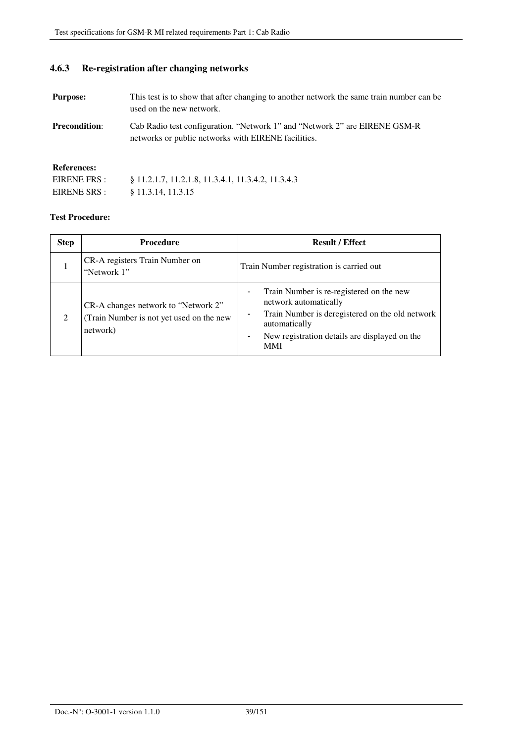### **4.6.3 Re-registration after changing networks**

| <b>Purpose:</b>      | This test is to show that after changing to another network the same train number can be<br>used on the new network.              |
|----------------------|-----------------------------------------------------------------------------------------------------------------------------------|
| <b>Precondition:</b> | Cab Radio test configuration. "Network 1" and "Network 2" are EIRENE GSM-R<br>networks or public networks with EIRENE facilities. |
| <b>References:</b>   |                                                                                                                                   |
| EIRENE FRS :         | \$11.2.1.7, 11.2.1.8, 11.3.4.1, 11.3.4.2, 11.3.4.3                                                                                |
| EIRENE SRS :         | § 11.3.14, 11.3.15                                                                                                                |

| <b>Step</b> | <b>Procedure</b>                                                                            | <b>Result / Effect</b>                                                                                                                                                                                                           |
|-------------|---------------------------------------------------------------------------------------------|----------------------------------------------------------------------------------------------------------------------------------------------------------------------------------------------------------------------------------|
|             | CR-A registers Train Number on<br>"Network 1"                                               | Train Number registration is carried out                                                                                                                                                                                         |
| 2           | CR-A changes network to "Network 2"<br>(Train Number is not yet used on the new<br>network) | Train Number is re-registered on the new<br>network automatically<br>Train Number is deregistered on the old network<br>automatically<br>New registration details are displayed on the<br>$\overline{\phantom{0}}$<br><b>MMI</b> |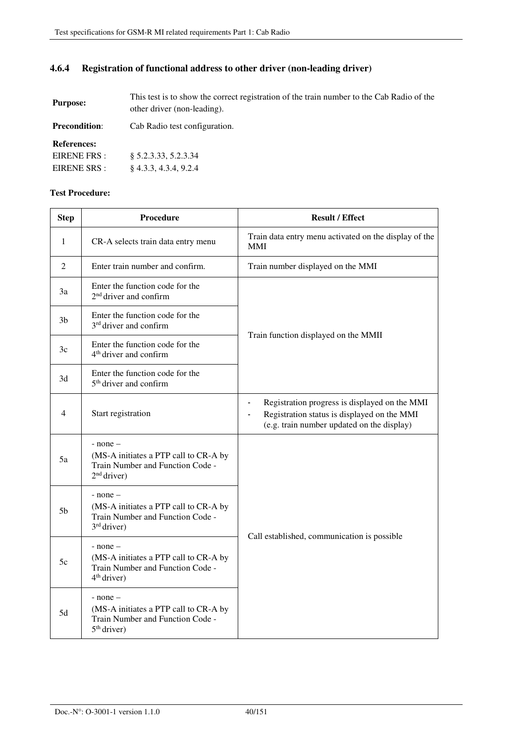### **4.6.4 Registration of functional address to other driver (non-leading driver)**

| <b>Purpose:</b>      | This test is to show the correct registration of the train number to the Cab Radio of the<br>other driver (non-leading). |  |
|----------------------|--------------------------------------------------------------------------------------------------------------------------|--|
| <b>Precondition:</b> | Cab Radio test configuration.                                                                                            |  |

**References:** 

EIRENE FRS : EIRENE SRS : § 5.2.3.33, 5.2.3.34 § 4.3.3, 4.3.4, 9.2.4

| <b>Step</b>    | <b>Procedure</b>                                                                                           | <b>Result / Effect</b>                                                                                                                                       |
|----------------|------------------------------------------------------------------------------------------------------------|--------------------------------------------------------------------------------------------------------------------------------------------------------------|
| $\mathbf{1}$   | CR-A selects train data entry menu                                                                         | Train data entry menu activated on the display of the<br><b>MMI</b>                                                                                          |
| 2              | Enter train number and confirm.                                                                            | Train number displayed on the MMI                                                                                                                            |
| 3a             | Enter the function code for the<br>$2nd$ driver and confirm                                                |                                                                                                                                                              |
| 3 <sub>b</sub> | Enter the function code for the<br>3 <sup>rd</sup> driver and confirm                                      |                                                                                                                                                              |
| 3c             | Enter the function code for the<br>4 <sup>th</sup> driver and confirm                                      | Train function displayed on the MMII                                                                                                                         |
| 3d             | Enter the function code for the<br>5 <sup>th</sup> driver and confirm                                      |                                                                                                                                                              |
| $\overline{4}$ | Start registration                                                                                         | Registration progress is displayed on the MMI<br>$\blacksquare$<br>Registration status is displayed on the MMI<br>(e.g. train number updated on the display) |
| 5a             | $-$ none $-$<br>(MS-A initiates a PTP call to CR-A by<br>Train Number and Function Code -<br>$2nd$ driver) |                                                                                                                                                              |
| 5 <sub>b</sub> | $-$ none $-$<br>(MS-A initiates a PTP call to CR-A by<br>Train Number and Function Code -<br>$3rd$ driver) |                                                                                                                                                              |
| 5c             | $-$ none $-$<br>(MS-A initiates a PTP call to CR-A by<br>Train Number and Function Code -<br>$4th$ driver) | Call established, communication is possible                                                                                                                  |
| 5d             | $-$ none $-$<br>(MS-A initiates a PTP call to CR-A by<br>Train Number and Function Code -<br>$5th$ driver) |                                                                                                                                                              |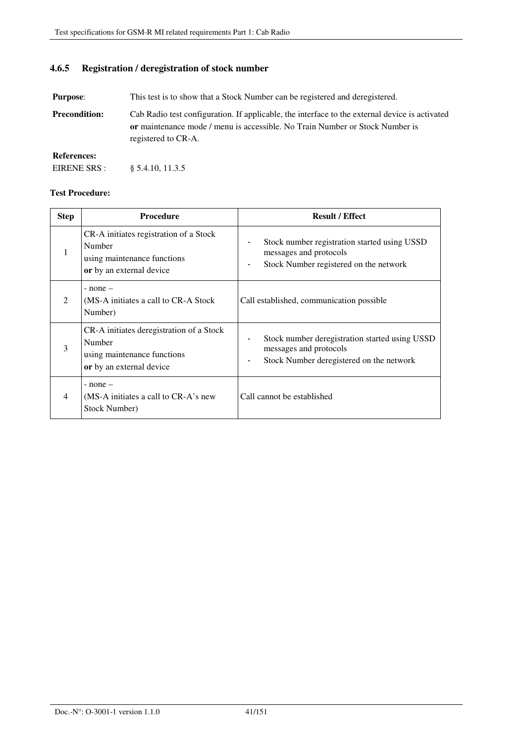### **4.6.5 Registration / deregistration of stock number**

**Purpose:** This test is to show that a Stock Number can be registered and deregistered.

**Precondition:** Cab Radio test configuration. If applicable, the interface to the external device is activated **or** maintenance mode / menu is accessible. No Train Number or Stock Number is registered to CR-A.

**References:**  EIRENE SRS : § 5.4.10, 11.3.5

| <b>Step</b>    | <b>Procedure</b>                                                                                              | <b>Result / Effect</b>                                                                                               |
|----------------|---------------------------------------------------------------------------------------------------------------|----------------------------------------------------------------------------------------------------------------------|
| 1              | CR-A initiates registration of a Stock<br>Number<br>using maintenance functions<br>or by an external device   | Stock number registration started using USSD<br>messages and protocols<br>Stock Number registered on the network     |
| $\mathfrak{D}$ | $-$ none $-$<br>(MS-A initiates a call to CR-A Stock)<br>Number)                                              | Call established, communication possible                                                                             |
| 3              | CR-A initiates deregistration of a Stock<br>Number<br>using maintenance functions<br>or by an external device | Stock number deregistration started using USSD<br>messages and protocols<br>Stock Number deregistered on the network |
| $\overline{4}$ | $-$ none $-$<br>(MS-A initiates a call to CR-A's new<br>Stock Number)                                         | Call cannot be established                                                                                           |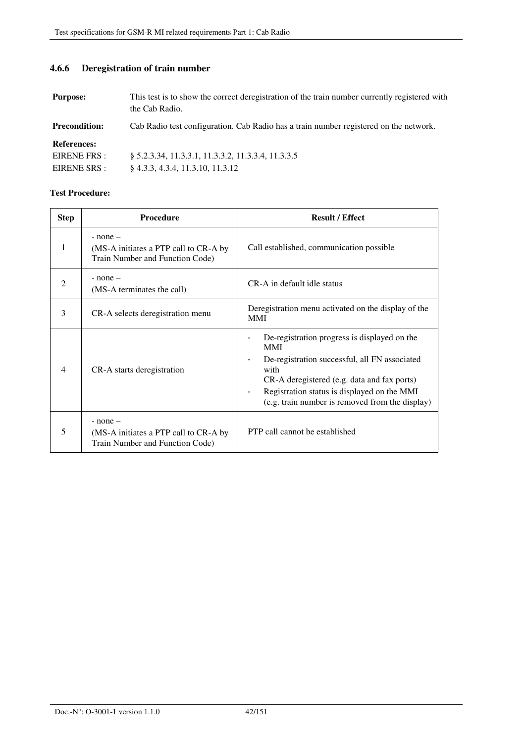**4.6.6 Deregistration of train number** 

# **Purpose:** This test is to show the correct deregistration of the train number currently registered with the Cab Radio.

**Precondition:** Cab Radio test configuration. Cab Radio has a train number registered on the network.

**References:** 

EIRENE FRS : EIRENE SRS : § 5.2.3.34, 11.3.3.1, 11.3.3.2, 11.3.3.4, 11.3.3.5 § 4.3.3, 4.3.4, 11.3.10, 11.3.12

| <b>Step</b>                   | <b>Procedure</b>                                                                         | <b>Result / Effect</b>                                                                                                                                                                                                                                                                 |
|-------------------------------|------------------------------------------------------------------------------------------|----------------------------------------------------------------------------------------------------------------------------------------------------------------------------------------------------------------------------------------------------------------------------------------|
| 1                             | $-$ none $-$<br>(MS-A initiates a PTP call to CR-A by<br>Train Number and Function Code) | Call established, communication possible                                                                                                                                                                                                                                               |
| $\mathfrak{D}_{\mathfrak{p}}$ | $-$ none $-$<br>(MS-A terminates the call)                                               | CR-A in default idle status                                                                                                                                                                                                                                                            |
| 3                             | CR-A selects deregistration menu                                                         | Deregistration menu activated on the display of the<br><b>MMI</b>                                                                                                                                                                                                                      |
| 4                             | CR-A starts deregistration                                                               | De-registration progress is displayed on the<br><b>MMI</b><br>De-registration successful, all FN associated<br>with<br>CR-A deregistered (e.g. data and fax ports)<br>Registration status is displayed on the MMI<br>$\blacksquare$<br>(e.g. train number is removed from the display) |
| 5                             | $-$ none $-$<br>(MS-A initiates a PTP call to CR-A by<br>Train Number and Function Code) | PTP call cannot be established                                                                                                                                                                                                                                                         |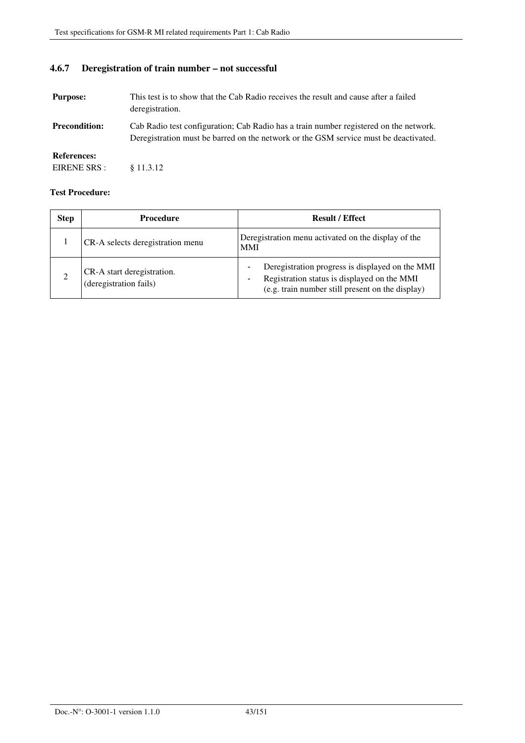### **4.6.7 Deregistration of train number – not successful**

| <b>Purpose:</b>                    | This test is to show that the Cab Radio receives the result and cause after a failed<br>deregistration.                                                                       |
|------------------------------------|-------------------------------------------------------------------------------------------------------------------------------------------------------------------------------|
| <b>Precondition:</b>               | Cab Radio test configuration; Cab Radio has a train number registered on the network.<br>Deregistration must be barred on the network or the GSM service must be deactivated. |
| <b>References:</b><br>EIRENE SRS : | \$11.3.12                                                                                                                                                                     |

| <b>Step</b> | <b>Procedure</b>                                     | <b>Result / Effect</b>                                                                                                                                  |
|-------------|------------------------------------------------------|---------------------------------------------------------------------------------------------------------------------------------------------------------|
|             | CR-A selects deregistration menu                     | Deregistration menu activated on the display of the<br><b>MMI</b>                                                                                       |
|             | CR-A start deregistration.<br>(deregistration fails) | Deregistration progress is displayed on the MMI<br>Registration status is displayed on the MMI<br>۰<br>(e.g. train number still present on the display) |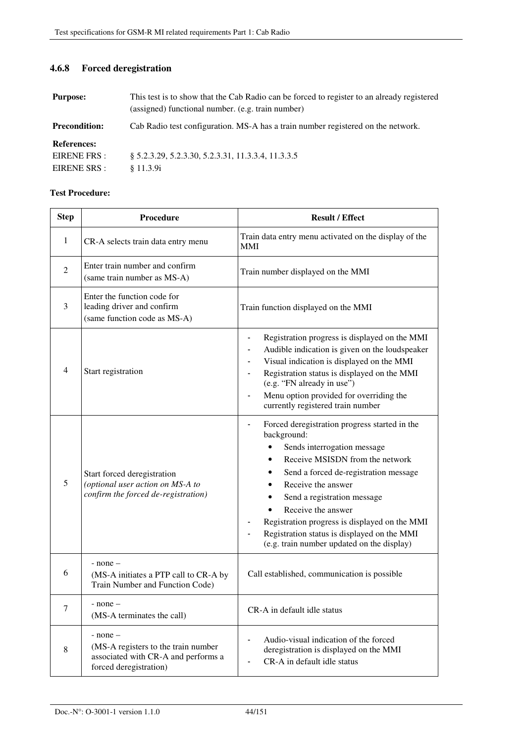### **4.6.8 Forced deregistration**

| <b>Purpose:</b>                                    | This test is to show that the Cab Radio can be forced to register to an already registered<br>(assigned) functional number. (e.g. train number) |  |
|----------------------------------------------------|-------------------------------------------------------------------------------------------------------------------------------------------------|--|
| <b>Precondition:</b>                               | Cab Radio test configuration. MS-A has a train number registered on the network.                                                                |  |
| <b>References:</b><br>EIRENE FRS :<br>EIRENE SRS : | \$5.2.3.29, 5.2.3.30, 5.2.3.31, 11.3.3.4, 11.3.3.5<br>\$11.3.9i                                                                                 |  |

| <b>Step</b>    | Procedure                                                                                                            | <b>Result / Effect</b>                                                                                                                                                                                                                                                                                                                                                                           |
|----------------|----------------------------------------------------------------------------------------------------------------------|--------------------------------------------------------------------------------------------------------------------------------------------------------------------------------------------------------------------------------------------------------------------------------------------------------------------------------------------------------------------------------------------------|
| $\mathbf{1}$   | CR-A selects train data entry menu                                                                                   | Train data entry menu activated on the display of the<br><b>MMI</b>                                                                                                                                                                                                                                                                                                                              |
| $\overline{2}$ | Enter train number and confirm<br>(same train number as MS-A)                                                        | Train number displayed on the MMI                                                                                                                                                                                                                                                                                                                                                                |
| 3              | Enter the function code for<br>leading driver and confirm<br>(same function code as MS-A)                            | Train function displayed on the MMI                                                                                                                                                                                                                                                                                                                                                              |
| $\overline{4}$ | Start registration                                                                                                   | Registration progress is displayed on the MMI<br>$\qquad \qquad \blacksquare$<br>Audible indication is given on the loudspeaker<br>Visual indication is displayed on the MMI<br>Registration status is displayed on the MMI<br>$\qquad \qquad \blacksquare$<br>(e.g. "FN already in use")<br>Menu option provided for overriding the<br>$\frac{1}{2}$<br>currently registered train number       |
| 5              | Start forced deregistration<br>(optional user action on MS-A to<br>confirm the forced de-registration)               | Forced deregistration progress started in the<br>background:<br>Sends interrogation message<br>Receive MSISDN from the network<br>Send a forced de-registration message<br>Receive the answer<br>Send a registration message<br>Receive the answer<br>Registration progress is displayed on the MMI<br>Registration status is displayed on the MMI<br>(e.g. train number updated on the display) |
| 6              | $-$ none $-$<br>(MS-A initiates a PTP call to CR-A by<br>Train Number and Function Code)                             | Call established, communication is possible                                                                                                                                                                                                                                                                                                                                                      |
| $\tau$         | - none –<br>(MS-A terminates the call)                                                                               | CR-A in default idle status                                                                                                                                                                                                                                                                                                                                                                      |
| 8              | $-$ none $-$<br>(MS-A registers to the train number<br>associated with CR-A and performs a<br>forced deregistration) | Audio-visual indication of the forced<br>deregistration is displayed on the MMI<br>CR-A in default idle status                                                                                                                                                                                                                                                                                   |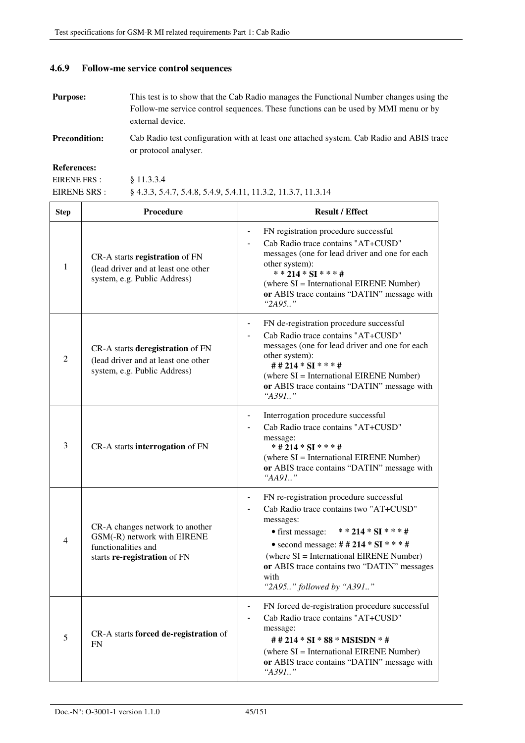#### **4.6.9 Follow-me service control sequences**

§ 11.3.3.4

- **Purpose:** This test is to show that the Cab Radio manages the Functional Number changes using the Follow-me service control sequences. These functions can be used by MMI menu or by external device.
- **Precondition:** Cab Radio test configuration with at least one attached system. Cab Radio and ABIS trace or protocol analyser.

**References:** 

EIRENE FRS :

EIRENE SRS : § 4.3.3, 5.4.7, 5.4.8, 5.4.9, 5.4.11, 11.3.2, 11.3.7, 11.3.14

| <b>Step</b> | Procedure                                                                                                             | <b>Result / Effect</b>                                                                                                                                                                                                                                                                                         |
|-------------|-----------------------------------------------------------------------------------------------------------------------|----------------------------------------------------------------------------------------------------------------------------------------------------------------------------------------------------------------------------------------------------------------------------------------------------------------|
| 1           | CR-A starts registration of FN<br>(lead driver and at least one other<br>system, e.g. Public Address)                 | FN registration procedure successful<br>$\blacksquare$<br>Cab Radio trace contains "AT+CUSD"<br>messages (one for lead driver and one for each<br>other system):<br>**214 * SI * * * #<br>(where SI = International EIRENE Number)<br>or ABIS trace contains "DATIN" message with<br>" $2A95.$ "               |
| 2           | CR-A starts deregistration of FN<br>(lead driver and at least one other<br>system, e.g. Public Address)               | FN de-registration procedure successful<br>Cab Radio trace contains "AT+CUSD"<br>messages (one for lead driver and one for each<br>other system):<br>##214 * SI * * * #<br>(where SI = International EIRENE Number)<br>or ABIS trace contains "DATIN" message with<br>" $A391$ "                               |
| 3           | CR-A starts interrogation of FN                                                                                       | Interrogation procedure successful<br>Cab Radio trace contains "AT+CUSD"<br>message:<br>* # 214 * SI * * * #<br>(where SI = International EIRENE Number)<br>or ABIS trace contains "DATIN" message with<br>"AA91"                                                                                              |
| 4           | CR-A changes network to another<br>GSM(-R) network with EIRENE<br>functionalities and<br>starts re-registration of FN | FN re-registration procedure successful<br>Cab Radio trace contains two "AT+CUSD"<br>messages:<br>• first message:<br>**214 * $SI$ ***#<br>• second message: ##214 * $SI$ ***#<br>(where SI = International EIRENE Number)<br>or ABIS trace contains two "DATIN" messages<br>with<br>"2A95" followed by "A391" |
| 5           | CR-A starts forced de-registration of<br><b>FN</b>                                                                    | FN forced de-registration procedure successful<br>Cab Radio trace contains "AT+CUSD"<br>message:<br># # 214 * SI * 88 * MSISDN * #<br>(where SI = International EIRENE Number)<br>or ABIS trace contains "DATIN" message with<br>"A391"                                                                        |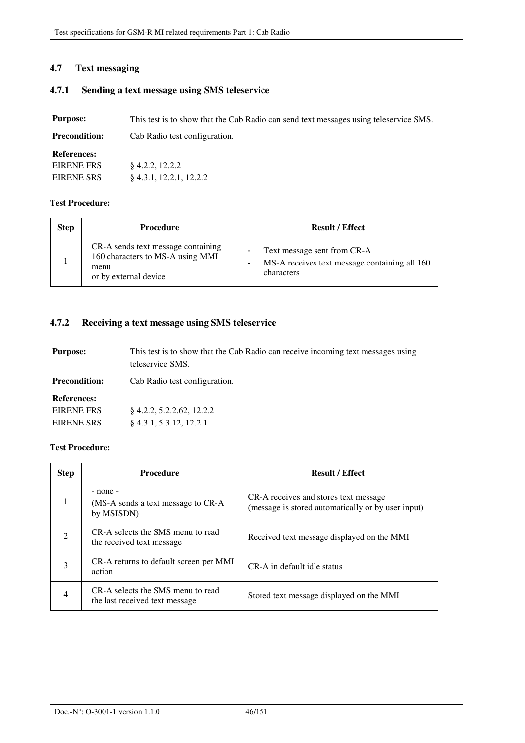### **4.7 Text messaging**

### **4.7.1 Sending a text message using SMS teleservice**

| <b>Purpose:</b>      | This test is to show that the Cab Radio can send text messages using teleservice SMS. |
|----------------------|---------------------------------------------------------------------------------------|
| <b>Precondition:</b> | Cab Radio test configuration.                                                         |

### **References:**

| EIRENE FRS : | $§$ 4.2.2, 12.2.2         |
|--------------|---------------------------|
| EIRENE SRS : | $§$ 4.3.1, 12.2.1, 12.2.2 |

### **Test Procedure:**

| <b>Step</b> | <b>Procedure</b>                                                                                        | <b>Result / Effect</b>                                                                     |
|-------------|---------------------------------------------------------------------------------------------------------|--------------------------------------------------------------------------------------------|
|             | CR-A sends text message containing<br>160 characters to MS-A using MMI<br>menu<br>or by external device | Text message sent from CR-A<br>MS-A receives text message containing all 160<br>characters |

### **4.7.2 Receiving a text message using SMS teleservice**

| <b>Purpose:</b>      | This test is to show that the Cab Radio can receive incoming text messages using<br>teleservice SMS. |  |
|----------------------|------------------------------------------------------------------------------------------------------|--|
| <b>Precondition:</b> | Cab Radio test configuration.                                                                        |  |
| <b>References:</b>   |                                                                                                      |  |
| EIRENE FRS :         | 8 4.2.2, 5.2.2.62, 12.2.2                                                                            |  |
| EIRENE SRS :         | $§$ 4.3.1, 5.3.12, 12.2.1                                                                            |  |

| <b>Step</b>                 | <b>Procedure</b>                                                    | <b>Result / Effect</b>                                                                      |
|-----------------------------|---------------------------------------------------------------------|---------------------------------------------------------------------------------------------|
|                             | - none -<br>(MS-A sends a text message to CR-A<br>by MSISDN)        | CR-A receives and stores text message<br>(message is stored automatically or by user input) |
| $\mathcal{D}_{\mathcal{L}}$ | CR-A selects the SMS menu to read<br>the received text message      | Received text message displayed on the MMI                                                  |
| 3                           | CR-A returns to default screen per MMI<br>action                    | CR-A in default idle status                                                                 |
| $\overline{4}$              | CR-A selects the SMS menu to read<br>the last received text message | Stored text message displayed on the MMI                                                    |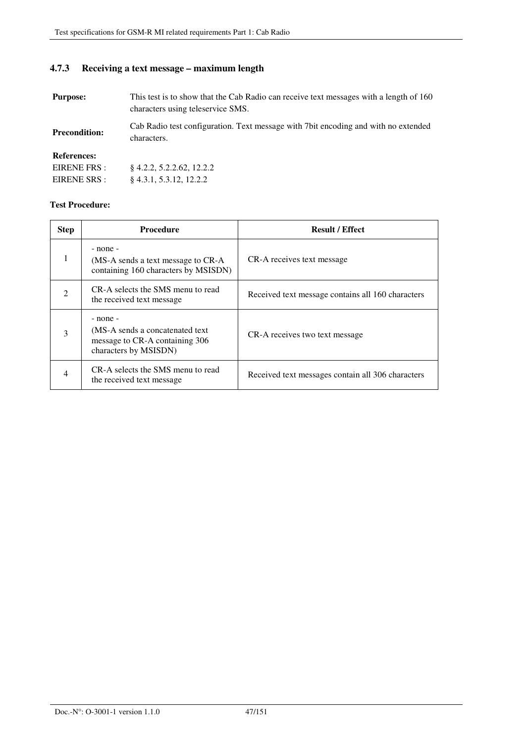### **4.7.3 Receiving a text message – maximum length**

**Purpose:** This test is to show that the Cab Radio can receive text messages with a length of 160 characters using teleservice SMS.

**Precondition:**  Cab Radio test configuration. Text message with 7bit encoding and with no extended characters.

### **References:**

| EIRENE FRS : | $§$ 4.2.2, 5.2.2.62, 12.2.2 |
|--------------|-----------------------------|
| EIRENE SRS : | $§$ 4.3.1, 5.3.12, 12.2.2   |

| <b>Step</b>                 | <b>Procedure</b>                                                                                            | <b>Result / Effect</b>                            |
|-----------------------------|-------------------------------------------------------------------------------------------------------------|---------------------------------------------------|
| 1                           | $-$ none $-$<br>(MS-A sends a text message to CR-A)<br>containing 160 characters by MSISDN)                 | CR-A receives text message                        |
| $\mathcal{D}_{\mathcal{A}}$ | CR-A selects the SMS menu to read<br>the received text message                                              | Received text message contains all 160 characters |
| 3                           | $-$ none $-$<br>(MS-A sends a concatenated text)<br>message to CR-A containing 306<br>characters by MSISDN) | CR-A receives two text message                    |
| 4                           | CR-A selects the SMS menu to read<br>the received text message                                              | Received text messages contain all 306 characters |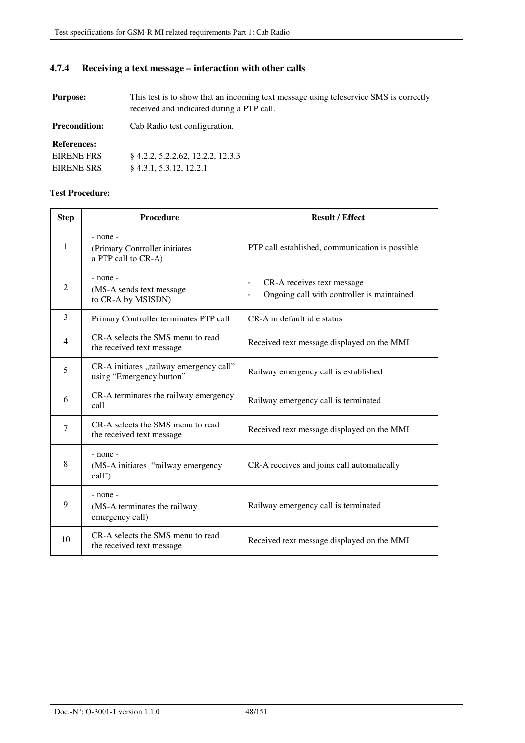### **4.7.4 Receiving a text message – interaction with other calls**

**Purpose:** This test is to show that an incoming text message using teleservice SMS is correctly received and indicated during a PTP call.

**Precondition:** Cab Radio test configuration. **References:**  EIRENE FRS : EIRENE SRS : § 4.2.2, 5.2.2.62, 12.2.2, 12.3.3 § 4.3.1, 5.3.12, 12.2.1

| <b>Step</b>    | Procedure                                                           | <b>Result / Effect</b>                                                   |
|----------------|---------------------------------------------------------------------|--------------------------------------------------------------------------|
| 1              | - none -<br>(Primary Controller initiates<br>a PTP call to CR-A)    | PTP call established, communication is possible                          |
| $\overline{2}$ | - none -<br>(MS-A sends text message<br>to CR-A by MSISDN)          | CR-A receives text message<br>Ongoing call with controller is maintained |
| 3              | Primary Controller terminates PTP call                              | CR-A in default idle status                                              |
| $\overline{4}$ | CR-A selects the SMS menu to read<br>the received text message      | Received text message displayed on the MMI                               |
| 5              | CR-A initiates "railway emergency call"<br>using "Emergency button" | Railway emergency call is established                                    |
| 6              | CR-A terminates the railway emergency<br>call                       | Railway emergency call is terminated                                     |
| 7              | CR-A selects the SMS menu to read<br>the received text message      | Received text message displayed on the MMI                               |
| 8              | $-$ none $-$<br>(MS-A initiates "railway emergency<br>call")        | CR-A receives and joins call automatically                               |
| 9              | - none -<br>(MS-A terminates the railway<br>emergency call)         | Railway emergency call is terminated                                     |
| 10             | CR-A selects the SMS menu to read<br>the received text message      | Received text message displayed on the MMI                               |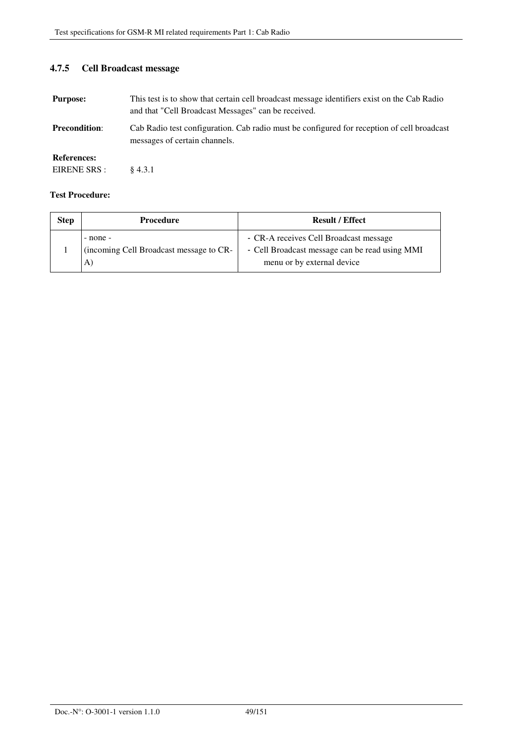### **4.7.5 Cell Broadcast message**

| <b>Purpose:</b>                    | This test is to show that certain cell broadcast message identifiers exist on the Cab Radio<br>and that "Cell Broadcast Messages" can be received. |
|------------------------------------|----------------------------------------------------------------------------------------------------------------------------------------------------|
| <b>Precondition:</b>               | Cab Radio test configuration. Cab radio must be configured for reception of cell broadcast<br>messages of certain channels.                        |
| <b>References:</b><br>EIRENE SRS : | $\;8\;4.3.1$                                                                                                                                       |

| <b>Step</b> | <b>Procedure</b>                                             | <b>Result / Effect</b>                                                                                                 |
|-------------|--------------------------------------------------------------|------------------------------------------------------------------------------------------------------------------------|
|             | $-$ none $-$<br>(incoming Cell Broadcast message to CR-<br>A | - CR-A receives Cell Broadcast message<br>- Cell Broadcast message can be read using MMI<br>menu or by external device |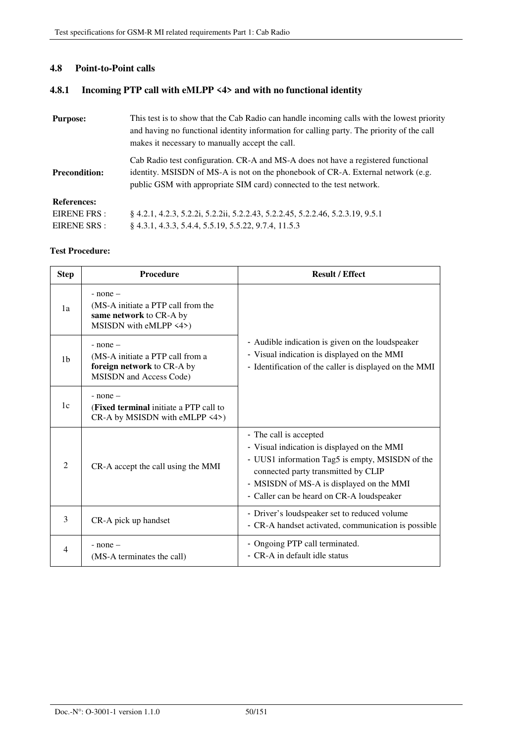### **4.8 Point-to-Point calls**

### **4.8.1 Incoming PTP call with eMLPP <4> and with no functional identity**

| <b>Purpose:</b>      | This test is to show that the Cab Radio can handle incoming calls with the lowest priority<br>and having no functional identity information for calling party. The priority of the call<br>makes it necessary to manually accept the call.    |
|----------------------|-----------------------------------------------------------------------------------------------------------------------------------------------------------------------------------------------------------------------------------------------|
| <b>Precondition:</b> | Cab Radio test configuration. CR-A and MS-A does not have a registered functional<br>identity. MSISDN of MS-A is not on the phonebook of CR-A. External network (e.g.<br>public GSM with appropriate SIM card) connected to the test network. |
| <b>References:</b>   |                                                                                                                                                                                                                                               |
| EIRENE FRS :         | § 4.2.1, 4.2.3, 5.2.2i, 5.2.2ii, 5.2.2.43, 5.2.2.45, 5.2.2.46, 5.2.3.19, 9.5.1                                                                                                                                                                |
| EIRENE SRS :         | 8 4.3.1, 4.3.3, 5.4.4, 5.5.19, 5.5.22, 9.7.4, 11.5.3                                                                                                                                                                                          |

| <b>Step</b>    | <b>Procedure</b>                                                                                          | <b>Result / Effect</b>                                                                                                                                                                                                                                   |
|----------------|-----------------------------------------------------------------------------------------------------------|----------------------------------------------------------------------------------------------------------------------------------------------------------------------------------------------------------------------------------------------------------|
| 1a             | $-$ none $-$<br>(MS-A initiate a PTP call from the<br>same network to CR-A by<br>MSISDN with eMLPP <4>)   |                                                                                                                                                                                                                                                          |
| 1 <sub>b</sub> | $-$ none $-$<br>(MS-A initiate a PTP call from a<br>foreign network to CR-A by<br>MSISDN and Access Code) | - Audible indication is given on the loudspeaker<br>- Visual indication is displayed on the MMI<br>- Identification of the caller is displayed on the MMI                                                                                                |
| 1c             | $-$ none $-$<br>( <b>Fixed terminal</b> initiate a PTP call to<br>CR-A by MSISDN with eMLPP <4>)          |                                                                                                                                                                                                                                                          |
| $\mathcal{L}$  | CR-A accept the call using the MMI                                                                        | - The call is accepted<br>- Visual indication is displayed on the MMI<br>- UUS1 information Tag5 is empty, MSISDN of the<br>connected party transmitted by CLIP<br>- MSISDN of MS-A is displayed on the MMI<br>- Caller can be heard on CR-A loudspeaker |
| 3              | CR-A pick up handset                                                                                      | - Driver's loudspeaker set to reduced volume<br>- CR-A handset activated, communication is possible                                                                                                                                                      |
| 4              | $-$ none $-$<br>(MS-A terminates the call)                                                                | - Ongoing PTP call terminated.<br>- CR-A in default idle status                                                                                                                                                                                          |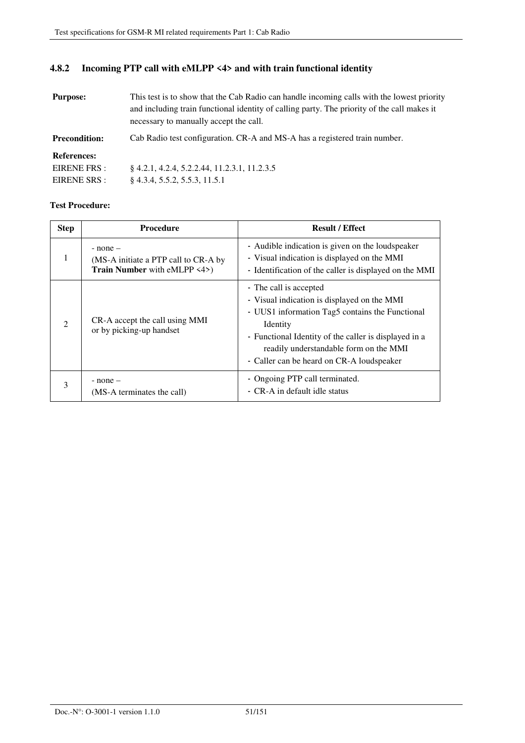### **4.8.2 Incoming PTP call with eMLPP <4> and with train functional identity**

| <b>Purpose:</b>      | This test is to show that the Cab Radio can handle incoming calls with the lowest priority<br>and including train functional identity of calling party. The priority of the call makes it<br>necessary to manually accept the call. |
|----------------------|-------------------------------------------------------------------------------------------------------------------------------------------------------------------------------------------------------------------------------------|
| <b>Precondition:</b> | Cab Radio test configuration. CR-A and MS-A has a registered train number.                                                                                                                                                          |
| <b>References:</b>   |                                                                                                                                                                                                                                     |
| EIRENE FRS :         | \$4.2.1, 4.2.4, 5.2.2.44, 11.2.3.1, 11.2.3.5                                                                                                                                                                                        |
| EIRENE SRS :         | $§$ 4.3.4, 5.5.2, 5.5.3, 11.5.1                                                                                                                                                                                                     |

| <b>Step</b>    | <b>Procedure</b>                                                                     | <b>Result / Effect</b>                                                                                                                                                                                                                                                               |
|----------------|--------------------------------------------------------------------------------------|--------------------------------------------------------------------------------------------------------------------------------------------------------------------------------------------------------------------------------------------------------------------------------------|
| 1              | $-$ none $-$<br>(MS-A initiate a PTP call to CR-A by<br>Train Number with eMLPP <4>) | - Audible indication is given on the loudspeaker<br>- Visual indication is displayed on the MMI<br>- Identification of the caller is displayed on the MMI                                                                                                                            |
| $\mathfrak{D}$ | CR-A accept the call using MMI<br>or by picking-up handset                           | - The call is accepted<br>- Visual indication is displayed on the MMI<br>- UUS1 information Tag5 contains the Functional<br>Identity<br>- Functional Identity of the caller is displayed in a<br>readily understandable form on the MMI<br>- Caller can be heard on CR-A loudspeaker |
| 3              | $-$ none $-$<br>(MS-A terminates the call)                                           | - Ongoing PTP call terminated.<br>- CR-A in default idle status                                                                                                                                                                                                                      |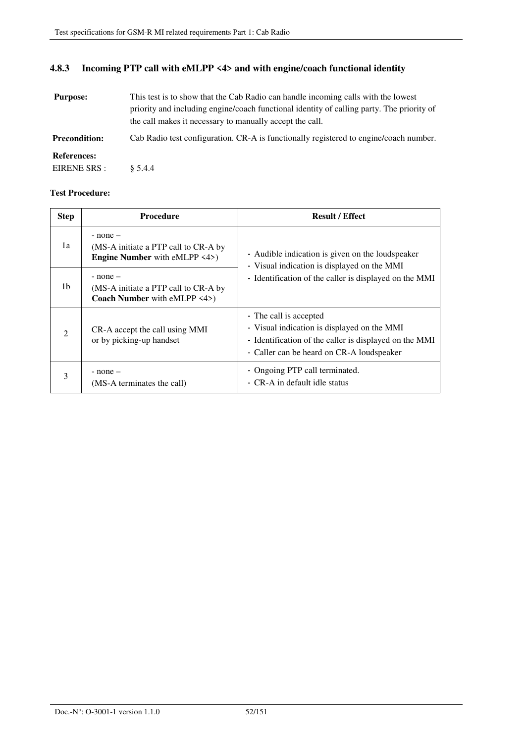# **4.8.3 Incoming PTP call with eMLPP <4> and with engine/coach functional identity**

| <b>Purpose:</b>      | This test is to show that the Cab Radio can handle incoming calls with the lowest<br>priority and including engine/coach functional identity of calling party. The priority of<br>the call makes it necessary to manually accept the call. |
|----------------------|--------------------------------------------------------------------------------------------------------------------------------------------------------------------------------------------------------------------------------------------|
| <b>Precondition:</b> | Cab Radio test configuration. CR-A is functionally registered to engine/coach number.                                                                                                                                                      |
| <b>References:</b>   |                                                                                                                                                                                                                                            |
| EIRENE SRS :         | $\& 5.4.4$                                                                                                                                                                                                                                 |

| <b>Step</b>                 | <b>Procedure</b>                                                                             | <b>Result / Effect</b>                                                                                                                                                       |
|-----------------------------|----------------------------------------------------------------------------------------------|------------------------------------------------------------------------------------------------------------------------------------------------------------------------------|
| 1a                          | $-$ none $-$<br>(MS-A initiate a PTP call to CR-A by<br><b>Engine Number</b> with eMLPP <4>) | - Audible indication is given on the loudspeaker<br>- Visual indication is displayed on the MMI<br>- Identification of the caller is displayed on the MMI                    |
| 1b                          | $-$ none $-$<br>(MS-A initiate a PTP call to CR-A by<br>Coach Number with eMLPP <4>)         |                                                                                                                                                                              |
| $\mathcal{D}_{\mathcal{L}}$ | CR-A accept the call using MMI<br>or by picking-up handset                                   | - The call is accepted<br>- Visual indication is displayed on the MMI<br>- Identification of the caller is displayed on the MMI<br>- Caller can be heard on CR-A loudspeaker |
| 3                           | $-$ none $-$<br>(MS-A terminates the call)                                                   | - Ongoing PTP call terminated.<br>- CR-A in default idle status                                                                                                              |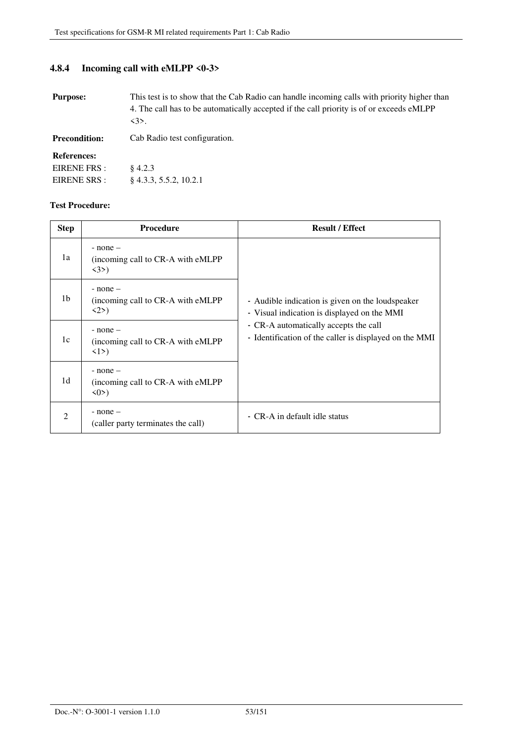### **4.8.4 Incoming call with eMLPP <0-3>**

**Purpose:** This test is to show that the Cab Radio can handle incoming calls with priority higher than 4. The call has to be automatically accepted if the call priority is of or exceeds eMLPP  $\langle 3 \rangle$ .

**Precondition:** Cab Radio test configuration.

#### **References:**

| EIRENE FRS : | $§$ 4.2.3                 |
|--------------|---------------------------|
| EIRENE SRS : | $\S$ 4.3.3, 5.5.2, 10.2.1 |

| <b>Step</b>                 | <b>Procedure</b>                                                          | <b>Result / Effect</b>                                                                          |
|-----------------------------|---------------------------------------------------------------------------|-------------------------------------------------------------------------------------------------|
| 1a                          | $-$ none $-$<br>(incoming call to CR-A with eMLPP)<br>$\langle 3 \rangle$ |                                                                                                 |
| 1b                          | $-$ none $-$<br>(incoming call to CR-A with eMLPP)<br>2>                  | - Audible indication is given on the loudspeaker<br>- Visual indication is displayed on the MMI |
| 1c                          | $-$ none $-$<br>(incoming call to CR-A with eMLPP)<br>$\langle 1 \rangle$ | - CR-A automatically accepts the call<br>- Identification of the caller is displayed on the MMI |
| 1d                          | $-$ none $-$<br>(incoming call to CR-A with eMLPP)<br>$\langle 0 \rangle$ |                                                                                                 |
| $\mathcal{D}_{\mathcal{L}}$ | $-$ none $-$<br>(caller party terminates the call)                        | - CR-A in default idle status                                                                   |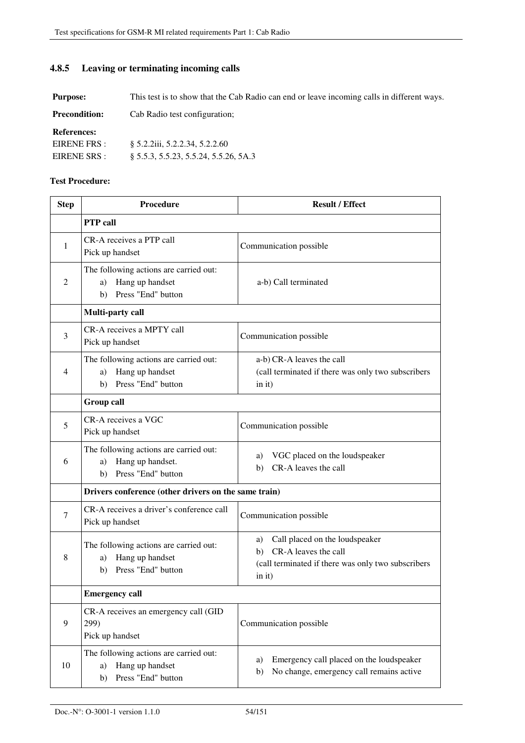### **4.8.5 Leaving or terminating incoming calls**

**Purpose:** This test is to show that the Cab Radio can end or leave incoming calls in different ways.

**Precondition:** Cab Radio test configuration;

**References:** 

| EIRENE FRS : | § 5.2.2iii, 5.2.2.34, 5.2.2.60           |
|--------------|------------------------------------------|
| EIRENE SRS : | $\S$ 5.5.3, 5.5.23, 5.5.24, 5.5.26, 5A.3 |

| <b>Step</b>    | <b>Procedure</b>                                                                             | <b>Result / Effect</b>                                                                                                             |
|----------------|----------------------------------------------------------------------------------------------|------------------------------------------------------------------------------------------------------------------------------------|
|                | <b>PTP</b> call                                                                              |                                                                                                                                    |
| 1              | CR-A receives a PTP call<br>Pick up handset                                                  | Communication possible                                                                                                             |
| 2              | The following actions are carried out:<br>Hang up handset<br>a)<br>Press "End" button<br>b)  | a-b) Call terminated                                                                                                               |
|                | Multi-party call                                                                             |                                                                                                                                    |
| 3              | CR-A receives a MPTY call<br>Pick up handset                                                 | Communication possible                                                                                                             |
| $\overline{4}$ | The following actions are carried out:<br>Hang up handset<br>a)<br>Press "End" button<br>b)  | a-b) CR-A leaves the call<br>(call terminated if there was only two subscribers<br>in it)                                          |
|                | <b>Group call</b>                                                                            |                                                                                                                                    |
| 5              | CR-A receives a VGC<br>Pick up handset                                                       | Communication possible                                                                                                             |
| 6              | The following actions are carried out:<br>Hang up handset.<br>a)<br>Press "End" button<br>b) | VGC placed on the loudspeaker<br>a)<br>CR-A leaves the call<br>b)                                                                  |
|                | Drivers conference (other drivers on the same train)                                         |                                                                                                                                    |
| 7              | CR-A receives a driver's conference call<br>Pick up handset                                  | Communication possible                                                                                                             |
| 8              | The following actions are carried out:<br>Hang up handset<br>a)<br>Press "End" button<br>b)  | Call placed on the loudspeaker<br>a)<br>CR-A leaves the call<br>b)<br>(call terminated if there was only two subscribers<br>in it) |
|                | <b>Emergency call</b>                                                                        |                                                                                                                                    |
| 9              | CR-A receives an emergency call (GID<br>299)<br>Pick up handset                              | Communication possible                                                                                                             |
| 10             | The following actions are carried out:<br>Hang up handset<br>a)<br>Press "End" button<br>b)  | Emergency call placed on the loudspeaker<br>a)<br>No change, emergency call remains active<br>b)                                   |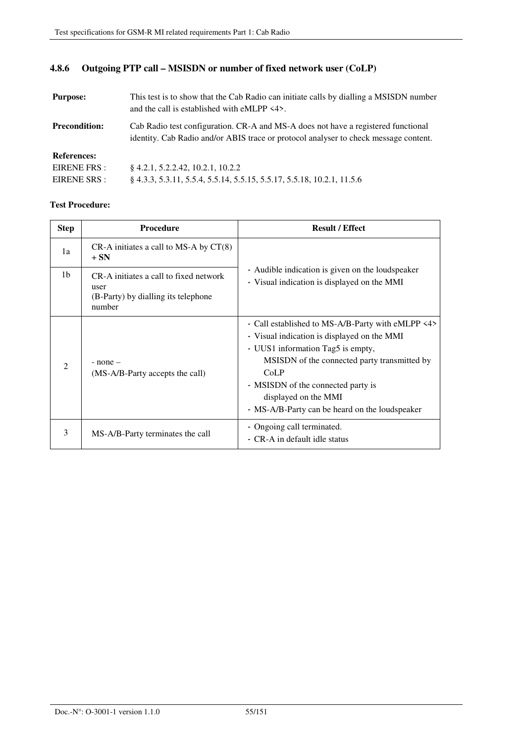### **4.8.6 Outgoing PTP call – MSISDN or number of fixed network user (CoLP)**

| <b>Purpose:</b>      | This test is to show that the Cab Radio can initiate calls by dialling a MSISDN number<br>and the call is established with eMLPP $\langle 4 \rangle$ .                    |
|----------------------|---------------------------------------------------------------------------------------------------------------------------------------------------------------------------|
| <b>Precondition:</b> | Cab Radio test configuration. CR-A and MS-A does not have a registered functional<br>identity. Cab Radio and/or ABIS trace or protocol analyser to check message content. |
| <b>References:</b>   |                                                                                                                                                                           |
| EIRENE FRS :         | 8 4.2.1, 5.2.2.42, 10.2.1, 10.2.2                                                                                                                                         |
| EIRENE SRS :         | 8 4.3.3, 5.3.11, 5.5.4, 5.5.14, 5.5.15, 5.5.17, 5.5.18, 10.2.1, 11.5.6                                                                                                    |

| <b>Step</b>    | <b>Procedure</b>                                                                                | <b>Result / Effect</b>                                                                                                                                                                                                                                                                                        |
|----------------|-------------------------------------------------------------------------------------------------|---------------------------------------------------------------------------------------------------------------------------------------------------------------------------------------------------------------------------------------------------------------------------------------------------------------|
| 1a             | $CR-A$ initiates a call to MS-A by $CT(8)$<br>$+ SN$                                            |                                                                                                                                                                                                                                                                                                               |
| 1 <sub>b</sub> | CR-A initiates a call to fixed network<br>user<br>(B-Party) by dialling its telephone<br>number | - Audible indication is given on the loudspeaker<br>- Visual indication is displayed on the MMI                                                                                                                                                                                                               |
| $\mathfrak{D}$ | $-$ none $-$<br>(MS-A/B-Party accepts the call)                                                 | - Call established to MS-A/B-Party with eMLPP <4><br>- Visual indication is displayed on the MMI<br>- UUS1 information Tag5 is empty,<br>MSISDN of the connected party transmitted by<br>CoLP<br>- MSISDN of the connected party is<br>displayed on the MMI<br>- MS-A/B-Party can be heard on the loudspeaker |
| 3              | MS-A/B-Party terminates the call                                                                | - Ongoing call terminated.<br>- CR-A in default idle status                                                                                                                                                                                                                                                   |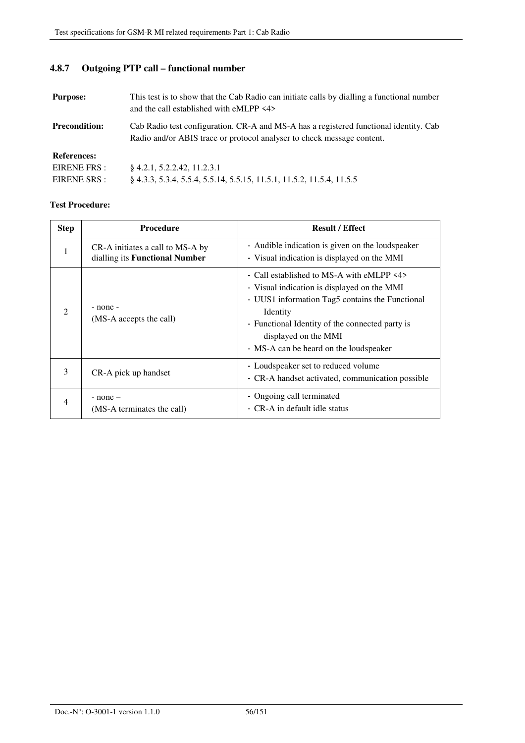# **4.8.7 Outgoing PTP call – functional number**

| <b>Purpose:</b>      | This test is to show that the Cab Radio can initiate calls by dialling a functional number<br>and the call established with eMLPP <4>                           |
|----------------------|-----------------------------------------------------------------------------------------------------------------------------------------------------------------|
| <b>Precondition:</b> | Cab Radio test configuration. CR-A and MS-A has a registered functional identity. Cab<br>Radio and/or ABIS trace or protocol analyser to check message content. |
| <b>References:</b>   |                                                                                                                                                                 |
| EIRENE FRS :         | $\& 4.2.1, 5.2.2.42, 11.2.3.1$                                                                                                                                  |
| EIRENE SRS :         | § 4.3.3, 5.3.4, 5.5.4, 5.5.14, 5.5.15, 11.5.1, 11.5.2, 11.5.4, 11.5.5                                                                                           |

| <b>Step</b>                 | <b>Procedure</b>                                                   | <b>Result / Effect</b>                                                                                                                                                                                                                                                       |
|-----------------------------|--------------------------------------------------------------------|------------------------------------------------------------------------------------------------------------------------------------------------------------------------------------------------------------------------------------------------------------------------------|
| 1                           | CR-A initiates a call to MS-A by<br>dialling its Functional Number | - Audible indication is given on the loudspeaker<br>- Visual indication is displayed on the MMI                                                                                                                                                                              |
| $\mathcal{D}_{\mathcal{L}}$ | - none -<br>(MS-A accepts the call)                                | - Call established to MS-A with eMLPP <4><br>- Visual indication is displayed on the MMI<br>- UUS1 information Tag5 contains the Functional<br>Identity<br>- Functional Identity of the connected party is<br>displayed on the MMI<br>- MS-A can be heard on the loudspeaker |
| 3                           | CR-A pick up handset                                               | - Loudspeaker set to reduced volume<br>- CR-A handset activated, communication possible                                                                                                                                                                                      |
| 4                           | $-$ none $-$<br>(MS-A terminates the call)                         | - Ongoing call terminated<br>- CR-A in default idle status                                                                                                                                                                                                                   |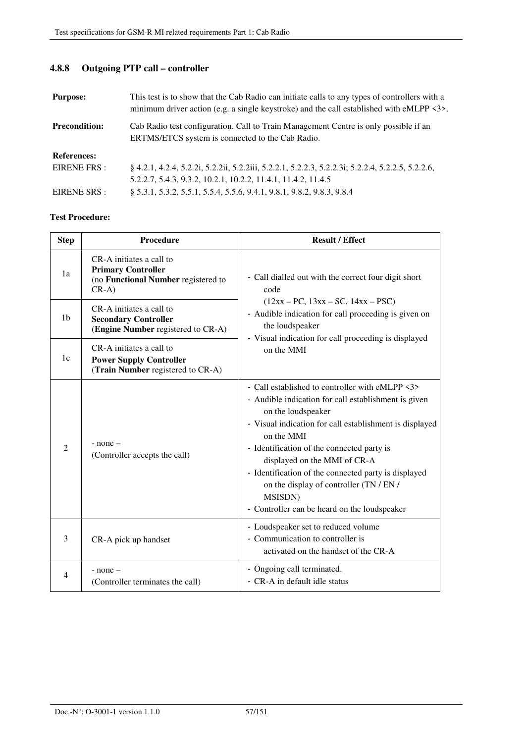| <b>Purpose:</b>      | This test is to show that the Cab Radio can initiate calls to any types of controllers with a<br>minimum driver action (e.g. a single keystroke) and the call established with eMLPP $\langle 3 \rangle$ . |
|----------------------|------------------------------------------------------------------------------------------------------------------------------------------------------------------------------------------------------------|
| <b>Precondition:</b> | Cab Radio test configuration. Call to Train Management Centre is only possible if an<br>ERTMS/ETCS system is connected to the Cab Radio.                                                                   |
| <b>References:</b>   |                                                                                                                                                                                                            |
| EIRENE FRS :         | § 4.2.1, 4.2.4, 5.2.2i, 5.2.2ii, 5.2.2iii, 5.2.2.1, 5.2.2.3, 5.2.2.3i; 5.2.2.4, 5.2.2.5, 5.2.2.6,                                                                                                          |
|                      | 5.2.2.7, 5.4.3, 9.3.2, 10.2.1, 10.2.2, 11.4.1, 11.4.2, 11.4.5                                                                                                                                              |
| EIRENE SRS :         | \$5.3.1, 5.3.2, 5.5.1, 5.5.4, 5.5.6, 9.4.1, 9.8.1, 9.8.2, 9.8.3, 9.8.4                                                                                                                                     |

# **4.8.8 Outgoing PTP call – controller**

| <b>Step</b>    | Procedure                                                                                               | <b>Result / Effect</b>                                                                                                                                                                                                                                                                                                                                                                                                                                     |
|----------------|---------------------------------------------------------------------------------------------------------|------------------------------------------------------------------------------------------------------------------------------------------------------------------------------------------------------------------------------------------------------------------------------------------------------------------------------------------------------------------------------------------------------------------------------------------------------------|
| 1a             | CR-A initiates a call to<br><b>Primary Controller</b><br>(no Functional Number registered to<br>$CR-A)$ | - Call dialled out with the correct four digit short<br>code                                                                                                                                                                                                                                                                                                                                                                                               |
| 1 <sub>b</sub> | CR-A initiates a call to<br><b>Secondary Controller</b><br>(Engine Number registered to CR-A)           | $(12xx - PC, 13xx - SC, 14xx - PSC)$<br>- Audible indication for call proceeding is given on<br>the loudspeaker<br>- Visual indication for call proceeding is displayed                                                                                                                                                                                                                                                                                    |
| 1c             | CR-A initiates a call to<br><b>Power Supply Controller</b><br>(Train Number registered to CR-A)         | on the MMI                                                                                                                                                                                                                                                                                                                                                                                                                                                 |
| $\overline{2}$ | $-$ none $-$<br>(Controller accepts the call)                                                           | - Call established to controller with eMLPP <3><br>- Audible indication for call establishment is given<br>on the loudspeaker<br>- Visual indication for call establishment is displayed<br>on the MMI<br>- Identification of the connected party is<br>displayed on the MMI of CR-A<br>- Identification of the connected party is displayed<br>on the display of controller (TN / EN /<br><b>MSISDN</b> )<br>- Controller can be heard on the loudspeaker |
| 3              | CR-A pick up handset                                                                                    | - Loudspeaker set to reduced volume<br>- Communication to controller is<br>activated on the handset of the CR-A                                                                                                                                                                                                                                                                                                                                            |
| 4              | $-$ none $-$<br>(Controller terminates the call)                                                        | - Ongoing call terminated.<br>- CR-A in default idle status                                                                                                                                                                                                                                                                                                                                                                                                |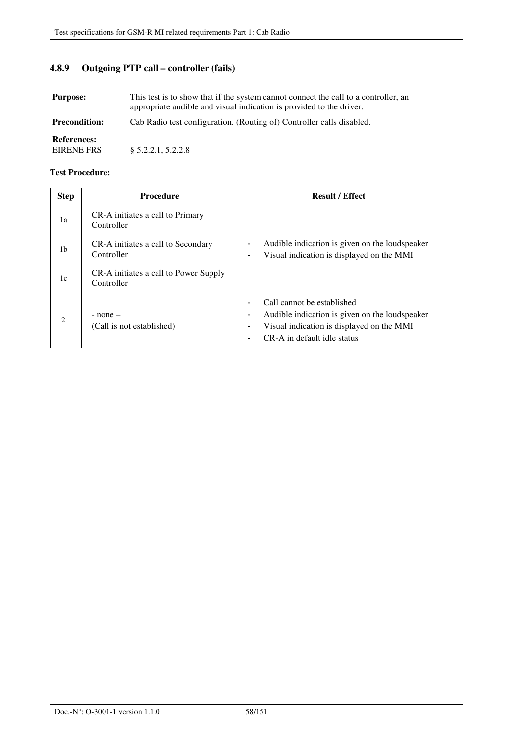# **4.8.9 Outgoing PTP call – controller (fails)**

| <b>Purpose:</b>                    | This test is to show that if the system cannot connect the call to a controller, an<br>appropriate audible and visual indication is provided to the driver. |
|------------------------------------|-------------------------------------------------------------------------------------------------------------------------------------------------------------|
| <b>Precondition:</b>               | Cab Radio test configuration. (Routing of) Controller calls disabled.                                                                                       |
| <b>References:</b><br>EIRENE FRS : | $\S$ 5.2.2.1, 5.2.2.8                                                                                                                                       |

| <b>Step</b>    | <b>Procedure</b>                                    | <b>Result / Effect</b>                                                                                                                                                               |
|----------------|-----------------------------------------------------|--------------------------------------------------------------------------------------------------------------------------------------------------------------------------------------|
| 1a             | CR-A initiates a call to Primary<br>Controller      |                                                                                                                                                                                      |
| 1b             | CR-A initiates a call to Secondary<br>Controller    | Audible indication is given on the loudspeaker<br>Visual indication is displayed on the MMI                                                                                          |
| 1c             | CR-A initiates a call to Power Supply<br>Controller |                                                                                                                                                                                      |
| $\mathfrak{D}$ | $-$ none $-$<br>(Call is not established)           | Call cannot be established<br>Audible indication is given on the loudspeaker<br>$\overline{\phantom{0}}$<br>Visual indication is displayed on the MMI<br>CR-A in default idle status |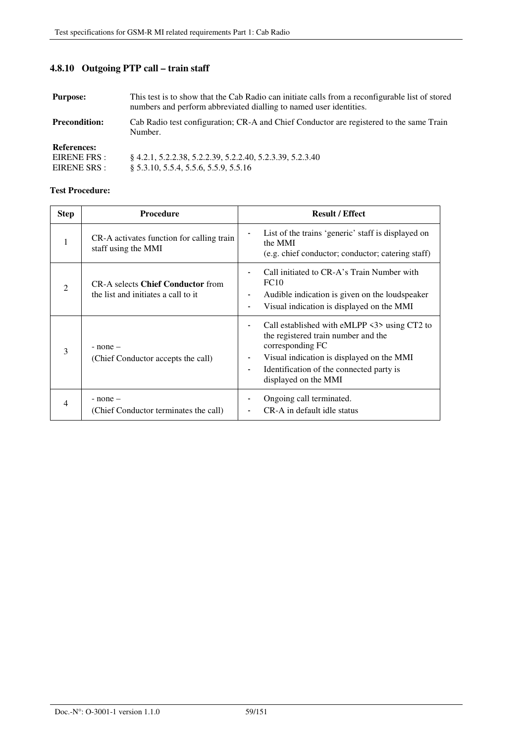# **4.8.10 Outgoing PTP call – train staff**

| <b>Purpose:</b>                                    | This test is to show that the Cab Radio can initiate calls from a reconfigurable list of stored<br>numbers and perform abbreviated dialling to named user identities. |
|----------------------------------------------------|-----------------------------------------------------------------------------------------------------------------------------------------------------------------------|
| <b>Precondition:</b>                               | Cab Radio test configuration; CR-A and Chief Conductor are registered to the same Train<br>Number.                                                                    |
| <b>References:</b><br>EIRENE FRS :<br>EIRENE SRS : | 8 4.2.1, 5.2.2.38, 5.2.2.39, 5.2.2.40, 5.2.3.39, 5.2.3.40<br>§ 5.3.10, 5.5.4, 5.5.6, 5.5.9, 5.5.16                                                                    |

| <b>Step</b>    | <b>Procedure</b>                                                                | <b>Result / Effect</b>                                                                                                                                                                                                                               |
|----------------|---------------------------------------------------------------------------------|------------------------------------------------------------------------------------------------------------------------------------------------------------------------------------------------------------------------------------------------------|
| 1              | CR-A activates function for calling train<br>staff using the MMI                | List of the trains 'generic' staff is displayed on<br>the MMI<br>(e.g. chief conductor; conductor; catering staff)                                                                                                                                   |
| $\mathfrak{D}$ | <b>CR-A selects Chief Conductor from</b><br>the list and initiates a call to it | Call initiated to CR-A's Train Number with<br>FC10<br>Audible indication is given on the loudspeaker<br>-<br>Visual indication is displayed on the MMI<br>-                                                                                          |
| 3              | $-$ none $-$<br>(Chief Conductor accepts the call)                              | Call established with eMLPP <3> using CT2 to<br>the registered train number and the<br>corresponding FC<br>Visual indication is displayed on the MMI<br>Identification of the connected party is<br>$\overline{\phantom{0}}$<br>displayed on the MMI |
| 4              | $-$ none $-$<br>(Chief Conductor terminates the call)                           | Ongoing call terminated.<br>CR-A in default idle status                                                                                                                                                                                              |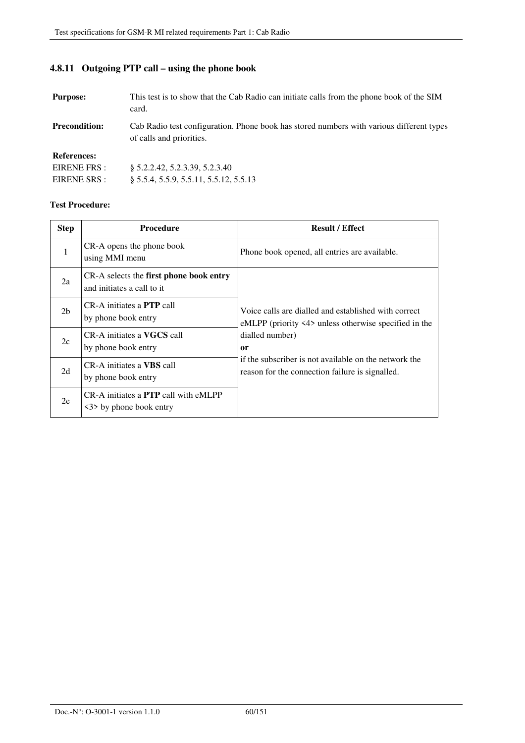# **4.8.11 Outgoing PTP call – using the phone book**

| <b>Purpose:</b>      | This test is to show that the Cab Radio can initiate calls from the phone book of the SIM<br>card.                   |
|----------------------|----------------------------------------------------------------------------------------------------------------------|
| <b>Precondition:</b> | Cab Radio test configuration. Phone book has stored numbers with various different types<br>of calls and priorities. |
| <b>References:</b>   |                                                                                                                      |
| EIRENE FRS:          | § 5.2.2.42, 5.2.3.39, 5.2.3.40                                                                                       |
| EIRENE SRS :         | $§ 5.5.4, 5.5.9, 5.5.11, 5.5.12, 5.5.13$                                                                             |

| <b>Step</b>    | <b>Procedure</b>                                                       | <b>Result / Effect</b>                                                                                                                                        |
|----------------|------------------------------------------------------------------------|---------------------------------------------------------------------------------------------------------------------------------------------------------------|
| 1              | CR-A opens the phone book<br>using MMI menu                            | Phone book opened, all entries are available.                                                                                                                 |
| 2a             | CR-A selects the first phone book entry<br>and initiates a call to it  |                                                                                                                                                               |
| 2 <sub>b</sub> | CR-A initiates a <b>PTP</b> call<br>by phone book entry                | Voice calls are dialled and established with correct<br>eMLPP (priority $\langle 4 \rangle$ unless otherwise specified in the<br>dialled number)<br><b>or</b> |
| 2c             | CR-A initiates a <b>VGCS</b> call<br>by phone book entry               |                                                                                                                                                               |
| 2d             | CR-A initiates a VBS call<br>by phone book entry                       | if the subscriber is not available on the network the<br>reason for the connection failure is signalled.                                                      |
| 2e             | CR-A initiates a <b>PTP</b> call with eMLPP<br><3> by phone book entry |                                                                                                                                                               |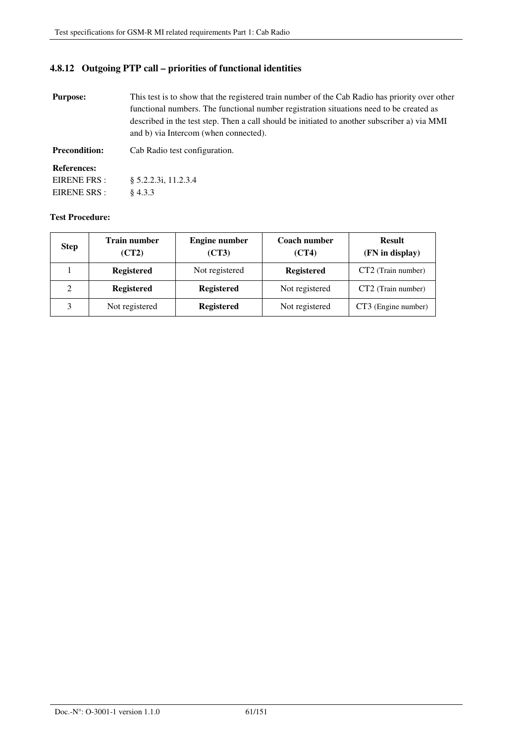### **4.8.12 Outgoing PTP call – priorities of functional identities**

| <b>Purpose:</b>      | This test is to show that the registered train number of the Cab Radio has priority over other<br>functional numbers. The functional number registration situations need to be created as<br>described in the test step. Then a call should be initiated to another subscriber a) via MMI<br>and b) via Intercom (when connected). |
|----------------------|------------------------------------------------------------------------------------------------------------------------------------------------------------------------------------------------------------------------------------------------------------------------------------------------------------------------------------|
| <b>Precondition:</b> | Cab Radio test configuration.                                                                                                                                                                                                                                                                                                      |
| <b>References:</b>   |                                                                                                                                                                                                                                                                                                                                    |
| EIRENE FRS :         | § 5.2.2.3i, 11.2.3.4                                                                                                                                                                                                                                                                                                               |
| EIRENE SRS :         | $\&4.3.3$                                                                                                                                                                                                                                                                                                                          |

| <b>Step</b> | <b>Train number</b><br>(CT2) | <b>Engine number</b><br>(CT3) | Coach number<br>(CT4) | <b>Result</b><br>(FN in display) |
|-------------|------------------------------|-------------------------------|-----------------------|----------------------------------|
|             | <b>Registered</b>            | Not registered                | <b>Registered</b>     | CT2 (Train number)               |
|             | <b>Registered</b>            | <b>Registered</b>             | Not registered        | CT2 (Train number)               |
|             | Not registered               | <b>Registered</b>             | Not registered        | CT3 (Engine number)              |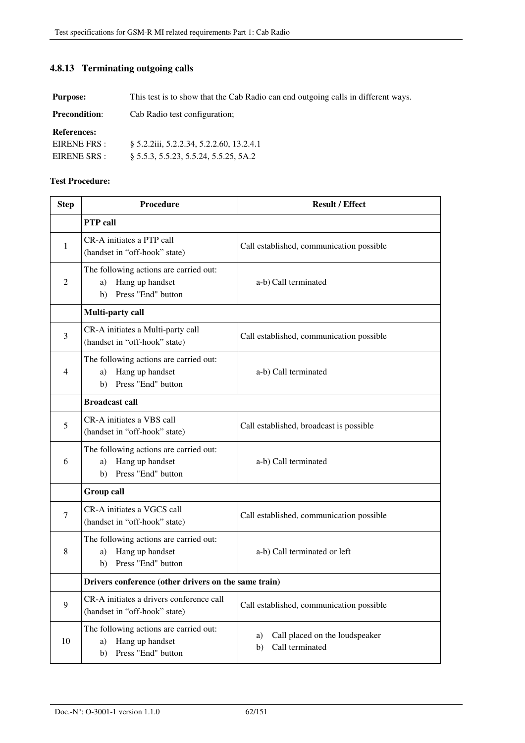### **4.8.13 Terminating outgoing calls**

**Purpose:** This test is to show that the Cab Radio can end outgoing calls in different ways.

| <b>Precondition:</b> | Cab Radio test configuration; |
|----------------------|-------------------------------|
|----------------------|-------------------------------|

**References:** 

| EIRENE FRS : | § 5.2.2iii, 5.2.2.34, 5.2.2.60, 13.2.4.1 |
|--------------|------------------------------------------|
| EIRENE SRS : | $\S$ 5.5.3, 5.5.23, 5.5.24, 5.5.25, 5A.2 |

| <b>Step</b> | Procedure                                                                                   | <b>Result / Effect</b>                                        |
|-------------|---------------------------------------------------------------------------------------------|---------------------------------------------------------------|
|             | <b>PTP</b> call                                                                             |                                                               |
| 1           | CR-A initiates a PTP call<br>(handset in "off-hook" state)                                  | Call established, communication possible                      |
| 2           | The following actions are carried out:<br>Hang up handset<br>a)<br>Press "End" button<br>b) | a-b) Call terminated                                          |
|             | Multi-party call                                                                            |                                                               |
| 3           | CR-A initiates a Multi-party call<br>(handset in "off-hook" state)                          | Call established, communication possible                      |
| 4           | The following actions are carried out:<br>Hang up handset<br>a)<br>Press "End" button<br>b) | a-b) Call terminated                                          |
|             | <b>Broadcast call</b>                                                                       |                                                               |
| 5           | CR-A initiates a VBS call<br>(handset in "off-hook" state)                                  | Call established, broadcast is possible                       |
| 6           | The following actions are carried out:<br>Hang up handset<br>a)<br>Press "End" button<br>b) | a-b) Call terminated                                          |
|             | <b>Group call</b>                                                                           |                                                               |
| 7           | CR-A initiates a VGCS call<br>(handset in "off-hook" state)                                 | Call established, communication possible                      |
| 8           | The following actions are carried out:<br>Hang up handset<br>a)<br>Press "End" button<br>b) | a-b) Call terminated or left                                  |
|             | Drivers conference (other drivers on the same train)                                        |                                                               |
| 9           | CR-A initiates a drivers conference call<br>(handset in "off-hook" state)                   | Call established, communication possible                      |
| 10          | The following actions are carried out:<br>Hang up handset<br>a)<br>Press "End" button<br>b) | Call placed on the loudspeaker<br>a)<br>Call terminated<br>b) |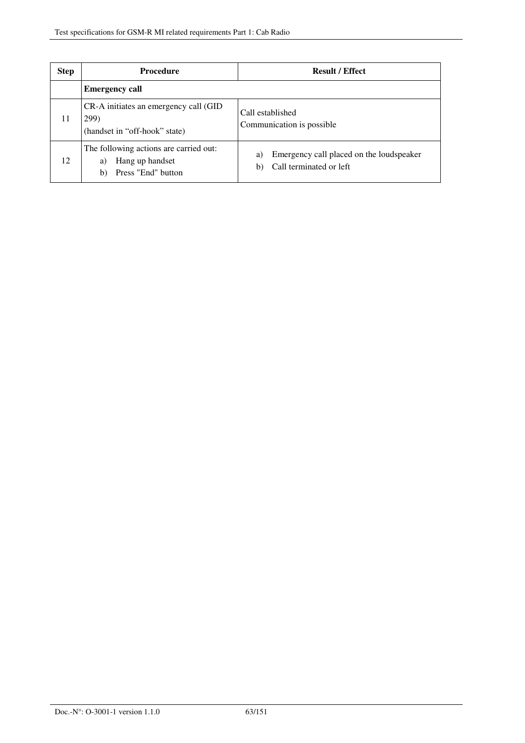| <b>Step</b> | <b>Procedure</b>                                                                            | <b>Result / Effect</b>                                                          |
|-------------|---------------------------------------------------------------------------------------------|---------------------------------------------------------------------------------|
|             | <b>Emergency call</b>                                                                       |                                                                                 |
| 11          | CR-A initiates an emergency call (GID)<br>299)<br>(handset in "off-hook" state)             | Call established<br>Communication is possible                                   |
| 12          | The following actions are carried out:<br>Hang up handset<br>a)<br>Press "End" button<br>b) | Emergency call placed on the loudspeaker<br>a)<br>Call terminated or left<br>b) |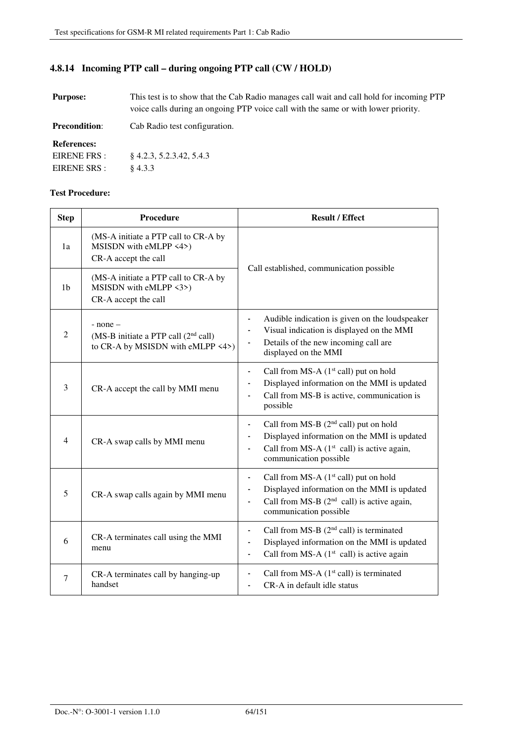### **4.8.14 Incoming PTP call – during ongoing PTP call (CW / HOLD)**

| This test is to show that the Cab Radio manages call wait and call hold for incoming PTP<br><b>Purpose:</b><br>voice calls during an ongoing PTP voice call with the same or with lower priority. |                               |
|---------------------------------------------------------------------------------------------------------------------------------------------------------------------------------------------------|-------------------------------|
| <b>Precondition:</b>                                                                                                                                                                              | Cab Radio test configuration. |
| <b>References:</b>                                                                                                                                                                                |                               |
| EIRENE FRS :                                                                                                                                                                                      | $\&4.2.3, 5.2.3.42, 5.4.3$    |
| EIRENE SRS :                                                                                                                                                                                      | \$4.3.3                       |

| <b>Step</b>    | <b>Procedure</b>                                                                            | <b>Result / Effect</b>                                                                                                                                                                                                                |  |
|----------------|---------------------------------------------------------------------------------------------|---------------------------------------------------------------------------------------------------------------------------------------------------------------------------------------------------------------------------------------|--|
| 1a             | (MS-A initiate a PTP call to CR-A by<br>MSISDN with eMLPP <4>)<br>CR-A accept the call      |                                                                                                                                                                                                                                       |  |
| 1 <sub>b</sub> | (MS-A initiate a PTP call to CR-A by<br>MSISDN with eMLPP <3>)<br>CR-A accept the call      | Call established, communication possible                                                                                                                                                                                              |  |
| $\overline{2}$ | $-$ none $-$<br>(MS-B initiate a PTP call $(2nd$ call)<br>to CR-A by MSISDN with eMLPP <4>) | Audible indication is given on the loudspeaker<br>$\overline{\phantom{0}}$<br>Visual indication is displayed on the MMI<br>$\blacksquare$<br>Details of the new incoming call are<br>$\overline{\phantom{a}}$<br>displayed on the MMI |  |
| 3              | CR-A accept the call by MMI menu                                                            | Call from MS-A $(1st$ call) put on hold<br>$\blacksquare$<br>Displayed information on the MMI is updated<br>$\blacksquare$<br>Call from MS-B is active, communication is<br>$\overline{\phantom{a}}$<br>possible                      |  |
| 4              | CR-A swap calls by MMI menu                                                                 | Call from MS-B (2 <sup>nd</sup> call) put on hold<br>$\blacksquare$<br>Displayed information on the MMI is updated<br>$\qquad \qquad \blacksquare$<br>Call from MS-A $(1st$ call) is active again,<br>communication possible          |  |
| 5              | CR-A swap calls again by MMI menu                                                           | Call from MS-A $(1st$ call) put on hold<br>$\blacksquare$<br>Displayed information on the MMI is updated<br>Call from MS-B $(2^{nd}$ call) is active again,<br>۰<br>communication possible                                            |  |
| 6              | CR-A terminates call using the MMI<br>menu                                                  | Call from MS-B $(2nd$ call) is terminated<br>۰<br>Displayed information on the MMI is updated<br>۰<br>Call from MS-A $(1st$ call) is active again<br>$\blacksquare$                                                                   |  |
| 7              | CR-A terminates call by hanging-up<br>handset                                               | Call from MS-A $(1st$ call) is terminated<br>$\overline{\phantom{0}}$<br>CR-A in default idle status<br>$\blacksquare$                                                                                                                |  |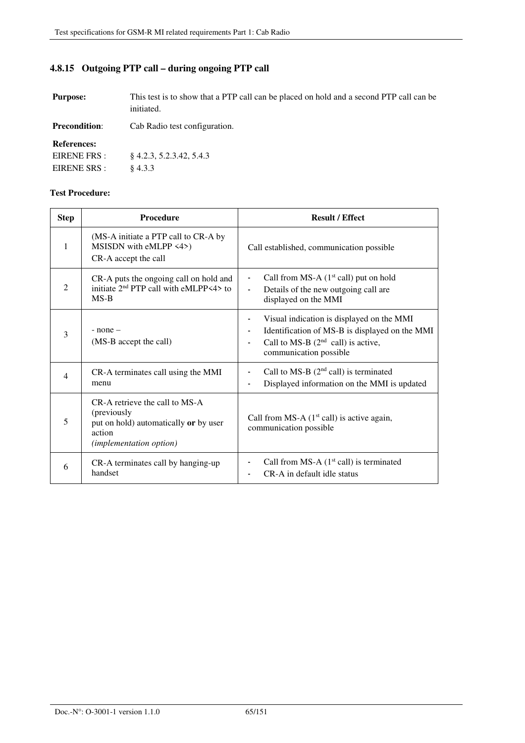# **4.8.15 Outgoing PTP call – during ongoing PTP call**

| <b>Purpose:</b>                                    | This test is to show that a PTP call can be placed on hold and a second PTP call can be<br>initiated. |  |
|----------------------------------------------------|-------------------------------------------------------------------------------------------------------|--|
| <b>Precondition:</b>                               | Cab Radio test configuration.                                                                         |  |
| <b>References:</b><br>EIRENE FRS :<br>EIRENE SRS : | $\{4.2.3, 5.2.3.42, 5.4.3\}$<br>\$4.3.3                                                               |  |

| <b>Step</b>              | Procedure                                                                                                                   | <b>Result / Effect</b>                                                                                                                                                          |
|--------------------------|-----------------------------------------------------------------------------------------------------------------------------|---------------------------------------------------------------------------------------------------------------------------------------------------------------------------------|
| 1                        | (MS-A initiate a PTP call to CR-A by<br>MSISDN with eMLPP <4>)<br>CR-A accept the call                                      | Call established, communication possible                                                                                                                                        |
| $\overline{2}$           | CR-A puts the ongoing call on hold and<br>initiate 2 <sup>nd</sup> PTP call with eMLPP<4> to<br>$MS-B$                      | Call from MS-A $(1st$ call) put on hold<br>$\qquad \qquad \blacksquare$<br>Details of the new outgoing call are<br>$\overline{\phantom{a}}$<br>displayed on the MMI             |
| 3                        | $-$ none $-$<br>(MS-B accept the call)                                                                                      | Visual indication is displayed on the MMI<br>Identification of MS-B is displayed on the MMI<br>Call to MS-B $(2nd$ call) is active,<br>$\blacksquare$<br>communication possible |
| $\overline{\mathcal{A}}$ | CR-A terminates call using the MMI<br>menu                                                                                  | Call to MS-B $(2nd$ call) is terminated<br>Displayed information on the MMI is updated                                                                                          |
| 5                        | CR-A retrieve the call to MS-A<br>(previously<br>put on hold) automatically or by user<br>action<br>(implementation option) | Call from MS-A $(1st$ call) is active again,<br>communication possible                                                                                                          |
| 6                        | CR-A terminates call by hanging-up<br>handset                                                                               | Call from MS-A $(1st$ call) is terminated<br>CR-A in default idle status                                                                                                        |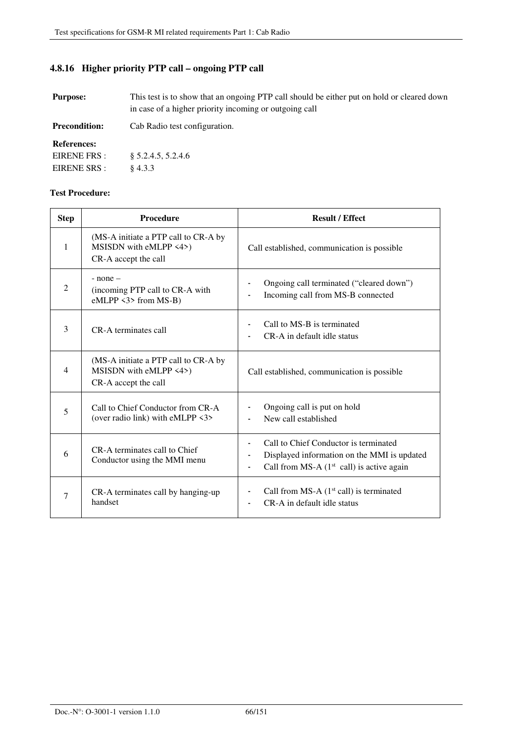### **4.8.16 Higher priority PTP call – ongoing PTP call**

**Purpose:** This test is to show that an ongoing PTP call should be either put on hold or cleared down in case of a higher priority incoming or outgoing call

**Precondition:** Cab Radio test configuration. **References:**  EIRENE FRS : EIRENE SRS : § 5.2.4.5, 5.2.4.6 § 4.3.3

| <b>Step</b> | <b>Procedure</b>                                                                       | <b>Result / Effect</b>                                                                                                                   |
|-------------|----------------------------------------------------------------------------------------|------------------------------------------------------------------------------------------------------------------------------------------|
| 1           | (MS-A initiate a PTP call to CR-A by<br>MSISDN with eMLPP <4>)<br>CR-A accept the call | Call established, communication is possible.                                                                                             |
| 2           | $-$ none $-$<br>(incoming PTP call to CR-A with<br>$eMLPP$ <3> from MS-B)              | Ongoing call terminated ("cleared down")<br>Incoming call from MS-B connected                                                            |
| 3           | CR-A terminates call                                                                   | Call to MS-B is terminated<br>CR-A in default idle status                                                                                |
| 4           | (MS-A initiate a PTP call to CR-A by<br>MSISDN with eMLPP <4>)<br>CR-A accept the call | Call established, communication is possible                                                                                              |
| 5           | Call to Chief Conductor from CR-A<br>(over radio link) with eMLPP <3>                  | Ongoing call is put on hold<br>New call established                                                                                      |
| 6           | CR-A terminates call to Chief<br>Conductor using the MMI menu                          | Call to Chief Conductor is terminated<br>Displayed information on the MMI is updated<br>Call from MS-A $(1st$ call) is active again<br>٠ |
| 7           | CR-A terminates call by hanging-up<br>handset                                          | Call from MS-A $(1st$ call) is terminated<br>CR-A in default idle status                                                                 |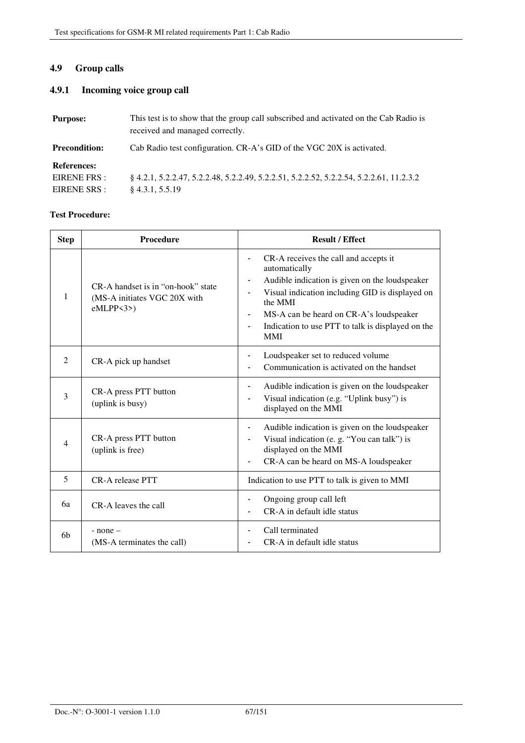# **4.9 Group calls**

### **4.9.1 Incoming voice group call**

| <b>Purpose:</b>                                    | This test is to show that the group call subscribed and activated on the Cab Radio is<br>received and managed correctly. |
|----------------------------------------------------|--------------------------------------------------------------------------------------------------------------------------|
| <b>Precondition:</b>                               | Cab Radio test configuration. CR-A's GID of the VGC 20X is activated.                                                    |
| <b>References:</b><br>EIRENE FRS :<br>EIRENE SRS : | 8 4.2.1, 5.2.2.47, 5.2.2.48, 5.2.2.49, 5.2.2.51, 5.2.2.52, 5.2.2.54, 5.2.2.61, 11.2.3.2<br>$§$ 4.3.1, 5.5.19             |

| <b>Step</b>    | <b>Procedure</b>                                                                 | <b>Result / Effect</b>                                                                                                                                                                                                                                                                                                   |
|----------------|----------------------------------------------------------------------------------|--------------------------------------------------------------------------------------------------------------------------------------------------------------------------------------------------------------------------------------------------------------------------------------------------------------------------|
| 1              | CR-A handset is in "on-hook" state<br>(MS-A initiates VGC 20X with<br>$eMLPP3$ ) | CR-A receives the call and accepts it<br>$\blacksquare$<br>automatically<br>Audible indication is given on the loudspeaker<br>Visual indication including GID is displayed on<br>the MMI<br>MS-A can be heard on CR-A's loudspeaker<br>Indication to use PTT to talk is displayed on the<br>$\blacksquare$<br><b>MMI</b> |
| $\overline{2}$ | CR-A pick up handset                                                             | Loudspeaker set to reduced volume<br>Communication is activated on the handset                                                                                                                                                                                                                                           |
| 3              | CR-A press PTT button<br>(uplink is busy)                                        | Audible indication is given on the loudspeaker<br>Visual indication (e.g. "Uplink busy") is<br>$\blacksquare$<br>displayed on the MMI                                                                                                                                                                                    |
| $\overline{4}$ | CR-A press PTT button<br>(uplink is free)                                        | Audible indication is given on the loudspeaker<br>-<br>Visual indication (e. g. "You can talk") is<br>displayed on the MMI<br>CR-A can be heard on MS-A loudspeaker                                                                                                                                                      |
| 5              | CR-A release PTT                                                                 | Indication to use PTT to talk is given to MMI                                                                                                                                                                                                                                                                            |
| 6a             | CR-A leaves the call                                                             | Ongoing group call left<br>CR-A in default idle status                                                                                                                                                                                                                                                                   |
| 6b             | $-$ none $-$<br>(MS-A terminates the call)                                       | Call terminated<br>CR-A in default idle status                                                                                                                                                                                                                                                                           |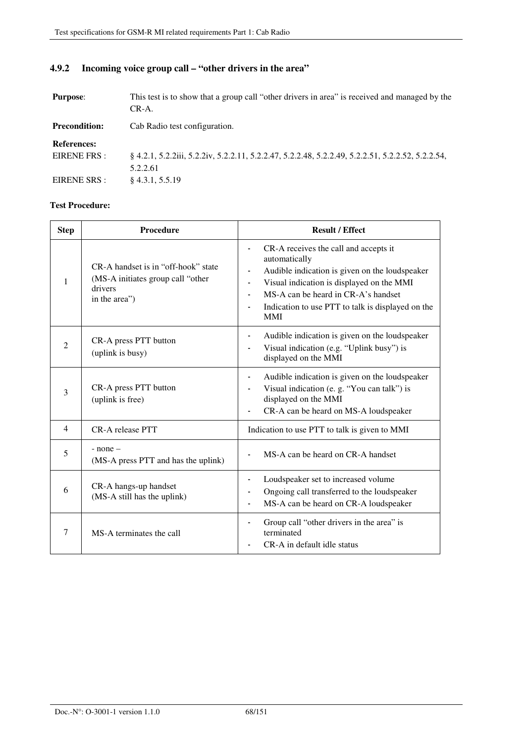#### **Purpose:** This test is to show that a group call "other drivers in area" is received and managed by the CR-A. **Precondition:** Cab Radio test configuration. **References:**  EIRENE FRS : EIRENE SRS : § 4.2.1, 5.2.2iii, 5.2.2iv, 5.2.2.11, 5.2.2.47, 5.2.2.48, 5.2.2.49, 5.2.2.51, 5.2.2.52, 5.2.2.54, 5.2.2.61 § 4.3.1, 5.5.19

### **4.9.2 Incoming voice group call – "other drivers in the area"**

| <b>Step</b>    | Procedure                                                                                            | <b>Result / Effect</b>                                                                                                                                                                                                                                                                                        |
|----------------|------------------------------------------------------------------------------------------------------|---------------------------------------------------------------------------------------------------------------------------------------------------------------------------------------------------------------------------------------------------------------------------------------------------------------|
| 1              | CR-A handset is in "off-hook" state<br>(MS-A initiates group call "other<br>drivers<br>in the area") | CR-A receives the call and accepts it<br>$\overline{\phantom{a}}$<br>automatically<br>Audible indication is given on the loudspeaker<br>Visual indication is displayed on the MMI<br>$\blacksquare$<br>MS-A can be heard in CR-A's handset<br>Indication to use PTT to talk is displayed on the<br><b>MMI</b> |
| $\overline{c}$ | CR-A press PTT button<br>(uplink is busy)                                                            | Audible indication is given on the loudspeaker<br>$\blacksquare$<br>Visual indication (e.g. "Uplink busy") is<br>displayed on the MMI                                                                                                                                                                         |
| 3              | CR-A press PTT button<br>(uplink is free)                                                            | Audible indication is given on the loudspeaker<br>Visual indication (e. g. "You can talk") is<br>displayed on the MMI<br>CR-A can be heard on MS-A loudspeaker                                                                                                                                                |
| $\overline{4}$ | CR-A release PTT                                                                                     | Indication to use PTT to talk is given to MMI                                                                                                                                                                                                                                                                 |
| 5              | $-$ none $-$<br>(MS-A press PTT and has the uplink)                                                  | MS-A can be heard on CR-A handset                                                                                                                                                                                                                                                                             |
| 6              | CR-A hangs-up handset<br>(MS-A still has the uplink)                                                 | Loudspeaker set to increased volume<br>Ongoing call transferred to the loudspeaker<br>MS-A can be heard on CR-A loudspeaker<br>$\blacksquare$                                                                                                                                                                 |
| 7              | MS-A terminates the call                                                                             | Group call "other drivers in the area" is<br>$\blacksquare$<br>terminated<br>CR-A in default idle status                                                                                                                                                                                                      |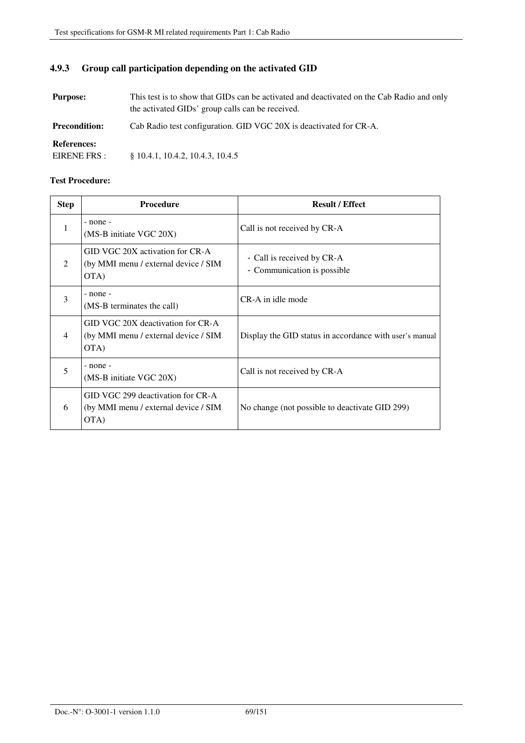### **4.9.3 Group call participation depending on the activated GID**

**Purpose:** This test is to show that GIDs can be activated and deactivated on the Cab Radio and only the activated GIDs' group calls can be received. **Precondition:** Cab Radio test configuration. GID VGC 20X is deactivated for CR-A. **References:**  EIRENE FRS : § 10.4.1, 10.4.2, 10.4.3, 10.4.5

| <b>Step</b>    | <b>Procedure</b>                                                                  | <b>Result / Effect</b>                                    |
|----------------|-----------------------------------------------------------------------------------|-----------------------------------------------------------|
| 1              | $-$ none $-$<br>(MS-B initiate VGC 20X)                                           | Call is not received by CR-A                              |
| $\mathfrak{D}$ | GID VGC 20X activation for CR-A<br>(by MMI menu / external device / SIM<br>OTA)   | - Call is received by CR-A<br>- Communication is possible |
| 3              | $-$ none $-$<br>(MS-B terminates the call)                                        | CR-A in idle mode                                         |
| 4              | GID VGC 20X deactivation for CR-A<br>(by MMI menu / external device / SIM<br>OTA) | Display the GID status in accordance with user's manual   |
| 5              | $-$ none $-$<br>(MS-B initiate VGC 20X)                                           | Call is not received by CR-A                              |
| 6              | GID VGC 299 deactivation for CR-A<br>(by MMI menu / external device / SIM<br>OTA) | No change (not possible to deactivate GID 299)            |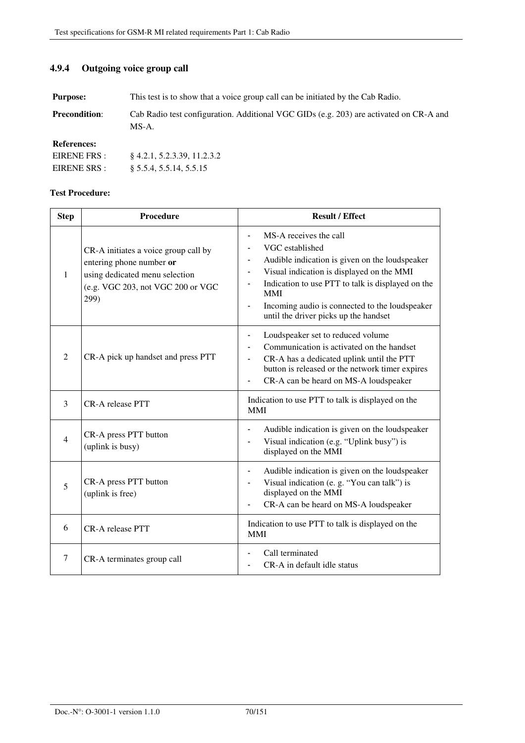### **4.9.4 Outgoing voice group call**

**Purpose:** This test is to show that a voice group call can be initiated by the Cab Radio.

**Precondition:** Cab Radio test configuration. Additional VGC GIDs (e.g. 203) are activated on CR-A and MS-A.

**References:** 

| EIRENE FRS : | $§$ 4.2.1, 5.2.3.39, 11.2.3.2 |
|--------------|-------------------------------|
| EIRENE SRS : | § 5.5.4, 5.5.14, 5.5.15       |

| <b>Step</b>    | <b>Procedure</b>                                                                                                                                | <b>Result / Effect</b>                                                                                                                                                                                                                                                                                                   |
|----------------|-------------------------------------------------------------------------------------------------------------------------------------------------|--------------------------------------------------------------------------------------------------------------------------------------------------------------------------------------------------------------------------------------------------------------------------------------------------------------------------|
| $\mathbf{1}$   | CR-A initiates a voice group call by<br>entering phone number or<br>using dedicated menu selection<br>(e.g. VGC 203, not VGC 200 or VGC<br>299) | MS-A receives the call<br>VGC established<br>Audible indication is given on the loudspeaker<br>$\blacksquare$<br>Visual indication is displayed on the MMI<br>Indication to use PTT to talk is displayed on the<br><b>MMI</b><br>Incoming audio is connected to the loudspeaker<br>until the driver picks up the handset |
| 2              | CR-A pick up handset and press PTT                                                                                                              | Loudspeaker set to reduced volume<br>Communication is activated on the handset<br>CR-A has a dedicated uplink until the PTT<br>button is released or the network timer expires<br>CR-A can be heard on MS-A loudspeaker                                                                                                  |
| 3              | CR-A release PTT                                                                                                                                | Indication to use PTT to talk is displayed on the<br><b>MMI</b>                                                                                                                                                                                                                                                          |
| $\overline{4}$ | CR-A press PTT button<br>(uplink is busy)                                                                                                       | Audible indication is given on the loudspeaker<br>Visual indication (e.g. "Uplink busy") is<br>displayed on the MMI                                                                                                                                                                                                      |
| 5              | CR-A press PTT button<br>(uplink is free)                                                                                                       | Audible indication is given on the loudspeaker<br>Visual indication (e. g. "You can talk") is<br>displayed on the MMI<br>CR-A can be heard on MS-A loudspeaker                                                                                                                                                           |
| 6              | <b>CR-A</b> release PTT                                                                                                                         | Indication to use PTT to talk is displayed on the<br><b>MMI</b>                                                                                                                                                                                                                                                          |
| 7              | CR-A terminates group call                                                                                                                      | Call terminated<br>CR-A in default idle status                                                                                                                                                                                                                                                                           |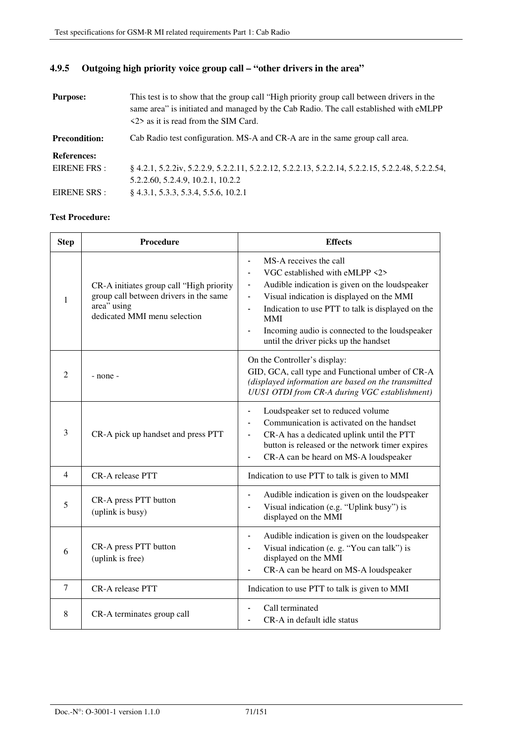|  | 4.9.5 Outgoing high priority voice group call – "other drivers in the area" |  |
|--|-----------------------------------------------------------------------------|--|
|--|-----------------------------------------------------------------------------|--|

| <b>Purpose:</b>      | This test is to show that the group call "High priority group call between drivers in the<br>same area" is initiated and managed by the Cab Radio. The call established with eMLPP<br>$\langle 2 \rangle$ as it is read from the SIM Card. |
|----------------------|--------------------------------------------------------------------------------------------------------------------------------------------------------------------------------------------------------------------------------------------|
| <b>Precondition:</b> | Cab Radio test configuration. MS-A and CR-A are in the same group call area.                                                                                                                                                               |
| <b>References:</b>   |                                                                                                                                                                                                                                            |
| EIRENE FRS :         | § 4.2.1, 5.2.2iv, 5.2.2.9, 5.2.2.11, 5.2.2.12, 5.2.2.13, 5.2.2.14, 5.2.2.15, 5.2.2.48, 5.2.2.54,                                                                                                                                           |
|                      | 5.2.2.60, 5.2.4.9, 10.2.1, 10.2.2                                                                                                                                                                                                          |
| EIRENE SRS :         | $§$ 4.3.1, 5.3.3, 5.3.4, 5.5.6, 10.2.1                                                                                                                                                                                                     |

| <b>Step</b>    | Procedure                                                                                                                         | <b>Effects</b>                                                                                                                                                                                                                                                                                                                                                                                                                                 |
|----------------|-----------------------------------------------------------------------------------------------------------------------------------|------------------------------------------------------------------------------------------------------------------------------------------------------------------------------------------------------------------------------------------------------------------------------------------------------------------------------------------------------------------------------------------------------------------------------------------------|
| $\mathbf{1}$   | CR-A initiates group call "High priority<br>group call between drivers in the same<br>area" using<br>dedicated MMI menu selection | MS-A receives the call<br>$\blacksquare$<br>VGC established with eMLPP <2><br>$\overline{\phantom{a}}$<br>Audible indication is given on the loudspeaker<br>$\overline{\phantom{a}}$<br>Visual indication is displayed on the MMI<br>$\blacksquare$<br>Indication to use PTT to talk is displayed on the<br>$\blacksquare$<br>MMI<br>Incoming audio is connected to the loudspeaker<br>$\blacksquare$<br>until the driver picks up the handset |
| 2              | - none -                                                                                                                          | On the Controller's display:<br>GID, GCA, call type and Functional umber of CR-A<br>(displayed information are based on the transmitted<br>UUS1 OTDI from CR-A during VGC establishment)                                                                                                                                                                                                                                                       |
| 3              | CR-A pick up handset and press PTT                                                                                                | Loudspeaker set to reduced volume<br>$\blacksquare$<br>Communication is activated on the handset<br>CR-A has a dedicated uplink until the PTT<br>$\blacksquare$<br>button is released or the network timer expires<br>CR-A can be heard on MS-A loudspeaker<br>$\blacksquare$                                                                                                                                                                  |
| $\overline{4}$ | CR-A release PTT                                                                                                                  | Indication to use PTT to talk is given to MMI                                                                                                                                                                                                                                                                                                                                                                                                  |
| 5              | CR-A press PTT button<br>(uplink is busy)                                                                                         | Audible indication is given on the loudspeaker<br>$\qquad \qquad \blacksquare$<br>Visual indication (e.g. "Uplink busy") is<br>displayed on the MMI                                                                                                                                                                                                                                                                                            |
| 6              | CR-A press PTT button<br>(uplink is free)                                                                                         | Audible indication is given on the loudspeaker<br>$\blacksquare$<br>Visual indication (e. g. "You can talk") is<br>displayed on the MMI<br>CR-A can be heard on MS-A loudspeaker                                                                                                                                                                                                                                                               |
| $\tau$         | CR-A release PTT                                                                                                                  | Indication to use PTT to talk is given to MMI                                                                                                                                                                                                                                                                                                                                                                                                  |
| 8              | CR-A terminates group call                                                                                                        | Call terminated<br>CR-A in default idle status                                                                                                                                                                                                                                                                                                                                                                                                 |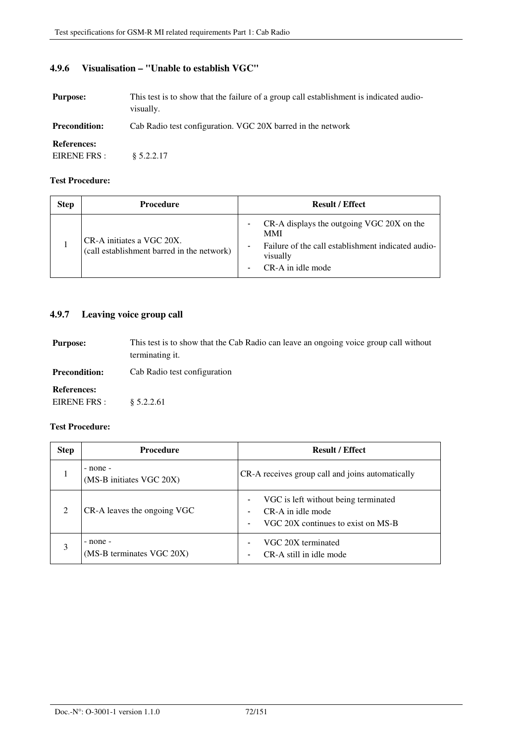# **4.9.6 Visualisation – "Unable to establish VGC"**

| <b>Purpose:</b>                    | This test is to show that the failure of a group call establishment is indicated audio-<br>visually. |
|------------------------------------|------------------------------------------------------------------------------------------------------|
| <b>Precondition:</b>               | Cab Radio test configuration. VGC 20X barred in the network                                          |
| <b>References:</b><br>EIRENE FRS : | \$5.2.2.17                                                                                           |

### **Test Procedure:**

| <b>Step</b> | Procedure                                                               | <b>Result / Effect</b>                                                                                                                  |
|-------------|-------------------------------------------------------------------------|-----------------------------------------------------------------------------------------------------------------------------------------|
|             | CR-A initiates a VGC 20X.<br>(call establishment barred in the network) | CR-A displays the outgoing VGC 20X on the<br>MMI<br>Failure of the call establishment indicated audio-<br>visually<br>CR-A in idle mode |

### **4.9.7 Leaving voice group call**

**Purpose:** This test is to show that the Cab Radio can leave an ongoing voice group call without terminating it. **Precondition:** Cab Radio test configuration **References:**  EIRENE FRS : § 5.2.2.61

| <b>Step</b> | <b>Procedure</b>                          | <b>Result / Effect</b>                                                                          |
|-------------|-------------------------------------------|-------------------------------------------------------------------------------------------------|
|             | $-$ none $-$<br>(MS-B initiates VGC 20X)  | CR-A receives group call and joins automatically                                                |
|             | CR-A leaves the ongoing VGC               | VGC is left without being terminated<br>CR-A in idle mode<br>VGC 20X continues to exist on MS-B |
|             | $-$ none $-$<br>(MS-B terminates VGC 20X) | VGC 20X terminated<br>CR-A still in idle mode                                                   |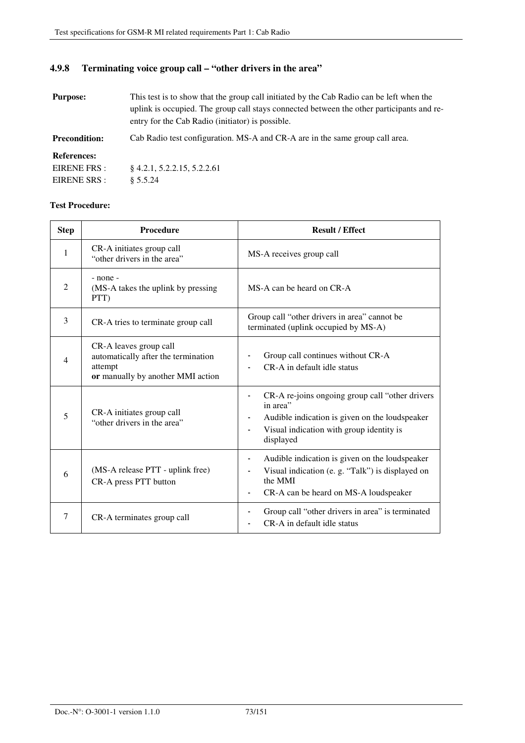### **4.9.8 Terminating voice group call – "other drivers in the area"**

| <b>Purpose:</b>      | This test is to show that the group call initiated by the Cab Radio can be left when the<br>uplink is occupied. The group call stays connected between the other participants and re-<br>entry for the Cab Radio (initiator) is possible. |  |
|----------------------|-------------------------------------------------------------------------------------------------------------------------------------------------------------------------------------------------------------------------------------------|--|
| <b>Precondition:</b> | Cab Radio test configuration. MS-A and CR-A are in the same group call area.                                                                                                                                                              |  |

**References:** 

| EIRENE FRS : | $\{4.2.1, 5.2.2.15, 5.2.2.61\}$ |
|--------------|---------------------------------|
| EIRENE SRS : | § 5.5.24                        |

| <b>Step</b>    | Procedure                                                                                                     | <b>Result / Effect</b>                                                                                                                                                                    |
|----------------|---------------------------------------------------------------------------------------------------------------|-------------------------------------------------------------------------------------------------------------------------------------------------------------------------------------------|
| $\mathbf{1}$   | CR-A initiates group call<br>"other drivers in the area"                                                      | MS-A receives group call                                                                                                                                                                  |
| $\overline{2}$ | $-$ none $-$<br>(MS-A takes the uplink by pressing<br>PTT)                                                    | MS-A can be heard on CR-A                                                                                                                                                                 |
| 3              | CR-A tries to terminate group call                                                                            | Group call "other drivers in area" cannot be<br>terminated (uplink occupied by MS-A)                                                                                                      |
| $\overline{4}$ | CR-A leaves group call<br>automatically after the termination<br>attempt<br>or manually by another MMI action | Group call continues without CR-A<br>CR-A in default idle status                                                                                                                          |
| 5              | CR-A initiates group call<br>"other drivers in the area"                                                      | CR-A re-joins ongoing group call "other drivers<br>in area"<br>Audible indication is given on the loudspeaker<br>Visual indication with group identity is<br>$\blacksquare$<br>displayed  |
| 6              | (MS-A release PTT - uplink free)<br>CR-A press PTT button                                                     | Audible indication is given on the loudspeaker<br>$\blacksquare$<br>Visual indication (e.g. "Talk") is displayed on<br>the MMI<br>CR-A can be heard on MS-A loudspeaker<br>$\blacksquare$ |
| 7              | CR-A terminates group call                                                                                    | Group call "other drivers in area" is terminated<br>CR-A in default idle status                                                                                                           |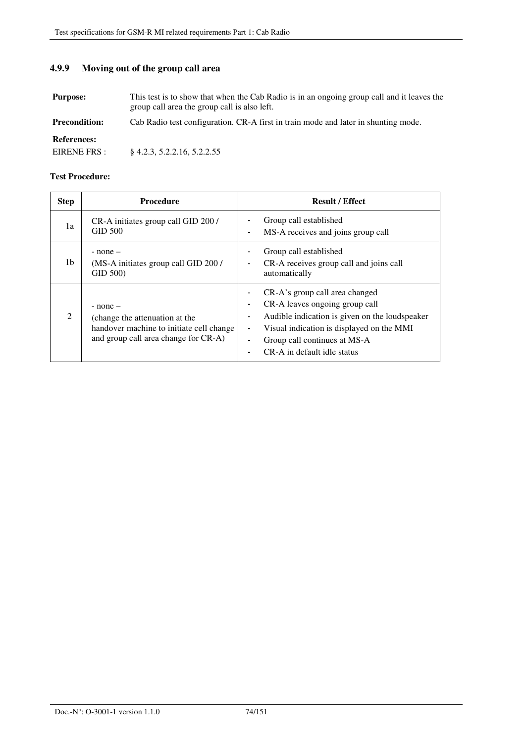### **4.9.9 Moving out of the group call area**

**Purpose:** This test is to show that when the Cab Radio is in an ongoing group call and it leaves the group call area the group call is also left.

**Precondition:** Cab Radio test configuration. CR-A first in train mode and later in shunting mode.

**References:** 

EIRENE FRS : § 4.2.3, 5.2.2.16, 5.2.2.55

| <b>Step</b>   | <b>Procedure</b>                                                                                                                   | <b>Result / Effect</b>                                                                                                                                                                                                         |
|---------------|------------------------------------------------------------------------------------------------------------------------------------|--------------------------------------------------------------------------------------------------------------------------------------------------------------------------------------------------------------------------------|
| 1a            | CR-A initiates group call GID 200/<br><b>GID 500</b>                                                                               | Group call established<br>MS-A receives and joins group call                                                                                                                                                                   |
| 1b            | $-$ none $-$<br>(MS-A initiates group call GID 200 /<br>GID 500)                                                                   | Group call established<br>CR-A receives group call and joins call<br>automatically                                                                                                                                             |
| $\mathcal{L}$ | $-$ none $-$<br>(change the attenuation at the<br>handover machine to initiate cell change<br>and group call area change for CR-A) | CR-A's group call area changed<br>CR-A leaves ongoing group call<br>Audible indication is given on the loudspeaker<br>Visual indication is displayed on the MMI<br>Group call continues at MS-A<br>CR-A in default idle status |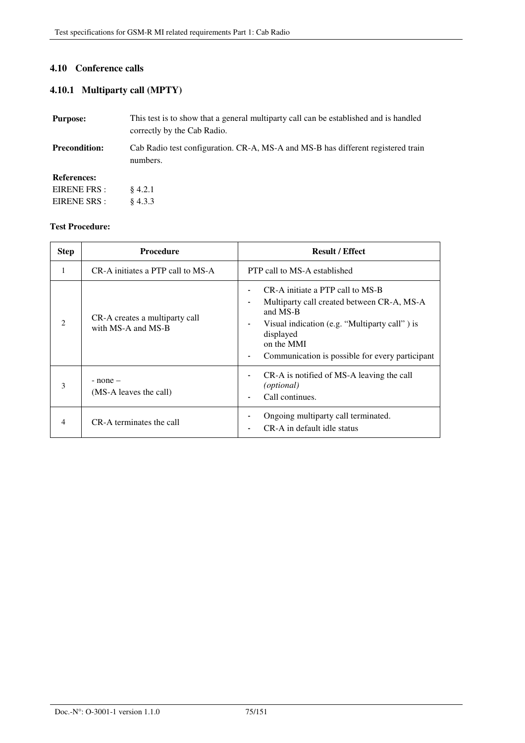### **4.10 Conference calls**

### **4.10.1 Multiparty call (MPTY)**

| <b>Purpose:</b>      | This test is to show that a general multiparty call can be established and is handled<br>correctly by the Cab Radio. |
|----------------------|----------------------------------------------------------------------------------------------------------------------|
| <b>Precondition:</b> | Cab Radio test configuration. CR-A, MS-A and MS-B has different registered train<br>numbers.                         |
| <b>References:</b>   |                                                                                                                      |
| EIRENE FRS :         | $\; 4.2.1$                                                                                                           |
| EIRENE SRS :         | $\&4.3.3$                                                                                                            |

| <b>Step</b> | <b>Procedure</b>                                     | <b>Result / Effect</b>                                                                                                                                                                                                                                        |
|-------------|------------------------------------------------------|---------------------------------------------------------------------------------------------------------------------------------------------------------------------------------------------------------------------------------------------------------------|
| 1           | CR-A initiates a PTP call to MS-A                    | <b>PTP</b> call to MS-A established                                                                                                                                                                                                                           |
|             | CR-A creates a multiparty call<br>with MS-A and MS-B | CR-A initiate a PTP call to MS-B<br>Multiparty call created between CR-A, MS-A<br>and MS-B<br>Visual indication (e.g. "Multiparty call") is<br>$\blacksquare$<br>displayed<br>on the MMI<br>Communication is possible for every participant<br>$\blacksquare$ |
| 3           | $-$ none $-$<br>(MS-A leaves the call)               | CR-A is notified of MS-A leaving the call<br>( <i>optional</i> )<br>Call continues.                                                                                                                                                                           |
| 4           | CR-A terminates the call                             | Ongoing multiparty call terminated.<br>CR-A in default idle status                                                                                                                                                                                            |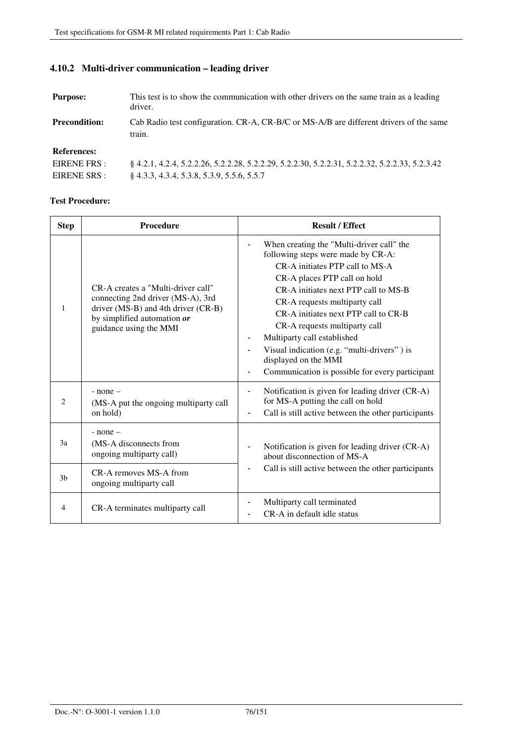| <b>Purpose:</b>      | This test is to show the communication with other drivers on the same train as a leading<br>driver. |
|----------------------|-----------------------------------------------------------------------------------------------------|
| <b>Precondition:</b> | Cab Radio test configuration. CR-A, CR-B/C or MS-A/B are different drivers of the same<br>train.    |
| <b>References:</b>   |                                                                                                     |
| EIRENE FRS :         | 8 4.2.1, 4.2.4, 5.2.2.26, 5.2.2.28, 5.2.2.29, 5.2.2.30, 5.2.2.31, 5.2.2.32, 5.2.2.33, 5.2.3.42      |
| EIRENE SRS :         | $§$ 4.3.3, 4.3.4, 5.3.8, 5.3.9, 5.5.6, 5.5.7                                                        |

### **4.10.2 Multi-driver communication – leading driver**

| <b>Step</b>    | <b>Procedure</b>                                                                                                                                                        | <b>Result / Effect</b>                                                                                                                                                                                                                                                                                                                                                                                                                                        |
|----------------|-------------------------------------------------------------------------------------------------------------------------------------------------------------------------|---------------------------------------------------------------------------------------------------------------------------------------------------------------------------------------------------------------------------------------------------------------------------------------------------------------------------------------------------------------------------------------------------------------------------------------------------------------|
| 1              | CR-A creates a "Multi-driver call"<br>connecting 2nd driver (MS-A), 3rd<br>driver (MS-B) and 4th driver (CR-B)<br>by simplified automation or<br>guidance using the MMI | When creating the "Multi-driver call" the<br>following steps were made by CR-A:<br>CR-A initiates PTP call to MS-A<br>CR-A places PTP call on hold<br>CR-A initiates next PTP call to MS-B<br>CR-A requests multiparty call<br>CR-A initiates next PTP call to CR-B<br>CR-A requests multiparty call<br>Multiparty call established<br>Visual indication (e.g. "multi-drivers") is<br>displayed on the MMI<br>Communication is possible for every participant |
| $\mathcal{L}$  | $-$ none $-$<br>(MS-A put the ongoing multiparty call<br>on hold)                                                                                                       | Notification is given for leading driver (CR-A)<br>$\overline{\phantom{a}}$<br>for MS-A putting the call on hold<br>Call is still active between the other participants                                                                                                                                                                                                                                                                                       |
| 3a             | $-$ none $-$<br>(MS-A disconnects from<br>ongoing multiparty call)                                                                                                      | Notification is given for leading driver (CR-A)<br>about disconnection of MS-A                                                                                                                                                                                                                                                                                                                                                                                |
| 3 <sub>b</sub> | CR-A removes MS-A from<br>ongoing multiparty call                                                                                                                       | Call is still active between the other participants                                                                                                                                                                                                                                                                                                                                                                                                           |
| $\overline{4}$ | CR-A terminates multiparty call                                                                                                                                         | Multiparty call terminated<br>CR-A in default idle status                                                                                                                                                                                                                                                                                                                                                                                                     |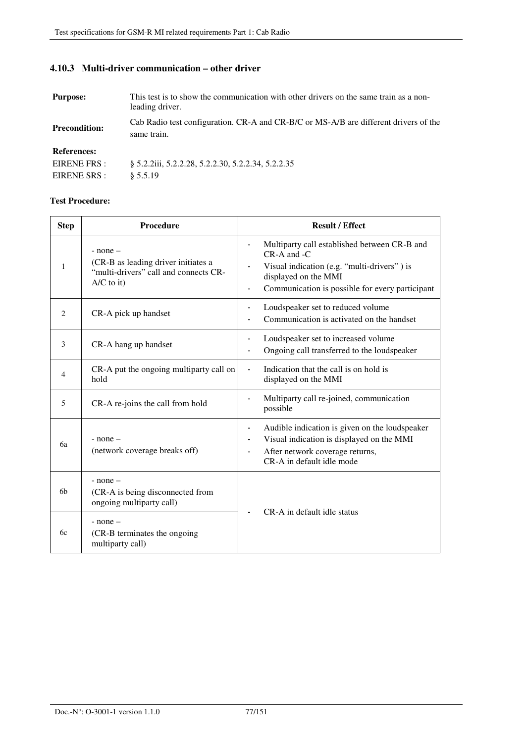## **4.10.3 Multi-driver communication – other driver**

| <b>Purpose:</b>      | This test is to show the communication with other drivers on the same train as a non-<br>leading driver. |
|----------------------|----------------------------------------------------------------------------------------------------------|
| <b>Precondition:</b> | Cab Radio test configuration. CR-A and CR-B/C or MS-A/B are different drivers of the<br>same train.      |
| <b>References:</b>   |                                                                                                          |
| EIRENE FRS :         | § 5.2.2iii, 5.2.2.28, 5.2.2.30, 5.2.2.34, 5.2.2.35                                                       |
| EIRENE SRS :         | \$5.5.19                                                                                                 |

| <b>Step</b>    | <b>Procedure</b>                                                                                             | <b>Result / Effect</b>                                                                                                                                                                                                                |
|----------------|--------------------------------------------------------------------------------------------------------------|---------------------------------------------------------------------------------------------------------------------------------------------------------------------------------------------------------------------------------------|
| $\mathbf{1}$   | $-$ none $-$<br>(CR-B as leading driver initiates a<br>"multi-drivers" call and connects CR-<br>$A/C$ to it) | Multiparty call established between CR-B and<br>$\overline{\phantom{a}}$<br>$CR-A$ and $-C$<br>Visual indication (e.g. "multi-drivers") is<br>displayed on the MMI<br>Communication is possible for every participant                 |
| 2              | CR-A pick up handset                                                                                         | Loudspeaker set to reduced volume<br>$\overline{\phantom{a}}$<br>Communication is activated on the handset                                                                                                                            |
| 3              | CR-A hang up handset                                                                                         | Loudspeaker set to increased volume<br>-<br>Ongoing call transferred to the loudspeaker                                                                                                                                               |
| 4              | CR-A put the ongoing multiparty call on<br>hold                                                              | Indication that the call is on hold is<br>displayed on the MMI                                                                                                                                                                        |
| 5              | CR-A re-joins the call from hold                                                                             | Multiparty call re-joined, communication<br>possible                                                                                                                                                                                  |
| 6a             | $-$ none $-$<br>(network coverage breaks off)                                                                | Audible indication is given on the loudspeaker<br>$\overline{\phantom{a}}$<br>Visual indication is displayed on the MMI<br>$\overline{\phantom{a}}$<br>After network coverage returns,<br>$\blacksquare$<br>CR-A in default idle mode |
| 6 <sub>b</sub> | $-$ none $-$<br>(CR-A is being disconnected from<br>ongoing multiparty call)                                 | CR-A in default idle status                                                                                                                                                                                                           |
| 6c             | $-$ none $-$<br>(CR-B terminates the ongoing<br>multiparty call)                                             |                                                                                                                                                                                                                                       |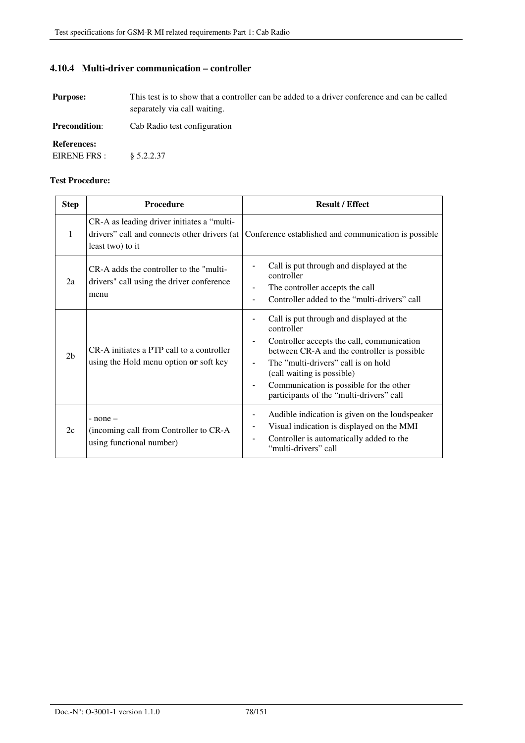**4.10.4 Multi-driver communication – controller** 

| <b>Purpose:</b>                    | This test is to show that a controller can be added to a driver conference and can be called<br>separately via call waiting. |
|------------------------------------|------------------------------------------------------------------------------------------------------------------------------|
| <b>Precondition:</b>               | Cab Radio test configuration                                                                                                 |
| <b>References:</b><br>EIRENE FRS : | \$5.2.2.37                                                                                                                   |

| <b>Step</b>    | <b>Procedure</b>                                                                                               | <b>Result / Effect</b>                                                                                                                                                                                                                                                                                                                      |
|----------------|----------------------------------------------------------------------------------------------------------------|---------------------------------------------------------------------------------------------------------------------------------------------------------------------------------------------------------------------------------------------------------------------------------------------------------------------------------------------|
| 1              | CR-A as leading driver initiates a "multi-<br>drivers" call and connects other drivers (at<br>least two) to it | Conference established and communication is possible                                                                                                                                                                                                                                                                                        |
| 2a             | CR-A adds the controller to the "multi-<br>drivers" call using the driver conference<br>menu                   | Call is put through and displayed at the<br>controller<br>The controller accepts the call<br>Controller added to the "multi-drivers" call<br>$\overline{\phantom{a}}$                                                                                                                                                                       |
| 2 <sub>b</sub> | CR-A initiates a PTP call to a controller<br>using the Hold menu option or soft key                            | Call is put through and displayed at the<br>controller<br>Controller accepts the call, communication<br>between CR-A and the controller is possible<br>The "multi-drivers" call is on hold<br>(call waiting is possible)<br>Communication is possible for the other<br>$\overline{\phantom{a}}$<br>participants of the "multi-drivers" call |
| 2c             | $-$ none $-$<br>(incoming call from Controller to CR-A<br>using functional number)                             | Audible indication is given on the loudspeaker<br>$\overline{\phantom{a}}$<br>Visual indication is displayed on the MMI<br>Controller is automatically added to the<br>$\overline{\phantom{a}}$<br>"multi-drivers" call                                                                                                                     |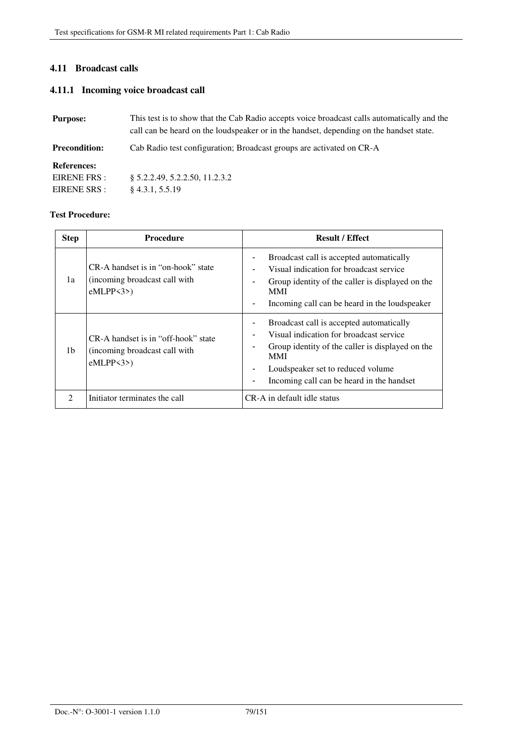### **4.11 Broadcast calls**

### **4.11.1 Incoming voice broadcast call**

| <b>Purpose:</b>      | This test is to show that the Cab Radio accepts voice broadcast calls automatically and the<br>call can be heard on the loudspeaker or in the handset, depending on the handset state. |  |
|----------------------|----------------------------------------------------------------------------------------------------------------------------------------------------------------------------------------|--|
| <b>Precondition:</b> | Cab Radio test configuration; Broadcast groups are activated on CR-A                                                                                                                   |  |
| <b>References:</b>   |                                                                                                                                                                                        |  |
| EIRENE FRS :         | § 5.2.2.49, 5.2.2.50, 11.2.3.2                                                                                                                                                         |  |
| EIRENE SRS :         | $§$ 4.3.1, 5.5.19                                                                                                                                                                      |  |

| <b>Step</b>    | <b>Procedure</b>                                                                    | <b>Result / Effect</b>                                                                                                                                                                                                                                                                                            |
|----------------|-------------------------------------------------------------------------------------|-------------------------------------------------------------------------------------------------------------------------------------------------------------------------------------------------------------------------------------------------------------------------------------------------------------------|
| 1a             | CR-A handset is in "on-hook" state<br>(incoming broadcast call with)<br>$eMLPP3$ )  | Broadcast call is accepted automatically<br>Visual indication for broadcast service<br>Group identity of the caller is displayed on the<br><b>MMI</b><br>Incoming call can be heard in the loudspeaker<br>$\overline{\phantom{0}}$                                                                                |
| 1b             | CR-A handset is in "off-hook" state<br>(incoming broadcast call with)<br>$eMLPP3$ ) | Broadcast call is accepted automatically<br>$\overline{a}$<br>Visual indication for broadcast service<br>٠<br>Group identity of the caller is displayed on the<br>٠<br><b>MMI</b><br>Loudspeaker set to reduced volume<br>$\overline{\phantom{a}}$<br>Incoming call can be heard in the handset<br>$\overline{a}$ |
| $\mathfrak{D}$ | Initiator terminates the call                                                       | CR-A in default idle status                                                                                                                                                                                                                                                                                       |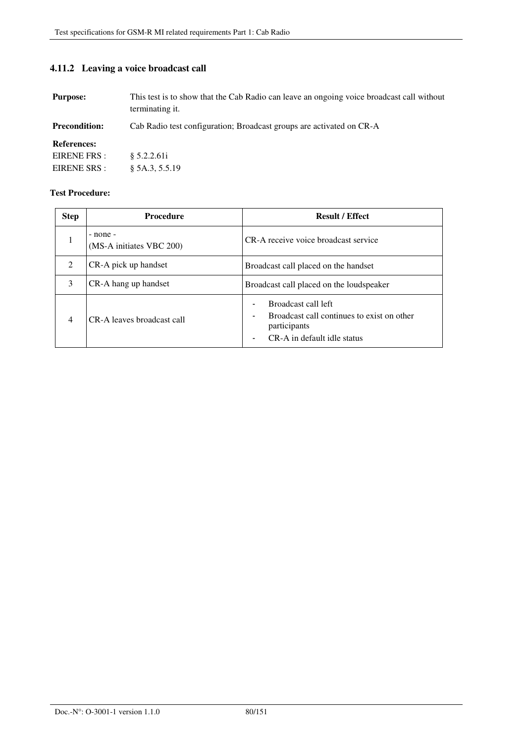### **4.11.2 Leaving a voice broadcast call**

**Purpose:** This test is to show that the Cab Radio can leave an ongoing voice broadcast call without terminating it.

**Precondition:** Cab Radio test configuration; Broadcast groups are activated on CR-A

#### **References:**

| EIRENE FRS:  | § 5.2.2.61i    |
|--------------|----------------|
| EIRENE SRS : | § 5A.3, 5.5.19 |

| <b>Step</b>    | <b>Procedure</b>                     | <b>Result / Effect</b>                                                                                                                       |
|----------------|--------------------------------------|----------------------------------------------------------------------------------------------------------------------------------------------|
| 1              | - none -<br>(MS-A initiates VBC 200) | CR-A receive voice broadcast service                                                                                                         |
| 2              | CR-A pick up handset                 | Broadcast call placed on the handset                                                                                                         |
| 3              | CR-A hang up handset                 | Broadcast call placed on the loudspeaker                                                                                                     |
| $\overline{4}$ | CR-A leaves broadcast call           | Broadcast call left<br>Broadcast call continues to exist on other<br>$\overline{\phantom{a}}$<br>participants<br>CR-A in default idle status |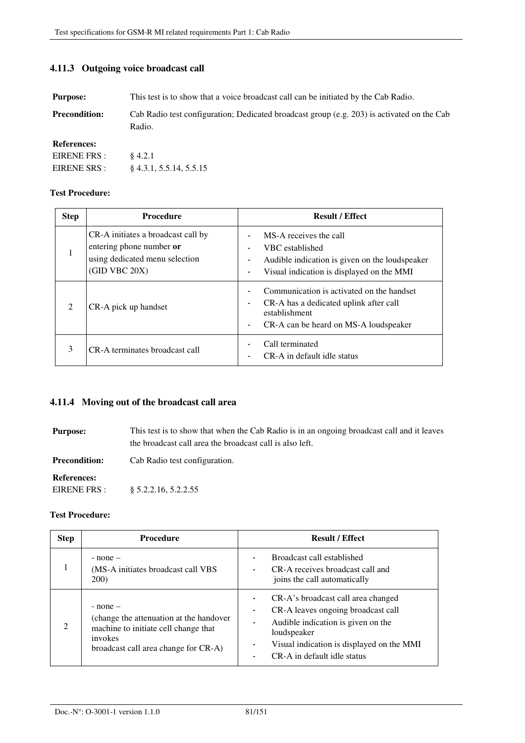### **4.11.3 Outgoing voice broadcast call**

**Purpose:** This test is to show that a voice broadcast call can be initiated by the Cab Radio.

Precondition: Cab Radio test configuration; Dedicated broadcast group (e.g. 203) is activated on the Cab Radio.

**References:** 

| EIRENE FRS : | § 4.2.1                   |
|--------------|---------------------------|
| EIRENE SRS : | $§$ 4.3.1, 5.5.14, 5.5.15 |

#### **Test Procedure:**

| <b>Step</b>    | <b>Procedure</b>                                                                                                  | <b>Result / Effect</b>                                                                                                                                                    |
|----------------|-------------------------------------------------------------------------------------------------------------------|---------------------------------------------------------------------------------------------------------------------------------------------------------------------------|
| 1              | CR-A initiates a broadcast call by<br>entering phone number or<br>using dedicated menu selection<br>(GID VBC 20X) | MS-A receives the call<br>VBC established<br>Audible indication is given on the loudspeaker<br>-<br>Visual indication is displayed on the MMI                             |
| $\mathfrak{D}$ | CR-A pick up handset                                                                                              | Communication is activated on the handset<br>CR-A has a dedicated uplink after call<br>establishment<br>CR-A can be heard on MS-A loudspeaker<br>$\overline{\phantom{a}}$ |
| 3              | CR-A terminates broadcast call                                                                                    | Call terminated<br>CR-A in default idle status                                                                                                                            |

### **4.11.4 Moving out of the broadcast call area**

**Purpose:** This test is to show that when the Cab Radio is in an ongoing broadcast call and it leaves the broadcast call area the broadcast call is also left.

**Precondition:** Cab Radio test configuration.

#### **References:**

EIRENE FRS : § 5.2.2.16, 5.2.2.55

| <b>Step</b> | <b>Procedure</b>                                                                                                                                   | <b>Result / Effect</b>                                                                                                                                                                                    |
|-------------|----------------------------------------------------------------------------------------------------------------------------------------------------|-----------------------------------------------------------------------------------------------------------------------------------------------------------------------------------------------------------|
|             | $-$ none $-$<br>(MS-A initiates broadcast call VBS)<br><b>200</b> )                                                                                | Broadcast call established<br>CR-A receives broadcast call and<br>joins the call automatically                                                                                                            |
| 2           | $-$ none $-$<br>(change the attenuation at the handover<br>machine to initiate cell change that<br>invokes<br>broadcast call area change for CR-A) | CR-A's broadcast call area changed<br>CR-A leaves ongoing broadcast call<br>Audible indication is given on the<br>loudspeaker<br>Visual indication is displayed on the MMI<br>CR-A in default idle status |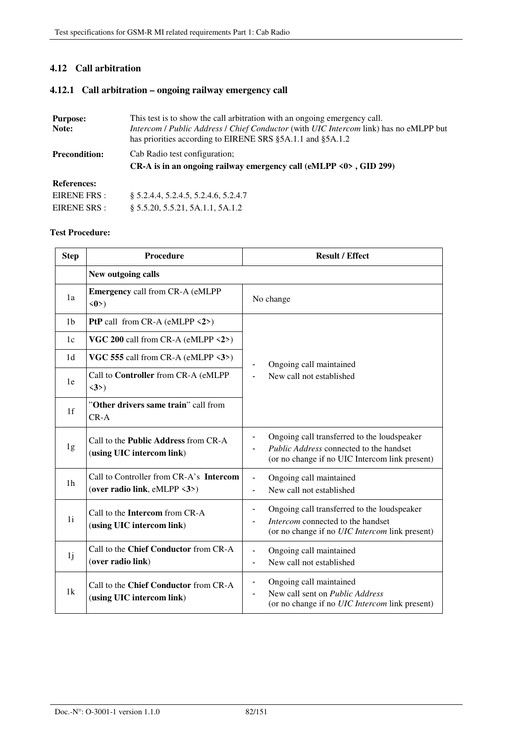### **4.12 Call arbitration**

### **4.12.1 Call arbitration – ongoing railway emergency call**

| <b>Purpose:</b><br>Note: | This test is to show the call arbitration with an ongoing emergency call.<br>Intercom / Public Address / Chief Conductor (with UIC Intercom link) has no eMLPP but<br>has priorities according to EIRENE SRS §5A.1.1 and §5A.1.2 |  |
|--------------------------|----------------------------------------------------------------------------------------------------------------------------------------------------------------------------------------------------------------------------------|--|
| <b>Precondition:</b>     | Cab Radio test configuration;<br>CR-A is in an ongoing railway emergency call (eMLPP $\langle 0 \rangle$ , GID 299)                                                                                                              |  |
| <b>References:</b>       |                                                                                                                                                                                                                                  |  |
| EIRENE FRS:              | \$ 5.2.4.4, 5.2.4.5, 5.2.4.6, 5.2.4.7                                                                                                                                                                                            |  |
| EIRENE SRS :             | § 5.5.20, 5.5.21, 5A.1.1, 5A.1.2                                                                                                                                                                                                 |  |

| <b>Step</b>    | Procedure                                                                | <b>Result / Effect</b>                                                                                                                   |  |
|----------------|--------------------------------------------------------------------------|------------------------------------------------------------------------------------------------------------------------------------------|--|
|                | New outgoing calls                                                       |                                                                                                                                          |  |
| 1a             | <b>Emergency call from CR-A (eMLPP</b><br>$\langle 0 \rangle$            | No change                                                                                                                                |  |
| 1 <sub>b</sub> | <b>PtP</b> call from CR-A (eMLPP $\langle 2 \rangle$ )                   |                                                                                                                                          |  |
| 1c             | VGC 200 call from CR-A (eMLPP $\langle 2 \rangle$ )                      |                                                                                                                                          |  |
| 1 <sub>d</sub> | VGC 555 call from CR-A (eMLPP $\langle 3 \rangle$ )                      | Ongoing call maintained                                                                                                                  |  |
| 1e             | Call to Controller from CR-A (eMLPP<br>$\langle 3 \rangle$               | New call not established                                                                                                                 |  |
| 1f             | "Other drivers same train" call from<br>$CR - A$                         |                                                                                                                                          |  |
| 1g             | Call to the <b>Public Address</b> from CR-A<br>(using UIC intercom link) | Ongoing call transferred to the loudspeaker<br>Public Address connected to the handset<br>(or no change if no UIC Intercom link present) |  |
| 1 <sub>h</sub> | Call to Controller from CR-A's Intercom<br>(over radio link, eMLPP <3>)  | Ongoing call maintained<br>$\blacksquare$<br>New call not established<br>$\blacksquare$                                                  |  |
| 1 <sub>i</sub> | Call to the Intercom from CR-A<br>(using UIC intercom link)              | Ongoing call transferred to the loudspeaker<br>-<br>Intercom connected to the handset<br>(or no change if no UIC Intercom link present)  |  |
| 1j             | Call to the Chief Conductor from CR-A<br>(over radio link)               | Ongoing call maintained<br>$\blacksquare$<br>New call not established<br>$\blacksquare$                                                  |  |
| 1k             | Call to the Chief Conductor from CR-A<br>(using UIC intercom link)       | Ongoing call maintained<br>$\blacksquare$<br>New call sent on Public Address<br>(or no change if no <i>UIC Intercom</i> link present)    |  |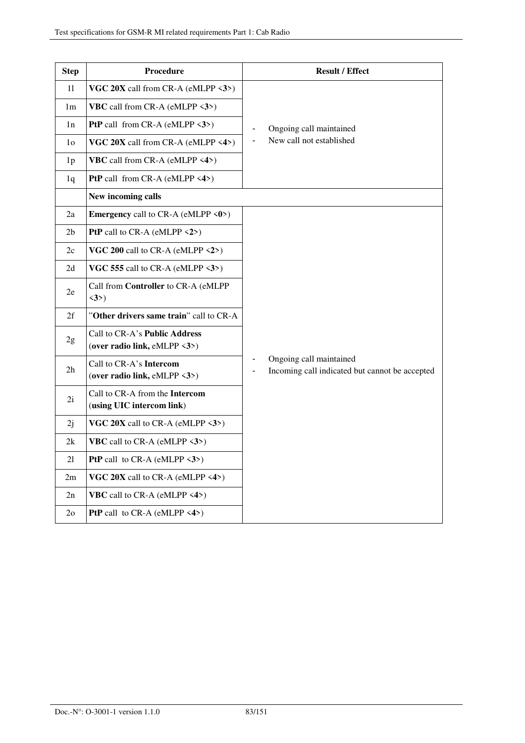| <b>Step</b>    | Procedure                                                                      | <b>Result / Effect</b>                                                                                                            |
|----------------|--------------------------------------------------------------------------------|-----------------------------------------------------------------------------------------------------------------------------------|
| 11             | VGC $20X$ call from CR-A (eMLPP $\langle 3 \rangle$ )                          |                                                                                                                                   |
| 1 <sub>m</sub> | <b>VBC</b> call from CR-A (eMLPP $\langle 3 \rangle$ )                         |                                                                                                                                   |
| 1n             | <b>PtP</b> call from CR-A (eMLPP $\langle 3 \rangle$ )                         | Ongoing call maintained                                                                                                           |
| 1 <sub>o</sub> | VGC 20X call from CR-A (eMLPP <4>)                                             | New call not established<br>$\overline{\phantom{0}}$                                                                              |
| 1 <sub>p</sub> | <b>VBC</b> call from CR-A (eMLPP $\langle 4 \rangle$ )                         |                                                                                                                                   |
| 1q             | <b>PtP</b> call from CR-A (eMLPP $\langle 4 \rangle$ )                         |                                                                                                                                   |
|                | New incoming calls                                                             |                                                                                                                                   |
| 2a             | <b>Emergency</b> call to CR-A (eMLPP $\langle 0 \rangle$ )                     |                                                                                                                                   |
| 2 <sub>b</sub> | <b>PtP</b> call to CR-A (eMLPP $\langle 2 \rangle$ )                           |                                                                                                                                   |
| 2c             | VGC 200 call to CR-A (eMLPP <2>)                                               |                                                                                                                                   |
| 2d             | VGC 555 call to CR-A (eMLPP $\langle 3 \rangle$ )                              |                                                                                                                                   |
| 2e             | Call from Controller to CR-A (eMLPP<br>$\langle 3 \rangle$                     |                                                                                                                                   |
| 2f             | "Other drivers same train" call to CR-A                                        |                                                                                                                                   |
| 2g             | Call to CR-A's Public Address<br>(over radio link, eMLPP $\langle 3 \rangle$ ) |                                                                                                                                   |
| 2h             | Call to CR-A's Intercom<br>(over radio link, eMLPP <3>)                        | Ongoing call maintained<br>$\overline{\phantom{a}}$<br>Incoming call indicated but cannot be accepted<br>$\overline{\phantom{a}}$ |
| 2i             | Call to CR-A from the Intercom<br>(using UIC intercom link)                    |                                                                                                                                   |
| 2j             | VGC $20X$ call to CR-A (eMLPP $\langle 3 \rangle$ )                            |                                                                                                                                   |
| 2k             | <b>VBC</b> call to CR-A (eMLPP $\langle 3 \rangle$ )                           |                                                                                                                                   |
| 21             | <b>PtP</b> call to CR-A (eMLPP $\langle 3 \rangle$ )                           |                                                                                                                                   |
| 2m             | VGC $20X$ call to CR-A (eMLPP <4>)                                             |                                                                                                                                   |
| 2n             | <b>VBC</b> call to CR-A (eMLPP $\langle 4 \rangle$ )                           |                                                                                                                                   |
| 2 <sub>o</sub> | <b>PtP</b> call to CR-A (eMLPP $\langle 4 \rangle$ )                           |                                                                                                                                   |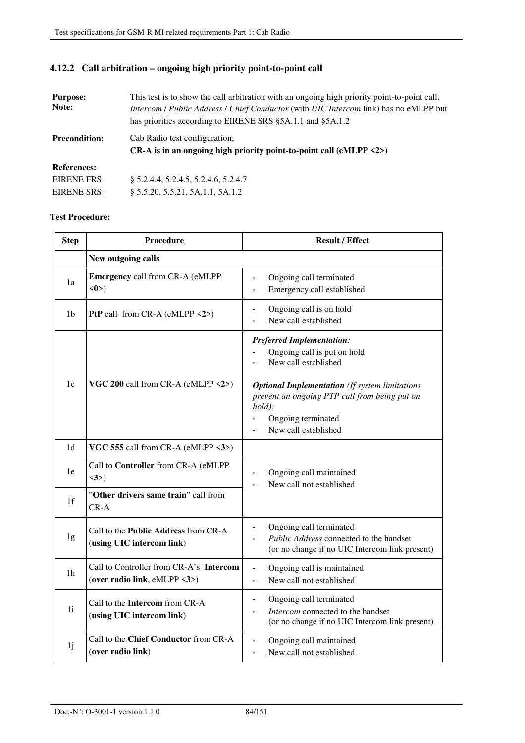| <b>Purpose:</b><br>Note:           | This test is to show the call arbitration with an ongoing high priority point-to-point call.<br>Intercom / Public Address / Chief Conductor (with UIC Intercom link) has no eMLPP but<br>has priorities according to EIRENE SRS §5A.1.1 and §5A.1.2 |
|------------------------------------|-----------------------------------------------------------------------------------------------------------------------------------------------------------------------------------------------------------------------------------------------------|
| <b>Precondition:</b>               | Cab Radio test configuration;<br>CR-A is in an ongoing high priority point-to-point call (eMLPP $\langle 2 \rangle$ )                                                                                                                               |
| <b>References:</b><br>EIRENE FRS : | § 5.2.4.4, 5.2.4.5, 5.2.4.6, 5.2.4.7                                                                                                                                                                                                                |

### **4.12.2 Call arbitration – ongoing high priority point-to-point call**

§ 5.5.20, 5.5.21, 5A.1.1, 5A.1.2

#### **Test Procedure:**

EIRENE SRS :

| <b>Step</b> | Procedure                                                               | <b>Result / Effect</b>                                                                                                                                                                                                                                                        |
|-------------|-------------------------------------------------------------------------|-------------------------------------------------------------------------------------------------------------------------------------------------------------------------------------------------------------------------------------------------------------------------------|
|             | New outgoing calls                                                      |                                                                                                                                                                                                                                                                               |
| 1a          | <b>Emergency call from CR-A (eMLPP</b><br>$\langle 0 \rangle$           | Ongoing call terminated<br>ä,<br>Emergency call established                                                                                                                                                                                                                   |
| 1b          | <b>PtP</b> call from CR-A (eMLPP $\langle 2 \rangle$ )                  | Ongoing call is on hold<br>$\qquad \qquad \blacksquare$<br>New call established                                                                                                                                                                                               |
| 1c          | VGC 200 call from CR-A (eMLPP <2>)                                      | <b>Preferred Implementation:</b><br>Ongoing call is put on hold<br>New call established<br><b>Optional Implementation</b> (If system limitations<br>prevent an ongoing PTP call from being put on<br>$hold$ :<br>Ongoing terminated<br>New call established<br>$\blacksquare$ |
| 1d          | VGC 555 call from CR-A (eMLPP <3>)                                      |                                                                                                                                                                                                                                                                               |
| 1e          | Call to Controller from CR-A (eMLPP<br>$\langle 3 \rangle$              | Ongoing call maintained<br>New call not established                                                                                                                                                                                                                           |
| 1f          | "Other drivers same train" call from<br>$CR-A$                          |                                                                                                                                                                                                                                                                               |
| 1g          | Call to the Public Address from CR-A<br>(using UIC intercom link)       | Ongoing call terminated<br><i>Public Address</i> connected to the handset<br>(or no change if no UIC Intercom link present)                                                                                                                                                   |
| 1h          | Call to Controller from CR-A's Intercom<br>(over radio link, eMLPP <3>) | Ongoing call is maintained<br>$\frac{1}{2}$<br>New call not established<br>÷,                                                                                                                                                                                                 |
| 1i          | Call to the Intercom from CR-A<br>(using UIC intercom link)             | Ongoing call terminated<br>$\blacksquare$<br>Intercom connected to the handset<br>(or no change if no UIC Intercom link present)                                                                                                                                              |
| 1j          | Call to the Chief Conductor from CR-A<br>(over radio link)              | Ongoing call maintained<br>New call not established<br>$\blacksquare$                                                                                                                                                                                                         |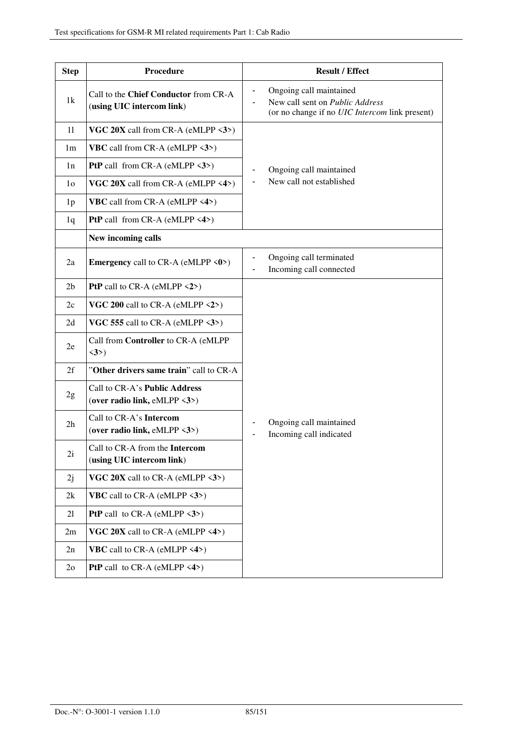| <b>Step</b>    | Procedure                                                                      | <b>Result / Effect</b>                                                                                       |
|----------------|--------------------------------------------------------------------------------|--------------------------------------------------------------------------------------------------------------|
| 1k             | Call to the Chief Conductor from CR-A<br>(using UIC intercom link)             | Ongoing call maintained<br>New call sent on Public Address<br>(or no change if no UIC Intercom link present) |
| 11             | VGC $20X$ call from CR-A (eMLPP $\langle 3 \rangle$ )                          |                                                                                                              |
| 1m             | <b>VBC</b> call from CR-A (eMLPP $\langle 3 \rangle$ )                         |                                                                                                              |
| 1n             | <b>PtP</b> call from CR-A (eMLPP $\langle 3 \rangle$ )                         | Ongoing call maintained                                                                                      |
| 1 <sub>o</sub> | VGC $20X$ call from CR-A (eMLPP <4>)                                           | New call not established                                                                                     |
| 1 <sub>p</sub> | <b>VBC</b> call from CR-A (eMLPP $\langle 4 \rangle$ )                         |                                                                                                              |
| 1q             | <b>PtP</b> call from CR-A (eMLPP $\langle 4 \rangle$ )                         |                                                                                                              |
|                | New incoming calls                                                             |                                                                                                              |
| 2a             | Emergency call to CR-A (eMLPP <0>)                                             | Ongoing call terminated<br>Incoming call connected                                                           |
| 2 <sub>b</sub> | PtP call to $CR-A$ (eMLPP $\langle 2 \rangle$ )                                |                                                                                                              |
| 2c             | VGC 200 call to CR-A (eMLPP $\langle 2 \rangle$ )                              |                                                                                                              |
| 2d             | VGC 555 call to CR-A (eMLPP $\langle 3 \rangle$ )                              |                                                                                                              |
| 2e             | Call from Controller to CR-A (eMLPP<br>$\langle 3 \rangle$                     |                                                                                                              |
| 2f             | "Other drivers same train" call to CR-A                                        |                                                                                                              |
| 2g             | Call to CR-A's Public Address<br>(over radio link, eMLPP $\langle 3 \rangle$ ) |                                                                                                              |
| 2 <sub>h</sub> | Call to CR-A's Intercom<br>(over radio link, eMLPP $\langle 3 \rangle$ )       | Ongoing call maintained<br>Incoming call indicated                                                           |
| 2i             | Call to CR-A from the Intercom<br>(using UIC intercom link)                    |                                                                                                              |
| 2j             | VGC 20X call to CR-A (eMLPP $\langle 3 \rangle$ )                              |                                                                                                              |
| 2k             | <b>VBC</b> call to CR-A (eMLPP $\langle 3 \rangle$ )                           |                                                                                                              |
| 21             | <b>PtP</b> call to CR-A (eMLPP $\langle 3 \rangle$ )                           |                                                                                                              |
| 2m             | VGC 20X call to CR-A (eMLPP $\langle 4 \rangle$ )                              |                                                                                                              |
| 2n             | <b>VBC</b> call to CR-A (eMLPP $\langle 4 \rangle$ )                           |                                                                                                              |
| 2 <sub>o</sub> | <b>PtP</b> call to CR-A (eMLPP $\langle 4 \rangle$ )                           |                                                                                                              |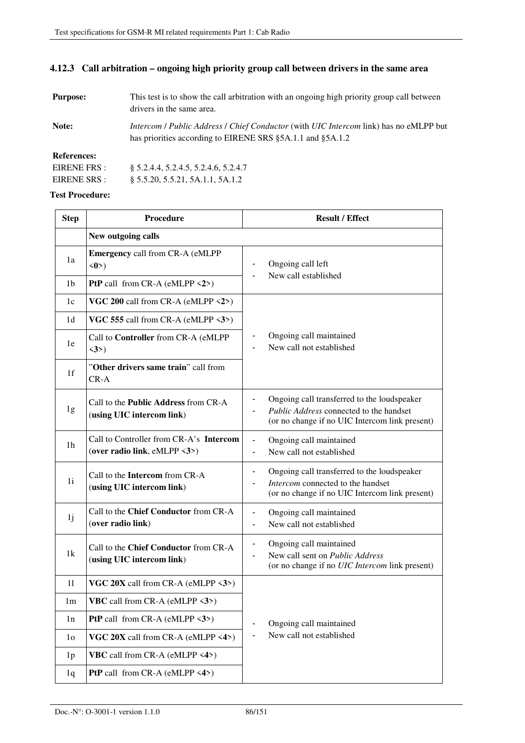### **4.12.3 Call arbitration – ongoing high priority group call between drivers in the same area**

| <b>Purpose:</b> | This test is to show the call arbitration with an ongoing high priority group call between<br>drivers in the same area.                                            |
|-----------------|--------------------------------------------------------------------------------------------------------------------------------------------------------------------|
| Note:           | <i>Intercom   Public Address   Chief Conductor</i> (with <i>UIC Intercom link</i> ) has no eMLPP but<br>has priorities according to EIRENE SRS §5A.1.1 and §5A.1.2 |

**References:** 

| EIRENE FRS : | § 5.2.4.4, 5.2.4.5, 5.2.4.6, 5.2.4.7 |
|--------------|--------------------------------------|
| EIRENE SRS : | $\S$ 5.5.20, 5.5.21, 5A.1.1, 5A.1.2  |

| <b>Step</b>    | Procedure                                                               | <b>Result / Effect</b>                                                                                                                                                |  |
|----------------|-------------------------------------------------------------------------|-----------------------------------------------------------------------------------------------------------------------------------------------------------------------|--|
|                | New outgoing calls                                                      |                                                                                                                                                                       |  |
| 1a             | <b>Emergency call from CR-A (eMLPP)</b><br>$\langle 0 \rangle$          | Ongoing call left                                                                                                                                                     |  |
| 1b             | <b>PtP</b> call from CR-A (eMLPP $\langle 2 \rangle$ )                  | New call established                                                                                                                                                  |  |
| 1c             | VGC 200 call from CR-A (eMLPP $\langle 2 \rangle$ )                     |                                                                                                                                                                       |  |
| 1 <sub>d</sub> | VGC 555 call from CR-A (eMLPP $\langle 3 \rangle$ )                     |                                                                                                                                                                       |  |
| 1e             | Call to Controller from CR-A (eMLPP<br>$\langle 3 \rangle$              | Ongoing call maintained<br>New call not established                                                                                                                   |  |
| 1f             | "Other drivers same train" call from<br>$CR-A$                          |                                                                                                                                                                       |  |
| 1g             | Call to the Public Address from CR-A<br>(using UIC intercom link)       | Ongoing call transferred to the loudspeaker<br>Public Address connected to the handset<br>(or no change if no UIC Intercom link present)                              |  |
| 1 <sub>h</sub> | Call to Controller from CR-A's Intercom<br>(over radio link, eMLPP <3>) | Ongoing call maintained<br>$\qquad \qquad \blacksquare$<br>New call not established<br>ä,                                                                             |  |
| 1i             | Call to the Intercom from CR-A<br>(using UIC intercom link)             | Ongoing call transferred to the loudspeaker<br>$\overline{\phantom{0}}$<br>Intercom connected to the handset<br>(or no change if no UIC Intercom link present)        |  |
| 1j             | Call to the Chief Conductor from CR-A<br>(over radio link)              | Ongoing call maintained<br>$\blacksquare$<br>New call not established<br>$\blacksquare$                                                                               |  |
| 1k             | Call to the Chief Conductor from CR-A<br>(using UIC intercom link)      | Ongoing call maintained<br>$\qquad \qquad \blacksquare$<br>New call sent on <i>Public Address</i><br>$\blacksquare$<br>(or no change if no UIC Intercom link present) |  |
| 11             | VGC $20X$ call from CR-A (eMLPP $\langle 3 \rangle$ )                   |                                                                                                                                                                       |  |
| 1 <sub>m</sub> | <b>VBC</b> call from CR-A (eMLPP $\langle 3 \rangle$ )                  |                                                                                                                                                                       |  |
| 1n             | <b>PtP</b> call from CR-A (eMLPP $\langle 3 \rangle$ )                  | Ongoing call maintained                                                                                                                                               |  |
| 1 <sub>o</sub> | VGC 20X call from CR-A (eMLPP <4>)                                      | New call not established                                                                                                                                              |  |
| 1 <sub>p</sub> | VBC call from CR-A (eMLPP <4>)                                          |                                                                                                                                                                       |  |
| 1q             | <b>PtP</b> call from CR-A (eMLPP $\langle 4 \rangle$ )                  |                                                                                                                                                                       |  |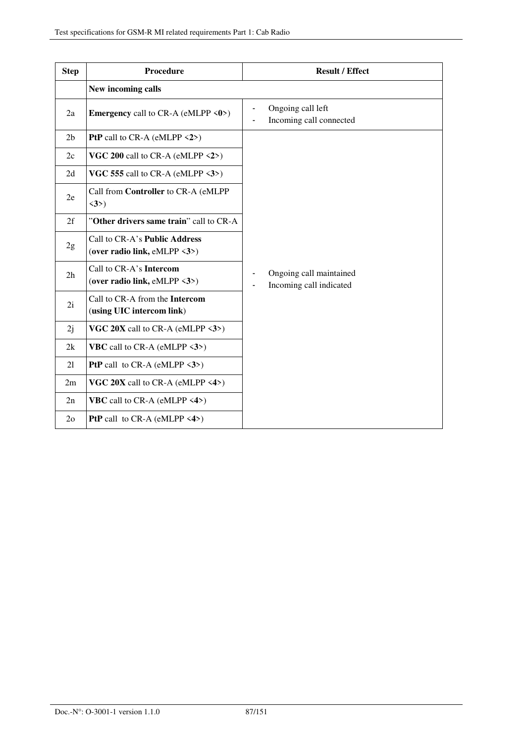| <b>Step</b>    | Procedure                                                                      | <b>Result / Effect</b>                             |
|----------------|--------------------------------------------------------------------------------|----------------------------------------------------|
|                | New incoming calls                                                             |                                                    |
| 2a             | <b>Emergency</b> call to CR-A (eMLPP $\langle 0 \rangle$ )                     | Ongoing call left<br>Incoming call connected       |
| 2 <sub>b</sub> | PtP call to $CR-A$ (eMLPP $\langle 2 \rangle$ )                                |                                                    |
| 2c             | VGC 200 call to CR-A (eMLPP $\langle 2 \rangle$ )                              |                                                    |
| 2d             | VGC 555 call to CR-A (eMLPP $\langle 3 \rangle$ )                              |                                                    |
| 2e             | Call from Controller to CR-A (eMLPP<br>$\langle 3 \rangle$                     |                                                    |
| 2f             | "Other drivers same train" call to CR-A                                        |                                                    |
| 2g             | Call to CR-A's Public Address<br>(over radio link, eMLPP $\langle 3 \rangle$ ) |                                                    |
| 2 <sub>h</sub> | Call to CR-A's Intercom<br>(over radio link, eMLPP <3>)                        | Ongoing call maintained<br>Incoming call indicated |
| 2i             | Call to CR-A from the Intercom<br>(using UIC intercom link)                    |                                                    |
| 2j             | VGC $20X$ call to CR-A (eMLPP $\langle 3 \rangle$ )                            |                                                    |
| 2k             | <b>VBC</b> call to CR-A (eMLPP $\langle 3 \rangle$ )                           |                                                    |
| 21             | <b>PtP</b> call to CR-A (eMLPP $\langle 3 \rangle$ )                           |                                                    |
| 2m             | VGC 20X call to CR-A (eMLPP <4>)                                               |                                                    |
| 2n             | <b>VBC</b> call to CR-A (eMLPP $\langle 4 \rangle$ )                           |                                                    |
| 2 <sub>o</sub> | <b>PtP</b> call to CR-A (eMLPP $\langle 4 \rangle$ )                           |                                                    |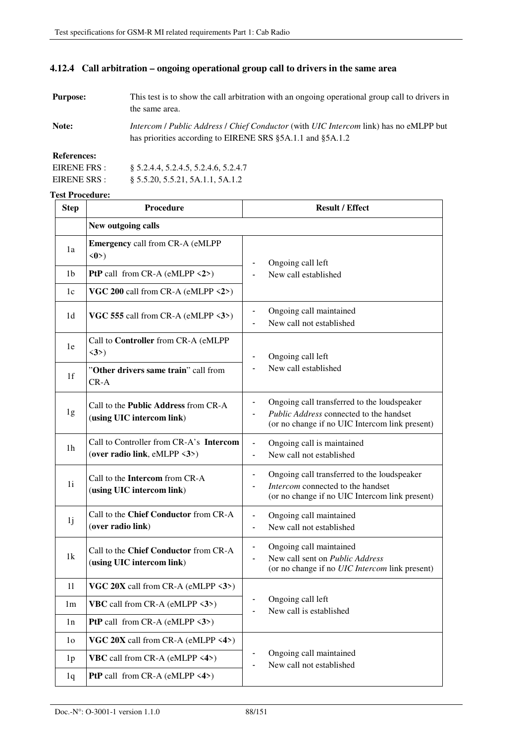### **4.12.4 Call arbitration – ongoing operational group call to drivers in the same area**

| <b>Purpose:</b> | This test is to show the call arbitration with an ongoing operational group call to drivers in |
|-----------------|------------------------------------------------------------------------------------------------|
|                 | the same area.                                                                                 |

**Note:** *Intercom* / *Public Address* / *Chief Conductor* (with *UIC Intercom* link) has no eMLPP but has priorities according to EIRENE SRS §5A.1.1 and §5A.1.2

#### **References:**

| EIRENE FRS : | § 5.2.4.4, 5.2.4.5, 5.2.4.6, 5.2.4.7 |
|--------------|--------------------------------------|
| EIRENE SRS : | \$5.5.20, 5.5.21, 5A.1.1, 5A.1.2     |

| <b>Step</b>    | Procedure<br><b>Result / Effect</b>                                                      |                                                                                                                                          |  |
|----------------|------------------------------------------------------------------------------------------|------------------------------------------------------------------------------------------------------------------------------------------|--|
|                | New outgoing calls                                                                       |                                                                                                                                          |  |
| 1a             | <b>Emergency call from CR-A (eMLPP</b><br>$\langle 0 \rangle$                            | Ongoing call left                                                                                                                        |  |
| 1b             | <b>PtP</b> call from CR-A (eMLPP $\langle 2 \rangle$ )                                   | New call established                                                                                                                     |  |
| 1c             | VGC 200 call from CR-A (eMLPP $\langle 2 \rangle$ )                                      |                                                                                                                                          |  |
| 1 <sub>d</sub> | VGC 555 call from CR-A (eMLPP $\langle 3 \rangle$ )                                      | Ongoing call maintained<br>$\overline{\phantom{0}}$<br>New call not established                                                          |  |
| 1e             | Call to Controller from CR-A (eMLPP<br>$\langle 3 \rangle$                               | Ongoing call left                                                                                                                        |  |
| 1 <sub>f</sub> | "Other drivers same train" call from<br>$CR-A$                                           | New call established                                                                                                                     |  |
| 1g             | Call to the <b>Public Address</b> from CR-A<br>(using UIC intercom link)                 | Ongoing call transferred to the loudspeaker<br>Public Address connected to the handset<br>(or no change if no UIC Intercom link present) |  |
| 1 <sub>h</sub> | Call to Controller from CR-A's Intercom<br>(over radio link, eMLPP $\langle 3 \rangle$ ) | Ongoing call is maintained<br>$\blacksquare$<br>New call not established                                                                 |  |
| 1i             | Call to the Intercom from CR-A<br>(using UIC intercom link)                              | Ongoing call transferred to the loudspeaker<br>Intercom connected to the handset<br>(or no change if no UIC Intercom link present)       |  |
| 1j             | Call to the Chief Conductor from CR-A<br>(over radio link)                               | Ongoing call maintained<br>$\blacksquare$<br>New call not established<br>L,                                                              |  |
| 1k             | Call to the Chief Conductor from CR-A<br>(using UIC intercom link)                       | Ongoing call maintained<br>-<br>New call sent on Public Address<br>(or no change if no UIC Intercom link present)                        |  |
| 11             | VGC $20X$ call from CR-A (eMLPP $\langle 3 \rangle$ )                                    |                                                                                                                                          |  |
| 1 <sub>m</sub> | <b>VBC</b> call from CR-A (eMLPP $\langle 3 \rangle$ )                                   | Ongoing call left<br>New call is established                                                                                             |  |
| 1n             | <b>PtP</b> call from CR-A (eMLPP $\langle 3 \rangle$ )                                   |                                                                                                                                          |  |
| 1 <sub>o</sub> | VGC 20X call from CR-A (eMLPP <4>)                                                       |                                                                                                                                          |  |
| 1 <sub>p</sub> | <b>VBC</b> call from CR-A (eMLPP $\langle 4 \rangle$ )                                   | Ongoing call maintained<br>New call not established                                                                                      |  |
| 1q             | <b>PtP</b> call from CR-A (eMLPP $\langle 4 \rangle$ )                                   |                                                                                                                                          |  |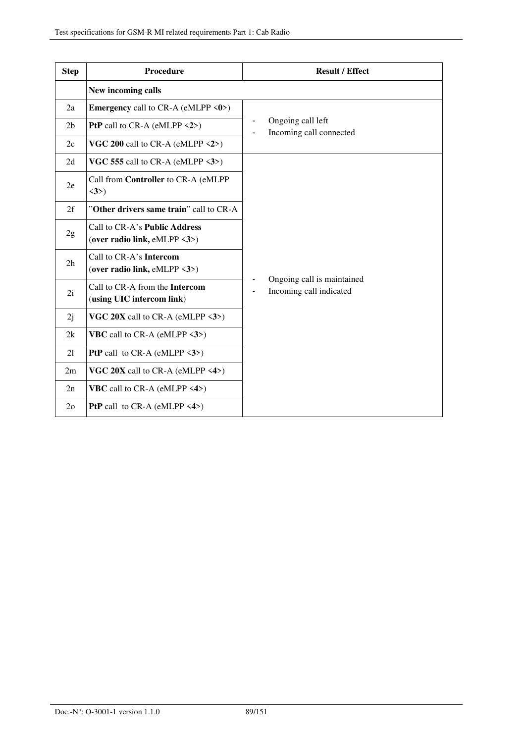| <b>Step</b>    | <b>Procedure</b>                                                               | <b>Result / Effect</b>                                                  |  |
|----------------|--------------------------------------------------------------------------------|-------------------------------------------------------------------------|--|
|                | New incoming calls                                                             |                                                                         |  |
| 2a             | <b>Emergency</b> call to CR-A (eMLPP $\langle 0 \rangle$ )                     |                                                                         |  |
| 2 <sub>b</sub> | <b>PtP</b> call to CR-A (eMLPP $\langle 2 \rangle$ )                           | Ongoing call left<br>Incoming call connected                            |  |
| 2c             | VGC 200 call to CR-A (eMLPP $\langle 2 \rangle$ )                              |                                                                         |  |
| 2d             | VGC 555 call to CR-A (eMLPP $\langle 3 \rangle$ )                              |                                                                         |  |
| 2e             | Call from Controller to CR-A (eMLPP<br>$\langle 3 \rangle$                     |                                                                         |  |
| 2f             | "Other drivers same train" call to CR-A                                        |                                                                         |  |
| 2g             | Call to CR-A's Public Address<br>(over radio link, eMLPP $\langle 3 \rangle$ ) |                                                                         |  |
| 2h             | Call to CR-A's Intercom<br>(over radio link, eMLPP $\langle 3 \rangle$ )       |                                                                         |  |
| 2i             | Call to CR-A from the Intercom<br>(using UIC intercom link)                    | Ongoing call is maintained<br>Incoming call indicated<br>$\blacksquare$ |  |
| 2j             | VGC $20X$ call to CR-A (eMLPP $\langle 3 \rangle$ )                            |                                                                         |  |
| 2k             | <b>VBC</b> call to CR-A (eMLPP $\langle 3 \rangle$ )                           |                                                                         |  |
| 21             | <b>PtP</b> call to CR-A (eMLPP $\langle 3 \rangle$ )                           |                                                                         |  |
| 2m             | VGC $20X$ call to CR-A (eMLPP <4>)                                             |                                                                         |  |
| 2n             | <b>VBC</b> call to CR-A (eMLPP $\langle 4 \rangle$ )                           |                                                                         |  |
| 2 <sub>o</sub> | <b>PtP</b> call to CR-A (eMLPP $\langle 4 \rangle$ )                           |                                                                         |  |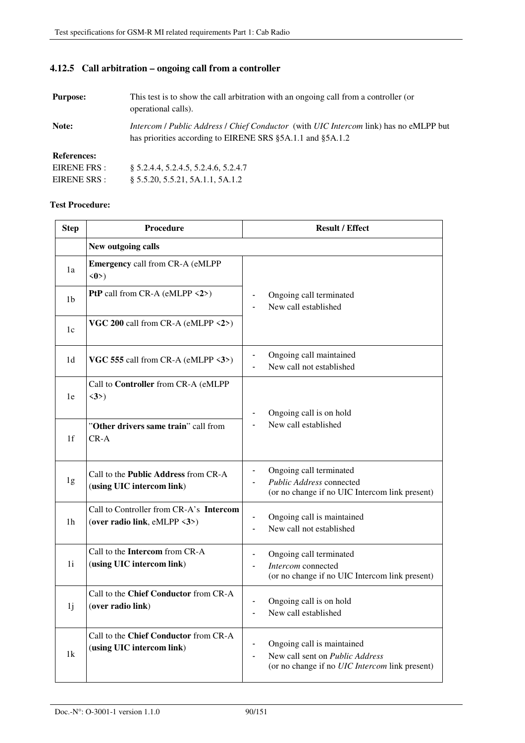§ 5.5.20, 5.5.21, 5A.1.1, 5A.1.2

### **4.12.5 Call arbitration – ongoing call from a controller**

| <b>Purpose:</b>    | This test is to show the call arbitration with an ongoing call from a controller (or<br>operational calls).                                                |
|--------------------|------------------------------------------------------------------------------------------------------------------------------------------------------------|
| Note:              | <i>Intercom / Public Address / Chief Conductor (with UIC Intercom link)</i> has no eMLPP but<br>has priorities according to EIRENE SRS §5A.1.1 and §5A.1.2 |
| <b>References:</b> |                                                                                                                                                            |
| EIRENE FRS :       | \$ 5.2.4.4, 5.2.4.5, 5.2.4.6, 5.2.4.7                                                                                                                      |

EIRENE SRS :

| <b>Step</b>    | Procedure                                                                | <b>Result / Effect</b>                                                                                                                                    |
|----------------|--------------------------------------------------------------------------|-----------------------------------------------------------------------------------------------------------------------------------------------------------|
|                | New outgoing calls                                                       |                                                                                                                                                           |
| 1a             | <b>Emergency call from CR-A (eMLPP</b><br>$\langle 0 \rangle$            |                                                                                                                                                           |
| 1 <sub>b</sub> | <b>PtP</b> call from CR-A (eMLPP $\langle 2 \rangle$ )                   | Ongoing call terminated<br>New call established                                                                                                           |
| 1c             | VGC 200 call from CR-A (eMLPP <2>)                                       |                                                                                                                                                           |
| 1 <sub>d</sub> | VGC 555 call from CR-A (eMLPP $\langle 3 \rangle$ )                      | Ongoing call maintained<br>New call not established<br>$\blacksquare$                                                                                     |
| 1e             | Call to Controller from CR-A (eMLPP<br>$\langle 3 \rangle$               | Ongoing call is on hold                                                                                                                                   |
| 1f             | "Other drivers same train" call from<br>$CR-A$                           | New call established                                                                                                                                      |
| 1g             | Call to the <b>Public Address</b> from CR-A<br>(using UIC intercom link) | Ongoing call terminated<br>Public Address connected<br>(or no change if no UIC Intercom link present)                                                     |
| 1 <sub>h</sub> | Call to Controller from CR-A's Intercom<br>(over radio link, eMLPP <3>)  | Ongoing call is maintained<br>$\overline{\phantom{0}}$<br>New call not established                                                                        |
| 1i             | Call to the Intercom from CR-A<br>(using UIC intercom link)              | Ongoing call terminated<br>Intercom connected<br>(or no change if no UIC Intercom link present)                                                           |
| 1j             | Call to the Chief Conductor from CR-A<br>(over radio link)               | Ongoing call is on hold<br>New call established                                                                                                           |
| 1k             | Call to the Chief Conductor from CR-A<br>(using UIC intercom link)       | Ongoing call is maintained<br>New call sent on <i>Public Address</i><br>$\overline{\phantom{0}}$<br>(or no change if no <i>UIC Intercom</i> link present) |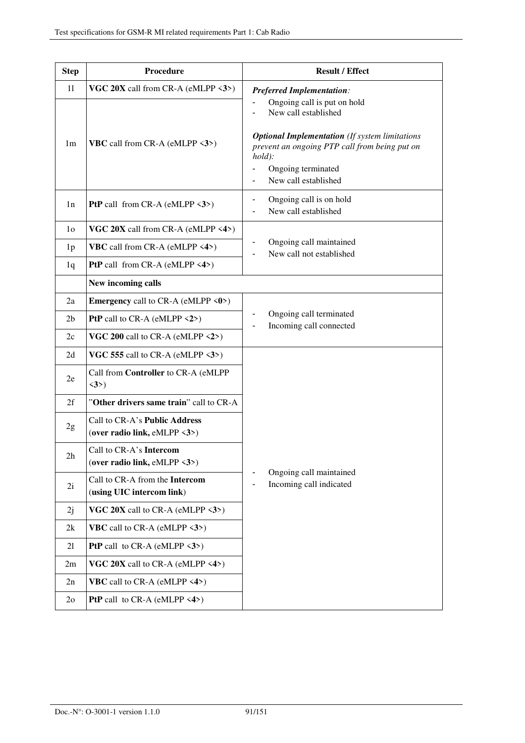| <b>Step</b>    | Procedure                                                                      | <b>Result / Effect</b>                                                                                                                                                                                                  |
|----------------|--------------------------------------------------------------------------------|-------------------------------------------------------------------------------------------------------------------------------------------------------------------------------------------------------------------------|
| 11             | VGC $20X$ call from CR-A (eMLPP $\langle 3 \rangle$ )                          | <b>Preferred Implementation:</b>                                                                                                                                                                                        |
| 1 <sub>m</sub> | <b>VBC</b> call from CR-A (eMLPP <3>)                                          | Ongoing call is put on hold<br>New call established<br><b>Optional Implementation</b> (If system limitations<br>prevent an ongoing PTP call from being put on<br>$hold$ :<br>Ongoing terminated<br>New call established |
| 1n             | <b>PtP</b> call from CR-A (eMLPP $\langle 3 \rangle$ )                         | Ongoing call is on hold<br>-<br>New call established                                                                                                                                                                    |
| 1 <sub>0</sub> | VGC 20X call from CR-A (eMLPP <4>)                                             |                                                                                                                                                                                                                         |
| 1 <sub>p</sub> | <b>VBC</b> call from CR-A (eMLPP $\langle 4 \rangle$ )                         | Ongoing call maintained<br>New call not established                                                                                                                                                                     |
| 1q             | <b>PtP</b> call from CR-A (eMLPP $\langle 4 \rangle$ )                         |                                                                                                                                                                                                                         |
|                | New incoming calls                                                             |                                                                                                                                                                                                                         |
| 2a             | <b>Emergency</b> call to CR-A (eMLPP $\langle 0 \rangle$ )                     |                                                                                                                                                                                                                         |
| 2 <sub>b</sub> | <b>PtP</b> call to CR-A (eMLPP $\langle 2 \rangle$ )                           | Ongoing call terminated<br>Incoming call connected                                                                                                                                                                      |
| 2c             | VGC 200 call to CR-A (eMLPP $\langle 2 \rangle$ )                              |                                                                                                                                                                                                                         |
| 2d             | VGC 555 call to CR-A (eMLPP $\langle 3 \rangle$ )                              |                                                                                                                                                                                                                         |
| 2e             | Call from Controller to CR-A (eMLPP<br>$\langle 3 \rangle$                     |                                                                                                                                                                                                                         |
| 2f             | "Other drivers same train" call to CR-A                                        |                                                                                                                                                                                                                         |
| 2g             | Call to CR-A's Public Address<br>(over radio link, eMLPP $\langle 3 \rangle$ ) |                                                                                                                                                                                                                         |
| 2h             | Call to CR-A's Intercom<br>(over radio link, eMLPP $\langle 3 \rangle$ )       |                                                                                                                                                                                                                         |
| 2i             | Call to CR-A from the Intercom<br>(using UIC intercom link)                    | Ongoing call maintained<br>Incoming call indicated                                                                                                                                                                      |
| 2j             | VGC 20X call to CR-A (eMLPP $\langle 3 \rangle$ )                              |                                                                                                                                                                                                                         |
| 2k             | <b>VBC</b> call to CR-A (eMLPP $\langle 3 \rangle$ )                           |                                                                                                                                                                                                                         |
| 21             | <b>PtP</b> call to CR-A (eMLPP $\langle 3 \rangle$ )                           |                                                                                                                                                                                                                         |
| 2m             | VGC 20X call to CR-A (eMLPP $\langle 4 \rangle$ )                              |                                                                                                                                                                                                                         |
| 2n             | <b>VBC</b> call to CR-A (eMLPP $\langle 4 \rangle$ )                           |                                                                                                                                                                                                                         |
| 2 <sub>o</sub> | <b>PtP</b> call to CR-A (eMLPP $\langle 4 \rangle$ )                           |                                                                                                                                                                                                                         |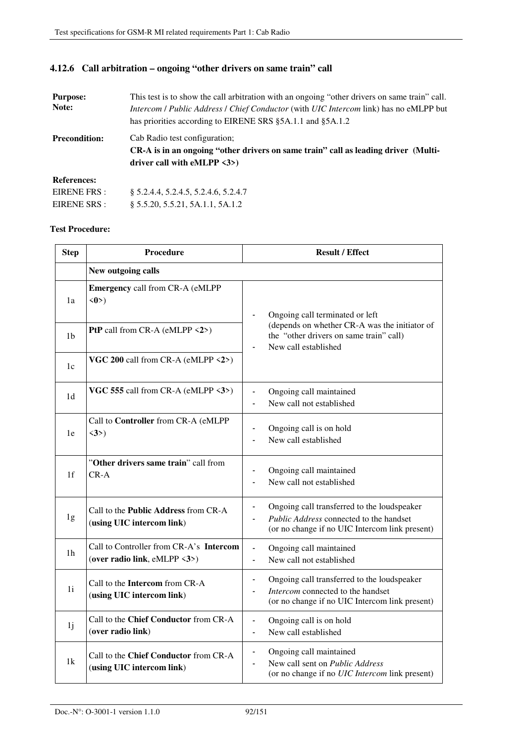### **4.12.6 Call arbitration – ongoing "other drivers on same train" call**

| <b>Purpose:</b>      | This test is to show the call arbitration with an ongoing "other drivers on same train" call. |  |  |
|----------------------|-----------------------------------------------------------------------------------------------|--|--|
| Note:                | Intercom / Public Address / Chief Conductor (with UIC Intercom link) has no eMLPP but         |  |  |
|                      | has priorities according to EIRENE SRS §5A.1.1 and §5A.1.2                                    |  |  |
| <b>Precondition:</b> | Cab Radio test configuration;                                                                 |  |  |
|                      | CR-A is in an ongoing "other drivers on same train" call as leading driver (Multi-            |  |  |
|                      | driver call with eMLPP $\langle 3 \rangle$                                                    |  |  |
| <b>References:</b>   |                                                                                               |  |  |
| EIRENE FRS :         | § 5.2.4.4, 5.2.4.5, 5.2.4.6, 5.2.4.7                                                          |  |  |
| EIRENE SRS :         | § 5.5.20, 5.5.21, 5A.1.1, 5A.1.2                                                              |  |  |

| <b>Step</b>    | <b>Procedure</b>                                                         | <b>Result / Effect</b>                                                                                                                                               |
|----------------|--------------------------------------------------------------------------|----------------------------------------------------------------------------------------------------------------------------------------------------------------------|
|                | New outgoing calls                                                       |                                                                                                                                                                      |
| 1a             | <b>Emergency call from CR-A (eMLPP</b><br>$\langle 0 \rangle$            | Ongoing call terminated or left                                                                                                                                      |
| 1b             | PtP call from CR-A (eMLPP <2>)                                           | (depends on whether CR-A was the initiator of<br>the "other drivers on same train" call)<br>New call established                                                     |
| 1c             | VGC 200 call from CR-A (eMLPP <2>)                                       |                                                                                                                                                                      |
| 1 <sub>d</sub> | VGC 555 call from CR-A (eMLPP <3>)                                       | Ongoing call maintained<br>New call not established                                                                                                                  |
| 1e             | Call to Controller from CR-A (eMLPP<br>$\langle 3 \rangle$               | Ongoing call is on hold<br>$\qquad \qquad \blacksquare$<br>New call established                                                                                      |
| 1 <sub>f</sub> | "Other drivers same train" call from<br>$CR - A$                         | Ongoing call maintained<br>$\qquad \qquad \blacksquare$<br>New call not established                                                                                  |
| 1g             | Call to the <b>Public Address</b> from CR-A<br>(using UIC intercom link) | Ongoing call transferred to the loudspeaker<br>$\overline{\phantom{a}}$<br>Public Address connected to the handset<br>(or no change if no UIC Intercom link present) |
| 1 <sub>h</sub> | Call to Controller from CR-A's Intercom<br>(over radio link, eMLPP <3>)  | Ongoing call maintained<br>$\blacksquare$<br>New call not established<br>$\overline{a}$                                                                              |
| 1i             | Call to the Intercom from CR-A<br>(using UIC intercom link)              | Ongoing call transferred to the loudspeaker<br>$\blacksquare$<br>Intercom connected to the handset<br>(or no change if no UIC Intercom link present)                 |
| 1j             | Call to the Chief Conductor from CR-A<br>(over radio link)               | Ongoing call is on hold<br>$\overline{\phantom{a}}$<br>New call established<br>$\blacksquare$                                                                        |
| 1k             | Call to the Chief Conductor from CR-A<br>(using UIC intercom link)       | Ongoing call maintained<br>$\blacksquare$<br>New call sent on Public Address<br>(or no change if no UIC Intercom link present)                                       |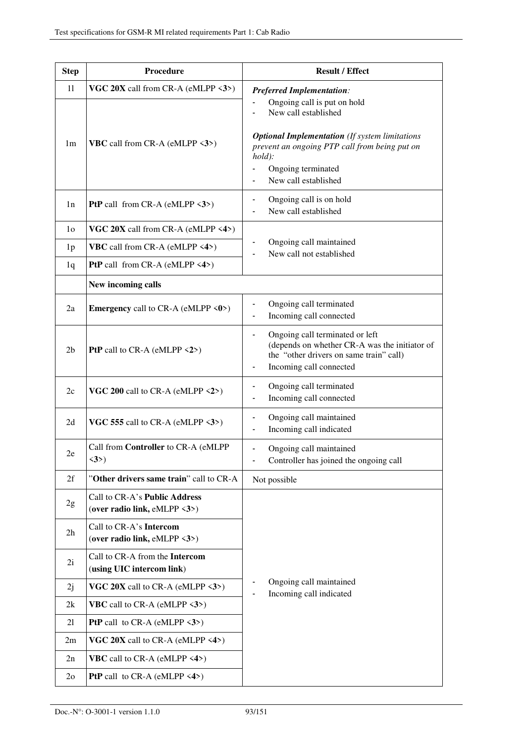| <b>Step</b>    | Procedure                                                                      | <b>Result / Effect</b>                                                                                                                                                                                                  |
|----------------|--------------------------------------------------------------------------------|-------------------------------------------------------------------------------------------------------------------------------------------------------------------------------------------------------------------------|
| 11             | VGC 20X call from CR-A (eMLPP $\langle 3 \rangle$ )                            | <b>Preferred Implementation:</b>                                                                                                                                                                                        |
| 1 <sub>m</sub> | <b>VBC</b> call from CR-A (eMLPP $\langle 3 \rangle$ )                         | Ongoing call is put on hold<br>New call established<br><b>Optional Implementation</b> (If system limitations<br>prevent an ongoing PTP call from being put on<br>$hold$ :<br>Ongoing terminated<br>New call established |
| 1n             | <b>PtP</b> call from CR-A (eMLPP $\langle 3 \rangle$ )                         | Ongoing call is on hold<br>$\blacksquare$<br>New call established                                                                                                                                                       |
| 1 <sub>o</sub> | VGC $20X$ call from CR-A (eMLPP $\langle 4 \rangle$ )                          |                                                                                                                                                                                                                         |
| 1 <sub>p</sub> | <b>VBC</b> call from CR-A (eMLPP $\langle 4 \rangle$ )                         | Ongoing call maintained<br>New call not established                                                                                                                                                                     |
| 1q             | <b>PtP</b> call from CR-A (eMLPP $\langle 4 \rangle$ )                         |                                                                                                                                                                                                                         |
|                | New incoming calls                                                             |                                                                                                                                                                                                                         |
| 2a             | <b>Emergency</b> call to CR-A (eMLPP $\langle 0 \rangle$ )                     | Ongoing call terminated<br>Incoming call connected<br>$\blacksquare$                                                                                                                                                    |
| 2 <sub>b</sub> | <b>PtP</b> call to CR-A (eMLPP $\langle 2 \rangle$ )                           | Ongoing call terminated or left<br>$\blacksquare$<br>(depends on whether CR-A was the initiator of<br>the "other drivers on same train" call)<br>Incoming call connected                                                |
| 2c             | VGC 200 call to CR-A (eMLPP $\langle 2 \rangle$ )                              | Ongoing call terminated<br>Incoming call connected<br>$\overline{\phantom{a}}$                                                                                                                                          |
| 2d             | VGC 555 call to CR-A (eMLPP $\langle 3 \rangle$ )                              | Ongoing call maintained<br>Incoming call indicated                                                                                                                                                                      |
| 2e             | Call from Controller to CR-A (eMLPP<br>$\langle 3 \rangle$                     | Ongoing call maintained<br>$\overline{\phantom{a}}$<br>Controller has joined the ongoing call                                                                                                                           |
| 2f             | "Other drivers same train" call to CR-A                                        | Not possible                                                                                                                                                                                                            |
| 2g             | Call to CR-A's Public Address<br>(over radio link, eMLPP $\langle 3 \rangle$ ) |                                                                                                                                                                                                                         |
| 2 <sub>h</sub> | Call to CR-A's Intercom<br>(over radio link, eMLPP <3>)                        |                                                                                                                                                                                                                         |
| 2i             | Call to CR-A from the Intercom<br>(using UIC intercom link)                    |                                                                                                                                                                                                                         |
| 2j             | VGC 20X call to CR-A (eMLPP $\langle 3 \rangle$ )                              | Ongoing call maintained<br>Incoming call indicated                                                                                                                                                                      |
| 2k             | <b>VBC</b> call to CR-A (eMLPP $\langle 3 \rangle$ )                           |                                                                                                                                                                                                                         |
| 21             | <b>PtP</b> call to CR-A (eMLPP $\langle 3 \rangle$ )                           |                                                                                                                                                                                                                         |
| 2m             | VGC 20X call to CR-A (eMLPP $\langle 4 \rangle$ )                              |                                                                                                                                                                                                                         |
| 2n             | <b>VBC</b> call to CR-A (eMLPP $\langle 4 \rangle$ )                           |                                                                                                                                                                                                                         |
| 2 <sub>o</sub> | <b>PtP</b> call to CR-A (eMLPP $\langle 4 \rangle$ )                           |                                                                                                                                                                                                                         |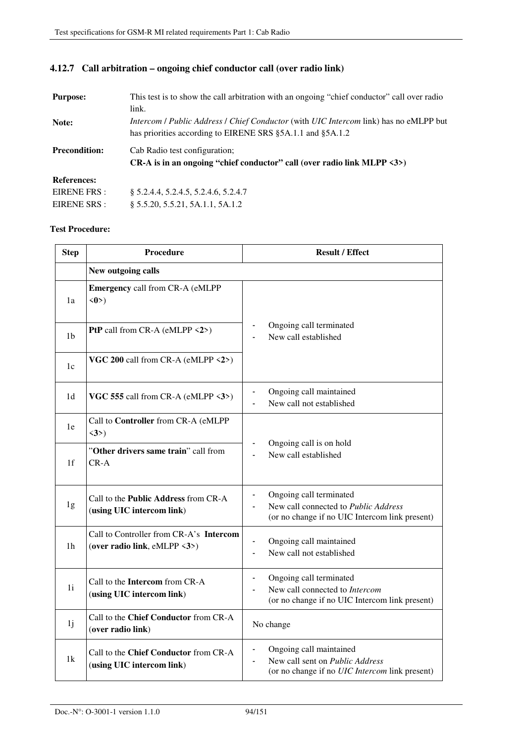| <b>Purpose:</b>      | This test is to show the call arbitration with an ongoing "chief conductor" call over radio          |
|----------------------|------------------------------------------------------------------------------------------------------|
|                      | link.                                                                                                |
| Note:                | <i>Intercom / Public Address / Chief Conductor</i> (with <i>UIC Intercom link</i> ) has no eMLPP but |
|                      | has priorities according to EIRENE SRS §5A.1.1 and §5A.1.2                                           |
| <b>Precondition:</b> | Cab Radio test configuration;                                                                        |
|                      | CR-A is in an ongoing "chief conductor" call (over radio link MLPP $\langle 3 \rangle$ )             |
| <b>References:</b>   |                                                                                                      |
| EIRENE FRS :         | § 5.2.4.4, 5.2.4.5, 5.2.4.6, 5.2.4.7                                                                 |
| EIRENE SRS :         | \$5.5.20, 5.5.21, 5A.1.1, 5A.1.2                                                                     |

### **4.12.7 Call arbitration – ongoing chief conductor call (over radio link)**

| <b>Step</b>    | <b>Procedure</b>                                                         | <b>Result / Effect</b>                                                                                                                              |
|----------------|--------------------------------------------------------------------------|-----------------------------------------------------------------------------------------------------------------------------------------------------|
|                | New outgoing calls                                                       |                                                                                                                                                     |
| 1a             | <b>Emergency call from CR-A (eMLPP</b><br>$\langle 0 \rangle$            |                                                                                                                                                     |
| 1 <sub>b</sub> | PtP call from CR-A (eMLPP <2>)                                           | Ongoing call terminated<br>New call established                                                                                                     |
| 1c             | VGC 200 call from CR-A (eMLPP $\langle 2 \rangle$ )                      |                                                                                                                                                     |
| 1d             | VGC 555 call from CR-A (eMLPP $\langle 3 \rangle$ )                      | Ongoing call maintained<br>New call not established<br>$\blacksquare$                                                                               |
| 1e             | Call to Controller from CR-A (eMLPP<br>$\langle 3 \rangle$               |                                                                                                                                                     |
| 1 <sup>f</sup> | "Other drivers same train" call from<br>$CR-A$                           | Ongoing call is on hold<br>New call established                                                                                                     |
| 1g             | Call to the <b>Public Address</b> from CR-A<br>(using UIC intercom link) | Ongoing call terminated<br>$\blacksquare$<br>New call connected to Public Address<br>(or no change if no UIC Intercom link present)                 |
| 1 <sub>h</sub> | Call to Controller from CR-A's Intercom<br>(over radio link, eMLPP <3>)  | Ongoing call maintained<br>$\blacksquare$<br>New call not established                                                                               |
| 1i             | Call to the Intercom from CR-A<br>(using UIC intercom link)              | Ongoing call terminated<br>New call connected to Intercom<br>(or no change if no UIC Intercom link present)                                         |
| 1j             | Call to the Chief Conductor from CR-A<br>(over radio link)               | No change                                                                                                                                           |
| 1k             | Call to the Chief Conductor from CR-A<br>(using UIC intercom link)       | Ongoing call maintained<br>$\qquad \qquad \blacksquare$<br>New call sent on Public Address<br>(or no change if no <i>UIC Intercom</i> link present) |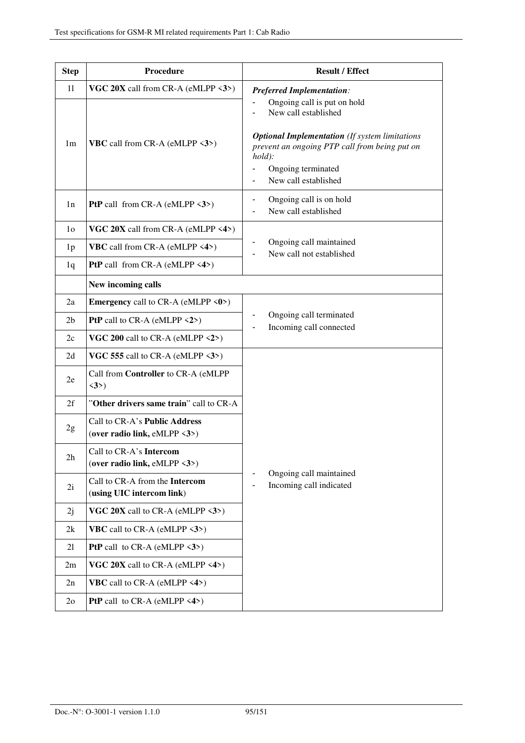| <b>Step</b>    | Procedure                                                     | <b>Result / Effect</b>                                                                                                                                                                                                  |
|----------------|---------------------------------------------------------------|-------------------------------------------------------------------------------------------------------------------------------------------------------------------------------------------------------------------------|
| 11             | VGC $20X$ call from CR-A (eMLPP $\langle 3 \rangle$ )         | <b>Preferred Implementation:</b>                                                                                                                                                                                        |
| 1 <sub>m</sub> | <b>VBC</b> call from CR-A (eMLPP $\langle 3 \rangle$ )        | Ongoing call is put on hold<br>New call established<br><b>Optional Implementation</b> (If system limitations<br>prevent an ongoing PTP call from being put on<br>$hold$ :<br>Ongoing terminated<br>New call established |
| 1n             | <b>PtP</b> call from CR-A (eMLPP $\langle 3 \rangle$ )        | Ongoing call is on hold<br>New call established                                                                                                                                                                         |
| 1 <sub>o</sub> | VGC $20X$ call from CR-A (eMLPP $\langle 4 \rangle$ )         |                                                                                                                                                                                                                         |
| 1 <sub>p</sub> | <b>VBC</b> call from CR-A (eMLPP $\langle 4 \rangle$ )        | Ongoing call maintained<br>New call not established                                                                                                                                                                     |
| 1q             | <b>PtP</b> call from CR-A (eMLPP $\langle 4 \rangle$ )        |                                                                                                                                                                                                                         |
|                | New incoming calls                                            |                                                                                                                                                                                                                         |
| 2a             | <b>Emergency</b> call to CR-A (eMLPP $\langle 0 \rangle$ )    |                                                                                                                                                                                                                         |
| 2 <sub>b</sub> | <b>PtP</b> call to CR-A (eMLPP $\langle 2 \rangle$ )          | Ongoing call terminated<br>Incoming call connected                                                                                                                                                                      |
| 2c             | VGC 200 call to CR-A (eMLPP $\langle 2 \rangle$ )             |                                                                                                                                                                                                                         |
| 2d             | VGC 555 call to CR-A (eMLPP $\langle 3 \rangle$ )             |                                                                                                                                                                                                                         |
| 2e             | Call from Controller to CR-A (eMLPP<br>$\langle 3 \rangle$    |                                                                                                                                                                                                                         |
| 2f             | "Other drivers same train" call to CR-A                       |                                                                                                                                                                                                                         |
| 2g             | Call to CR-A's Public Address<br>(over radio link, eMLPP <3>) |                                                                                                                                                                                                                         |
| 2 <sub>h</sub> | Call to CR-A's Intercom<br>(over radio link, eMLPP <3>)       |                                                                                                                                                                                                                         |
| 2i             | Call to CR-A from the Intercom<br>(using UIC intercom link)   | Ongoing call maintained<br>Incoming call indicated                                                                                                                                                                      |
| 2j             | VGC 20X call to CR-A (eMLPP $\langle 3 \rangle$ )             |                                                                                                                                                                                                                         |
| 2k             | <b>VBC</b> call to CR-A (eMLPP $\langle 3 \rangle$ )          |                                                                                                                                                                                                                         |
| 21             | <b>PtP</b> call to CR-A (eMLPP $\langle 3 \rangle$ )          |                                                                                                                                                                                                                         |
| 2m             | VGC 20X call to CR-A (eMLPP $\langle 4 \rangle$ )             |                                                                                                                                                                                                                         |
| 2n             | <b>VBC</b> call to CR-A (eMLPP $\langle 4 \rangle$ )          |                                                                                                                                                                                                                         |
| 2 <sub>o</sub> | <b>PtP</b> call to CR-A (eMLPP $\langle 4 \rangle$ )          |                                                                                                                                                                                                                         |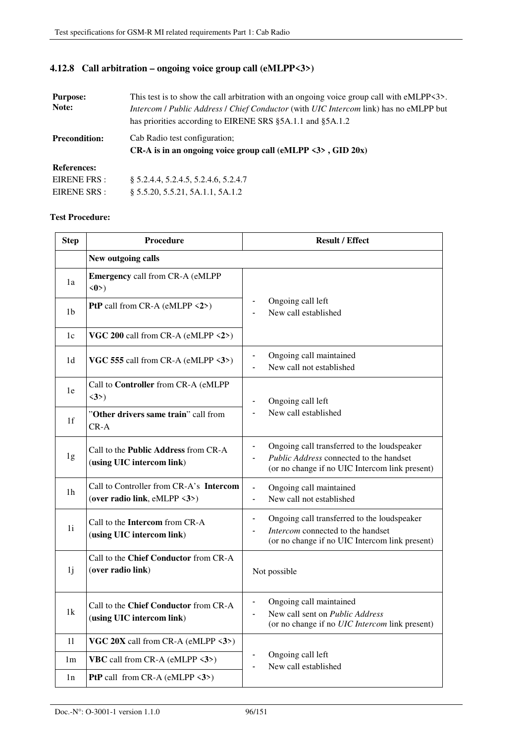### **4.12.8 Call arbitration – ongoing voice group call (eMLPP<3>)**

| This test is to show the call arbitration with an ongoing voice group call with eMLPP<3>.<br><b>Purpose:</b><br>Note:<br>Intercom / Public Address / Chief Conductor (with UIC Intercom link) has no eMLPP but<br>has priorities according to EIRENE SRS §5A.1.1 and §5A.1.2 |                                                                                                               |
|------------------------------------------------------------------------------------------------------------------------------------------------------------------------------------------------------------------------------------------------------------------------------|---------------------------------------------------------------------------------------------------------------|
| <b>Precondition:</b>                                                                                                                                                                                                                                                         | Cab Radio test configuration;<br>CR-A is in an ongoing voice group call (eMLPP $\langle 3 \rangle$ , GID 20x) |
| <b>References:</b>                                                                                                                                                                                                                                                           |                                                                                                               |
| EIRENE FRS:                                                                                                                                                                                                                                                                  | § 5.2.4.4, 5.2.4.5, 5.2.4.6, 5.2.4.7                                                                          |
| EIRENE SRS :                                                                                                                                                                                                                                                                 | § 5.5.20, 5.5.21, 5A.1.1, 5A.1.2                                                                              |

| <b>Step</b>    | <b>Procedure</b>                                                                         | <b>Result / Effect</b>                                                                                                                                     |
|----------------|------------------------------------------------------------------------------------------|------------------------------------------------------------------------------------------------------------------------------------------------------------|
|                | New outgoing calls                                                                       |                                                                                                                                                            |
| 1a             | Emergency call from CR-A (eMLPP<br>$\langle 0 \rangle$                                   |                                                                                                                                                            |
| 1b             | PtP call from CR-A (eMLPP <2>)                                                           | Ongoing call left<br>$\blacksquare$<br>New call established                                                                                                |
| 1c             | VGC 200 call from CR-A (eMLPP $\langle 2 \rangle$ )                                      |                                                                                                                                                            |
| 1 <sub>d</sub> | VGC 555 call from CR-A (eMLPP <3>)                                                       | Ongoing call maintained<br>$\blacksquare$<br>New call not established                                                                                      |
| 1e             | Call to Controller from CR-A (eMLPP<br>$\langle 3 \rangle$                               | Ongoing call left                                                                                                                                          |
| 1f             | "Other drivers same train" call from<br>$CR-A$                                           | New call established<br>$\blacksquare$                                                                                                                     |
| 1g             | Call to the <b>Public Address</b> from CR-A<br>(using UIC intercom link)                 | Ongoing call transferred to the loudspeaker<br>$\blacksquare$<br>Public Address connected to the handset<br>(or no change if no UIC Intercom link present) |
| 1h             | Call to Controller from CR-A's Intercom<br>(over radio link, eMLPP $\langle 3 \rangle$ ) | Ongoing call maintained<br>$\blacksquare$<br>New call not established<br>÷,                                                                                |
| 1i             | Call to the <b>Intercom</b> from CR-A<br>(using UIC intercom link)                       | Ongoing call transferred to the loudspeaker<br>$\blacksquare$<br>Intercom connected to the handset<br>(or no change if no UIC Intercom link present)       |
| 1j             | Call to the Chief Conductor from CR-A<br>(over radio link)                               | Not possible                                                                                                                                               |
| 1k             | Call to the Chief Conductor from CR-A<br>(using UIC intercom link)                       | Ongoing call maintained<br>$\blacksquare$<br>New call sent on Public Address<br>(or no change if no <i>UIC Intercom</i> link present)                      |
| 11             | VGC $20X$ call from CR-A (eMLPP $\langle 3 \rangle$ )                                    |                                                                                                                                                            |
| 1 <sub>m</sub> | <b>VBC</b> call from CR-A (eMLPP $\langle 3 \rangle$ )                                   | Ongoing call left<br>$\blacksquare$<br>New call established                                                                                                |
| 1n             | <b>PtP</b> call from CR-A (eMLPP $\langle 3 \rangle$ )                                   |                                                                                                                                                            |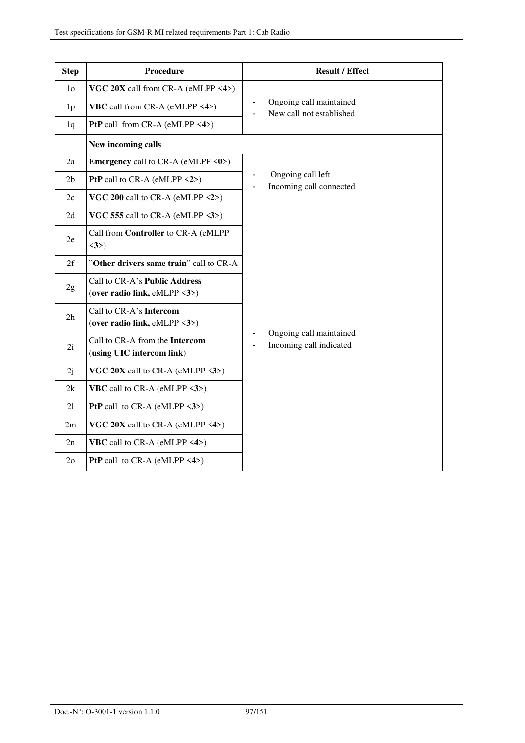| <b>Step</b>    | <b>Procedure</b>                                              | <b>Result / Effect</b>                              |
|----------------|---------------------------------------------------------------|-----------------------------------------------------|
| 1 <sub>o</sub> | VGC 20X call from CR-A (eMLPP <4>)                            |                                                     |
| 1 <sub>p</sub> | <b>VBC</b> call from CR-A (eMLPP <4>)                         | Ongoing call maintained<br>New call not established |
| 1q             | PtP call from CR-A (eMLPP $\langle 4 \rangle$ )               |                                                     |
|                | New incoming calls                                            |                                                     |
| 2a             | <b>Emergency</b> call to CR-A (eMLPP $\langle 0 \rangle$ )    |                                                     |
| 2 <sub>b</sub> | PtP call to $CR-A$ (eMLPP $\langle 2 \rangle$ )               | Ongoing call left<br>Incoming call connected        |
| 2c             | VGC 200 call to CR-A (eMLPP $\langle 2 \rangle$ )             |                                                     |
| 2d             | VGC 555 call to CR-A (eMLPP $\langle 3 \rangle$ )             |                                                     |
| 2e             | Call from Controller to CR-A (eMLPP<br>$\langle 3 \rangle$    |                                                     |
| 2f             | "Other drivers same train" call to CR-A                       |                                                     |
| 2g             | Call to CR-A's Public Address<br>(over radio link, eMLPP <3>) |                                                     |
| 2h             | Call to CR-A's Intercom<br>(over radio link, eMLPP <3>)       |                                                     |
| 2i             | Call to CR-A from the Intercom<br>(using UIC intercom link)   | Ongoing call maintained<br>Incoming call indicated  |
| 2j             | VGC 20X call to CR-A (eMLPP <3>)                              |                                                     |
| 2k             | <b>VBC</b> call to CR-A (eMLPP $\langle 3 \rangle$ )          |                                                     |
| 21             | <b>PtP</b> call to CR-A (eMLPP $\langle 3 \rangle$ )          |                                                     |
| 2m             | VGC $20X$ call to CR-A (eMLPP <4>)                            |                                                     |
| 2n             | <b>VBC</b> call to CR-A (eMLPP $\langle 4 \rangle$ )          |                                                     |
| $2\sigma$      | <b>PtP</b> call to $CR-A$ (eMLPP $\langle 4 \rangle$ )        |                                                     |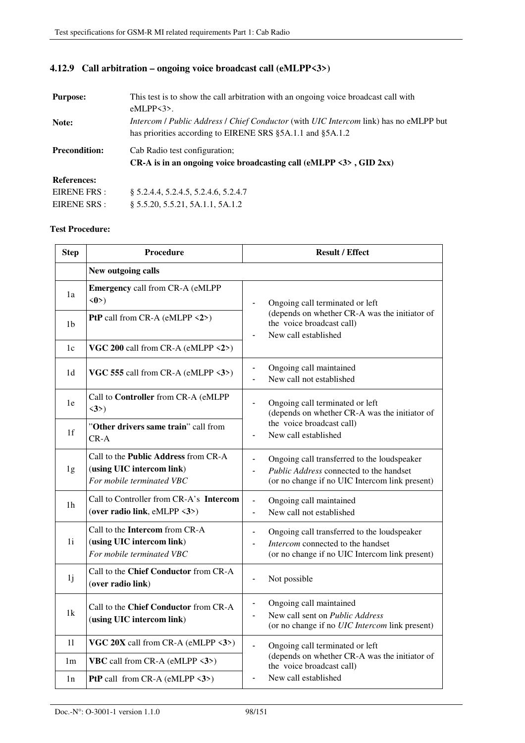### **4.12.9 Call arbitration – ongoing voice broadcast call (eMLPP<3>)**

| <b>Purpose:</b>      | This test is to show the call arbitration with an ongoing voice broadcast call with                  |  |
|----------------------|------------------------------------------------------------------------------------------------------|--|
|                      | $eMLPP3$ .                                                                                           |  |
| Note:                | <i>Intercom / Public Address / Chief Conductor</i> (with <i>UIC Intercom link</i> ) has no eMLPP but |  |
|                      | has priorities according to EIRENE SRS §5A.1.1 and §5A.1.2                                           |  |
| <b>Precondition:</b> | Cab Radio test configuration;                                                                        |  |
|                      | CR-A is in an ongoing voice broadcasting call (eMLPP $\langle 3 \rangle$ , GID 2xx)                  |  |
| <b>References:</b>   |                                                                                                      |  |
| EIRENE FRS :         | § 5.2.4.4, 5.2.4.5, 5.2.4.6, 5.2.4.7                                                                 |  |
| EIRENE SRS :         | § 5.5.20, 5.5.21, 5A.1.1, 5A.1.2                                                                     |  |

| <b>Step</b>    | Procedure                                                                                             | <b>Result / Effect</b>                                                                                                                                             |
|----------------|-------------------------------------------------------------------------------------------------------|--------------------------------------------------------------------------------------------------------------------------------------------------------------------|
|                | New outgoing calls                                                                                    |                                                                                                                                                                    |
| 1a             | <b>Emergency call from CR-A (eMLPP</b><br>$\langle 0 \rangle$                                         | Ongoing call terminated or left<br>$\blacksquare$                                                                                                                  |
| 1 <sub>b</sub> | PtP call from CR-A (eMLPP <2>)                                                                        | (depends on whether CR-A was the initiator of<br>the voice broadcast call)<br>New call established<br>$\blacksquare$                                               |
| 1c             | VGC 200 call from CR-A (eMLPP <2>)                                                                    |                                                                                                                                                                    |
| 1d             | VGC 555 call from CR-A (eMLPP $\langle 3 \rangle$ )                                                   | Ongoing call maintained<br>$\blacksquare$<br>New call not established                                                                                              |
| 1e             | Call to Controller from CR-A (eMLPP<br>$\langle 3 \rangle$                                            | Ongoing call terminated or left<br>(depends on whether CR-A was the initiator of                                                                                   |
| 1f             | "Other drivers same train" call from<br>$CR-A$                                                        | the voice broadcast call)<br>New call established                                                                                                                  |
| 1g             | Call to the <b>Public Address</b> from CR-A<br>(using UIC intercom link)<br>For mobile terminated VBC | Ongoing call transferred to the loudspeaker<br>$\blacksquare$<br>Public Address connected to the handset<br>(or no change if no UIC Intercom link present)         |
| 1 <sub>h</sub> | Call to Controller from CR-A's Intercom<br>(over radio link, eMLPP <3>)                               | Ongoing call maintained<br>$\blacksquare$<br>New call not established<br>ä,                                                                                        |
| 1i             | Call to the Intercom from CR-A<br>(using UIC intercom link)<br>For mobile terminated VBC              | Ongoing call transferred to the loudspeaker<br>$\qquad \qquad \blacksquare$<br>Intercom connected to the handset<br>(or no change if no UIC Intercom link present) |
| 1j             | Call to the Chief Conductor from CR-A<br>(over radio link)                                            | Not possible<br>$\qquad \qquad \blacksquare$                                                                                                                       |
| 1k             | Call to the <b>Chief Conductor</b> from CR-A<br>(using UIC intercom link)                             | Ongoing call maintained<br>$\overline{\phantom{a}}$<br>New call sent on Public Address<br>$\blacksquare$<br>(or no change if no <i>UIC Intercom</i> link present)  |
| 11             | VGC $20X$ call from CR-A (eMLPP <3>)                                                                  | Ongoing call terminated or left<br>ä,                                                                                                                              |
| 1 <sub>m</sub> | <b>VBC</b> call from CR-A (eMLPP $\langle 3 \rangle$ )                                                | (depends on whether CR-A was the initiator of<br>the voice broadcast call)                                                                                         |
| 1n             | <b>PtP</b> call from CR-A (eMLPP $\langle 3 \rangle$ )                                                | New call established<br>$\blacksquare$                                                                                                                             |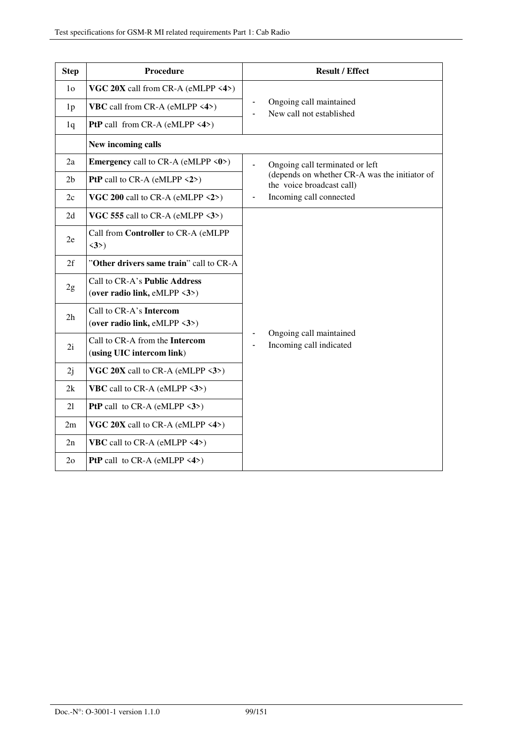| <b>Step</b>    | <b>Procedure</b>                                                               | <b>Result / Effect</b>                                                     |
|----------------|--------------------------------------------------------------------------------|----------------------------------------------------------------------------|
| 1 <sub>o</sub> | VGC 20X call from CR-A (eMLPP <4>)                                             |                                                                            |
| 1 <sub>p</sub> | <b>VBC</b> call from CR-A (eMLPP $\langle 4 \rangle$ )                         | Ongoing call maintained<br>New call not established                        |
| 1q             | PtP call from CR-A (eMLPP <4>)                                                 |                                                                            |
|                | New incoming calls                                                             |                                                                            |
| 2a             | <b>Emergency</b> call to CR-A (eMLPP $\langle 0 \rangle$ )                     | Ongoing call terminated or left                                            |
| 2 <sub>b</sub> | PtP call to CR-A (eMLPP <2>)                                                   | (depends on whether CR-A was the initiator of<br>the voice broadcast call) |
| 2c             | VGC 200 call to CR-A (eMLPP $\langle 2 \rangle$ )                              | Incoming call connected                                                    |
| 2d             | VGC 555 call to CR-A (eMLPP <3>)                                               |                                                                            |
| 2e             | Call from Controller to CR-A (eMLPP<br>$\langle 3 \rangle$                     |                                                                            |
| 2f             | "Other drivers same train" call to CR-A                                        |                                                                            |
| 2g             | Call to CR-A's Public Address<br>(over radio link, eMLPP $\langle 3 \rangle$ ) |                                                                            |
| 2h             | Call to CR-A's Intercom<br>(over radio link, eMLPP <3>)                        |                                                                            |
| 2i             | Call to CR-A from the Intercom<br>(using UIC intercom link)                    | Ongoing call maintained<br>Incoming call indicated                         |
| 2j             | VGC $20X$ call to CR-A (eMLPP $\langle 3 \rangle$ )                            |                                                                            |
| 2k             | <b>VBC</b> call to CR-A (eMLPP $\langle 3 \rangle$ )                           |                                                                            |
| 21             | <b>PtP</b> call to $CR-A$ (eMLPP $\langle 3 \rangle$ )                         |                                                                            |
| 2m             | VGC $20X$ call to CR-A (eMLPP <4>)                                             |                                                                            |
| 2n             | <b>VBC</b> call to CR-A (eMLPP $\langle 4 \rangle$ )                           |                                                                            |
| 2 <sub>o</sub> | <b>PtP</b> call to CR-A (eMLPP $\langle 4 \rangle$ )                           |                                                                            |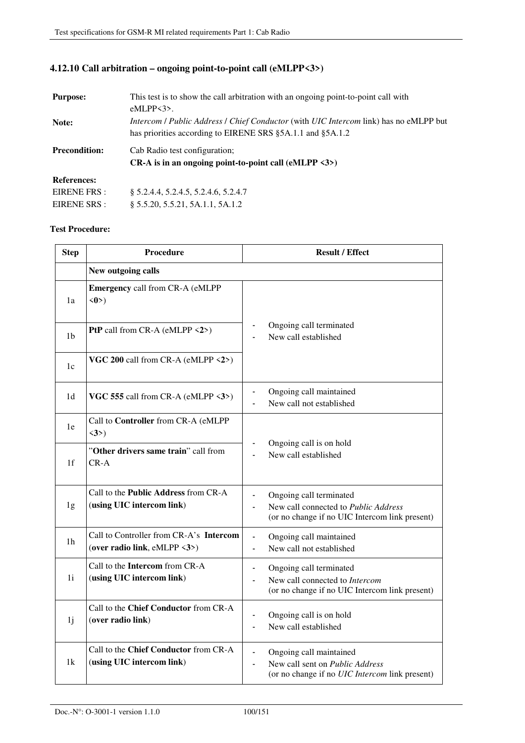### **4.12.10 Call arbitration – ongoing point-to-point call (eMLPP<3>)**

| <b>Purpose:</b>      | This test is to show the call arbitration with an ongoing point-to-point call with                   |
|----------------------|------------------------------------------------------------------------------------------------------|
|                      | $eMLPP3$ .                                                                                           |
| Note:                | <i>Intercom / Public Address / Chief Conductor</i> (with <i>UIC Intercom link</i> ) has no eMLPP but |
|                      | has priorities according to EIRENE SRS §5A.1.1 and §5A.1.2                                           |
| <b>Precondition:</b> | Cab Radio test configuration:                                                                        |
|                      | CR-A is in an ongoing point-to-point call $(eMLPP < 3$ )                                             |
| <b>References:</b>   |                                                                                                      |
| EIRENE FRS :         | § 5.2.4.4, 5.2.4.5, 5.2.4.6, 5.2.4.7                                                                 |
| EIRENE SRS :         | § 5.5.20, 5.5.21, 5A.1.1, 5A.1.2                                                                     |

| <b>Step</b>    | <b>Procedure</b>                                                        | <b>Result / Effect</b>                                                                                                                |
|----------------|-------------------------------------------------------------------------|---------------------------------------------------------------------------------------------------------------------------------------|
|                | New outgoing calls                                                      |                                                                                                                                       |
| 1a             | <b>Emergency call from CR-A (eMLPP</b><br>$\langle 0 \rangle$           |                                                                                                                                       |
| 1b             | PtP call from CR-A (eMLPP <2>)                                          | Ongoing call terminated<br>New call established                                                                                       |
| 1c             | VGC 200 call from CR-A (eMLPP <2>)                                      |                                                                                                                                       |
| 1 <sub>d</sub> | VGC 555 call from CR-A (eMLPP <3>)                                      | Ongoing call maintained<br>New call not established                                                                                   |
| 1e             | Call to Controller from CR-A (eMLPP<br>$\langle 3 \rangle$              |                                                                                                                                       |
| 1f             | "Other drivers same train" call from<br>$CR-A$                          | Ongoing call is on hold<br>New call established<br>$\blacksquare$                                                                     |
| 1g             | Call to the Public Address from CR-A<br>(using UIC intercom link)       | Ongoing call terminated<br>$\blacksquare$<br>New call connected to Public Address<br>(or no change if no UIC Intercom link present)   |
| 1 <sub>h</sub> | Call to Controller from CR-A's Intercom<br>(over radio link, eMLPP <3>) | Ongoing call maintained<br>$\blacksquare$<br>New call not established<br>÷,                                                           |
| 1i             | Call to the Intercom from CR-A<br>(using UIC intercom link)             | Ongoing call terminated<br>$\blacksquare$<br>New call connected to Intercom<br>ä,<br>(or no change if no UIC Intercom link present)   |
| 1j             | Call to the Chief Conductor from CR-A<br>(over radio link)              | Ongoing call is on hold<br>$\qquad \qquad \blacksquare$<br>New call established<br>$\blacksquare$                                     |
| 1k             | Call to the Chief Conductor from CR-A<br>(using UIC intercom link)      | Ongoing call maintained<br>New call sent on Public Address<br>$\overline{a}$<br>(or no change if no <i>UIC Intercom</i> link present) |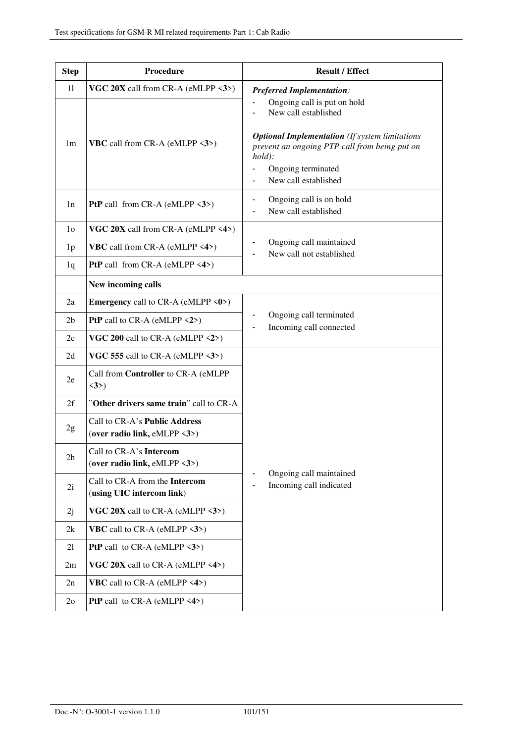| <b>Step</b>    | Procedure                                                                      | <b>Result / Effect</b>                                                                                                                                                                                                  |
|----------------|--------------------------------------------------------------------------------|-------------------------------------------------------------------------------------------------------------------------------------------------------------------------------------------------------------------------|
| 11             | VGC $20X$ call from CR-A (eMLPP $\langle 3 \rangle$ )                          | <b>Preferred Implementation:</b>                                                                                                                                                                                        |
| 1 <sub>m</sub> | <b>VBC</b> call from CR-A (eMLPP <3>)                                          | Ongoing call is put on hold<br>New call established<br><b>Optional Implementation</b> (If system limitations<br>prevent an ongoing PTP call from being put on<br>$hold$ :<br>Ongoing terminated<br>New call established |
| 1n             | <b>PtP</b> call from CR-A (eMLPP $\langle 3 \rangle$ )                         | Ongoing call is on hold<br>-<br>New call established                                                                                                                                                                    |
| 1 <sub>0</sub> | VGC 20X call from CR-A (eMLPP <4>)                                             |                                                                                                                                                                                                                         |
| 1 <sub>p</sub> | <b>VBC</b> call from CR-A (eMLPP $\langle 4 \rangle$ )                         | Ongoing call maintained<br>New call not established                                                                                                                                                                     |
| 1q             | <b>PtP</b> call from CR-A (eMLPP $\langle 4 \rangle$ )                         |                                                                                                                                                                                                                         |
|                | New incoming calls                                                             |                                                                                                                                                                                                                         |
| 2a             | <b>Emergency</b> call to CR-A (eMLPP $\langle 0 \rangle$ )                     |                                                                                                                                                                                                                         |
| 2 <sub>b</sub> | <b>PtP</b> call to CR-A (eMLPP $\langle 2 \rangle$ )                           | Ongoing call terminated<br>Incoming call connected                                                                                                                                                                      |
| 2c             | VGC 200 call to CR-A (eMLPP $\langle 2 \rangle$ )                              |                                                                                                                                                                                                                         |
| 2d             | VGC 555 call to CR-A (eMLPP $\langle 3 \rangle$ )                              |                                                                                                                                                                                                                         |
| 2e             | Call from Controller to CR-A (eMLPP<br>$\langle 3 \rangle$                     |                                                                                                                                                                                                                         |
| 2f             | "Other drivers same train" call to CR-A                                        |                                                                                                                                                                                                                         |
| 2g             | Call to CR-A's Public Address<br>(over radio link, eMLPP $\langle 3 \rangle$ ) |                                                                                                                                                                                                                         |
| 2h             | Call to CR-A's Intercom<br>(over radio link, eMLPP <3>)                        |                                                                                                                                                                                                                         |
| 2i             | Call to CR-A from the Intercom<br>(using UIC intercom link)                    | Ongoing call maintained<br>Incoming call indicated                                                                                                                                                                      |
| 2j             | VGC 20X call to CR-A (eMLPP $\langle 3 \rangle$ )                              |                                                                                                                                                                                                                         |
| 2k             | <b>VBC</b> call to CR-A (eMLPP $\langle 3 \rangle$ )                           |                                                                                                                                                                                                                         |
| 21             | <b>PtP</b> call to CR-A (eMLPP $\langle 3 \rangle$ )                           |                                                                                                                                                                                                                         |
| 2m             | VGC 20X call to CR-A (eMLPP $\langle 4 \rangle$ )                              |                                                                                                                                                                                                                         |
| 2n             | <b>VBC</b> call to CR-A (eMLPP $\langle 4 \rangle$ )                           |                                                                                                                                                                                                                         |
| 2 <sub>o</sub> | <b>PtP</b> call to CR-A (eMLPP $\langle 4 \rangle$ )                           |                                                                                                                                                                                                                         |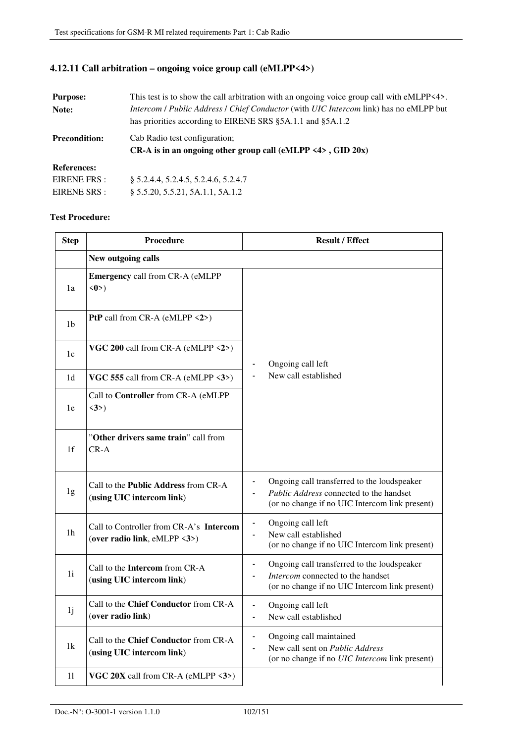### **4.12.11 Call arbitration – ongoing voice group call (eMLPP<4>)**

| <b>Purpose:</b>      | This test is to show the call arbitration with an ongoing voice group call with eMLPP<4>. |
|----------------------|-------------------------------------------------------------------------------------------|
| Note:                | Intercom / Public Address / Chief Conductor (with UIC Intercom link) has no eMLPP but     |
|                      | has priorities according to EIRENE SRS §5A.1.1 and §5A.1.2                                |
| <b>Precondition:</b> | Cab Radio test configuration;                                                             |
|                      | CR-A is in an ongoing other group call (eMLPP $\langle 4 \rangle$ , GID 20x)              |
| <b>References:</b>   |                                                                                           |
| EIRENE FRS :         | § 5.2.4.4, 5.2.4.5, 5.2.4.6, 5.2.4.7                                                      |
| EIRENE SRS :         | § 5.5.20, 5.5.21, 5A.1.1, 5A.1.2                                                          |

| <b>Step</b>    | <b>Procedure</b>                                                        | <b>Result / Effect</b>                                                                                                                                         |
|----------------|-------------------------------------------------------------------------|----------------------------------------------------------------------------------------------------------------------------------------------------------------|
|                | New outgoing calls                                                      |                                                                                                                                                                |
| 1a             | <b>Emergency call from CR-A (eMLPP</b><br>$\langle 0 \rangle$           |                                                                                                                                                                |
| 1 <sub>b</sub> | PtP call from CR-A (eMLPP <2>)                                          |                                                                                                                                                                |
| 1c             | VGC 200 call from CR-A (eMLPP <2>)                                      | Ongoing call left                                                                                                                                              |
| 1 <sub>d</sub> | VGC 555 call from CR-A (eMLPP <3>)                                      | New call established                                                                                                                                           |
| 1e             | Call to Controller from CR-A (eMLPP<br>$\langle 3 \rangle$              |                                                                                                                                                                |
| 1 <sub>f</sub> | "Other drivers same train" call from<br>$CR-A$                          |                                                                                                                                                                |
| 1g             | Call to the Public Address from CR-A<br>(using UIC intercom link)       | Ongoing call transferred to the loudspeaker<br>Public Address connected to the handset<br>(or no change if no UIC Intercom link present)                       |
| 1 <sub>h</sub> | Call to Controller from CR-A's Intercom<br>(over radio link, eMLPP <3>) | Ongoing call left<br>New call established<br>$\blacksquare$<br>(or no change if no UIC Intercom link present)                                                  |
| 1i             | Call to the Intercom from CR-A<br>(using UIC intercom link)             | Ongoing call transferred to the loudspeaker<br>$\overline{\phantom{a}}$<br>Intercom connected to the handset<br>(or no change if no UIC Intercom link present) |
| 1j             | Call to the Chief Conductor from CR-A<br>(over radio link)              | Ongoing call left<br>New call established                                                                                                                      |
| 1k             | Call to the Chief Conductor from CR-A<br>(using UIC intercom link)      | Ongoing call maintained<br>New call sent on Public Address<br>(or no change if no UIC Intercom link present)                                                   |
| 11             | VGC $20X$ call from CR-A (eMLPP $\langle 3 \rangle$ )                   |                                                                                                                                                                |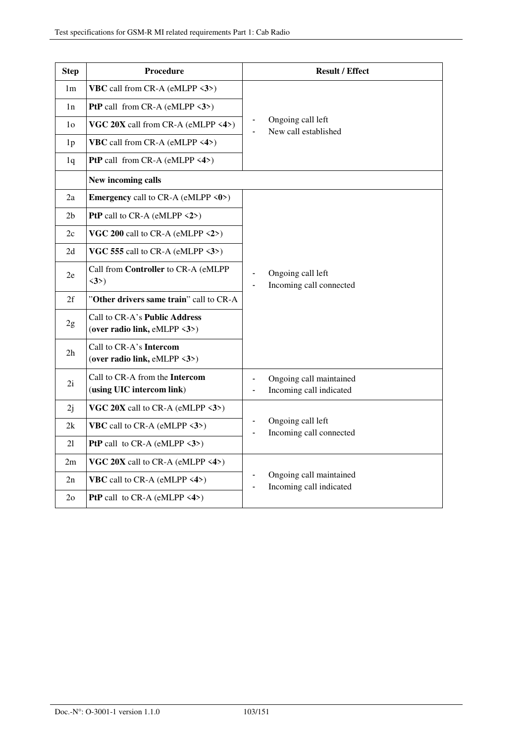| <b>Step</b>    | <b>Procedure</b>                                                               | <b>Result / Effect</b>                                               |
|----------------|--------------------------------------------------------------------------------|----------------------------------------------------------------------|
| 1 <sub>m</sub> | <b>VBC</b> call from CR-A (eMLPP $\langle 3 \rangle$ )                         |                                                                      |
| 1n             | <b>PtP</b> call from CR-A (eMLPP $\langle 3 \rangle$ )                         |                                                                      |
| 1 <sub>o</sub> | VGC $20X$ call from CR-A (eMLPP <4>)                                           | Ongoing call left<br>New call established                            |
| 1 <sub>p</sub> | VBC call from CR-A (eMLPP <4>)                                                 |                                                                      |
| 1q             | PtP call from CR-A (eMLPP <4>)                                                 |                                                                      |
|                | New incoming calls                                                             |                                                                      |
| 2a             | <b>Emergency</b> call to CR-A (eMLPP $\langle 0 \rangle$ )                     |                                                                      |
| 2 <sub>b</sub> | <b>PtP</b> call to CR-A (eMLPP $\langle 2 \rangle$ )                           |                                                                      |
| 2c             | VGC 200 call to CR-A (eMLPP $\langle 2 \rangle$ )                              |                                                                      |
| 2d             | VGC 555 call to CR-A (eMLPP $\langle 3 \rangle$ )                              |                                                                      |
| 2e             | Call from Controller to CR-A (eMLPP<br>$\langle 3 \rangle$                     | Ongoing call left<br>Incoming call connected<br>$\blacksquare$       |
| 2f             | "Other drivers same train" call to CR-A                                        |                                                                      |
| 2g             | Call to CR-A's Public Address<br>(over radio link, eMLPP $\langle 3 \rangle$ ) |                                                                      |
| 2 <sub>h</sub> | Call to CR-A's Intercom<br>(over radio link, eMLPP $\langle 3 \rangle$ )       |                                                                      |
| 2i             | Call to CR-A from the Intercom<br>(using UIC intercom link)                    | Ongoing call maintained<br>Incoming call indicated<br>$\blacksquare$ |
| 2j             | VGC 20X call to CR-A (eMLPP $\langle 3 \rangle$ )                              |                                                                      |
| 2k             | <b>VBC</b> call to CR-A (eMLPP $\langle 3 \rangle$ )                           | Ongoing call left<br>Incoming call connected                         |
| 21             | <b>PtP</b> call to CR-A (eMLPP $\langle 3 \rangle$ )                           |                                                                      |
| 2m             | VGC 20X call to CR-A (eMLPP $\langle 4 \rangle$ )                              |                                                                      |
| 2n             | <b>VBC</b> call to CR-A (eMLPP $\langle 4 \rangle$ )                           | Ongoing call maintained<br>Incoming call indicated                   |
| 2 <sub>o</sub> | <b>PtP</b> call to CR-A (eMLPP $\langle 4 \rangle$ )                           |                                                                      |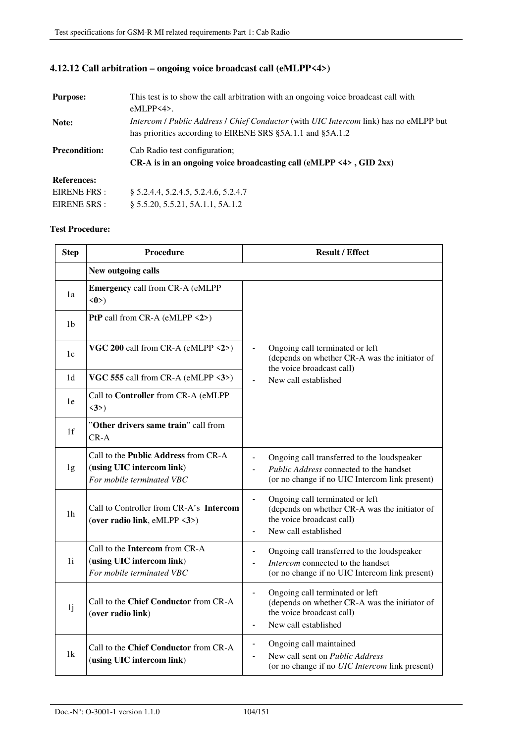## **4.12.12 Call arbitration – ongoing voice broadcast call (eMLPP<4>)**

| <b>Purpose:</b>      | This test is to show the call arbitration with an ongoing voice broadcast call with                  |  |
|----------------------|------------------------------------------------------------------------------------------------------|--|
|                      | $eMLPP<4$ .                                                                                          |  |
| Note:                | <i>Intercom   Public Address   Chief Conductor</i> (with <i>UIC Intercom link</i> ) has no eMLPP but |  |
|                      | has priorities according to EIRENE SRS §5A.1.1 and §5A.1.2                                           |  |
| <b>Precondition:</b> | Cab Radio test configuration;                                                                        |  |
|                      | CR-A is in an ongoing voice broadcasting call (eMLPP $\langle 4 \rangle$ , GID 2xx)                  |  |
| <b>References:</b>   |                                                                                                      |  |
| EIRENE FRS :         | § 5.2.4.4, 5.2.4.5, 5.2.4.6, 5.2.4.7                                                                 |  |
| EIRENE SRS :         | § 5.5.20, 5.5.21, 5A.1.1, 5A.1.2                                                                     |  |

| <b>Step</b>    | Procedure                                                                                      | <b>Result / Effect</b>                                                                                                                                                             |
|----------------|------------------------------------------------------------------------------------------------|------------------------------------------------------------------------------------------------------------------------------------------------------------------------------------|
|                | New outgoing calls                                                                             |                                                                                                                                                                                    |
| 1a             | <b>Emergency call from CR-A (eMLPP</b><br>$\langle 0 \rangle$                                  |                                                                                                                                                                                    |
| 1 <sub>b</sub> | <b>PtP</b> call from CR-A (eMLPP $\langle 2 \rangle$ )                                         |                                                                                                                                                                                    |
| 1c             | VGC 200 call from CR-A (eMLPP <2>)                                                             | Ongoing call terminated or left<br>$\overline{\phantom{a}}$<br>(depends on whether CR-A was the initiator of<br>the voice broadcast call)                                          |
| 1 <sub>d</sub> | VGC 555 call from CR-A (eMLPP <3>)                                                             | New call established<br>$\frac{1}{2}$                                                                                                                                              |
| 1e             | Call to Controller from CR-A (eMLPP<br>$\langle 3 \rangle$                                     |                                                                                                                                                                                    |
| 1f             | "Other drivers same train" call from<br>$CR-A$                                                 |                                                                                                                                                                                    |
| 1g             | Call to the Public Address from CR-A<br>(using UIC intercom link)<br>For mobile terminated VBC | Ongoing call transferred to the loudspeaker<br>Public Address connected to the handset<br>(or no change if no UIC Intercom link present)                                           |
| 1 <sub>h</sub> | Call to Controller from CR-A's Intercom<br>(over radio link, eMLPP <3>)                        | Ongoing call terminated or left<br>$\frac{1}{2}$<br>(depends on whether CR-A was the initiator of<br>the voice broadcast call)<br>New call established<br>$\overline{\phantom{0}}$ |
| 1i             | Call to the Intercom from CR-A<br>(using UIC intercom link)<br>For mobile terminated VBC       | Ongoing call transferred to the loudspeaker<br>$\overline{\phantom{0}}$<br>Intercom connected to the handset<br>L,<br>(or no change if no UIC Intercom link present)               |
| 1j             | Call to the Chief Conductor from CR-A<br>(over radio link)                                     | Ongoing call terminated or left<br>$\blacksquare$<br>(depends on whether CR-A was the initiator of<br>the voice broadcast call)<br>New call established<br>$\blacksquare$          |
| 1k             | Call to the Chief Conductor from CR-A<br>(using UIC intercom link)                             | Ongoing call maintained<br>$\qquad \qquad \blacksquare$<br>New call sent on Public Address<br>ä,<br>(or no change if no UIC Intercom link present)                                 |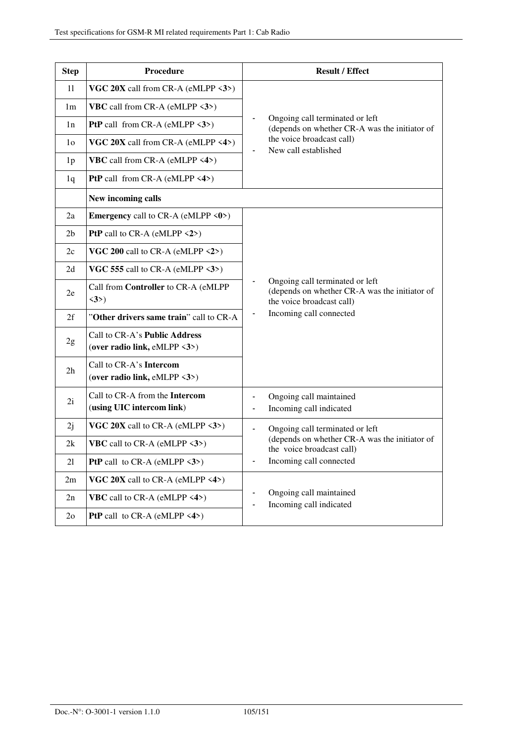| <b>Step</b>    | Procedure                                                                      | <b>Result / Effect</b>                                                                                        |
|----------------|--------------------------------------------------------------------------------|---------------------------------------------------------------------------------------------------------------|
| 11             | VGC $20X$ call from CR-A (eMLPP $\langle 3 \rangle$ )                          |                                                                                                               |
| 1 <sub>m</sub> | <b>VBC</b> call from CR-A (eMLPP $\langle 3 \rangle$ )                         |                                                                                                               |
| 1n             | <b>PtP</b> call from CR-A (eMLPP $\langle 3 \rangle$ )                         | Ongoing call terminated or left<br>(depends on whether CR-A was the initiator of                              |
| 1 <sub>o</sub> | VGC $20X$ call from CR-A (eMLPP <4>)                                           | the voice broadcast call)<br>New call established                                                             |
| 1 <sub>p</sub> | <b>VBC</b> call from CR-A (eMLPP $\langle 4 \rangle$ )                         |                                                                                                               |
| 1q             | <b>PtP</b> call from CR-A (eMLPP $\langle 4 \rangle$ )                         |                                                                                                               |
|                | New incoming calls                                                             |                                                                                                               |
| 2a             | <b>Emergency</b> call to CR-A (eMLPP $\langle 0 \rangle$ )                     |                                                                                                               |
| 2 <sub>b</sub> | PtP call to CR-A (eMLPP <2>)                                                   |                                                                                                               |
| 2c             | VGC 200 call to CR-A (eMLPP $\langle 2 \rangle$ )                              |                                                                                                               |
| 2d             | VGC 555 call to CR-A (eMLPP $\langle 3 \rangle$ )                              |                                                                                                               |
| 2e             | Call from Controller to CR-A (eMLPP<br>$\langle 3 \rangle$                     | Ongoing call terminated or left<br>(depends on whether CR-A was the initiator of<br>the voice broadcast call) |
| 2f             | "Other drivers same train" call to CR-A                                        | Incoming call connected                                                                                       |
| 2g             | Call to CR-A's Public Address<br>(over radio link, eMLPP $\langle 3 \rangle$ ) |                                                                                                               |
| 2h             | Call to CR-A's Intercom<br>(over radio link, eMLPP <3>)                        |                                                                                                               |
| 2i             | Call to CR-A from the Intercom<br>(using UIC intercom link)                    | Ongoing call maintained<br>Incoming call indicated<br>$\blacksquare$                                          |
| 2j             | VGC 20X call to CR-A (eMLPP $\langle 3 \rangle$ )                              | Ongoing call terminated or left                                                                               |
| 2k             | <b>VBC</b> call to CR-A (eMLPP $\langle 3 \rangle$ )                           | (depends on whether CR-A was the initiator of<br>the voice broadcast call)                                    |
| 21             | <b>PtP</b> call to CR-A (eMLPP $\langle 3 \rangle$ )                           | Incoming call connected                                                                                       |
| 2m             | VGC $20X$ call to CR-A (eMLPP $\langle 4 \rangle$ )                            |                                                                                                               |
| 2n             | <b>VBC</b> call to CR-A (eMLPP $\langle 4 \rangle$ )                           | Ongoing call maintained<br>Incoming call indicated                                                            |
| 2 <sub>o</sub> | <b>PtP</b> call to CR-A (eMLPP $\langle 4 \rangle$ )                           |                                                                                                               |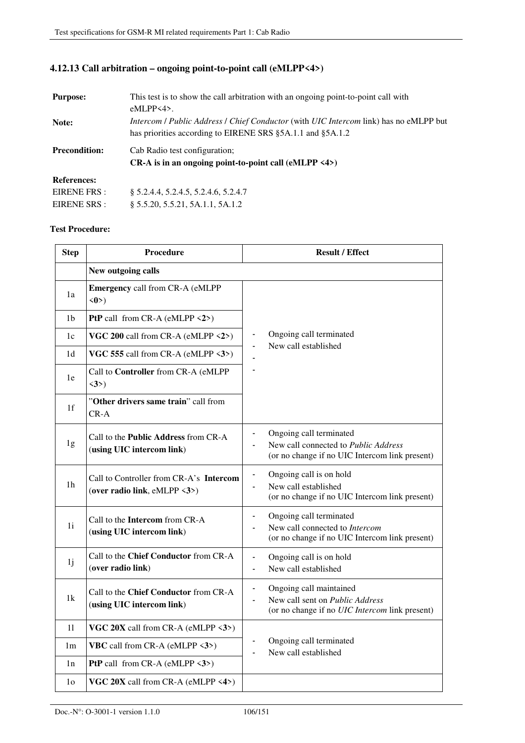## **4.12.13 Call arbitration – ongoing point-to-point call (eMLPP<4>)**

| <b>Purpose:</b>      | This test is to show the call arbitration with an ongoing point-to-point call with                   |
|----------------------|------------------------------------------------------------------------------------------------------|
|                      | $eMLPP<4$ .                                                                                          |
| Note:                | <i>Intercom / Public Address / Chief Conductor</i> (with <i>UIC Intercom link</i> ) has no eMLPP but |
|                      | has priorities according to EIRENE SRS §5A.1.1 and §5A.1.2                                           |
| <b>Precondition:</b> | Cab Radio test configuration:                                                                        |
|                      | CR-A is in an ongoing point-to-point call $(eMLPP \le 4)$                                            |
| <b>References:</b>   |                                                                                                      |
| EIRENE FRS :         | § 5.2.4.4, 5.2.4.5, 5.2.4.6, 5.2.4.7                                                                 |
| EIRENE SRS :         | § 5.5.20, 5.5.21, 5A.1.1, 5A.1.2                                                                     |

| <b>Step</b>    | <b>Procedure</b>                                                         | <b>Result / Effect</b>                                                                                                                                         |
|----------------|--------------------------------------------------------------------------|----------------------------------------------------------------------------------------------------------------------------------------------------------------|
|                | New outgoing calls                                                       |                                                                                                                                                                |
| 1a             | <b>Emergency call from CR-A (eMLPP</b><br>$\langle 0 \rangle$            |                                                                                                                                                                |
| 1b             | <b>PtP</b> call from CR-A (eMLPP $\langle 2 \rangle$ )                   |                                                                                                                                                                |
| 1c             | VGC 200 call from CR-A (eMLPP <2>)                                       | Ongoing call terminated<br>$\qquad \qquad \blacksquare$<br>New call established                                                                                |
| 1 <sub>d</sub> | VGC 555 call from CR-A (eMLPP <3>)                                       |                                                                                                                                                                |
| 1e             | Call to Controller from CR-A (eMLPP<br>$\langle 3 \rangle$               |                                                                                                                                                                |
| 1 <sup>f</sup> | "Other drivers same train" call from<br>$CR-A$                           |                                                                                                                                                                |
| 1g             | Call to the <b>Public Address</b> from CR-A<br>(using UIC intercom link) | Ongoing call terminated<br>$\blacksquare$<br>New call connected to Public Address<br>$\blacksquare$<br>(or no change if no UIC Intercom link present)          |
| 1 <sub>h</sub> | Call to Controller from CR-A's Intercom<br>(over radio link, eMLPP <3>)  | Ongoing call is on hold<br>$\blacksquare$<br>New call established<br>$\blacksquare$<br>(or no change if no UIC Intercom link present)                          |
| 1i             | Call to the <b>Intercom</b> from CR-A<br>(using UIC intercom link)       | Ongoing call terminated<br>$\blacksquare$<br>New call connected to Intercom<br>(or no change if no UIC Intercom link present)                                  |
| 1 <sub>j</sub> | Call to the Chief Conductor from CR-A<br>(over radio link)               | Ongoing call is on hold<br>$\blacksquare$<br>New call established                                                                                              |
| 1k             | Call to the Chief Conductor from CR-A<br>(using UIC intercom link)       | Ongoing call maintained<br>$\qquad \qquad \blacksquare$<br>New call sent on Public Address<br>$\blacksquare$<br>(or no change if no UIC Intercom link present) |
| 11             | VGC 20X call from CR-A (eMLPP <3>)                                       |                                                                                                                                                                |
| 1 <sub>m</sub> | <b>VBC</b> call from CR-A (eMLPP <3>)                                    | Ongoing call terminated<br>$\blacksquare$<br>New call established                                                                                              |
| 1n             | <b>PtP</b> call from CR-A (eMLPP $\langle 3 \rangle$ )                   |                                                                                                                                                                |
| 1 <sub>0</sub> | VGC 20X call from CR-A (eMLPP <4>)                                       |                                                                                                                                                                |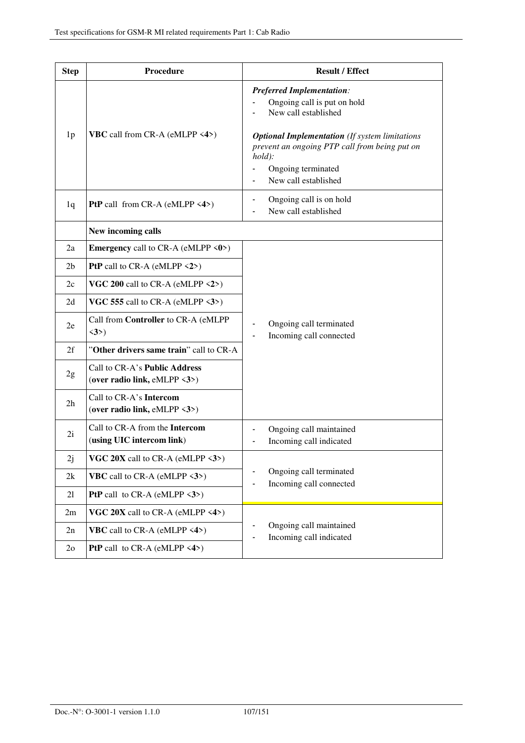| <b>Step</b>    | Procedure                                                                      | <b>Result / Effect</b>                                                                                                                                           |
|----------------|--------------------------------------------------------------------------------|------------------------------------------------------------------------------------------------------------------------------------------------------------------|
|                |                                                                                | <b>Preferred Implementation:</b><br>Ongoing call is put on hold<br>New call established                                                                          |
| 1 <sub>p</sub> | <b>VBC</b> call from CR-A (eMLPP <4>)                                          | <b>Optional Implementation</b> (If system limitations<br>prevent an ongoing PTP call from being put on<br>$hold$ :<br>Ongoing terminated<br>New call established |
| 1q             | <b>PtP</b> call from CR-A (eMLPP $\langle 4 \rangle$ )                         | Ongoing call is on hold<br>New call established                                                                                                                  |
|                | New incoming calls                                                             |                                                                                                                                                                  |
| 2a             | <b>Emergency</b> call to CR-A (eMLPP $\langle 0 \rangle$ )                     | Ongoing call terminated<br>Incoming call connected                                                                                                               |
| 2 <sub>b</sub> | <b>PtP</b> call to CR-A (eMLPP $\langle 2 \rangle$ )                           |                                                                                                                                                                  |
| 2c             | VGC 200 call to CR-A (eMLPP $\langle 2 \rangle$ )                              |                                                                                                                                                                  |
| 2d             | VGC 555 call to CR-A (eMLPP $\langle 3 \rangle$ )                              |                                                                                                                                                                  |
| 2e             | Call from Controller to CR-A (eMLPP<br>$\langle 3 \rangle$                     |                                                                                                                                                                  |
| 2f             | "Other drivers same train" call to CR-A                                        |                                                                                                                                                                  |
| 2g             | Call to CR-A's Public Address<br>(over radio link, eMLPP $\langle 3 \rangle$ ) |                                                                                                                                                                  |
| 2 <sub>h</sub> | Call to CR-A's Intercom<br>(over radio link, eMLPP $\langle 3 \rangle$ )       |                                                                                                                                                                  |
| 2i             | Call to CR-A from the Intercom<br>(using UIC intercom link)                    | Ongoing call maintained<br>Incoming call indicated                                                                                                               |
| 2j             | VGC 20X call to CR-A (eMLPP <3>)                                               | Ongoing call terminated<br>Incoming call connected                                                                                                               |
| 2k             | <b>VBC</b> call to CR-A (eMLPP $\langle 3 \rangle$ )                           |                                                                                                                                                                  |
| 21             | <b>PtP</b> call to CR-A (eMLPP $\langle 3 \rangle$ )                           |                                                                                                                                                                  |
| 2m             | VGC 20X call to CR-A (eMLPP $\langle 4 \rangle$ )                              |                                                                                                                                                                  |
| 2n             | <b>VBC</b> call to CR-A (eMLPP $\langle 4 \rangle$ )                           | Ongoing call maintained<br>Incoming call indicated                                                                                                               |
| 2 <sub>o</sub> | <b>PtP</b> call to CR-A (eMLPP $\langle 4 \rangle$ )                           |                                                                                                                                                                  |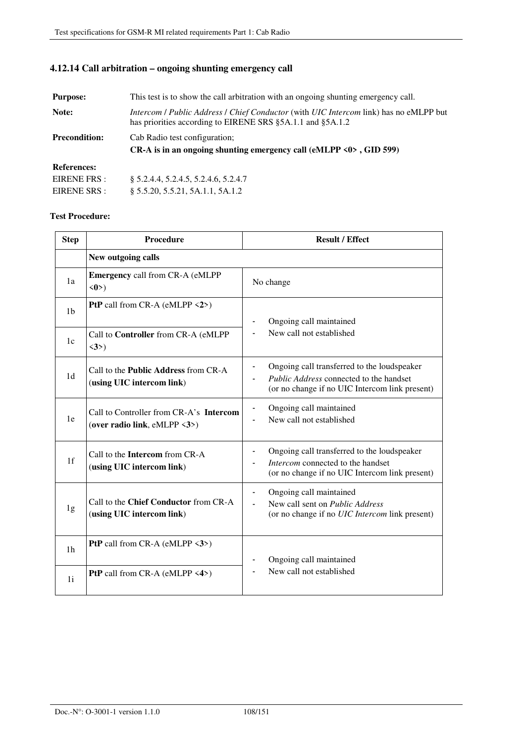| <b>Purpose:</b>      | This test is to show the call arbitration with an ongoing shunting emergency call.                                                                  |  |
|----------------------|-----------------------------------------------------------------------------------------------------------------------------------------------------|--|
| Note:                | Intercom / Public Address / Chief Conductor (with UIC Intercom link) has no eMLPP but<br>has priorities according to EIRENE SRS §5A.1.1 and §5A.1.2 |  |
| <b>Precondition:</b> | Cab Radio test configuration;                                                                                                                       |  |
|                      | CR-A is in an ongoing shunting emergency call (eMLPP $\langle 0 \rangle$ , GID 599)                                                                 |  |
| <b>References:</b>   |                                                                                                                                                     |  |
| EIRENE FRS :         | \$5.2.4.4, 5.2.4.5, 5.2.4.6, 5.2.4.7                                                                                                                |  |
| EIRENE SRS :         | § 5.5.20, 5.5.21, 5A.1.1, 5A.1.2                                                                                                                    |  |

### **4.12.14 Call arbitration – ongoing shunting emergency call**

| <b>Step</b>    | Procedure                                                                | <b>Result / Effect</b>                                                                                                                                                |
|----------------|--------------------------------------------------------------------------|-----------------------------------------------------------------------------------------------------------------------------------------------------------------------|
|                | New outgoing calls                                                       |                                                                                                                                                                       |
| 1a             | <b>Emergency call from CR-A (eMLPP</b><br>$\langle 0 \rangle$            | No change                                                                                                                                                             |
| 1 <sub>b</sub> | <b>PtP</b> call from CR-A (eMLPP $\langle 2 \rangle$ )                   | Ongoing call maintained                                                                                                                                               |
| 1c             | Call to Controller from CR-A (eMLPP<br>$\langle 3 \rangle$               | New call not established                                                                                                                                              |
| 1d             | Call to the <b>Public Address</b> from CR-A<br>(using UIC intercom link) | Ongoing call transferred to the loudspeaker<br>Public Address connected to the handset<br>(or no change if no UIC Intercom link present)                              |
| 1e             | Call to Controller from CR-A's Intercom<br>(over radio link, eMLPP <3>)  | Ongoing call maintained<br>$\blacksquare$<br>New call not established                                                                                                 |
| 1f             | Call to the <b>Intercom</b> from CR-A<br>(using UIC intercom link)       | Ongoing call transferred to the loudspeaker<br>$\blacksquare$<br>Intercom connected to the handset<br>(or no change if no UIC Intercom link present)                  |
| 1g             | Call to the Chief Conductor from CR-A<br>(using UIC intercom link)       | Ongoing call maintained<br>$\qquad \qquad \blacksquare$<br>New call sent on Public Address<br>$\blacksquare$<br>(or no change if no <i>UIC Intercom</i> link present) |
| 1 <sub>h</sub> | <b>PtP</b> call from CR-A (eMLPP $\langle 3 \rangle$ )                   | Ongoing call maintained                                                                                                                                               |
| 1 <sub>i</sub> | <b>PtP</b> call from CR-A (eMLPP $\langle 4 \rangle$ )                   | New call not established                                                                                                                                              |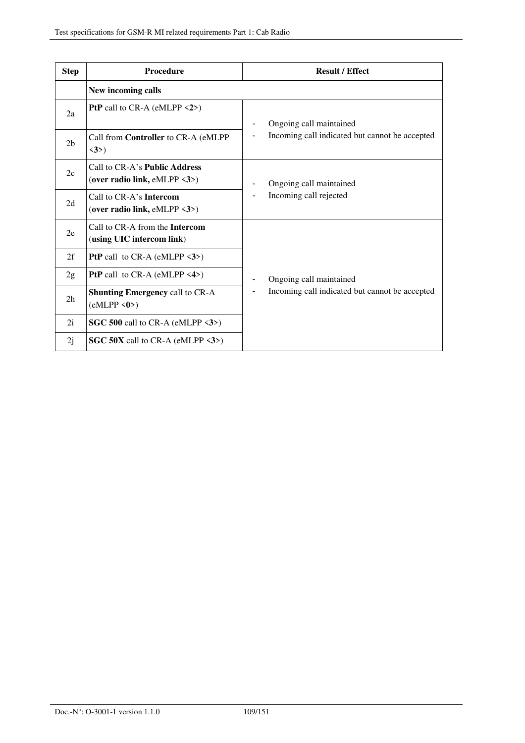| <b>Step</b>    | Procedure                                                                             | <b>Result / Effect</b>                            |
|----------------|---------------------------------------------------------------------------------------|---------------------------------------------------|
|                | New incoming calls                                                                    |                                                   |
| 2a             | <b>PtP</b> call to CR-A (eMLPP $\langle 2 \rangle$ )                                  | Ongoing call maintained                           |
| 2 <sub>b</sub> | Call from Controller to CR-A (eMLPP<br>$\langle 3 \rangle$                            | Incoming call indicated but cannot be accepted    |
| 2c             | Call to CR-A's <b>Public Address</b><br>(over radio link, eMLPP $\langle 3 \rangle$ ) | Ongoing call maintained<br>Incoming call rejected |
| 2d             | Call to CR-A's Intercom<br>(over radio link, $eMLPP \le 3$ )                          |                                                   |
| 2e             | Call to CR-A from the Intercom<br>(using UIC intercom link)                           |                                                   |
| 2f             | <b>PtP</b> call to CR-A (eMLPP $\langle 3 \rangle$ )                                  |                                                   |
| 2g             | <b>PtP</b> call to $CR-A$ (eMLPP <4>)                                                 | Ongoing call maintained                           |
| 2 <sub>h</sub> | <b>Shunting Emergency call to CR-A</b><br>(eMLPP < 0)                                 | Incoming call indicated but cannot be accepted    |
| 2i             | SGC 500 call to CR-A (eMLPP $\langle 3 \rangle$ )                                     |                                                   |
| 2j             | SGC 50X call to CR-A (eMLPP $\langle 3 \rangle$ )                                     |                                                   |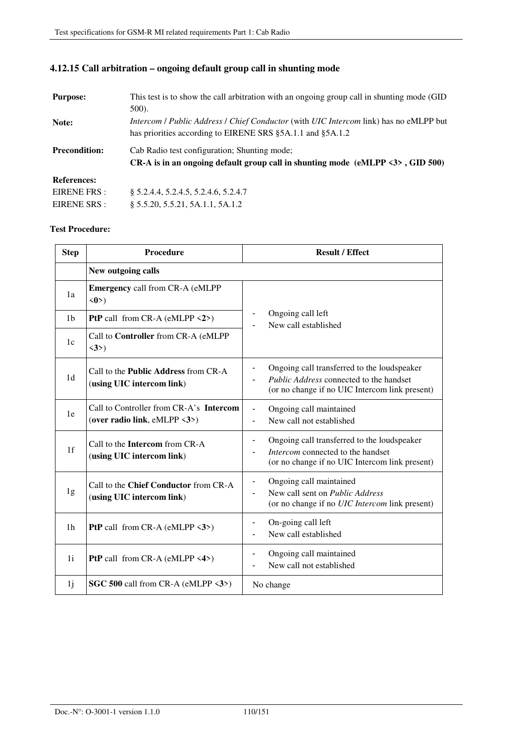| <b>Purpose:</b>      | This test is to show the call arbitration with an ongoing group call in shunting mode (GID)          |  |
|----------------------|------------------------------------------------------------------------------------------------------|--|
|                      | $500$ ).                                                                                             |  |
| Note:                | <i>Intercom / Public Address / Chief Conductor</i> (with <i>UIC Intercom link</i> ) has no eMLPP but |  |
|                      | has priorities according to EIRENE SRS §5A.1.1 and §5A.1.2                                           |  |
| <b>Precondition:</b> | Cab Radio test configuration; Shunting mode;                                                         |  |
|                      | $CR-A$ is in an ongoing default group call in shunting mode (eMLPP $\langle 3 \rangle$ , GID 500)    |  |
| <b>References:</b>   |                                                                                                      |  |
| EIRENE FRS :         | § 5.2.4.4, 5.2.4.5, 5.2.4.6, 5.2.4.7                                                                 |  |
| EIRENE SRS :         | § 5.5.20, 5.5.21, 5A.1.1, 5A.1.2                                                                     |  |

# **4.12.15 Call arbitration – ongoing default group call in shunting mode**

| <b>Step</b>    | <b>Procedure</b>                                                          | <b>Result / Effect</b>                                                                                                                   |  |
|----------------|---------------------------------------------------------------------------|------------------------------------------------------------------------------------------------------------------------------------------|--|
|                | New outgoing calls                                                        |                                                                                                                                          |  |
| 1a             | <b>Emergency call from CR-A (eMLPP</b><br>$\langle 0 \rangle$             |                                                                                                                                          |  |
| 1 <sub>b</sub> | <b>PtP</b> call from CR-A (eMLPP $\langle 2 \rangle$ )                    | Ongoing call left<br>New call established                                                                                                |  |
| 1c             | Call to Controller from CR-A (eMLPP<br>$\langle 3 \rangle$                |                                                                                                                                          |  |
| 1 <sub>d</sub> | Call to the <b>Public Address</b> from CR-A<br>(using UIC intercom link)  | Ongoing call transferred to the loudspeaker<br>Public Address connected to the handset<br>(or no change if no UIC Intercom link present) |  |
| 1e             | Call to Controller from CR-A's Intercom<br>(over radio link, eMLPP <3>)   | Ongoing call maintained<br>New call not established                                                                                      |  |
| 1 <sub>f</sub> | Call to the Intercom from CR-A<br>(using UIC intercom link)               | Ongoing call transferred to the loudspeaker<br>Intercom connected to the handset<br>(or no change if no UIC Intercom link present)       |  |
| 1g             | Call to the <b>Chief Conductor</b> from CR-A<br>(using UIC intercom link) | Ongoing call maintained<br>New call sent on <i>Public Address</i><br>(or no change if no UIC Intercom link present)                      |  |
| 1 <sub>h</sub> | <b>PtP</b> call from CR-A (eMLPP $\langle 3 \rangle$ )                    | On-going call left<br>New call established                                                                                               |  |
| 1i             | <b>PtP</b> call from CR-A (eMLPP $\langle 4 \rangle$ )                    | Ongoing call maintained<br>New call not established                                                                                      |  |
| 1 <sub>j</sub> | SGC 500 call from CR-A (eMLPP $\langle 3 \rangle$ )                       | No change                                                                                                                                |  |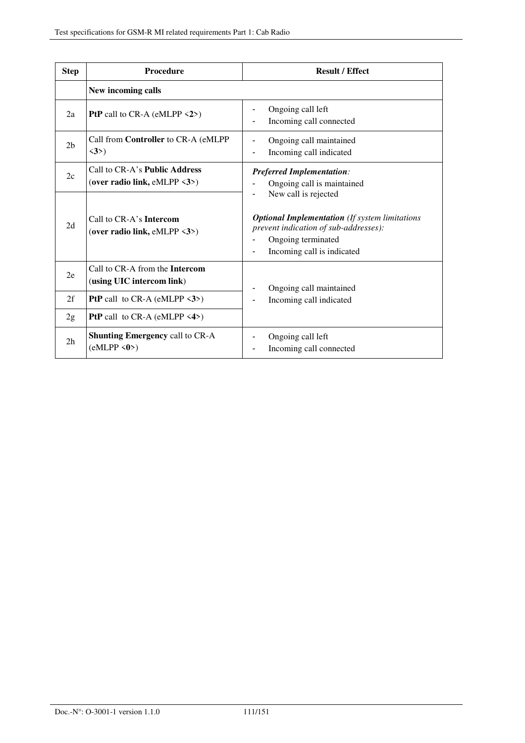| <b>Step</b>    | Procedure                                                      | <b>Result / Effect</b>                                                                                                                                                     |
|----------------|----------------------------------------------------------------|----------------------------------------------------------------------------------------------------------------------------------------------------------------------------|
|                | New incoming calls                                             |                                                                                                                                                                            |
| 2a             | <b>PtP</b> call to CR-A (eMLPP $\langle 2 \rangle$ )           | Ongoing call left<br>Incoming call connected                                                                                                                               |
| 2 <sub>b</sub> | Call from Controller to CR-A (eMLPP<br>$\langle 3 \rangle$     | Ongoing call maintained<br>Incoming call indicated                                                                                                                         |
| 2c             | Call to CR-A's Public Address<br>(over radio link, eMLPP <3>)  | <b>Preferred Implementation:</b><br>Ongoing call is maintained                                                                                                             |
| 2d             | Call to CR-A's <b>Intercom</b><br>(over radio link, eMLPP <3>) | New call is rejected<br><b>Optional Implementation</b> (If system limitations<br>prevent indication of sub-addresses):<br>Ongoing terminated<br>Incoming call is indicated |
| 2e             | Call to CR-A from the Intercom<br>(using UIC intercom link)    | Ongoing call maintained                                                                                                                                                    |
| 2f             | <b>PtP</b> call to CR-A (eMLPP $\langle 3 \rangle$ )           | Incoming call indicated                                                                                                                                                    |
| 2g             | <b>PtP</b> call to CR-A (eMLPP $\langle 4 \rangle$ )           |                                                                                                                                                                            |
| 2 <sub>h</sub> | <b>Shunting Emergency call to CR-A</b><br>(eMLPP < 0)          | Ongoing call left<br>Incoming call connected                                                                                                                               |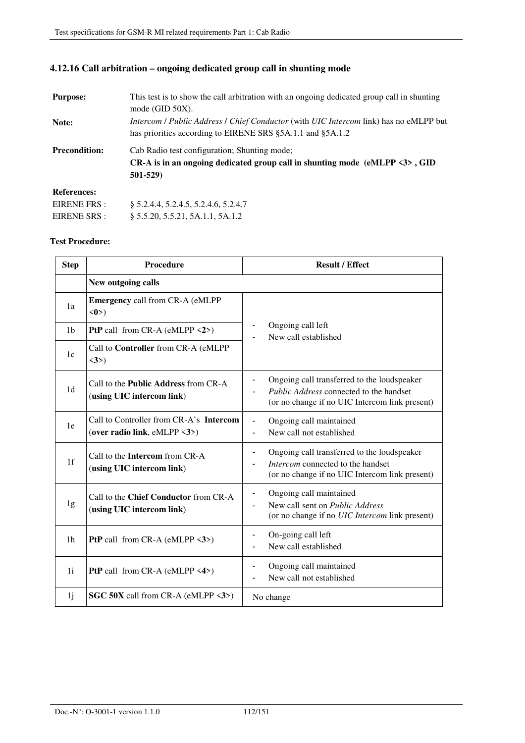# **4.12.16 Call arbitration – ongoing dedicated group call in shunting mode**

| <b>Purpose:</b>      | This test is to show the call arbitration with an ongoing dedicated group call in shunting<br>mode (GID 50X).                                                      |  |
|----------------------|--------------------------------------------------------------------------------------------------------------------------------------------------------------------|--|
| Note:                | <i>Intercom / Public Address / Chief Conductor</i> (with <i>UIC Intercom link</i> ) has no eMLPP but<br>has priorities according to EIRENE SRS §5A.1.1 and §5A.1.2 |  |
| <b>Precondition:</b> | Cab Radio test configuration; Shunting mode;<br>$CR-A$ is in an ongoing dedicated group call in shunting mode (eMLPP $\langle 3 \rangle$ , GID<br>501-529)         |  |
| <b>References:</b>   |                                                                                                                                                                    |  |
| EIRENE FRS:          | § 5.2.4.4, 5.2.4.5, 5.2.4.6, 5.2.4.7                                                                                                                               |  |
| EIRENE SRS :         | § 5.5.20, 5.5.21, 5A.1.1, 5A.1.2                                                                                                                                   |  |

| <b>Step</b>    | Procedure                                                                | <b>Result / Effect</b>                                                                                                                                               |
|----------------|--------------------------------------------------------------------------|----------------------------------------------------------------------------------------------------------------------------------------------------------------------|
|                | New outgoing calls                                                       |                                                                                                                                                                      |
| 1a             | <b>Emergency call from CR-A (eMLPP</b><br>$\langle 0 \rangle$            |                                                                                                                                                                      |
| 1 <sub>b</sub> | <b>PtP</b> call from CR-A (eMLPP $\langle 2 \rangle$ )                   | Ongoing call left<br>New call established                                                                                                                            |
| 1c             | Call to Controller from CR-A (eMLPP<br>$\langle 3 \rangle$               |                                                                                                                                                                      |
| 1 <sub>d</sub> | Call to the <b>Public Address</b> from CR-A<br>(using UIC intercom link) | Ongoing call transferred to the loudspeaker<br>$\overline{\phantom{a}}$<br>Public Address connected to the handset<br>(or no change if no UIC Intercom link present) |
| 1e             | Call to Controller from CR-A's Intercom<br>(over radio link, eMLPP <3>)  | Ongoing call maintained<br>New call not established                                                                                                                  |
| 1 <sup>f</sup> | Call to the <b>Intercom</b> from CR-A<br>(using UIC intercom link)       | Ongoing call transferred to the loudspeaker<br>Intercom connected to the handset<br>(or no change if no UIC Intercom link present)                                   |
| 1g             | Call to the Chief Conductor from CR-A<br>(using UIC intercom link)       | Ongoing call maintained<br>$\qquad \qquad \blacksquare$<br>New call sent on <i>Public Address</i><br>(or no change if no UIC Intercom link present)                  |
| 1 <sub>h</sub> | <b>PtP</b> call from CR-A (eMLPP $\langle 3 \rangle$ )                   | On-going call left<br>New call established                                                                                                                           |
| 1i             | <b>PtP</b> call from CR-A (eMLPP $\langle 4 \rangle$ )                   | Ongoing call maintained<br>New call not established                                                                                                                  |
| 1j             | <b>SGC 50X</b> call from CR-A (eMLPP $\langle 3 \rangle$ )               | No change                                                                                                                                                            |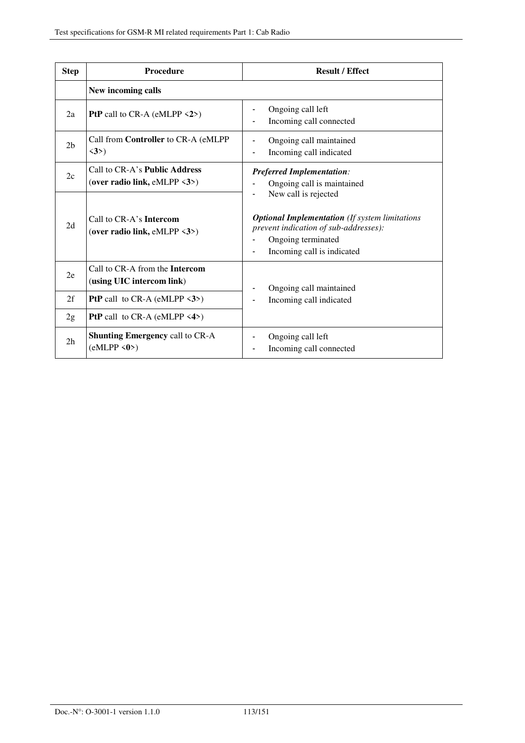| <b>Step</b>    | Procedure                                                                      | <b>Result / Effect</b>                                                                                                                                                     |
|----------------|--------------------------------------------------------------------------------|----------------------------------------------------------------------------------------------------------------------------------------------------------------------------|
|                | New incoming calls                                                             |                                                                                                                                                                            |
| 2a             | PtP call to CR-A (eMLPP <2>)                                                   | Ongoing call left<br>Incoming call connected                                                                                                                               |
| 2 <sub>b</sub> | Call from Controller to CR-A (eMLPP<br>$\langle 3 \rangle$                     | Ongoing call maintained<br>Incoming call indicated                                                                                                                         |
| 2c             | Call to CR-A's Public Address<br>(over radio link, eMLPP $\langle 3 \rangle$ ) | <b>Preferred Implementation:</b><br>Ongoing call is maintained                                                                                                             |
| 2d             | Call to CR-A's Intercom<br>(over radio link, eMLPP $\langle 3 \rangle$ )       | New call is rejected<br><b>Optional Implementation</b> (If system limitations<br>prevent indication of sub-addresses):<br>Ongoing terminated<br>Incoming call is indicated |
| 2e             | Call to CR-A from the Intercom<br>(using UIC intercom link)                    | Ongoing call maintained                                                                                                                                                    |
| 2f             | <b>PtP</b> call to CR-A (eMLPP $\langle 3 \rangle$ )                           | Incoming call indicated                                                                                                                                                    |
| 2g             | <b>PtP</b> call to CR-A (eMLPP $\langle 4 \rangle$ )                           |                                                                                                                                                                            |
| 2 <sub>h</sub> | <b>Shunting Emergency call to CR-A</b><br>(eMLPP < 0)                          | Ongoing call left<br>Incoming call connected                                                                                                                               |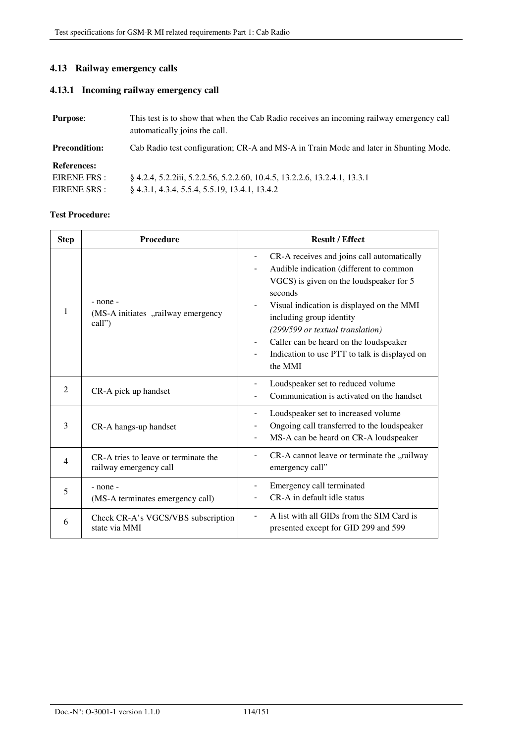# **4.13 Railway emergency calls**

## **4.13.1 Incoming railway emergency call**

| <b>Purpose:</b>      | This test is to show that when the Cab Radio receives an incoming railway emergency call<br>automatically joins the call. |
|----------------------|---------------------------------------------------------------------------------------------------------------------------|
| <b>Precondition:</b> | Cab Radio test configuration; CR-A and MS-A in Train Mode and later in Shunting Mode.                                     |
| <b>References:</b>   |                                                                                                                           |
| EIRENE FRS :         | § 4.2.4, 5.2.2iii, 5.2.2.56, 5.2.2.60, 10.4.5, 13.2.2.6, 13.2.4.1, 13.3.1                                                 |
| EIRENE SRS :         | 8 4.3.1, 4.3.4, 5.5.4, 5.5.19, 13.4.1, 13.4.2                                                                             |

| <b>Step</b>    | <b>Procedure</b>                                               | <b>Result / Effect</b>                                                                                                                                                                                                                                                                                                                                                                     |
|----------------|----------------------------------------------------------------|--------------------------------------------------------------------------------------------------------------------------------------------------------------------------------------------------------------------------------------------------------------------------------------------------------------------------------------------------------------------------------------------|
| 1              | - none -<br>(MS-A initiates "railway emergency<br>call")       | CR-A receives and joins call automatically<br>$\overline{\phantom{a}}$<br>Audible indication (different to common<br>VGCS) is given on the loudspeaker for 5<br>seconds<br>Visual indication is displayed on the MMI<br>including group identity<br>(299/599 or textual translation)<br>Caller can be heard on the loudspeaker<br>Indication to use PTT to talk is displayed on<br>the MMI |
| $\overline{2}$ | CR-A pick up handset                                           | Loudspeaker set to reduced volume<br>Communication is activated on the handset                                                                                                                                                                                                                                                                                                             |
| 3              | CR-A hangs-up handset                                          | Loudspeaker set to increased volume<br>Ongoing call transferred to the loudspeaker<br>MS-A can be heard on CR-A loudspeaker                                                                                                                                                                                                                                                                |
| $\overline{4}$ | CR-A tries to leave or terminate the<br>railway emergency call | CR-A cannot leave or terminate the "railway<br>emergency call"                                                                                                                                                                                                                                                                                                                             |
| 5              | $-$ none $-$<br>(MS-A terminates emergency call)               | Emergency call terminated<br>CR-A in default idle status                                                                                                                                                                                                                                                                                                                                   |
| 6              | Check CR-A's VGCS/VBS subscription<br>state via MMI            | A list with all GIDs from the SIM Card is<br>presented except for GID 299 and 599                                                                                                                                                                                                                                                                                                          |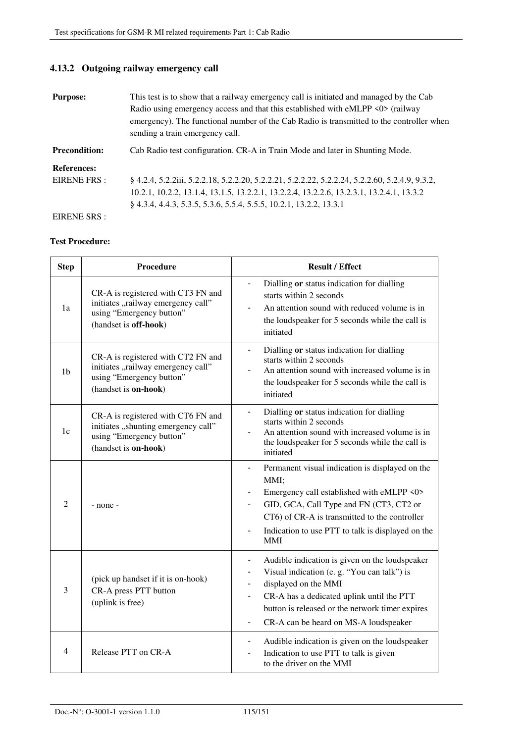# **4.13.2 Outgoing railway emergency call**

| <b>Purpose:</b>      | This test is to show that a railway emergency call is initiated and managed by the Cab<br>Radio using emergency access and that this established with eMLPP <0> (railway<br>emergency). The functional number of the Cab Radio is transmitted to the controller when<br>sending a train emergency call. |
|----------------------|---------------------------------------------------------------------------------------------------------------------------------------------------------------------------------------------------------------------------------------------------------------------------------------------------------|
| <b>Precondition:</b> | Cab Radio test configuration. CR-A in Train Mode and later in Shunting Mode.                                                                                                                                                                                                                            |
| <b>References:</b>   |                                                                                                                                                                                                                                                                                                         |
| EIRENE FRS :         | § 4.2.4, 5.2.2.1ii, 5.2.2.18, 5.2.2.20, 5.2.2.21, 5.2.2.22, 5.2.2.24, 5.2.2.60, 5.2.4.9, 9.3.2,                                                                                                                                                                                                         |
|                      | 10.2.1, 10.2.2, 13.1.4, 13.1.5, 13.2.2.1, 13.2.2.4, 13.2.2.6, 13.2.3.1, 13.2.4.1, 13.3.2                                                                                                                                                                                                                |
|                      | § 4.3.4, 4.4.3, 5.3.5, 5.3.6, 5.5.4, 5.5.5, 10.2.1, 13.2.2, 13.3.1                                                                                                                                                                                                                                      |
| EIRENE SRS :         |                                                                                                                                                                                                                                                                                                         |

| <b>Step</b>    | <b>Procedure</b>                                                                                                              | <b>Result / Effect</b>                                                                                                                                                                                                                                                                               |
|----------------|-------------------------------------------------------------------------------------------------------------------------------|------------------------------------------------------------------------------------------------------------------------------------------------------------------------------------------------------------------------------------------------------------------------------------------------------|
| 1a             | CR-A is registered with CT3 FN and<br>initiates "railway emergency call"<br>using "Emergency button"<br>(handset is off-hook) | Dialling or status indication for dialling<br>starts within 2 seconds<br>An attention sound with reduced volume is in<br>the loudspeaker for 5 seconds while the call is<br>initiated                                                                                                                |
| 1 <sub>b</sub> | CR-A is registered with CT2 FN and<br>initiates "railway emergency call"<br>using "Emergency button"<br>(handset is on-hook)  | Dialling or status indication for dialling<br>$\overline{a}$<br>starts within 2 seconds<br>An attention sound with increased volume is in<br>the loudspeaker for 5 seconds while the call is<br>initiated                                                                                            |
| 1c             | CR-A is registered with CT6 FN and<br>initiates "shunting emergency call"<br>using "Emergency button"<br>(handset is on-hook) | Dialling or status indication for dialling<br>$\overline{\phantom{0}}$<br>starts within 2 seconds<br>An attention sound with increased volume is in<br>the loudspeaker for 5 seconds while the call is<br>initiated                                                                                  |
| $\overline{2}$ | - none -                                                                                                                      | Permanent visual indication is displayed on the<br>$\overline{\phantom{0}}$<br>MMI;<br>Emergency call established with eMLPP <0><br>GID, GCA, Call Type and FN (CT3, CT2 or<br>CT6) of CR-A is transmitted to the controller<br>Indication to use PTT to talk is displayed on the<br>-<br><b>MMI</b> |
| 3              | (pick up handset if it is on-hook)<br>CR-A press PTT button<br>(uplink is free)                                               | Audible indication is given on the loudspeaker<br>Visual indication (e. g. "You can talk") is<br>displayed on the MMI<br>-<br>CR-A has a dedicated uplink until the PTT<br>button is released or the network timer expires<br>CR-A can be heard on MS-A loudspeaker<br>$\overline{a}$                |
| 4              | Release PTT on CR-A                                                                                                           | Audible indication is given on the loudspeaker<br>$\overline{\phantom{0}}$<br>Indication to use PTT to talk is given<br>to the driver on the MMI                                                                                                                                                     |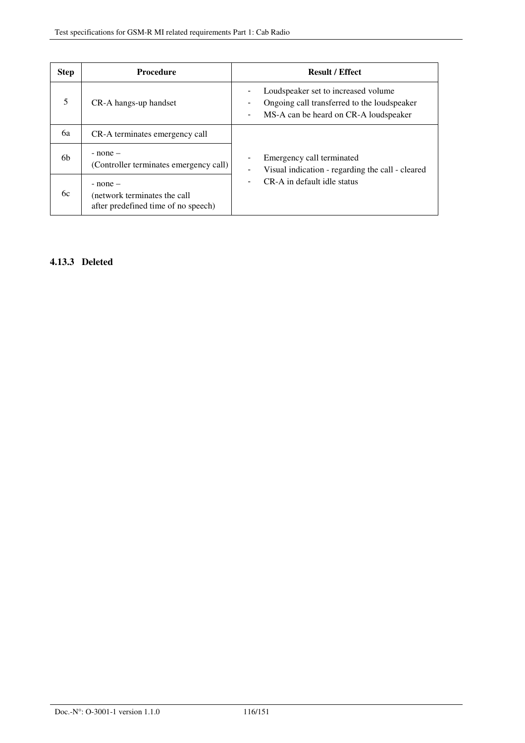| <b>Step</b> | <b>Procedure</b>                                                                    | <b>Result / Effect</b>                                                                                                                                       |
|-------------|-------------------------------------------------------------------------------------|--------------------------------------------------------------------------------------------------------------------------------------------------------------|
| 5           | CR-A hangs-up handset                                                               | Loudspeaker set to increased volume<br>Ongoing call transferred to the loudspeaker<br>-<br>MS-A can be heard on CR-A loudspeaker<br>$\overline{\phantom{a}}$ |
| 6a          | CR-A terminates emergency call                                                      |                                                                                                                                                              |
| 6b          | $-$ none $-$<br>(Controller terminates emergency call)                              | Emergency call terminated<br>$\overline{\phantom{a}}$<br>Visual indication - regarding the call - cleared<br>-                                               |
| 6с          | $-$ none $-$<br>(network terminates the call<br>after predefined time of no speech) | CR-A in default idle status<br>$\qquad \qquad \blacksquare$                                                                                                  |

## **4.13.3 Deleted**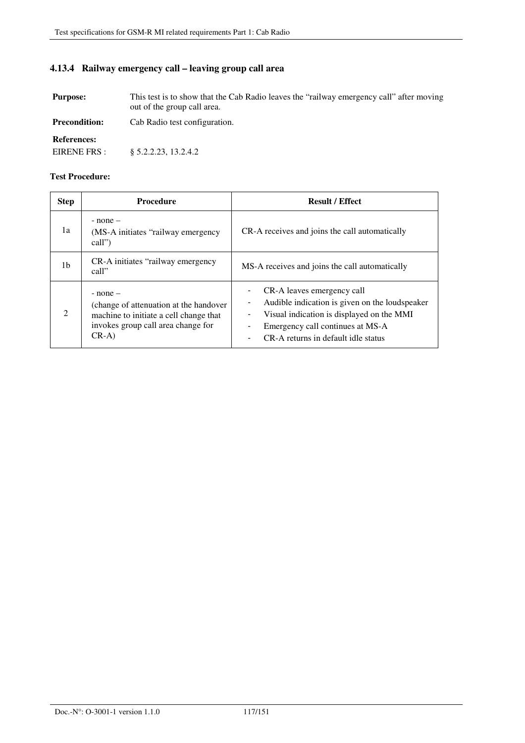## **4.13.4 Railway emergency call – leaving group call area**

**Purpose:** This test is to show that the Cab Radio leaves the "railway emergency call" after moving out of the group call area.

**Precondition:** Cab Radio test configuration.

**References:** 

EIRENE FRS : § 5.2.2.23, 13.2.4.2

| <b>Step</b> | <b>Procedure</b>                                                                                                                                  | <b>Result / Effect</b>                                                                                                                                                                                    |
|-------------|---------------------------------------------------------------------------------------------------------------------------------------------------|-----------------------------------------------------------------------------------------------------------------------------------------------------------------------------------------------------------|
| 1a          | $-$ none $-$<br>(MS-A initiates "railway emergency")<br>call")                                                                                    | CR-A receives and joins the call automatically                                                                                                                                                            |
| 1b          | CR-A initiates "railway emergency"<br>call"                                                                                                       | MS-A receives and joins the call automatically                                                                                                                                                            |
| 2           | $-$ none $-$<br>(change of attenuation at the handover<br>machine to initiate a cell change that<br>invokes group call area change for<br>$CR-A)$ | CR-A leaves emergency call<br>Audible indication is given on the loudspeaker<br>Visual indication is displayed on the MMI<br>-<br>Emergency call continues at MS-A<br>CR-A returns in default idle status |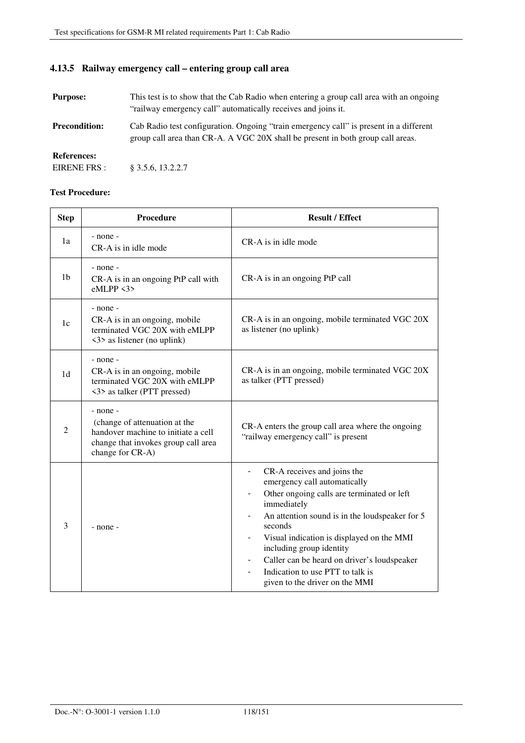# **4.13.5 Railway emergency call – entering group call area**

| <b>Purpose:</b>                    | This test is to show that the Cab Radio when entering a group call area with an ongoing<br>"railway emergency call" automatically receives and joins it.                  |
|------------------------------------|---------------------------------------------------------------------------------------------------------------------------------------------------------------------------|
| <b>Precondition:</b>               | Cab Radio test configuration. Ongoing "train emergency call" is present in a different<br>group call area than CR-A. A VGC 20X shall be present in both group call areas. |
| <b>References:</b><br>EIRENE FRS : | $§$ 3.5.6, 13.2.2.7                                                                                                                                                       |

| <b>Step</b>    | <b>Procedure</b>                                                                                                                            | <b>Result / Effect</b>                                                                                                                                                                                                                                                                                                                                                                                                                                                                        |
|----------------|---------------------------------------------------------------------------------------------------------------------------------------------|-----------------------------------------------------------------------------------------------------------------------------------------------------------------------------------------------------------------------------------------------------------------------------------------------------------------------------------------------------------------------------------------------------------------------------------------------------------------------------------------------|
| 1a             | - none -<br>CR-A is in idle mode                                                                                                            | CR-A is in idle mode                                                                                                                                                                                                                                                                                                                                                                                                                                                                          |
| 1 <sub>b</sub> | - none -<br>CR-A is in an ongoing PtP call with<br>eMLPP < 3                                                                                | CR-A is in an ongoing PtP call                                                                                                                                                                                                                                                                                                                                                                                                                                                                |
| 1c             | - none -<br>CR-A is in an ongoing, mobile<br>terminated VGC 20X with eMLPP<br><3> as listener (no uplink)                                   | CR-A is in an ongoing, mobile terminated VGC 20X<br>as listener (no uplink)                                                                                                                                                                                                                                                                                                                                                                                                                   |
| 1 <sub>d</sub> | - none -<br>CR-A is in an ongoing, mobile<br>terminated VGC 20X with eMLPP<br><3> as talker (PTT pressed)                                   | CR-A is in an ongoing, mobile terminated VGC 20X<br>as talker (PTT pressed)                                                                                                                                                                                                                                                                                                                                                                                                                   |
| $\overline{2}$ | - none -<br>(change of attenuation at the<br>handover machine to initiate a cell<br>change that invokes group call area<br>change for CR-A) | CR-A enters the group call area where the ongoing<br>"railway emergency call" is present                                                                                                                                                                                                                                                                                                                                                                                                      |
| 3              | - none -                                                                                                                                    | CR-A receives and joins the<br>$\overline{\phantom{0}}$<br>emergency call automatically<br>Other ongoing calls are terminated or left<br>$\overline{\phantom{0}}$<br>immediately<br>An attention sound is in the loudspeaker for 5<br>$\qquad \qquad \blacksquare$<br>seconds<br>Visual indication is displayed on the MMI<br>including group identity<br>Caller can be heard on driver's loudspeaker<br>$\overline{a}$<br>Indication to use PTT to talk is<br>given to the driver on the MMI |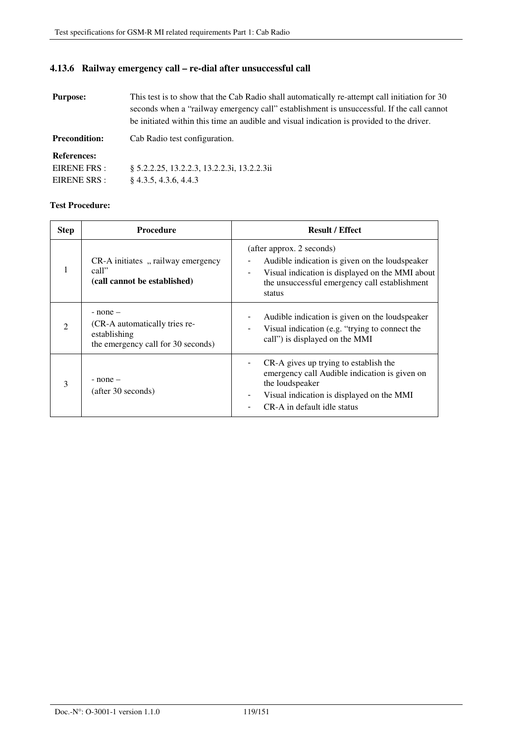### **4.13.6 Railway emergency call – re-dial after unsuccessful call**

**Purpose:** This test is to show that the Cab Radio shall automatically re-attempt call initiation for 30 seconds when a "railway emergency call" establishment is unsuccessful. If the call cannot be initiated within this time an audible and visual indication is provided to the driver.

**Precondition:** Cab Radio test configuration.

**References:** 

| EIRENE FRS : | § 5.2.2.25, 13.2.2.3, 13.2.2.3i, 13.2.2.3ii |
|--------------|---------------------------------------------|
| EIRENE SRS : | $\S$ 4.3.5, 4.3.6, 4.4.3                    |

| <b>Step</b>                 | <b>Procedure</b>                                                                                    | <b>Result / Effect</b>                                                                                                                                                                                                |
|-----------------------------|-----------------------------------------------------------------------------------------------------|-----------------------------------------------------------------------------------------------------------------------------------------------------------------------------------------------------------------------|
|                             | CR-A initiates, railway emergency<br>call"<br>(call cannot be established)                          | (after approx. 2 seconds)<br>Audible indication is given on the loudspeaker<br>$\overline{\phantom{a}}$<br>Visual indication is displayed on the MMI about<br>the unsuccessful emergency call establishment<br>status |
| $\mathcal{D}_{\mathcal{A}}$ | $-$ none $-$<br>(CR-A automatically tries re-<br>establishing<br>the emergency call for 30 seconds) | Audible indication is given on the loudspeaker<br>Visual indication (e.g. "trying to connect the<br>call") is displayed on the MMI                                                                                    |
| 3                           | $-$ none $-$<br>(after 30 seconds)                                                                  | CR-A gives up trying to establish the<br>$\overline{\phantom{a}}$<br>emergency call Audible indication is given on<br>the loudspeaker<br>Visual indication is displayed on the MMI<br>CR-A in default idle status     |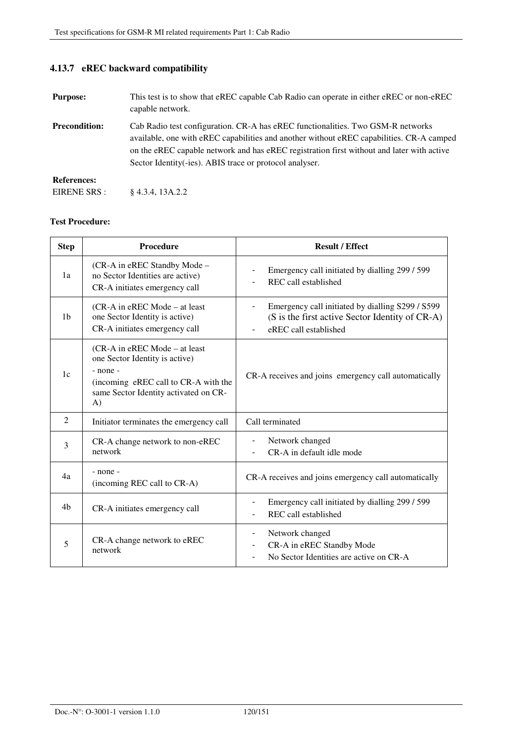**4.13.7 eREC backward compatibility** 

| <b>Purpose:</b>      | This test is to show that eREC capable Cab Radio can operate in either eREC or non-eREC<br>capable network.                                                                                                                                                                                                                          |
|----------------------|--------------------------------------------------------------------------------------------------------------------------------------------------------------------------------------------------------------------------------------------------------------------------------------------------------------------------------------|
| <b>Precondition:</b> | Cab Radio test configuration. CR-A has eREC functionalities. Two GSM-R networks<br>available, one with eREC capabilities and another without eREC capabilities. CR-A camped<br>on the eREC capable network and has eREC registration first without and later with active<br>Sector Identity (-ies). ABIS trace or protocol analyser. |
| <b>References:</b>   |                                                                                                                                                                                                                                                                                                                                      |
| EIRENE SRS :         | $§$ 4.3.4, 13A.2.2                                                                                                                                                                                                                                                                                                                   |

| <b>Step</b>    | <b>Procedure</b>                                                                                                                                                        | <b>Result / Effect</b>                                                                                                       |
|----------------|-------------------------------------------------------------------------------------------------------------------------------------------------------------------------|------------------------------------------------------------------------------------------------------------------------------|
| 1a             | (CR-A in eREC Standby Mode -<br>no Sector Identities are active)<br>CR-A initiates emergency call                                                                       | Emergency call initiated by dialling 299 / 599<br>$\overline{\phantom{0}}$<br>REC call established                           |
| 1 <sub>b</sub> | (CR-A in eREC Mode – at least<br>one Sector Identity is active)<br>CR-A initiates emergency call                                                                        | Emergency call initiated by dialling S299 / S599<br>(S is the first active Sector Identity of CR-A)<br>eREC call established |
| 1c             | (CR-A in eREC Mode – at least)<br>one Sector Identity is active)<br>$-$ none $-$<br>(incoming eREC call to CR-A with the<br>same Sector Identity activated on CR-<br>A) | CR-A receives and joins emergency call automatically                                                                         |
| 2              | Initiator terminates the emergency call                                                                                                                                 | Call terminated                                                                                                              |
| 3              | CR-A change network to non-eREC<br>network                                                                                                                              | Network changed<br>-<br>CR-A in default idle mode                                                                            |
| 4a             | - none -<br>(incoming REC call to CR-A)                                                                                                                                 | CR-A receives and joins emergency call automatically                                                                         |
| 4 <sub>b</sub> | CR-A initiates emergency call                                                                                                                                           | Emergency call initiated by dialling 299 / 599<br>REC call established                                                       |
| 5              | CR-A change network to eREC<br>network                                                                                                                                  | Network changed<br>$\overline{\phantom{0}}$<br>CR-A in eREC Standby Mode<br>No Sector Identities are active on CR-A          |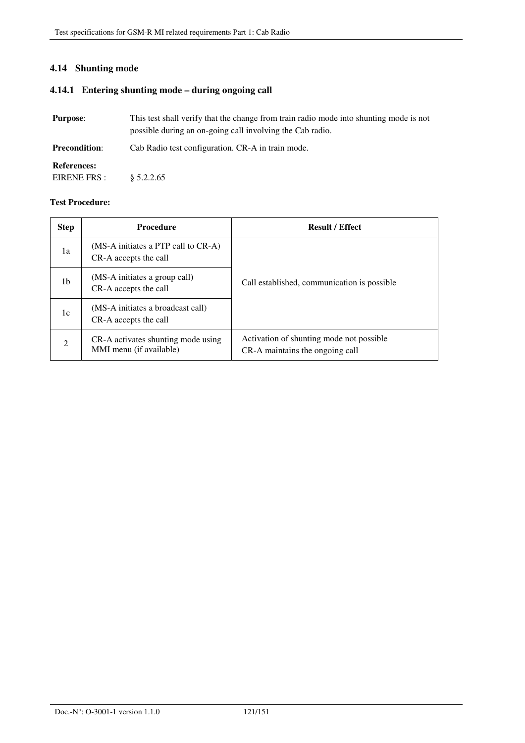## **4.14 Shunting mode**

## **4.14.1 Entering shunting mode – during ongoing call**

| <b>Purpose:</b>                    | This test shall verify that the change from train radio mode into shunting mode is not<br>possible during an on-going call involving the Cab radio. |
|------------------------------------|-----------------------------------------------------------------------------------------------------------------------------------------------------|
| <b>Precondition:</b>               | Cab Radio test configuration. CR-A in train mode.                                                                                                   |
| <b>References:</b><br>EIRENE FRS : | \$5.2.2.65                                                                                                                                          |

| <b>Step</b>   | <b>Procedure</b>                                                   | <b>Result / Effect</b>                                                       |
|---------------|--------------------------------------------------------------------|------------------------------------------------------------------------------|
| 1a            | $(MS-A)$ initiates a PTP call to $CR-A$ )<br>CR-A accepts the call |                                                                              |
| 1b            | (MS-A initiates a group call)<br>CR-A accepts the call             | Call established, communication is possible.                                 |
| 1c            | (MS-A initiates a broadcast call)<br>CR-A accepts the call         |                                                                              |
| $\mathcal{L}$ | CR-A activates shunting mode using<br>MMI menu (if available)      | Activation of shunting mode not possible.<br>CR-A maintains the ongoing call |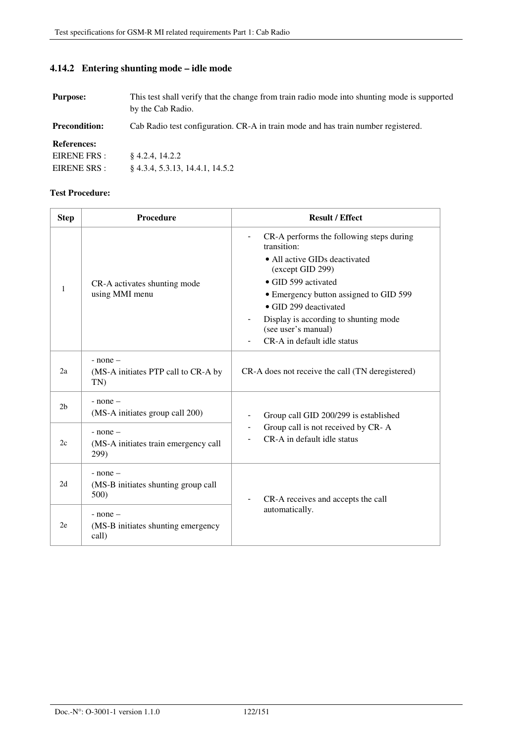# **4.14.2 Entering shunting mode – idle mode**

| <b>Purpose:</b>      | This test shall verify that the change from train radio mode into shunting mode is supported<br>by the Cab Radio. |
|----------------------|-------------------------------------------------------------------------------------------------------------------|
| <b>Precondition:</b> | Cab Radio test configuration. CR-A in train mode and has train number registered.                                 |
| <b>References:</b>   |                                                                                                                   |
| EIRENE FRS :         | $§$ 4.2.4, 14.2.2                                                                                                 |
| EIRENE SRS :         | $\{4.3.4, 5.3.13, 14.4.1, 14.5.2\}$                                                                               |

| <b>Step</b>    | <b>Procedure</b>                                             | <b>Result / Effect</b>                                                                                               |
|----------------|--------------------------------------------------------------|----------------------------------------------------------------------------------------------------------------------|
|                |                                                              | CR-A performs the following steps during<br>$\overline{\phantom{0}}$<br>transition:<br>• All active GIDs deactivated |
|                |                                                              | (except GID 299)                                                                                                     |
| 1              | CR-A activates shunting mode                                 | • GID 599 activated                                                                                                  |
|                | using MMI menu                                               | • Emergency button assigned to GID 599                                                                               |
|                |                                                              | • GID 299 deactivated                                                                                                |
|                |                                                              | Display is according to shunting mode<br>(see user's manual)                                                         |
|                |                                                              | CR-A in default idle status                                                                                          |
| 2a             | $-$ none $-$<br>(MS-A initiates PTP call to CR-A by<br>TN)   | CR-A does not receive the call (TN deregistered)                                                                     |
| 2 <sub>b</sub> | $-$ none $-$<br>(MS-A initiates group call 200)              | Group call GID 200/299 is established                                                                                |
| 2c             | $-$ none $-$<br>(MS-A initiates train emergency call<br>299) | Group call is not received by CR-A<br>CR-A in default idle status                                                    |
| 2d             | $-$ none $-$<br>(MS-B initiates shunting group call<br>500)  | CR-A receives and accepts the call<br>automatically.                                                                 |
| 2e             | $-$ none $-$<br>(MS-B initiates shunting emergency<br>call)  |                                                                                                                      |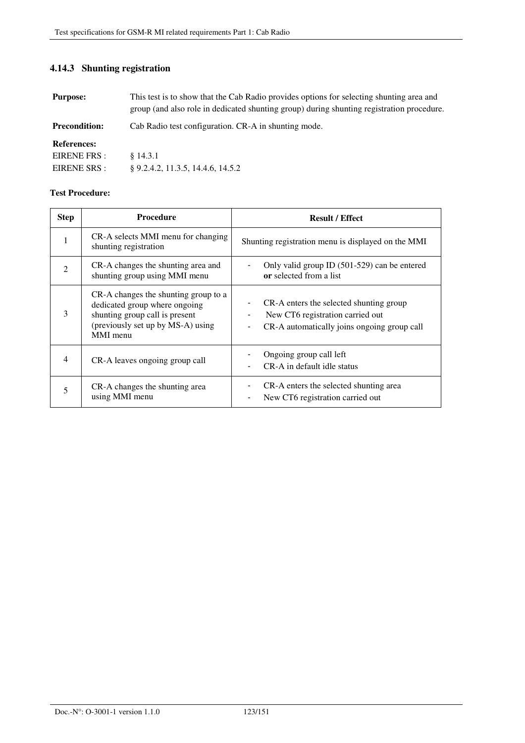# **4.14.3 Shunting registration**

| <b>Purpose:</b>      | This test is to show that the Cab Radio provides options for selecting shunting area and<br>group (and also role in dedicated shunting group) during shunting registration procedure. |
|----------------------|---------------------------------------------------------------------------------------------------------------------------------------------------------------------------------------|
| <b>Precondition:</b> | Cab Radio test configuration. CR-A in shunting mode.                                                                                                                                  |
| <b>References:</b>   |                                                                                                                                                                                       |
| EIRENE FRS :         | \$14.3.1                                                                                                                                                                              |
| EIRENE SRS :         | $\S$ 9.2.4.2, 11.3.5, 14.4.6, 14.5.2                                                                                                                                                  |

| <b>Step</b>    | <b>Procedure</b>                                                                                                                                         | <b>Result / Effect</b>                                                                                                     |
|----------------|----------------------------------------------------------------------------------------------------------------------------------------------------------|----------------------------------------------------------------------------------------------------------------------------|
| 1              | CR-A selects MMI menu for changing<br>shunting registration                                                                                              | Shunting registration menu is displayed on the MMI                                                                         |
| $\mathfrak{D}$ | CR-A changes the shunting area and<br>shunting group using MMI menu                                                                                      | Only valid group ID (501-529) can be entered<br>or selected from a list                                                    |
| 3              | CR-A changes the shunting group to a<br>dedicated group where ongoing<br>shunting group call is present<br>(previously set up by MS-A) using<br>MMI menu | CR-A enters the selected shunting group<br>New CT6 registration carried out<br>CR-A automatically joins ongoing group call |
| 4              | CR-A leaves ongoing group call                                                                                                                           | Ongoing group call left<br>CR-A in default idle status                                                                     |
|                | CR-A changes the shunting area<br>using MMI menu                                                                                                         | CR-A enters the selected shunting area<br>New CT6 registration carried out                                                 |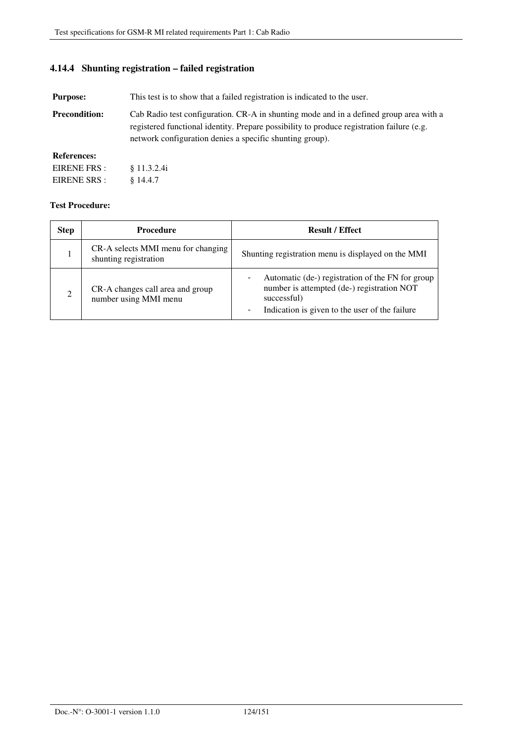## **4.14.4 Shunting registration – failed registration**

**Purpose:** This test is to show that a failed registration is indicated to the user.

**Precondition:** Cab Radio test configuration. CR-A in shunting mode and in a defined group area with a registered functional identity. Prepare possibility to produce registration failure (e.g. network configuration denies a specific shunting group).

### **References:**

| EIRENE FRS:  | § 11.3.2.4i |
|--------------|-------------|
| EIRENE SRS : | $§$ 14.4.7  |

| <b>Step</b>    | <b>Procedure</b>                                            | <b>Result / Effect</b>                                                                                                                                                                      |
|----------------|-------------------------------------------------------------|---------------------------------------------------------------------------------------------------------------------------------------------------------------------------------------------|
|                | CR-A selects MMI menu for changing<br>shunting registration | Shunting registration menu is displayed on the MMI                                                                                                                                          |
| $\mathfrak{D}$ | CR-A changes call area and group<br>number using MMI menu   | Automatic (de-) registration of the FN for group<br>number is attempted (de-) registration NOT<br>successful)<br>Indication is given to the user of the failure<br>$\overline{\phantom{a}}$ |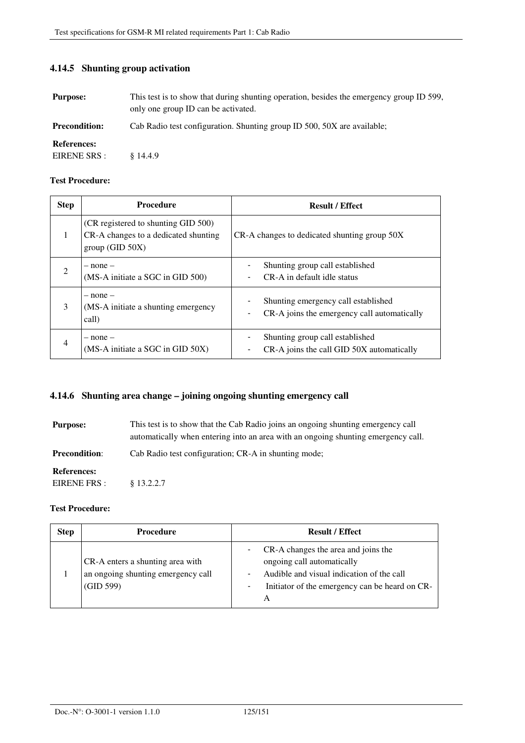| <b>Purpose:</b>                    | This test is to show that during shunting operation, besides the emergency group ID 599,<br>only one group ID can be activated. |
|------------------------------------|---------------------------------------------------------------------------------------------------------------------------------|
| <b>Precondition:</b>               | Cab Radio test configuration. Shunting group ID 500, 50X are available;                                                         |
| <b>References:</b><br>EIRENE SRS : | \$14.4.9                                                                                                                        |

### **4.14.5 Shunting group activation**

### **Test Procedure:**

| <b>Step</b>    | <b>Procedure</b>                                                                              | <b>Result / Effect</b>                                                             |
|----------------|-----------------------------------------------------------------------------------------------|------------------------------------------------------------------------------------|
| 1              | (CR registered to shunting GID 500)<br>CR-A changes to a dedicated shunting<br>group(GID 50X) | CR-A changes to dedicated shunting group 50X                                       |
| $\mathcal{L}$  | $-$ none $-$<br>(MS-A initiate a SGC in GID 500)                                              | Shunting group call established<br>CR-A in default idle status                     |
| 3              | – none –<br>(MS-A initiate a shunting emergency<br>call)                                      | Shunting emergency call established<br>CR-A joins the emergency call automatically |
| $\overline{4}$ | $-$ none $-$<br>(MS-A initiate a SGC in GID 50X)                                              | Shunting group call established<br>CR-A joins the call GID 50X automatically       |

### **4.14.6 Shunting area change – joining ongoing shunting emergency call**

**Purpose:** This test is to show that the Cab Radio joins an ongoing shunting emergency call automatically when entering into an area with an ongoing shunting emergency call. **Precondition:** Cab Radio test configuration; CR-A in shunting mode; **References:**  EIRENE FRS : § 13.2.2.7

| <b>Step</b> | <b>Procedure</b>                                                                    | <b>Result / Effect</b>                                                                                                                                                     |
|-------------|-------------------------------------------------------------------------------------|----------------------------------------------------------------------------------------------------------------------------------------------------------------------------|
|             | CR-A enters a shunting area with<br>an ongoing shunting emergency call<br>(GID 599) | CR-A changes the area and joins the<br>ongoing call automatically<br>Audible and visual indication of the call<br>Initiator of the emergency can be heard on CR-<br>-<br>A |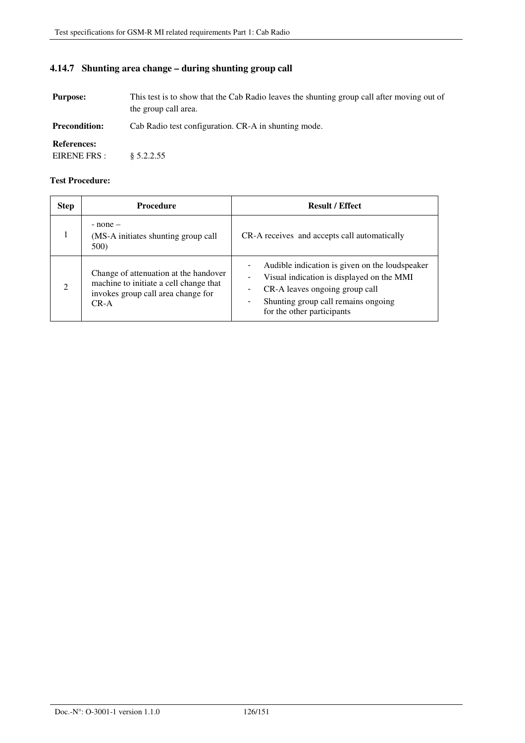# **4.14.7 Shunting area change – during shunting group call**

| <b>Purpose:</b>                    | This test is to show that the Cab Radio leaves the shunting group call after moving out of<br>the group call area. |
|------------------------------------|--------------------------------------------------------------------------------------------------------------------|
| <b>Precondition:</b>               | Cab Radio test configuration. CR-A in shunting mode.                                                               |
| <b>References:</b><br>EIRENE FRS : | \$5.2.2.55                                                                                                         |

| <b>Step</b>                 | <b>Procedure</b>                                                                                                                  | <b>Result / Effect</b>                                                                                                                                                                                                              |
|-----------------------------|-----------------------------------------------------------------------------------------------------------------------------------|-------------------------------------------------------------------------------------------------------------------------------------------------------------------------------------------------------------------------------------|
|                             | $-$ none $-$<br>(MS-A initiates shunting group call<br>500)                                                                       | CR-A receives and accepts call automatically                                                                                                                                                                                        |
| $\mathcal{D}_{\mathcal{L}}$ | Change of attenuation at the handover<br>machine to initiate a cell change that<br>invokes group call area change for<br>$CR - A$ | Audible indication is given on the loudspeaker<br>$\overline{\phantom{a}}$<br>Visual indication is displayed on the MMI<br>CR-A leaves ongoing group call<br>Shunting group call remains ongoing<br>-<br>for the other participants |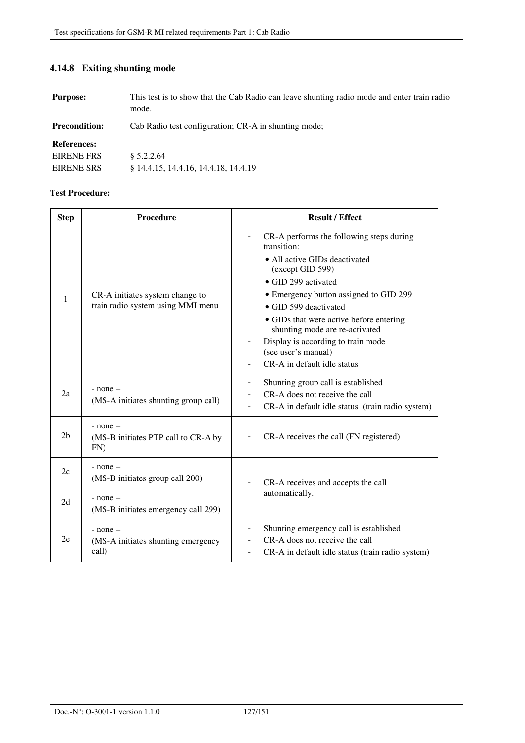# **4.14.8 Exiting shunting mode**

| <b>Purpose:</b>                                    | This test is to show that the Cab Radio can leave shunting radio mode and enter train radio<br>mode. |
|----------------------------------------------------|------------------------------------------------------------------------------------------------------|
| <b>Precondition:</b>                               | Cab Radio test configuration; CR-A in shunting mode;                                                 |
| <b>References:</b><br>EIRENE FRS :<br>EIRENE SRS : | \$5.2.2.64<br>§ 14.4.15, 14.4.16, 14.4.18, 14.4.19                                                   |

| <b>Step</b>    | Procedure                                            | <b>Result / Effect</b>                                                    |
|----------------|------------------------------------------------------|---------------------------------------------------------------------------|
|                |                                                      | CR-A performs the following steps during<br>transition:                   |
|                |                                                      | • All active GIDs deactivated<br>(except GID 599)                         |
|                |                                                      | • GID 299 activated                                                       |
| 1              | CR-A initiates system change to                      | • Emergency button assigned to GID 299                                    |
|                | train radio system using MMI menu                    | • GID 599 deactivated                                                     |
|                |                                                      | • GIDs that were active before entering<br>shunting mode are re-activated |
|                |                                                      | Display is according to train mode<br>(see user's manual)                 |
|                |                                                      | CR-A in default idle status                                               |
|                | $-$ none $-$<br>(MS-A initiates shunting group call) | Shunting group call is established                                        |
| 2a             |                                                      | CR-A does not receive the call                                            |
|                |                                                      | CR-A in default idle status (train radio system)                          |
|                | $-$ none $-$                                         |                                                                           |
| 2 <sub>b</sub> | (MS-B initiates PTP call to CR-A by<br>FN            | CR-A receives the call (FN registered)                                    |
| 2c             | $-$ none $-$                                         |                                                                           |
|                | (MS-B initiates group call 200)                      | CR-A receives and accepts the call                                        |
| 2d             | $-$ none $-$                                         | automatically.                                                            |
|                | (MS-B initiates emergency call 299)                  |                                                                           |
|                | $-$ none $-$                                         | Shunting emergency call is established                                    |
| 2e             | (MS-A initiates shunting emergency<br>call)          | CR-A does not receive the call                                            |
|                |                                                      | CR-A in default idle status (train radio system)                          |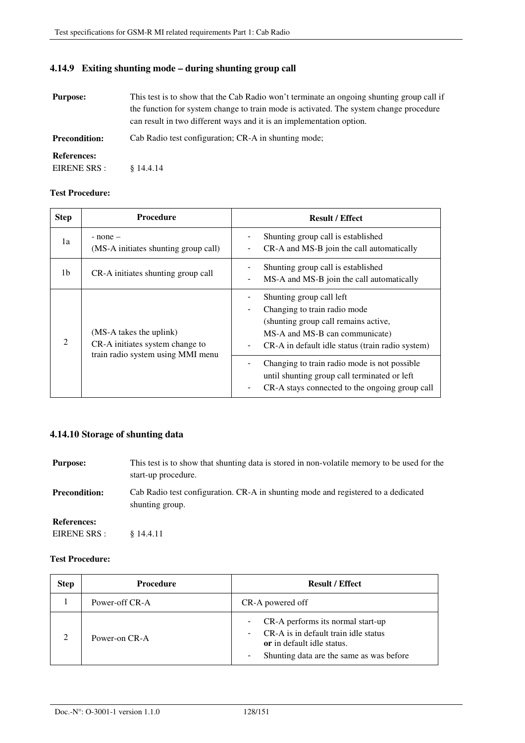# **4.14.9 Exiting shunting mode – during shunting group call**

| <b>Purpose:</b>      | This test is to show that the Cab Radio won't terminate an ongoing shunting group call if<br>the function for system change to train mode is activated. The system change procedure<br>can result in two different ways and it is an implementation option. |
|----------------------|-------------------------------------------------------------------------------------------------------------------------------------------------------------------------------------------------------------------------------------------------------------|
| <b>Precondition:</b> | Cab Radio test configuration; CR-A in shunting mode;                                                                                                                                                                                                        |
| <b>References:</b>   |                                                                                                                                                                                                                                                             |
| EIRENE SRS :         | \$14.4.14                                                                                                                                                                                                                                                   |

### **Test Procedure:**

| <b>Step</b>                 | <b>Procedure</b>                                                                                | <b>Result / Effect</b>                                                                                                                                                                 |
|-----------------------------|-------------------------------------------------------------------------------------------------|----------------------------------------------------------------------------------------------------------------------------------------------------------------------------------------|
| 1a                          | $-$ none $-$<br>(MS-A initiates shunting group call)                                            | Shunting group call is established<br>CR-A and MS-B join the call automatically                                                                                                        |
| 1b                          | CR-A initiates shunting group call                                                              | Shunting group call is established<br>MS-A and MS-B join the call automatically                                                                                                        |
| $\mathcal{D}_{\mathcal{L}}$ | (MS-A takes the uplink)<br>CR-A initiates system change to<br>train radio system using MMI menu | Shunting group call left<br>Changing to train radio mode<br>(shunting group call remains active,<br>MS-A and MS-B can communicate)<br>CR-A in default idle status (train radio system) |
|                             |                                                                                                 | Changing to train radio mode is not possible.<br>until shunting group call terminated or left<br>CR-A stays connected to the ongoing group call                                        |

## **4.14.10 Storage of shunting data**

| <b>Purpose:</b>      | This test is to show that shunting data is stored in non-volatile memory to be used for the<br>start-up procedure. |
|----------------------|--------------------------------------------------------------------------------------------------------------------|
| <b>Precondition:</b> | Cab Radio test configuration. CR-A in shunting mode and registered to a dedicated<br>shunting group.               |
| <b>References:</b>   |                                                                                                                    |
| EIRENE SRS :         | \$14.4.11                                                                                                          |

| <b>Step</b> | <b>Procedure</b> | <b>Result / Effect</b>                                                                                                                                                               |
|-------------|------------------|--------------------------------------------------------------------------------------------------------------------------------------------------------------------------------------|
|             | Power-off CR-A   | CR-A powered off                                                                                                                                                                     |
|             | Power-on CR-A    | CR-A performs its normal start-up<br>$\overline{\phantom{0}}$<br>CR-A is in default train idle status<br>or in default idle status.<br>Shunting data are the same as was before<br>٠ |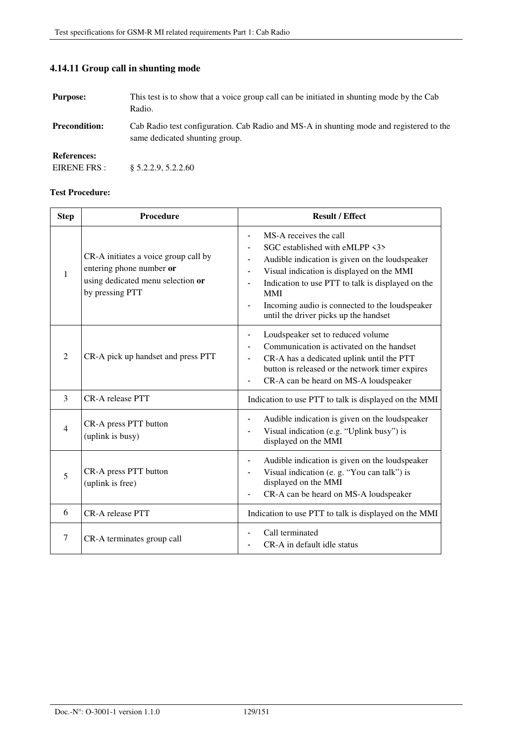| <b>Purpose:</b>                    | This test is to show that a voice group call can be initiated in shunting mode by the Cab<br>Radio.                       |
|------------------------------------|---------------------------------------------------------------------------------------------------------------------------|
| <b>Precondition:</b>               | Cab Radio test configuration. Cab Radio and MS-A in shunting mode and registered to the<br>same dedicated shunting group. |
| <b>References:</b><br>EIRENE FRS : | \$5.2.2.9, 5.2.2.60                                                                                                       |

# **4.14.11 Group call in shunting mode**

| <b>Step</b>    | Procedure                                                                                                                | <b>Result / Effect</b>                                                                                                                                                                                                                                                                                                                                                |
|----------------|--------------------------------------------------------------------------------------------------------------------------|-----------------------------------------------------------------------------------------------------------------------------------------------------------------------------------------------------------------------------------------------------------------------------------------------------------------------------------------------------------------------|
| 1              | CR-A initiates a voice group call by<br>entering phone number or<br>using dedicated menu selection or<br>by pressing PTT | MS-A receives the call<br>$\qquad \qquad \blacksquare$<br>SGC established with eMLPP $\langle 3 \rangle$<br>Audible indication is given on the loudspeaker<br>Visual indication is displayed on the MMI<br>Indication to use PTT to talk is displayed on the<br><b>MMI</b><br>Incoming audio is connected to the loudspeaker<br>until the driver picks up the handset |
| 2              | CR-A pick up handset and press PTT                                                                                       | Loudspeaker set to reduced volume<br>Communication is activated on the handset<br>CR-A has a dedicated uplink until the PTT<br>button is released or the network timer expires<br>CR-A can be heard on MS-A loudspeaker                                                                                                                                               |
| 3              | <b>CR-A</b> release PTT                                                                                                  | Indication to use PTT to talk is displayed on the MMI                                                                                                                                                                                                                                                                                                                 |
| $\overline{4}$ | CR-A press PTT button<br>(uplink is busy)                                                                                | Audible indication is given on the loudspeaker<br>Visual indication (e.g. "Uplink busy") is<br>displayed on the MMI                                                                                                                                                                                                                                                   |
| 5              | CR-A press PTT button<br>(uplink is free)                                                                                | Audible indication is given on the loudspeaker<br>Visual indication (e. g. "You can talk") is<br>displayed on the MMI<br>CR-A can be heard on MS-A loudspeaker                                                                                                                                                                                                        |
| 6              | <b>CR-A</b> release PTT                                                                                                  | Indication to use PTT to talk is displayed on the MMI                                                                                                                                                                                                                                                                                                                 |
| 7              | CR-A terminates group call                                                                                               | Call terminated<br>CR-A in default idle status                                                                                                                                                                                                                                                                                                                        |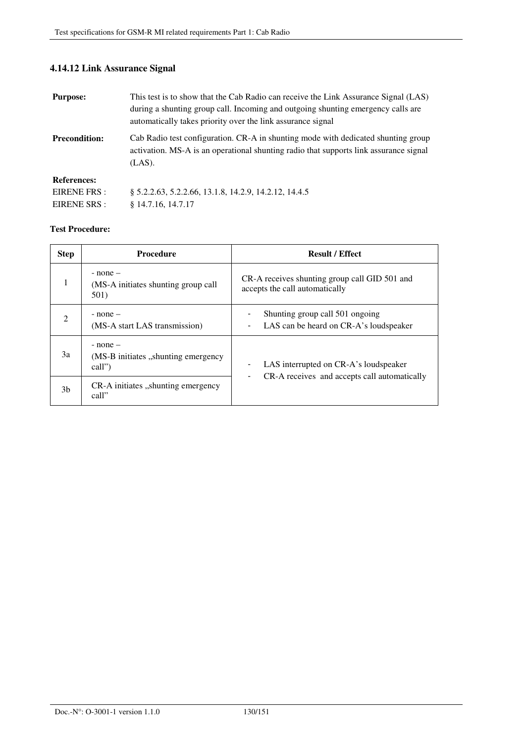# **4.14.12 Link Assurance Signal**

| <b>Purpose:</b>      | This test is to show that the Cab Radio can receive the Link Assurance Signal (LAS)<br>during a shunting group call. Incoming and outgoing shunting emergency calls are<br>automatically takes priority over the link assurance signal |
|----------------------|----------------------------------------------------------------------------------------------------------------------------------------------------------------------------------------------------------------------------------------|
| <b>Precondition:</b> | Cab Radio test configuration. CR-A in shunting mode with dedicated shunting group<br>activation. MS-A is an operational shunting radio that supports link assurance signal<br>$(LAS)$ .                                                |
| <b>References:</b>   |                                                                                                                                                                                                                                        |
| EIRENE FRS:          | \$5.2.2.63, 5.2.2.66, 13.1.8, 14.2.9, 14.2.12, 14.4.5                                                                                                                                                                                  |
| EIRENE SRS :         | $§$ 14.7.16, 14.7.17                                                                                                                                                                                                                   |

| <b>Step</b> | <b>Procedure</b>                                               | <b>Result / Effect</b>                                                                          |
|-------------|----------------------------------------------------------------|-------------------------------------------------------------------------------------------------|
|             | $-$ none $-$<br>(MS-A initiates shunting group call<br>501)    | CR-A receives shunting group call GID 501 and<br>accepts the call automatically                 |
| 2           | $-$ none $-$<br>(MS-A start LAS transmission)                  | Shunting group call 501 ongoing<br>LAS can be heard on CR-A's loudspeaker<br>-                  |
| 3a          | $-$ none $-$<br>(MS-B initiates , shunting emergency<br>call") | LAS interrupted on CR-A's loudspeaker<br>-<br>CR-A receives and accepts call automatically<br>- |
| 3b          | CR-A initiates "shunting emergency<br>call"                    |                                                                                                 |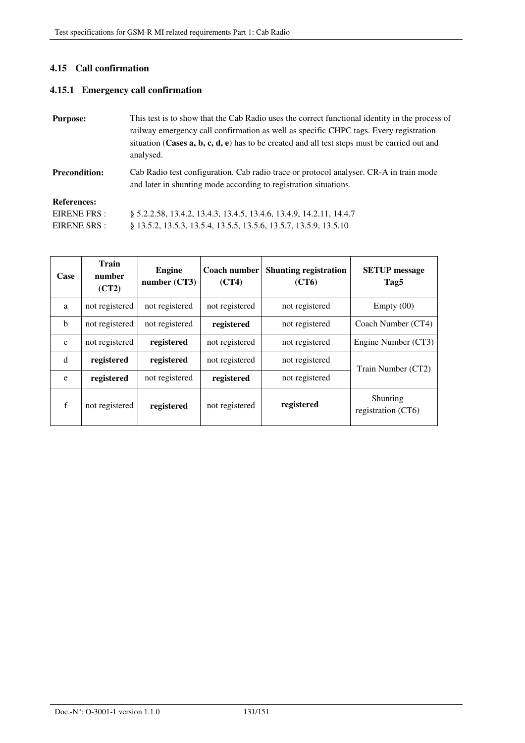## **4.15 Call confirmation**

## **4.15.1 Emergency call confirmation**

| <b>Purpose:</b>                                                                                                                                                                    | This test is to show that the Cab Radio uses the correct functional identity in the process of<br>railway emergency call confirmation as well as specific CHPC tags. Every registration<br>situation (Cases $a, b, c, d, e$ ) has to be created and all test steps must be carried out and<br>analysed. |
|------------------------------------------------------------------------------------------------------------------------------------------------------------------------------------|---------------------------------------------------------------------------------------------------------------------------------------------------------------------------------------------------------------------------------------------------------------------------------------------------------|
| Cab Radio test configuration. Cab radio trace or protocol analyser. CR-A in train mode<br><b>Precondition:</b><br>and later in shunting mode according to registration situations. |                                                                                                                                                                                                                                                                                                         |
| <b>References:</b>                                                                                                                                                                 |                                                                                                                                                                                                                                                                                                         |
| EIRENE FRS :                                                                                                                                                                       | \$5.2.2.58, 13.4.2, 13.4.3, 13.4.5, 13.4.6, 13.4.9, 14.2.11, 14.4.7                                                                                                                                                                                                                                     |
| EIRENE SRS :                                                                                                                                                                       | 8 13.5.2, 13.5.3, 13.5.4, 13.5.5, 13.5.6, 13.5.7, 13.5.9, 13.5.10                                                                                                                                                                                                                                       |

| Case         | Train<br>number<br>(CT2) | <b>Engine</b><br>number (CT3) | <b>Coach number</b><br>(CT4) | <b>Shunting registration</b><br>(CT6) | <b>SETUP</b> message<br>Tag5   |
|--------------|--------------------------|-------------------------------|------------------------------|---------------------------------------|--------------------------------|
| a            | not registered           | not registered                | not registered               | not registered                        | Empty(00)                      |
| $\mathbf b$  | not registered           | not registered                | registered                   | not registered                        | Coach Number (CT4)             |
| $\mathbf{c}$ | not registered           | registered                    | not registered               | not registered                        | Engine Number (CT3)            |
| d            | registered               | registered                    | not registered               | not registered                        | Train Number (CT2)             |
| e            | registered               | not registered                | registered                   | not registered                        |                                |
| $\mathbf f$  | not registered           | registered                    | not registered               | registered                            | Shunting<br>registration (CT6) |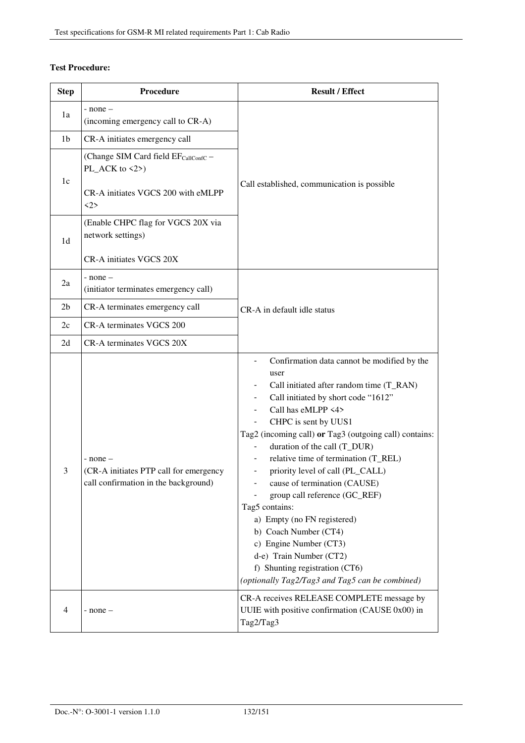| <b>Step</b>    | Procedure                                                                                                                                      | <b>Result / Effect</b>                                                                                                                                                                                                                                                                                                                                                                                                                                                                                                                                                                                                                                                                                  |  |
|----------------|------------------------------------------------------------------------------------------------------------------------------------------------|---------------------------------------------------------------------------------------------------------------------------------------------------------------------------------------------------------------------------------------------------------------------------------------------------------------------------------------------------------------------------------------------------------------------------------------------------------------------------------------------------------------------------------------------------------------------------------------------------------------------------------------------------------------------------------------------------------|--|
| 1a             | - none –<br>(incoming emergency call to CR-A)                                                                                                  |                                                                                                                                                                                                                                                                                                                                                                                                                                                                                                                                                                                                                                                                                                         |  |
| 1 <sub>b</sub> | CR-A initiates emergency call                                                                                                                  |                                                                                                                                                                                                                                                                                                                                                                                                                                                                                                                                                                                                                                                                                                         |  |
| 1c             | (Change SIM Card field EF <sub>CallConfC</sub> -<br>PL_ACK to $\langle 2 \rangle$<br>CR-A initiates VGCS 200 with eMLPP<br>$\langle 2 \rangle$ | Call established, communication is possible                                                                                                                                                                                                                                                                                                                                                                                                                                                                                                                                                                                                                                                             |  |
| 1 <sub>d</sub> | (Enable CHPC flag for VGCS 20X via<br>network settings)<br>CR-A initiates VGCS 20X                                                             |                                                                                                                                                                                                                                                                                                                                                                                                                                                                                                                                                                                                                                                                                                         |  |
| 2a             | - none –<br>(initiator terminates emergency call)                                                                                              |                                                                                                                                                                                                                                                                                                                                                                                                                                                                                                                                                                                                                                                                                                         |  |
| 2 <sub>b</sub> | CR-A terminates emergency call<br>CR-A in default idle status                                                                                  |                                                                                                                                                                                                                                                                                                                                                                                                                                                                                                                                                                                                                                                                                                         |  |
| 2c             | CR-A terminates VGCS 200                                                                                                                       |                                                                                                                                                                                                                                                                                                                                                                                                                                                                                                                                                                                                                                                                                                         |  |
| 2d             | CR-A terminates VGCS 20X                                                                                                                       |                                                                                                                                                                                                                                                                                                                                                                                                                                                                                                                                                                                                                                                                                                         |  |
| 3              | - none –<br>(CR-A initiates PTP call for emergency<br>call confirmation in the background)                                                     | Confirmation data cannot be modified by the<br>user<br>Call initiated after random time (T_RAN)<br>Call initiated by short code "1612"<br>$\overline{\phantom{a}}$<br>Call has eMLPP <4><br>CHPC is sent by UUS1<br>Tag2 (incoming call) or Tag3 (outgoing call) contains:<br>duration of the call (T_DUR)<br>relative time of termination (T_REL)<br>$\overline{\phantom{a}}$<br>priority level of call (PL_CALL)<br>cause of termination (CAUSE)<br>group call reference (GC_REF)<br>Tag5 contains:<br>a) Empty (no FN registered)<br>b) Coach Number (CT4)<br>c) Engine Number (CT3)<br>d-e) Train Number (CT2)<br>f) Shunting registration (CT6)<br>(optionally Tag2/Tag3 and Tag5 can be combined) |  |
| 4              | - none –                                                                                                                                       | CR-A receives RELEASE COMPLETE message by<br>UUIE with positive confirmation (CAUSE 0x00) in<br>Tag2/Tag3                                                                                                                                                                                                                                                                                                                                                                                                                                                                                                                                                                                               |  |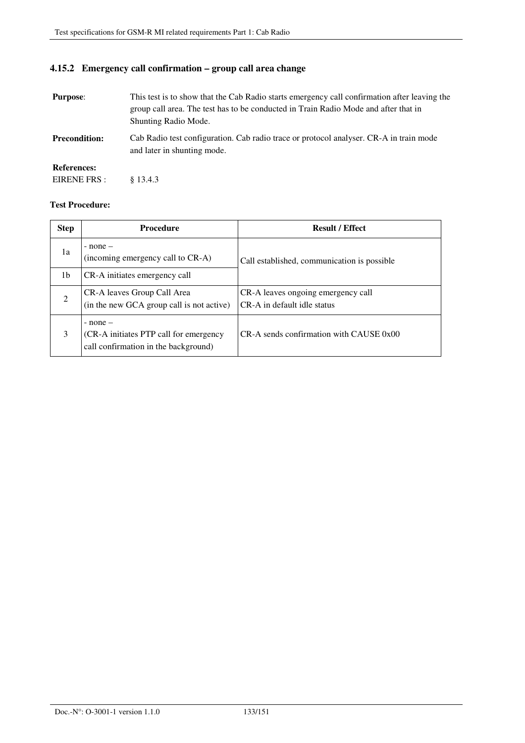# **4.15.2 Emergency call confirmation – group call area change**

| <b>Purpose:</b>      | This test is to show that the Cab Radio starts emergency call confirmation after leaving the<br>group call area. The test has to be conducted in Train Radio Mode and after that in<br>Shunting Radio Mode. |  |
|----------------------|-------------------------------------------------------------------------------------------------------------------------------------------------------------------------------------------------------------|--|
| <b>Precondition:</b> | Cab Radio test configuration. Cab radio trace or protocol analyser. CR-A in train mode<br>and later in shunting mode.                                                                                       |  |
| <b>References:</b>   |                                                                                                                                                                                                             |  |
| EIRENE FRS :         | \$13.4.3                                                                                                                                                                                                    |  |

| <b>Step</b>   | <b>Procedure</b>                                                                               | <b>Result / Effect</b>                                            |
|---------------|------------------------------------------------------------------------------------------------|-------------------------------------------------------------------|
| 1a            | $-$ none $-$<br>(incoming emergency call to CR-A)                                              | Call established, communication is possible                       |
| 1b            | CR-A initiates emergency call                                                                  |                                                                   |
| $\mathcal{D}$ | CR-A leaves Group Call Area<br>(in the new GCA group call is not active)                       | CR-A leaves ongoing emergency call<br>CR-A in default idle status |
| 3             | $-$ none $-$<br>(CR-A initiates PTP call for emergency<br>call confirmation in the background) | $CR-A$ sends confirmation with CAUSE $0x00$                       |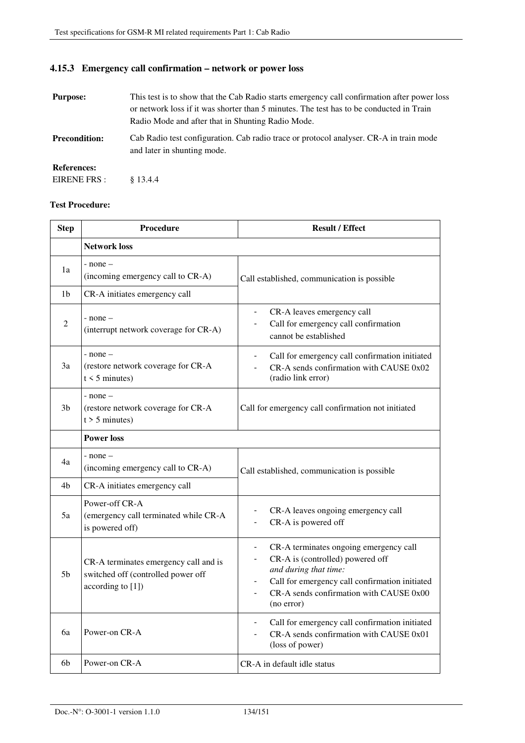# **4.15.3 Emergency call confirmation – network or power loss**

| <b>Purpose:</b>      | This test is to show that the Cab Radio starts emergency call confirmation after power loss<br>or network loss if it was shorter than 5 minutes. The test has to be conducted in Train<br>Radio Mode and after that in Shunting Radio Mode. |
|----------------------|---------------------------------------------------------------------------------------------------------------------------------------------------------------------------------------------------------------------------------------------|
| <b>Precondition:</b> | Cab Radio test configuration. Cab radio trace or protocol analyser. CR-A in train mode<br>and later in shunting mode.                                                                                                                       |
| <b>References:</b>   |                                                                                                                                                                                                                                             |
| EIRENE FRS:          | \$13.4.4                                                                                                                                                                                                                                    |

| <b>Step</b>    | Procedure                                                                                        | <b>Result / Effect</b>                                                                                                                                                                                                                          |
|----------------|--------------------------------------------------------------------------------------------------|-------------------------------------------------------------------------------------------------------------------------------------------------------------------------------------------------------------------------------------------------|
|                | <b>Network loss</b>                                                                              |                                                                                                                                                                                                                                                 |
| 1a             | - none –<br>(incoming emergency call to CR-A)                                                    | Call established, communication is possible                                                                                                                                                                                                     |
| 1 <sub>b</sub> | CR-A initiates emergency call                                                                    |                                                                                                                                                                                                                                                 |
| 2              | $-$ none $-$<br>(interrupt network coverage for CR-A)                                            | CR-A leaves emergency call<br>$\overline{\phantom{0}}$<br>Call for emergency call confirmation<br>-<br>cannot be established                                                                                                                    |
| 3a             | $-$ none $-$<br>(restore network coverage for CR-A<br>$t \leq 5$ minutes)                        | Call for emergency call confirmation initiated<br>$\overline{\phantom{0}}$<br>CR-A sends confirmation with CAUSE 0x02<br>(radio link error)                                                                                                     |
| 3 <sub>b</sub> | $-$ none $-$<br>(restore network coverage for CR-A<br>$t > 5$ minutes)                           | Call for emergency call confirmation not initiated                                                                                                                                                                                              |
|                | <b>Power loss</b>                                                                                |                                                                                                                                                                                                                                                 |
| 4a             | $-$ none $-$<br>(incoming emergency call to CR-A)                                                | Call established, communication is possible                                                                                                                                                                                                     |
| 4b             | CR-A initiates emergency call                                                                    |                                                                                                                                                                                                                                                 |
| 5a             | Power-off CR-A<br>(emergency call terminated while CR-A<br>is powered off)                       | CR-A leaves ongoing emergency call<br>CR-A is powered off<br>-                                                                                                                                                                                  |
| 5 <sub>b</sub> | CR-A terminates emergency call and is<br>switched off (controlled power off<br>according to [1]) | CR-A terminates ongoing emergency call<br>$\overline{\phantom{0}}$<br>CR-A is (controlled) powered off<br>and during that time:<br>Call for emergency call confirmation initiated<br>-<br>CR-A sends confirmation with CAUSE 0x00<br>(no error) |
| 6a             | Power-on CR-A                                                                                    | Call for emergency call confirmation initiated<br>CR-A sends confirmation with CAUSE 0x01<br>(loss of power)                                                                                                                                    |
| 6b             | Power-on CR-A                                                                                    | CR-A in default idle status                                                                                                                                                                                                                     |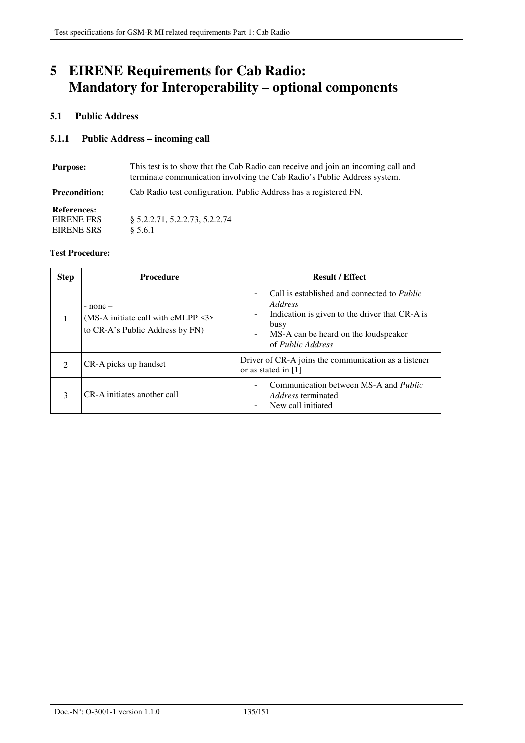# **5 EIRENE Requirements for Cab Radio: Mandatory for Interoperability – optional components**

## **5.1 Public Address**

## **5.1.1 Public Address – incoming call**

| This test is to show that the Cab Radio can receive and join an incoming call and<br><b>Purpose:</b><br>terminate communication involving the Cab Radio's Public Address system. |                                                                   |
|----------------------------------------------------------------------------------------------------------------------------------------------------------------------------------|-------------------------------------------------------------------|
| <b>Precondition:</b>                                                                                                                                                             | Cab Radio test configuration. Public Address has a registered FN. |
| <b>References:</b><br>EIRENE FRS :<br>EIRENE SRS :                                                                                                                               | 8 5.2.2.71, 5.2.2.73, 5.2.2.74<br>§ 5.6.1                         |

| <b>Step</b>    | <b>Procedure</b>                                                                                      | <b>Result / Effect</b>                                                                                                                                                                                                                                                          |
|----------------|-------------------------------------------------------------------------------------------------------|---------------------------------------------------------------------------------------------------------------------------------------------------------------------------------------------------------------------------------------------------------------------------------|
|                | $-$ none $-$<br>(MS-A initiate call with eMLPP $\langle 3 \rangle$<br>to CR-A's Public Address by FN) | Call is established and connected to <i>Public</i><br>$\overline{\phantom{0}}$<br>Address<br>Indication is given to the driver that CR-A is<br>$\overline{\phantom{a}}$<br>busy<br>MS-A can be heard on the loudspeaker<br>$\overline{\phantom{a}}$<br>of <i>Public Address</i> |
| $\mathfrak{D}$ | CR-A picks up handset                                                                                 | Driver of CR-A joins the communication as a listener<br>or as stated in [1]                                                                                                                                                                                                     |
| 3              | CR-A initiates another call                                                                           | Communication between MS-A and <i>Public</i><br>$\overline{\phantom{a}}$<br><i>Address</i> terminated<br>New call initiated                                                                                                                                                     |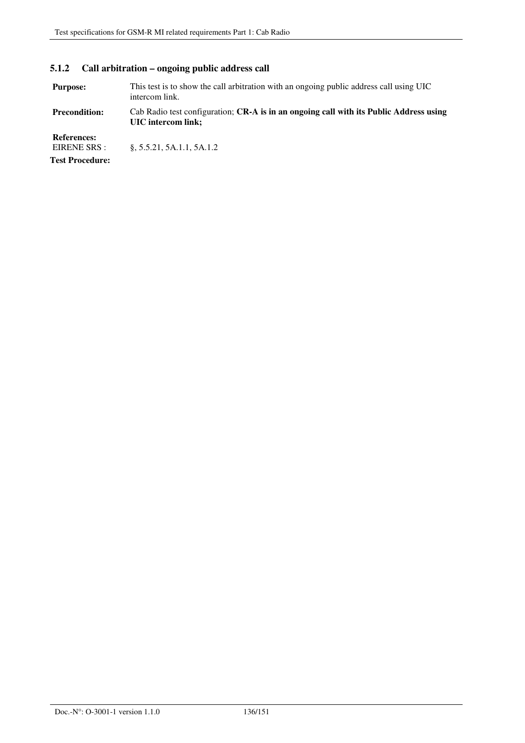# **5.1.2 Call arbitration – ongoing public address call**

| <b>Purpose:</b>                    | This test is to show the call arbitration with an ongoing public address call using UIC<br>intercom link.    |
|------------------------------------|--------------------------------------------------------------------------------------------------------------|
| <b>Precondition:</b>               | Cab Radio test configuration; CR-A is in an ongoing call with its Public Address using<br>UIC intercom link; |
| <b>References:</b><br>EIRENE SRS : | $\S$ , 5.5.21, 5A.1.1, 5A.1.2                                                                                |
| <b>Test Procedure:</b>             |                                                                                                              |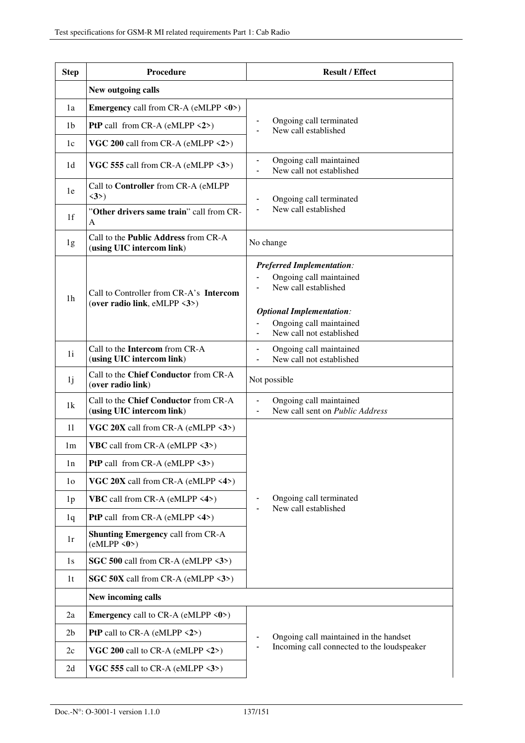| <b>Step</b>    | Procedure                                                                | <b>Result / Effect</b>                                                                                                 |
|----------------|--------------------------------------------------------------------------|------------------------------------------------------------------------------------------------------------------------|
|                | New outgoing calls                                                       |                                                                                                                        |
| 1a             | <b>Emergency</b> call from CR-A (eMLPP $\langle 0 \rangle$ )             |                                                                                                                        |
| 1b             | <b>PtP</b> call from CR-A (eMLPP $\langle 2 \rangle$ )                   | Ongoing call terminated<br>New call established                                                                        |
| 1c             | VGC 200 call from CR-A (eMLPP $\langle 2 \rangle$ )                      |                                                                                                                        |
| 1 <sub>d</sub> | VGC 555 call from CR-A (eMLPP <3>)                                       | Ongoing call maintained<br>New call not established                                                                    |
| 1e             | Call to Controller from CR-A (eMLPP<br>$\langle 3 \rangle$               | Ongoing call terminated                                                                                                |
| 1 <sup>f</sup> | "Other drivers same train" call from CR-<br>A                            | New call established                                                                                                   |
| 1g             | Call to the <b>Public Address</b> from CR-A<br>(using UIC intercom link) | No change                                                                                                              |
| 1 <sub>h</sub> | Call to Controller from CR-A's Intercom<br>(over radio link, eMLPP <3>)  | <b>Preferred Implementation:</b><br>Ongoing call maintained<br>New call established<br><b>Optional Implementation:</b> |
|                |                                                                          | Ongoing call maintained<br>New call not established                                                                    |
| 1i             | Call to the Intercom from CR-A<br>(using UIC intercom link)              | Ongoing call maintained<br>New call not established                                                                    |
| 1j             | Call to the Chief Conductor from CR-A<br>(over radio link)               | Not possible                                                                                                           |
| 1k             | Call to the Chief Conductor from CR-A<br>(using UIC intercom link)       | Ongoing call maintained<br>$\blacksquare$<br>New call sent on Public Address<br>$\overline{\phantom{0}}$               |
| 11             | VGC $20X$ call from CR-A (eMLPP $\langle 3 \rangle$ )                    |                                                                                                                        |
| 1m             | <b>VBC</b> call from CR-A (eMLPP $\langle 3 \rangle$ )                   |                                                                                                                        |
| 1n             | <b>PtP</b> call from CR-A (eMLPP $\langle 3 \rangle$ )                   |                                                                                                                        |
| 1 <sub>o</sub> | VGC $20X$ call from CR-A (eMLPP $\langle 4 \rangle$ )                    |                                                                                                                        |
| 1 <sub>p</sub> | VBC call from CR-A (eMLPP <4>)                                           | Ongoing call terminated<br>New call established                                                                        |
| 1q             | <b>PtP</b> call from CR-A (eMLPP $\langle 4 \rangle$ )                   |                                                                                                                        |
| 1r             | <b>Shunting Emergency call from CR-A</b><br>(eMLPP <0>)                  |                                                                                                                        |
| 1s             | SGC 500 call from CR-A (eMLPP <3>)                                       |                                                                                                                        |
| 1 <sub>t</sub> | SGC 50X call from CR-A (eMLPP <3>)                                       |                                                                                                                        |
|                | New incoming calls                                                       |                                                                                                                        |
| 2a             | <b>Emergency</b> call to CR-A (eMLPP <0>)                                |                                                                                                                        |
| 2 <sub>b</sub> | <b>PtP</b> call to CR-A (eMLPP $\langle 2 \rangle$ )                     | Ongoing call maintained in the handset                                                                                 |
| 2c             | VGC 200 call to CR-A (eMLPP $\langle 2 \rangle$ )                        | Incoming call connected to the loudspeaker                                                                             |
| 2d             | VGC 555 call to CR-A (eMLPP $\langle 3 \rangle$ )                        |                                                                                                                        |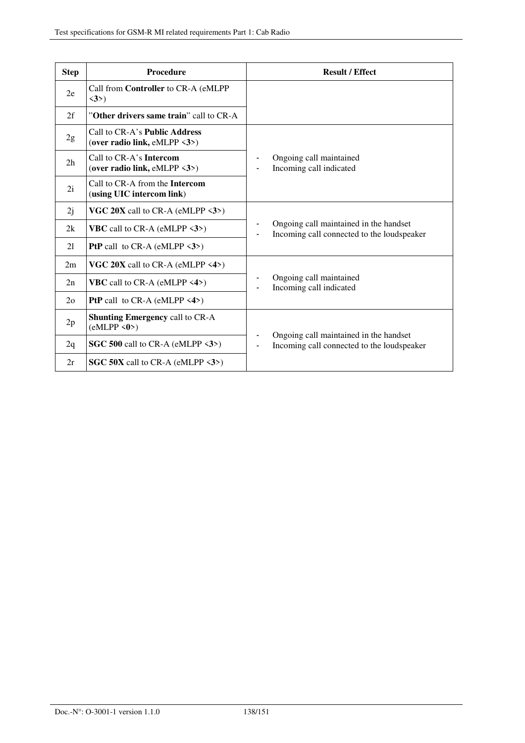| <b>Step</b>    | <b>Procedure</b>                                                                      | <b>Result / Effect</b>                                                                                 |
|----------------|---------------------------------------------------------------------------------------|--------------------------------------------------------------------------------------------------------|
| 2e             | Call from Controller to CR-A (eMLPP<br>$\langle 3 \rangle$                            |                                                                                                        |
| 2f             | "Other drivers same train" call to CR-A                                               |                                                                                                        |
| 2g             | Call to CR-A's <b>Public Address</b><br>(over radio link, eMLPP $\langle 3 \rangle$ ) |                                                                                                        |
| 2 <sub>h</sub> | Call to CR-A's <b>Intercom</b><br>(over radio link, eMLPP $\langle 3 \rangle$ )       | Ongoing call maintained<br>Incoming call indicated                                                     |
| 2i             | Call to CR-A from the <b>Intercom</b><br>(using UIC intercom link)                    |                                                                                                        |
| 2j             | VGC $20X$ call to CR-A (eMLPP $\langle 3 \rangle$ )                                   |                                                                                                        |
| 2k             | <b>VBC</b> call to CR-A (eMLPP $\langle 3 \rangle$ )                                  | Ongoing call maintained in the handset<br>Incoming call connected to the loudspeaker                   |
| 21             | <b>PtP</b> call to CR-A (eMLPP $\langle 3 \rangle$ )                                  |                                                                                                        |
| 2m             | VGC $20X$ call to CR-A (eMLPP <4>)                                                    |                                                                                                        |
| 2n             | <b>VBC</b> call to CR-A (eMLPP $\langle 4 \rangle$ )                                  | Ongoing call maintained<br>Incoming call indicated                                                     |
| 2 <sub>o</sub> | <b>PtP</b> call to $CR-A$ (eMLPP <4>)                                                 |                                                                                                        |
| 2p             | <b>Shunting Emergency call to CR-A</b><br>(eMLPP < 0)                                 |                                                                                                        |
| 2q             | SGC 500 call to CR-A (eMLPP $\langle 3 \rangle$ )                                     | Ongoing call maintained in the handset<br>Incoming call connected to the loudspeaker<br>$\blacksquare$ |
| 2r             | <b>SGC 50X</b> call to CR-A (eMLPP $\langle 3 \rangle$ )                              |                                                                                                        |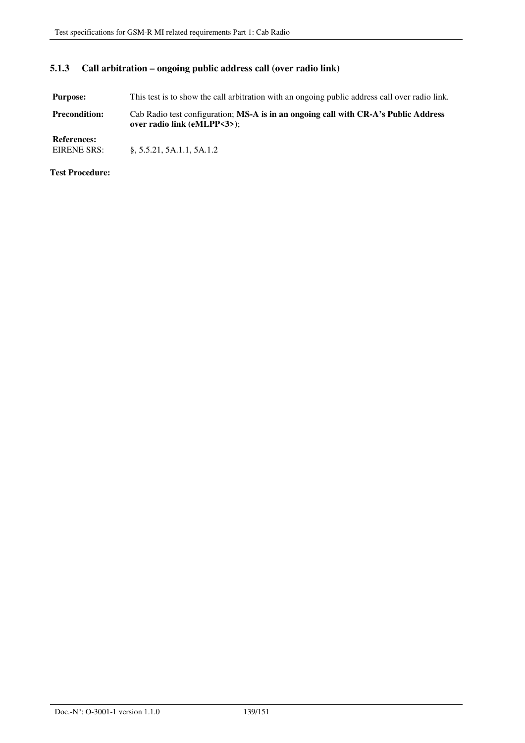## **5.1.3 Call arbitration – ongoing public address call (over radio link)**

**Purpose:** This test is to show the call arbitration with an ongoing public address call over radio link. **Precondition:** Cab Radio test configuration; **MS-A is in an ongoing call with CR-A's Public Address over radio link (eMLPP<3>)**;

**References:**  §, 5.5.21, 5A.1.1, 5A.1.2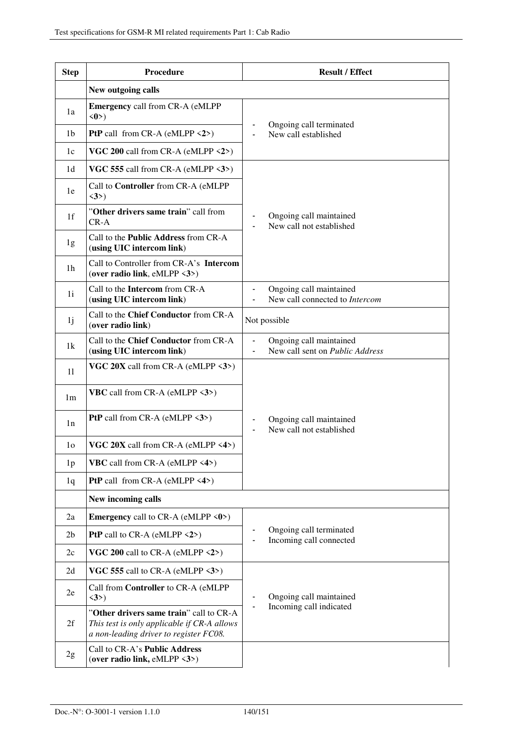| <b>Step</b>    | Procedure                                                                                                                        | <b>Result / Effect</b>                                                       |
|----------------|----------------------------------------------------------------------------------------------------------------------------------|------------------------------------------------------------------------------|
|                | New outgoing calls                                                                                                               |                                                                              |
| 1a             | <b>Emergency call from CR-A (eMLPP)</b><br>$\langle 0 \rangle$                                                                   | Ongoing call terminated                                                      |
| 1b             | <b>PtP</b> call from CR-A (eMLPP $\langle 2 \rangle$ )                                                                           | New call established<br>$\blacksquare$                                       |
| 1c             | VGC 200 call from CR-A (eMLPP $\langle 2 \rangle$ )                                                                              |                                                                              |
| 1 <sub>d</sub> | VGC 555 call from CR-A (eMLPP <3>)                                                                                               |                                                                              |
| 1e             | Call to Controller from CR-A (eMLPP<br>$\langle 3 \rangle$                                                                       |                                                                              |
| 1 <sub>f</sub> | "Other drivers same train" call from<br>$CR-A$                                                                                   | Ongoing call maintained<br>New call not established                          |
| 1g             | Call to the <b>Public Address</b> from CR-A<br>(using UIC intercom link)                                                         |                                                                              |
| 1h             | Call to Controller from CR-A's Intercom<br>(over radio link, eMLPP $\langle 3 \rangle$ )                                         |                                                                              |
| 1i             | Call to the Intercom from CR-A<br>(using UIC intercom link)                                                                      | Ongoing call maintained<br>New call connected to Intercom<br>$\blacksquare$  |
| 1j             | Call to the Chief Conductor from CR-A<br>(over radio link)                                                                       | Not possible                                                                 |
| 1k             | Call to the Chief Conductor from CR-A<br>(using UIC intercom link)                                                               | Ongoing call maintained<br>New call sent on Public Address<br>$\blacksquare$ |
| 11             | VGC $20X$ call from CR-A (eMLPP $\langle 3 \rangle$ )                                                                            |                                                                              |
| 1 <sub>m</sub> | <b>VBC</b> call from CR-A (eMLPP $\langle 3 \rangle$ )                                                                           |                                                                              |
| 1n             | <b>PtP</b> call from CR-A (eMLPP $\langle 3 \rangle$ )                                                                           | Ongoing call maintained<br>New call not established                          |
| 1 <sub>0</sub> | VGC $20X$ call from CR-A (eMLPP $\langle 4 \rangle$ )                                                                            |                                                                              |
| 1 <sub>p</sub> | <b>VBC</b> call from CR-A (eMLPP <4>)                                                                                            |                                                                              |
| 1q             | <b>PtP</b> call from CR-A (eMLPP $\langle 4 \rangle$ )                                                                           |                                                                              |
|                | New incoming calls                                                                                                               |                                                                              |
| 2a             | <b>Emergency</b> call to CR-A (eMLPP $\langle 0 \rangle$ )                                                                       |                                                                              |
| 2 <sub>b</sub> | PtP call to CR-A (eMLPP <2>)                                                                                                     | Ongoing call terminated<br>Incoming call connected                           |
| 2c             | VGC 200 call to CR-A (eMLPP $\langle 2 \rangle$ )                                                                                |                                                                              |
| 2d             | VGC 555 call to CR-A (eMLPP $\langle 3 \rangle$ )                                                                                |                                                                              |
| 2e             | Call from <b>Controller</b> to CR-A (eMLPP<br>$\langle 3 \rangle$                                                                | Ongoing call maintained                                                      |
| 2f             | "Other drivers same train" call to CR-A<br>This test is only applicable if CR-A allows<br>a non-leading driver to register FC08. | Incoming call indicated                                                      |
| 2g             | Call to CR-A's Public Address<br>(over radio link, eMLPP $\langle 3 \rangle$ )                                                   |                                                                              |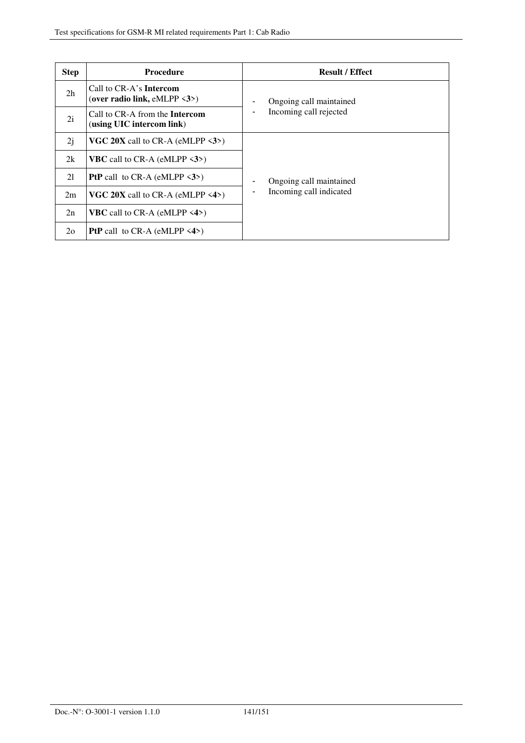| <b>Step</b>    | <b>Procedure</b>                                                                | <b>Result / Effect</b>  |
|----------------|---------------------------------------------------------------------------------|-------------------------|
| 2 <sub>h</sub> | Call to CR-A's <b>Intercom</b><br>(over radio link, eMLPP $\langle 3 \rangle$ ) | Ongoing call maintained |
| 2i             | Call to CR-A from the <b>Intercom</b><br>(using UIC intercom link)              | Incoming call rejected  |
| 2j             | <b>VGC 20X</b> call to CR-A (eMLPP $\langle 3 \rangle$ )                        |                         |
| 2k             | <b>VBC</b> call to CR-A (eMLPP $\langle 3 \rangle$ )                            |                         |
| 21             | <b>PtP</b> call to CR-A (eMLPP $\langle 3 \rangle$ )                            | Ongoing call maintained |
| 2m             | <b>VGC 20X</b> call to CR-A (eMLPP $\langle 4 \rangle$ )                        | Incoming call indicated |
| 2n             | <b>VBC</b> call to CR-A (eMLPP $\langle 4 \rangle$ )                            |                         |
| $2\Omega$      | <b>PtP</b> call to CR-A (eMLPP $\langle 4 \rangle$ )                            |                         |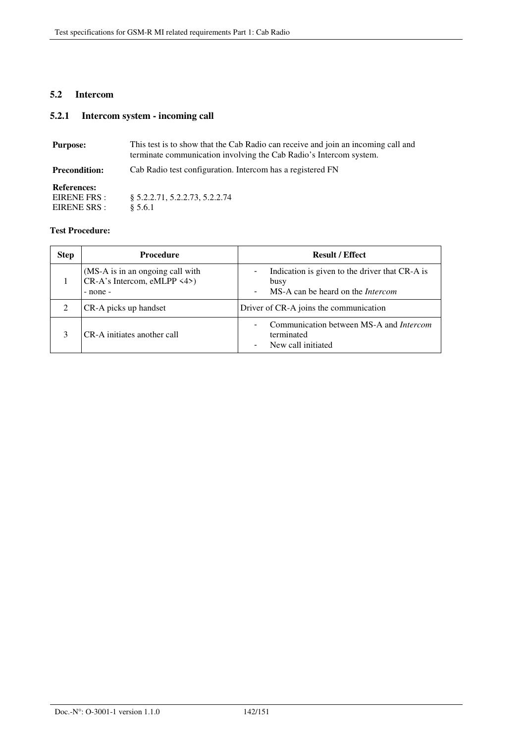## **5.2 Intercom**

# **5.2.1 Intercom system - incoming call**

| <b>Purpose:</b>                                    | This test is to show that the Cab Radio can receive and join an incoming call and<br>terminate communication involving the Cab Radio's Intercom system. |
|----------------------------------------------------|---------------------------------------------------------------------------------------------------------------------------------------------------------|
| <b>Precondition:</b>                               | Cab Radio test configuration. Intercom has a registered FN                                                                                              |
| <b>References:</b><br>EIRENE FRS :<br>EIRENE SRS : | \$5.2.2.71, 5.2.2.73, 5.2.2.74<br>§ 5.6.1                                                                                                               |

| <b>Step</b> | <b>Procedure</b>                                                                | <b>Result / Effect</b>                                                                                                                                     |
|-------------|---------------------------------------------------------------------------------|------------------------------------------------------------------------------------------------------------------------------------------------------------|
|             | (MS-A is in an ongoing call with<br>$CR-A's Intercom, eMLPP \leq 4$<br>- none - | Indication is given to the driver that CR-A is<br>$\overline{\phantom{0}}$<br>busy<br>MS-A can be heard on the <i>Intercom</i><br>$\overline{\phantom{0}}$ |
|             | CR-A picks up handset                                                           | Driver of CR-A joins the communication                                                                                                                     |
| 3           | CR-A initiates another call                                                     | Communication between MS-A and <i>Intercom</i><br>Ξ.<br>terminated<br>New call initiated                                                                   |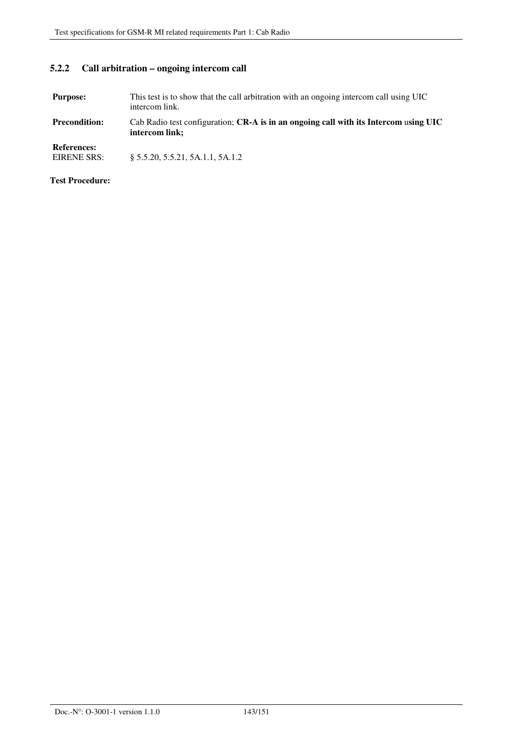### **5.2.2 Call arbitration – ongoing intercom call**

**Purpose:** This test is to show that the call arbitration with an ongoing intercom call using UIC intercom link.

**Precondition:** Cab Radio test configuration; **CR-A is in an ongoing call with its Intercom** u**sing UIC intercom link;** 

**References:** 

§ 5.5.20, 5.5.21, 5A.1.1, 5A.1.2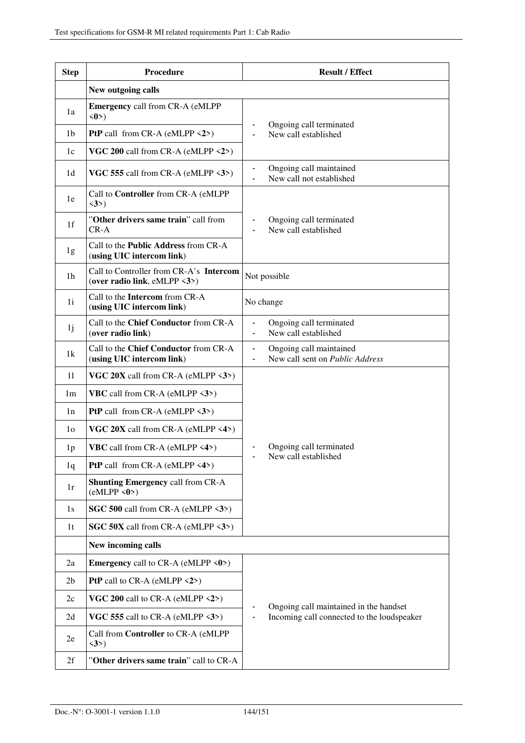| <b>Step</b>    | Procedure                                                                | <b>Result / Effect</b>                                                          |
|----------------|--------------------------------------------------------------------------|---------------------------------------------------------------------------------|
|                | New outgoing calls                                                       |                                                                                 |
| 1a             | <b>Emergency call from CR-A (eMLPP</b><br>$\langle 0 \rangle$            |                                                                                 |
| 1b             | <b>PtP</b> call from CR-A (eMLPP $\langle 2 \rangle$ )                   | Ongoing call terminated<br>New call established<br>$\blacksquare$               |
| 1c             | VGC 200 call from CR-A (eMLPP $\langle 2 \rangle$ )                      |                                                                                 |
| 1d             | VGC 555 call from CR-A (eMLPP $\langle 3 \rangle$ )                      | Ongoing call maintained<br>$\overline{\phantom{a}}$<br>New call not established |
| 1e             | Call to Controller from CR-A (eMLPP<br>$\langle 3 \rangle$               |                                                                                 |
| 1 <sup>f</sup> | "Other drivers same train" call from<br>$CR-A$                           | Ongoing call terminated<br>New call established                                 |
| 1g             | Call to the <b>Public Address</b> from CR-A<br>(using UIC intercom link) |                                                                                 |
| 1h             | Call to Controller from CR-A's Intercom<br>(over radio link, eMLPP <3>)  | Not possible                                                                    |
| 1i             | Call to the Intercom from CR-A<br>(using UIC intercom link)              | No change                                                                       |
| 1j             | Call to the Chief Conductor from CR-A<br>(over radio link)               | Ongoing call terminated<br>New call established                                 |
| 1k             | Call to the Chief Conductor from CR-A<br>(using UIC intercom link)       | Ongoing call maintained<br>New call sent on Public Address                      |
| 11             | VGC $20X$ call from CR-A (eMLPP $\langle 3 \rangle$ )                    |                                                                                 |
| 1 <sub>m</sub> | <b>VBC</b> call from CR-A (eMLPP $\langle 3 \rangle$ )                   |                                                                                 |
| 1n             | <b>PtP</b> call from CR-A (eMLPP $\langle 3 \rangle$ )                   |                                                                                 |
| 1 <sub>o</sub> | VGC 20X call from CR-A (eMLPP <4>)                                       |                                                                                 |
| 1 <sub>p</sub> | <b>VBC</b> call from CR-A (eMLPP <4>)                                    | Ongoing call terminated<br>New call established                                 |
| 1q             | <b>PtP</b> call from CR-A (eMLPP $\langle 4 \rangle$ )                   |                                                                                 |
| 1r             | <b>Shunting Emergency call from CR-A</b><br>(eMLPP < 0)                  |                                                                                 |
| 1s             | SGC 500 call from CR-A (eMLPP $\langle 3 \rangle$ )                      |                                                                                 |
| 1 <sub>t</sub> | <b>SGC 50X</b> call from CR-A (eMLPP $\langle 3 \rangle$ )               |                                                                                 |
|                | New incoming calls                                                       |                                                                                 |
| 2a             | <b>Emergency</b> call to CR-A (eMLPP $\langle 0 \rangle$ )               |                                                                                 |
| 2 <sub>b</sub> | <b>PtP</b> call to CR-A (eMLPP $\langle 2 \rangle$ )                     |                                                                                 |
| 2c             | VGC 200 call to CR-A (eMLPP $\langle 2 \rangle$ )                        | Ongoing call maintained in the handset                                          |
| 2d             | VGC 555 call to CR-A (eMLPP $\langle 3 \rangle$ )                        | Incoming call connected to the loudspeaker                                      |
| 2e             | Call from Controller to CR-A (eMLPP<br>$\langle 3 \rangle$               |                                                                                 |
| 2f             | "Other drivers same train" call to CR-A                                  |                                                                                 |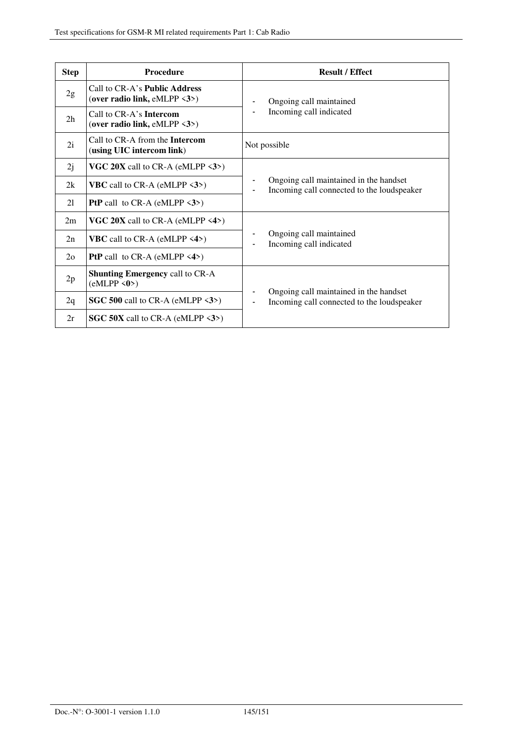| <b>Step</b>    | <b>Procedure</b>                                                                | <b>Result / Effect</b>                                                               |
|----------------|---------------------------------------------------------------------------------|--------------------------------------------------------------------------------------|
| 2g             | Call to CR-A's <b>Public Address</b><br>(over radio link, $eMLPP \leq 3$ )      | Ongoing call maintained<br>Incoming call indicated                                   |
| 2 <sub>h</sub> | Call to CR-A's <b>Intercom</b><br>(over radio link, eMLPP $\langle 3 \rangle$ ) |                                                                                      |
| 2i             | Call to CR-A from the <b>Intercom</b><br>(using UIC intercom link)              | Not possible                                                                         |
| 2j             | VGC 20X call to CR-A (eMLPP <3>)                                                |                                                                                      |
| 2k             | <b>VBC</b> call to CR-A (eMLPP $\langle 3 \rangle$ )                            | Ongoing call maintained in the handset<br>Incoming call connected to the loudspeaker |
| 21             | <b>PtP</b> call to CR-A (eMLPP $\langle 3 \rangle$ )                            |                                                                                      |
| 2m             | <b>VGC 20X</b> call to CR-A (eMLPP $\langle 4 \rangle$ )                        |                                                                                      |
| 2n             | <b>VBC</b> call to CR-A (eMLPP $\langle 4 \rangle$ )                            | Ongoing call maintained<br>Incoming call indicated                                   |
| 2 <sub>0</sub> | <b>PtP</b> call to CR-A (eMLPP $\langle 4 \rangle$ )                            |                                                                                      |
| 2p             | <b>Shunting Emergency call to CR-A</b><br>(eMLPP < 0)                           |                                                                                      |
| 2q             | SGC 500 call to CR-A (eMLPP $\langle 3 \rangle$ )                               | Ongoing call maintained in the handset<br>Incoming call connected to the loudspeaker |
| 2r             | SGC 50X call to CR-A (eMLPP $\langle 3 \rangle$ )                               |                                                                                      |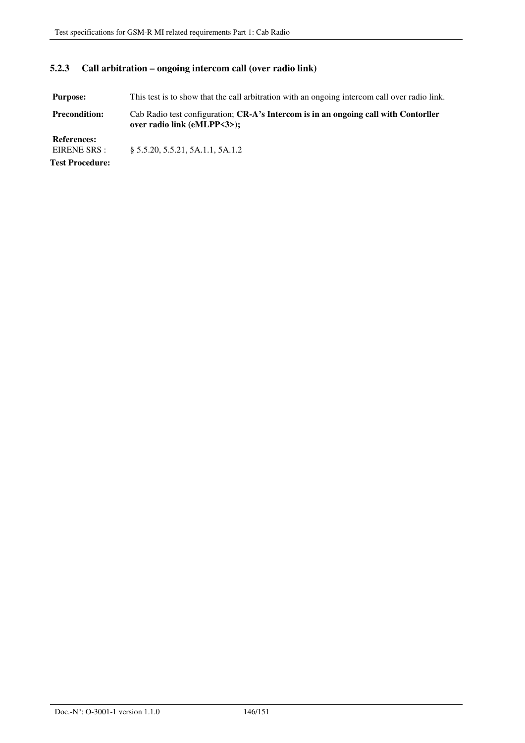## **5.2.3 Call arbitration – ongoing intercom call (over radio link)**

**Purpose:** This test is to show that the call arbitration with an ongoing intercom call over radio link. **Precondition:** Cab Radio test configuration; **CR-A's Intercom is in an ongoing call with Contorller over radio link (eMLPP<3>);** 

**References:**  § 5.5.20, 5.5.21, 5A.1.1, 5A.1.2 **Test Procedure:**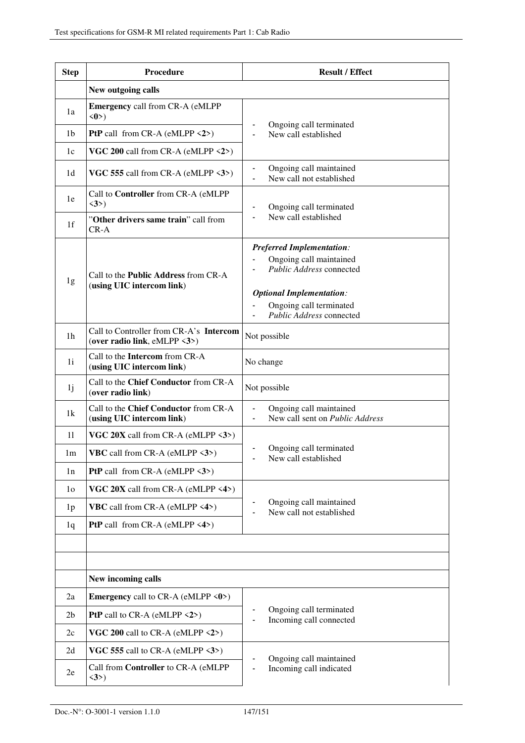| <b>Step</b>    | Procedure                                                                | <b>Result / Effect</b>                                                                                                                                                            |
|----------------|--------------------------------------------------------------------------|-----------------------------------------------------------------------------------------------------------------------------------------------------------------------------------|
|                | New outgoing calls                                                       |                                                                                                                                                                                   |
| 1a             | Emergency call from CR-A (eMLPP<br>$\langle 0 \rangle$                   |                                                                                                                                                                                   |
| 1b             | <b>PtP</b> call from CR-A (eMLPP $\langle 2 \rangle$ )                   | Ongoing call terminated<br>New call established                                                                                                                                   |
| 1c             | VGC 200 call from CR-A (eMLPP $\langle 2 \rangle$ )                      |                                                                                                                                                                                   |
| 1d             | VGC 555 call from CR-A (eMLPP <3>)                                       | Ongoing call maintained<br>$\qquad \qquad \blacksquare$<br>New call not established<br>$\blacksquare$                                                                             |
| 1e             | Call to Controller from CR-A (eMLPP<br>$\langle 3 \rangle$               | Ongoing call terminated                                                                                                                                                           |
| 1f             | "Other drivers same train" call from<br>$CR-A$                           | New call established                                                                                                                                                              |
| 1g             | Call to the <b>Public Address</b> from CR-A<br>(using UIC intercom link) | <b>Preferred Implementation:</b><br>Ongoing call maintained<br>Public Address connected<br><b>Optional Implementation:</b><br>Ongoing call terminated<br>Public Address connected |
| 1 <sub>h</sub> | Call to Controller from CR-A's Intercom<br>(over radio link, eMLPP <3>)  | Not possible                                                                                                                                                                      |
| 1i             | Call to the Intercom from CR-A<br>(using UIC intercom link)              | No change                                                                                                                                                                         |
| 1 <sub>j</sub> | Call to the Chief Conductor from CR-A<br>(over radio link)               | Not possible                                                                                                                                                                      |
| 1k             | Call to the Chief Conductor from CR-A<br>(using UIC intercom link)       | Ongoing call maintained<br>New call sent on <i>Public Address</i>                                                                                                                 |
| 11             | VGC $20X$ call from CR-A (eMLPP $\langle 3 \rangle$ )                    |                                                                                                                                                                                   |
| 1m             | <b>VBC</b> call from CR-A (eMLPP <3>)                                    | Ongoing call terminated<br>New call established                                                                                                                                   |
| 1n             | <b>PtP</b> call from CR-A (eMLPP $\langle 3 \rangle$ )                   |                                                                                                                                                                                   |
| 1 <sub>0</sub> | VGC $20X$ call from CR-A (eMLPP $\langle 4 \rangle$ )                    |                                                                                                                                                                                   |
| 1 <sub>p</sub> | <b>VBC</b> call from CR-A (eMLPP <4>)                                    | Ongoing call maintained<br>New call not established                                                                                                                               |
| 1q             | <b>PtP</b> call from CR-A (eMLPP $\langle 4 \rangle$ )                   |                                                                                                                                                                                   |
|                |                                                                          |                                                                                                                                                                                   |
|                |                                                                          |                                                                                                                                                                                   |
|                | New incoming calls                                                       |                                                                                                                                                                                   |
| 2a             | <b>Emergency</b> call to CR-A (eMLPP $\langle 0 \rangle$ )               |                                                                                                                                                                                   |
| 2 <sub>b</sub> | <b>PtP</b> call to CR-A (eMLPP $\langle 2 \rangle$ )                     | Ongoing call terminated<br>Incoming call connected                                                                                                                                |
| 2c             | VGC 200 call to CR-A (eMLPP $\langle 2 \rangle$ )                        |                                                                                                                                                                                   |
| 2d             | VGC 555 call to CR-A (eMLPP $\langle 3 \rangle$ )                        | Ongoing call maintained                                                                                                                                                           |
| 2e             | Call from Controller to CR-A (eMLPP<br>$\langle 3 \rangle$               | Incoming call indicated                                                                                                                                                           |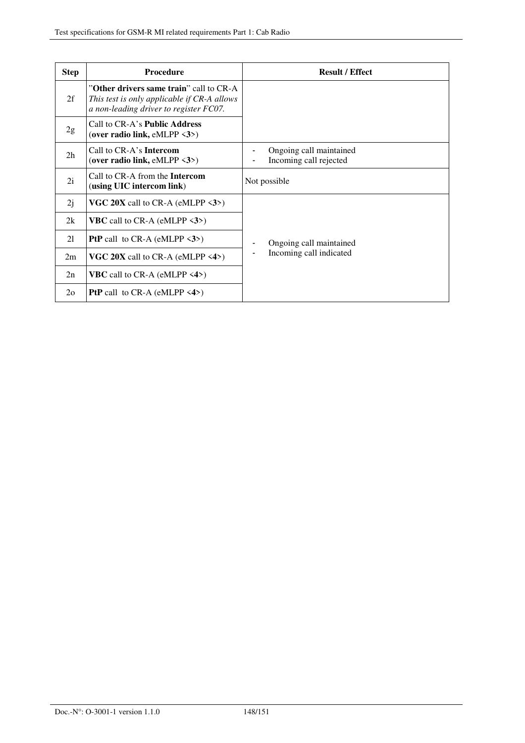| <b>Step</b>    | <b>Procedure</b>                                                                                                                 | <b>Result / Effect</b>                            |
|----------------|----------------------------------------------------------------------------------------------------------------------------------|---------------------------------------------------|
| 2f             | "Other drivers same train" call to CR-A<br>This test is only applicable if CR-A allows<br>a non-leading driver to register FC07. |                                                   |
| 2g             | Call to CR-A's <b>Public Address</b><br>(over radio link, eMLPP $\langle 3 \rangle$ )                                            |                                                   |
| 2 <sub>h</sub> | Call to CR-A's <b>Intercom</b><br>(over radio link, eMLPP $\langle 3 \rangle$ )                                                  | Ongoing call maintained<br>Incoming call rejected |
| 2i             | Call to CR-A from the <b>Intercom</b><br>(using UIC intercom link)                                                               | Not possible                                      |
| 2j             | VGC 20X call to CR-A (eMLPP $\langle 3 \rangle$ )                                                                                |                                                   |
| 2k             | <b>VBC</b> call to CR-A (eMLPP $\langle 3 \rangle$ )                                                                             |                                                   |
| 21             | <b>PtP</b> call to CR-A (eMLPP $\langle 3 \rangle$ )                                                                             | Ongoing call maintained                           |
| 2m             | <b>VGC 20X</b> call to CR-A (eMLPP $\langle 4 \rangle$ )                                                                         | Incoming call indicated                           |
| 2n             | <b>VBC</b> call to CR-A (eMLPP $\langle 4 \rangle$ )                                                                             |                                                   |
| $2\Omega$      | <b>PtP</b> call to CR-A (eMLPP $\langle 4 \rangle$ )                                                                             |                                                   |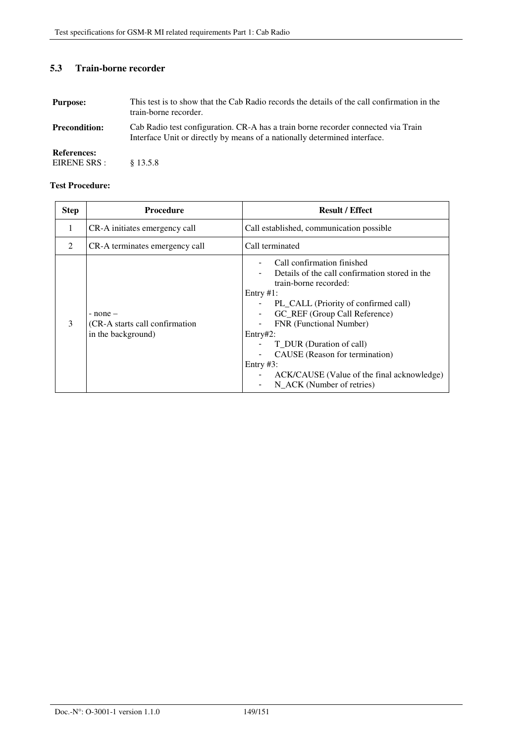## **5.3 Train-borne recorder**

| <b>Purpose:</b>                    | This test is to show that the Cab Radio records the details of the call confirmation in the<br>train-borne recorder.                                           |
|------------------------------------|----------------------------------------------------------------------------------------------------------------------------------------------------------------|
| <b>Precondition:</b>               | Cab Radio test configuration. CR-A has a train borne recorder connected via Train<br>Interface Unit or directly by means of a nationally determined interface. |
| <b>References:</b><br>EIRENE SRS : | \$13.5.8                                                                                                                                                       |

### **Test Procedure:**

| <b>Step</b> | <b>Procedure</b>                                                      | <b>Result / Effect</b>                                                                                                                                                                                                                                                                                                                                                                         |
|-------------|-----------------------------------------------------------------------|------------------------------------------------------------------------------------------------------------------------------------------------------------------------------------------------------------------------------------------------------------------------------------------------------------------------------------------------------------------------------------------------|
| 1           | CR-A initiates emergency call                                         | Call established, communication possible                                                                                                                                                                                                                                                                                                                                                       |
| 2           | CR-A terminates emergency call                                        | Call terminated                                                                                                                                                                                                                                                                                                                                                                                |
| 3           | $-$ none $-$<br>(CR-A starts call confirmation)<br>in the background) | Call confirmation finished<br>Details of the call confirmation stored in the<br>train-borne recorded:<br>Entry $#1$ :<br>PL_CALL (Priority of confirmed call)<br>GC_REF (Group Call Reference)<br>FNR (Functional Number)<br>Entry#2:<br>T_DUR (Duration of call)<br>CAUSE (Reason for termination)<br>Entry $#3$ :<br>ACK/CAUSE (Value of the final acknowledge)<br>N ACK (Number of retries) |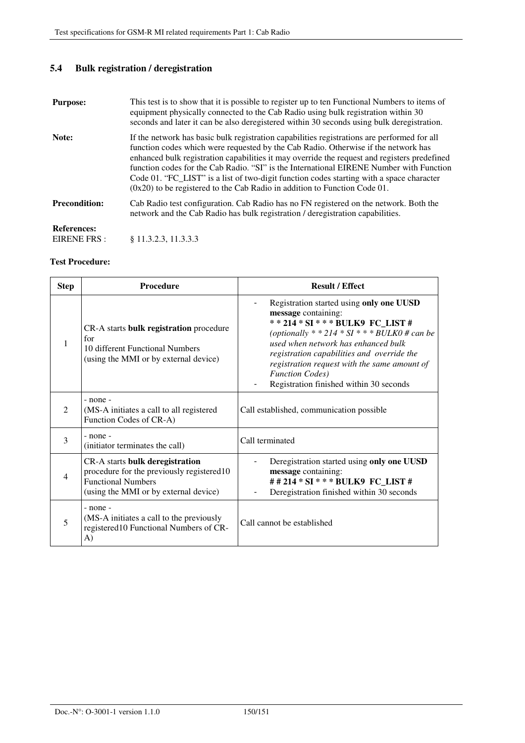# **5.4 Bulk registration / deregistration**

| <b>Purpose:</b>                   | This test is to show that it is possible to register up to ten Functional Numbers to items of<br>equipment physically connected to the Cab Radio using bulk registration within 30<br>seconds and later it can be also deregistered within 30 seconds using bulk deregistration.                                                                                                                                                                                                                                                                        |
|-----------------------------------|---------------------------------------------------------------------------------------------------------------------------------------------------------------------------------------------------------------------------------------------------------------------------------------------------------------------------------------------------------------------------------------------------------------------------------------------------------------------------------------------------------------------------------------------------------|
| Note:                             | If the network has basic bulk registration capabilities registrations are performed for all<br>function codes which were requested by the Cab Radio. Otherwise if the network has<br>enhanced bulk registration capabilities it may override the request and registers predefined<br>function codes for the Cab Radio. "SI" is the International EIRENE Number with Function<br>Code 01. "FC_LIST" is a list of two-digit function codes starting with a space character<br>$(0x20)$ to be registered to the Cab Radio in addition to Function Code 01. |
| <b>Precondition:</b>              | Cab Radio test configuration. Cab Radio has no FN registered on the network. Both the<br>network and the Cab Radio has bulk registration / deregistration capabilities.                                                                                                                                                                                                                                                                                                                                                                                 |
| <b>References:</b><br>EIRENE FRS: | \$11.3.2.3, 11.3.3.3                                                                                                                                                                                                                                                                                                                                                                                                                                                                                                                                    |

#### **Test Procedure:**

| <b>Step</b>    | Procedure                                                                                                                                          | <b>Result / Effect</b>                                                                                                                                                                                                                                                                                                                                               |
|----------------|----------------------------------------------------------------------------------------------------------------------------------------------------|----------------------------------------------------------------------------------------------------------------------------------------------------------------------------------------------------------------------------------------------------------------------------------------------------------------------------------------------------------------------|
| 1              | CR-A starts <b>bulk registration</b> procedure<br>for<br>10 different Functional Numbers<br>(using the MMI or by external device)                  | Registration started using only one UUSD<br>message containing:<br>** 214 * SI * * * BULK9 FC LIST #<br>(optionally $*$ * 214 * SI $*$ * * BULK0 # can be<br>used when network has enhanced bulk<br>registration capabilities and override the<br>registration request with the same amount of<br><b>Function Codes</b> )<br>Registration finished within 30 seconds |
| 2              | $-$ none $-$<br>(MS-A initiates a call to all registered<br>Function Codes of CR-A)                                                                | Call established, communication possible                                                                                                                                                                                                                                                                                                                             |
| 3              | - none -<br>(initiator terminates the call)                                                                                                        | Call terminated                                                                                                                                                                                                                                                                                                                                                      |
| $\overline{4}$ | CR-A starts bulk deregistration<br>procedure for the previously registered10<br><b>Functional Numbers</b><br>(using the MMI or by external device) | Deregistration started using only one UUSD<br>message containing:<br>##214 * SI * * * BULK9 FC LIST #<br>Deregistration finished within 30 seconds                                                                                                                                                                                                                   |
| 5              | $-$ none $-$<br>(MS-A initiates a call to the previously<br>registered10 Functional Numbers of CR-<br>A)                                           | Call cannot be established                                                                                                                                                                                                                                                                                                                                           |